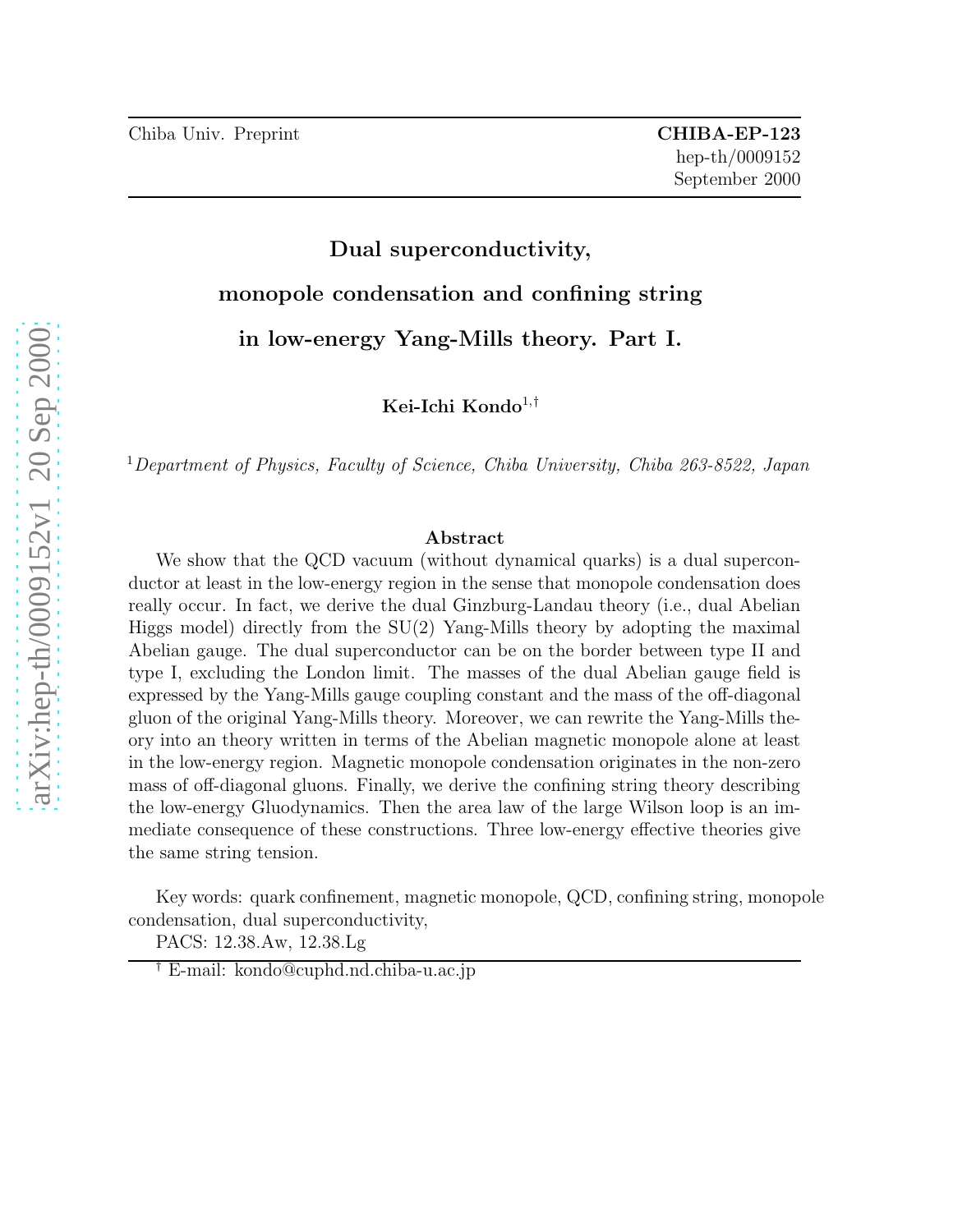# Dual superconductivity, monopole condensation and confining string in low-energy Yang-Mills theory. Part I.

Kei-Ichi Kondo<sup>1,†</sup>

<sup>1</sup>Department of Physics, Faculty of Science, Chiba University, Chiba 263-8522, Japan

#### Abstract

We show that the QCD vacuum (without dynamical quarks) is a dual superconductor at least in the low-energy region in the sense that monopole condensation does really occur. In fact, we derive the dual Ginzburg-Landau theory (i.e., dual Abelian Higgs model) directly from the SU(2) Yang-Mills theory by adopting the maximal Abelian gauge. The dual superconductor can be on the border between type II and type I, excluding the London limit. The masses of the dual Abelian gauge field is expressed by the Yang-Mills gauge coupling constant and the mass of the off-diagonal gluon of the original Yang-Mills theory. Moreover, we can rewrite the Yang-Mills theory into an theory written in terms of the Abelian magnetic monopole alone at least in the low-energy region. Magnetic monopole condensation originates in the non-zero mass of off-diagonal gluons. Finally, we derive the confining string theory describing the low-energy Gluodynamics. Then the area law of the large Wilson loop is an immediate consequence of these constructions. Three low-energy effective theories give the same string tension.

Key words: quark confinement, magnetic monopole, QCD, confining string, monopole condensation, dual superconductivity,

PACS: 12.38.Aw, 12.38.Lg

<sup>†</sup> E-mail: kondo@cuphd.nd.chiba-u.ac.jp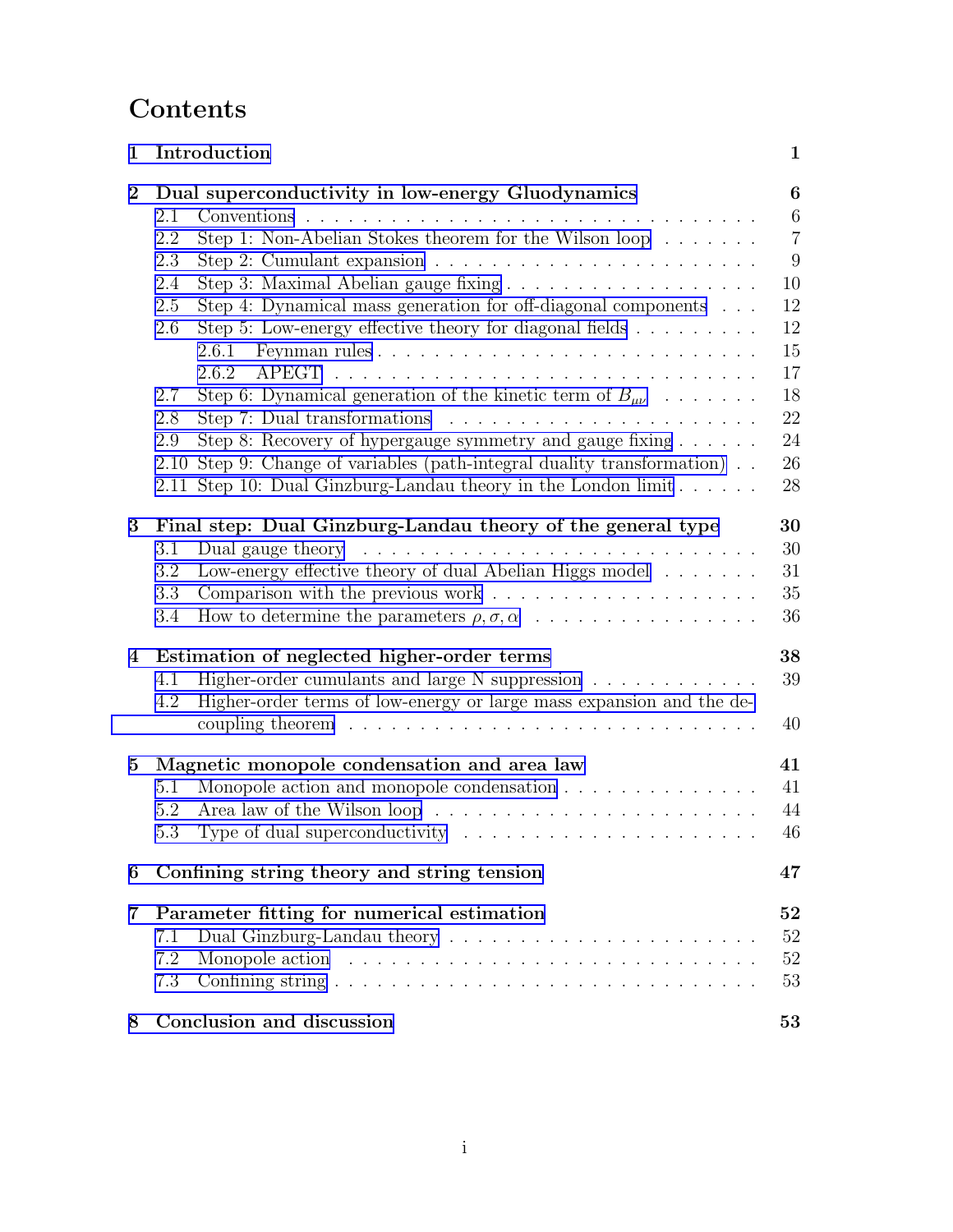# Contents

| 1              | Introduction                                                                                           | $\mathbf 1$     |
|----------------|--------------------------------------------------------------------------------------------------------|-----------------|
| $\bf{2}$       | Dual superconductivity in low-energy Gluodynamics                                                      | 6               |
|                | 2.1                                                                                                    | $6\phantom{.}6$ |
|                | Step 1: Non-Abelian Stokes theorem for the Wilson loop $\dots \dots$<br>2.2                            | $\overline{7}$  |
|                | 2.3<br>Step 2: Cumulant expansion $\ldots \ldots \ldots \ldots \ldots \ldots \ldots$                   | 9               |
|                | 2.4                                                                                                    | 10              |
|                | Step 4: Dynamical mass generation for off-diagonal components<br>2.5                                   | 12<br>12        |
|                | Step 5: Low-energy effective theory for diagonal fields $\ldots \ldots \ldots$<br>2.6<br>2.6.1         | 15              |
|                | 2.6.2                                                                                                  | 17              |
|                | Step 6: Dynamical generation of the kinetic term of $B_{\mu\nu}$<br>2.7                                | 18              |
|                | Step 7: Dual transformations $\ldots \ldots \ldots \ldots \ldots \ldots \ldots$<br>2.8                 | $22\,$          |
|                | Step 8: Recovery of hypergauge symmetry and gauge fixing<br>2.9                                        | 24              |
|                | Step 9: Change of variables (path-integral duality transformation)<br>2.10                             | 26              |
|                | 2.11 Step 10: Dual Ginzburg-Landau theory in the London limit                                          | 28              |
|                |                                                                                                        |                 |
| 3              | Final step: Dual Ginzburg-Landau theory of the general type                                            | 30              |
|                | 3.1                                                                                                    | 30              |
|                | Low-energy effective theory of dual Abelian Higgs model<br>3.2                                         | 31              |
|                | Comparison with the previous work $\dots \dots \dots \dots \dots \dots \dots$<br>3.3                   | 35              |
|                | 3.4                                                                                                    | 36              |
| 4              | Estimation of neglected higher-order terms                                                             | 38              |
|                | Higher-order cumulants and large N suppression $\;\ldots\; \ldots\; \ldots\; \ldots\; \ldots\;$<br>4.1 | 39              |
|                | Higher-order terms of low-energy or large mass expansion and the de-<br>4.2                            |                 |
|                |                                                                                                        | 40              |
| $\bf{5}$       | Magnetic monopole condensation and area law                                                            | 41              |
|                | Monopole action and monopole condensation<br>5.1                                                       | 41              |
|                | 5.2                                                                                                    | 44              |
|                | 5.3                                                                                                    | 46              |
| 6              | Confining string theory and string tension                                                             | 47              |
| $\overline{7}$ | Parameter fitting for numerical estimation                                                             | ${\bf 52}$      |
|                | Dual Ginzburg-Landau theory $\dots \dots \dots \dots \dots \dots \dots \dots \dots$<br>7.1             | 52              |
|                | 7.2                                                                                                    | 52              |
|                | 7.3                                                                                                    | 53              |
| 8              | Conclusion and discussion                                                                              | 53              |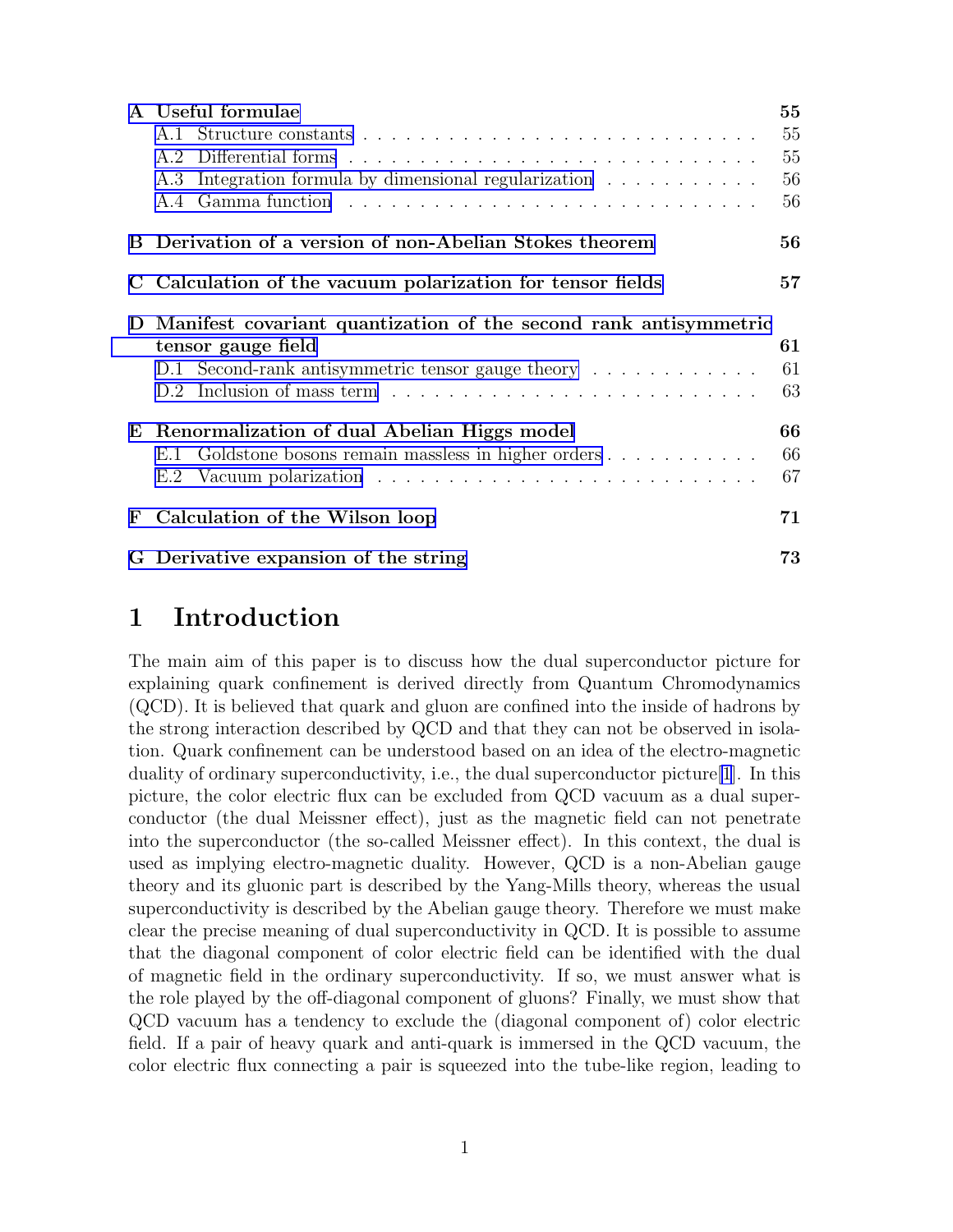<span id="page-2-0"></span>

|              | A Useful formulae                                                | 55 |  |
|--------------|------------------------------------------------------------------|----|--|
|              |                                                                  | 55 |  |
|              | A.2                                                              | 55 |  |
|              | Integration formula by dimensional regularization<br>A.3         | 56 |  |
|              |                                                                  | 56 |  |
|              | B Derivation of a version of non-Abelian Stokes theorem          | 56 |  |
|              | Calculation of the vacuum polarization for tensor fields         | 57 |  |
| $\mathbf{D}$ | Manifest covariant quantization of the second rank antisymmetric |    |  |
|              | tensor gauge field                                               | 61 |  |
|              | D.1 Second-rank antisymmetric tensor gauge theory                | 61 |  |
|              |                                                                  | 63 |  |
| E            | Renormalization of dual Abelian Higgs model                      | 66 |  |
|              | E.1 Goldstone bosons remain massless in higher orders            | 66 |  |
|              | E.2                                                              | 67 |  |
| F            | Calculation of the Wilson loop                                   | 71 |  |
|              | G Derivative expansion of the string                             | 73 |  |

## 1 Introduction

The main aim of this paper is to discuss how the dual superconductor picture for explaining quark confinement is derived directly from Quantum Chromodynamics (QCD). It is believed that quark and gluon are confined into the inside of hadrons by the strong interaction described by QCD and that they can not be observed in isolation. Quark confinement can be understood based on an idea of the electro-magnetic duality of ordinary superconductivity, i.e., the dual superconductor picture[\[1](#page-76-0)]. In this picture, the color electric flux can be excluded from QCD vacuum as a dual superconductor (the dual Meissner effect), just as the magnetic field can not penetrate into the superconductor (the so-called Meissner effect). In this context, the dual is used as implying electro-magnetic duality. However, QCD is a non-Abelian gauge theory and its gluonic part is described by the Yang-Mills theory, whereas the usual superconductivity is described by the Abelian gauge theory. Therefore we must make clear the precise meaning of dual superconductivity in QCD. It is possible to assume that the diagonal component of color electric field can be identified with the dual of magnetic field in the ordinary superconductivity. If so, we must answer what is the role played by the off-diagonal component of gluons? Finally, we must show that QCD vacuum has a tendency to exclude the (diagonal component of) color electric field. If a pair of heavy quark and anti-quark is immersed in the QCD vacuum, the color electric flux connecting a pair is squeezed into the tube-like region, leading to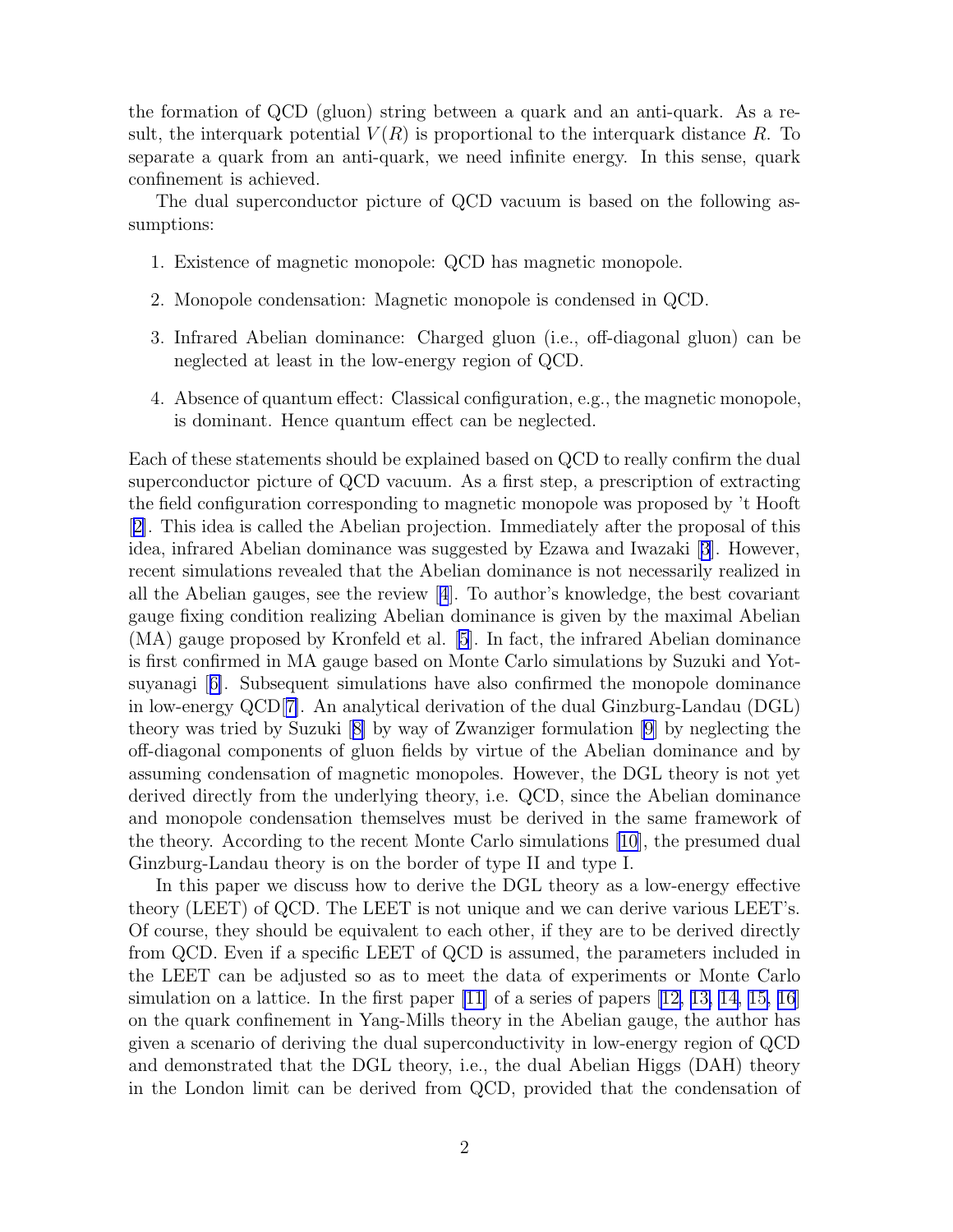the formation of QCD (gluon) string between a quark and an anti-quark. As a result, the interquark potential  $V(R)$  is proportional to the interquark distance R. To separate a quark from an anti-quark, we need infinite energy. In this sense, quark confinement is achieved.

The dual superconductor picture of QCD vacuum is based on the following assumptions:

- 1. Existence of magnetic monopole: QCD has magnetic monopole.
- 2. Monopole condensation: Magnetic monopole is condensed in QCD.
- 3. Infrared Abelian dominance: Charged gluon (i.e., off-diagonal gluon) can be neglected at least in the low-energy region of QCD.
- 4. Absence of quantum effect: Classical configuration, e.g., the magnetic monopole, is dominant. Hence quantum effect can be neglected.

Each of these statements should be explained based on QCD to really confirm the dual superconductor picture of QCD vacuum. As a first step, a prescription of extracting the field configuration corresponding to magnetic monopole was proposed by 't Hooft [[2\]](#page-76-0). This idea is called the Abelian projection. Immediately after the proposal of this idea, infrared Abelian dominance was suggested by Ezawa and Iwazaki[[3](#page-76-0)]. However, recent simulations revealed that the Abelian dominance is not necessarily realized in all the Abelian gauges, see the review[[4](#page-76-0)]. To author's knowledge, the best covariant gauge fixing condition realizing Abelian dominance is given by the maximal Abelian (MA) gauge proposed by Kronfeld et al. [\[5](#page-76-0)]. In fact, the infrared Abelian dominance is first confirmed in MA gauge based on Monte Carlo simulations by Suzuki and Yotsuyanagi[[6\]](#page-77-0). Subsequent simulations have also confirmed the monopole dominance in low-energy QCD[[7\]](#page-77-0). An analytical derivation of the dual Ginzburg-Landau (DGL) theory was tried by Suzuki[[8\]](#page-77-0) by way of Zwanziger formulation [\[9\]](#page-77-0) by neglecting the off-diagonal components of gluon fields by virtue of the Abelian dominance and by assuming condensation of magnetic monopoles. However, the DGL theory is not yet derived directly from the underlying theory, i.e. QCD, since the Abelian dominance and monopole condensation themselves must be derived in the same framework of the theory. According to the recent Monte Carlo simulations [\[10](#page-77-0)], the presumed dual Ginzburg-Landau theory is on the border of type II and type I.

In this paper we discuss how to derive the DGL theory as a low-energy effective theory (LEET) of QCD. The LEET is not unique and we can derive various LEET's. Of course, they should be equivalent to each other, if they are to be derived directly from QCD. Even if a specific LEET of QCD is assumed, the parameters included in the LEET can be adjusted so as to meet the data of experiments or Monte Carlo simulation on a lattice. In the first paper  $[11]$  of a series of papers  $[12, 13, 14, 15, 16]$ on the quark confinement in Yang-Mills theory in the Abelian gauge, the author has given a scenario of deriving the dual superconductivity in low-energy region of QCD and demonstrated that the DGL theory, i.e., the dual Abelian Higgs (DAH) theory in the London limit can be derived from QCD, provided that the condensation of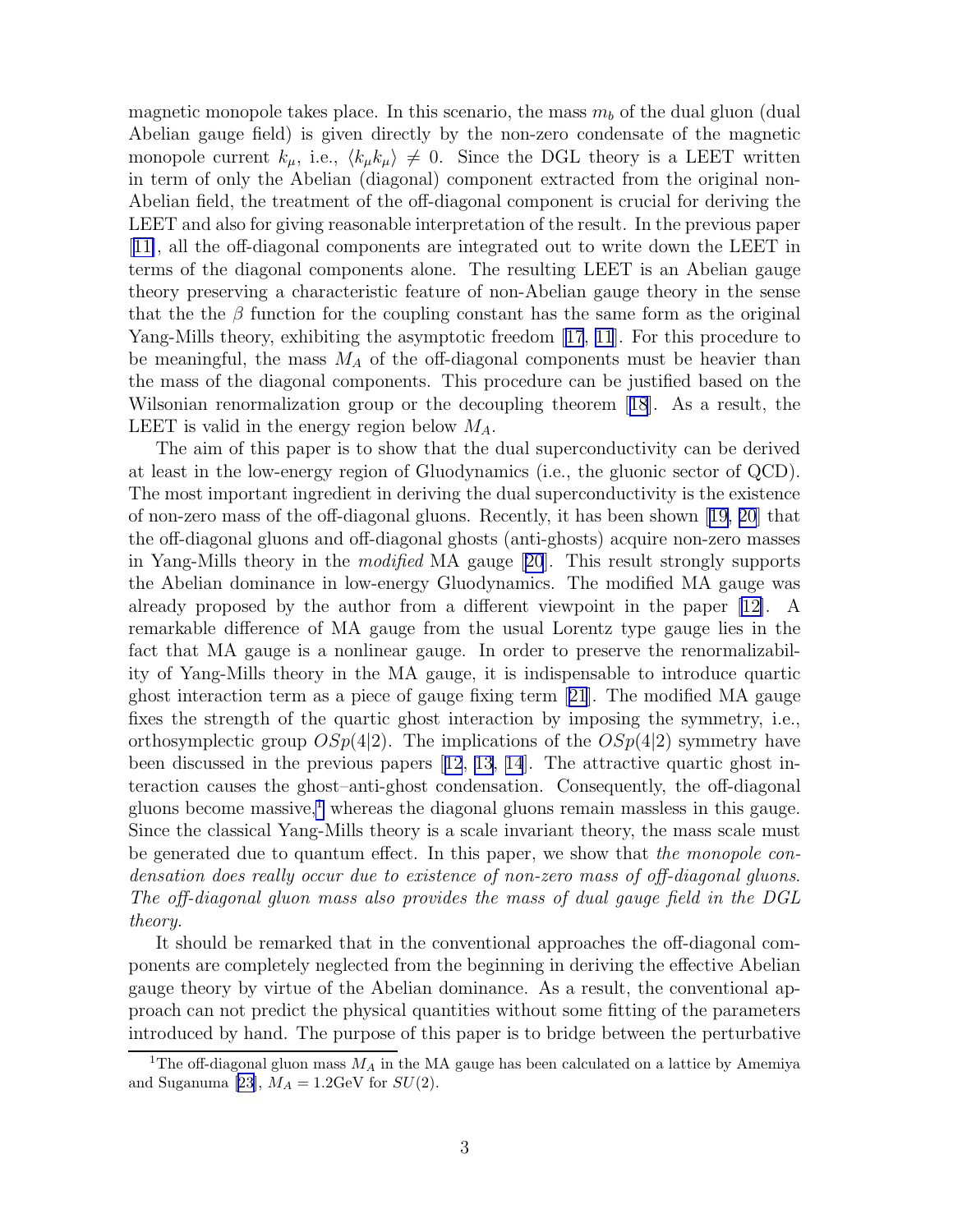magnetic monopole takes place. In this scenario, the mass  $m_b$  of the dual gluon (dual Abelian gauge field) is given directly by the non-zero condensate of the magnetic monopole current  $k_{\mu}$ , i.e.,  $\langle k_{\mu}k_{\mu} \rangle \neq 0$ . Since the DGL theory is a LEET written in term of only the Abelian (diagonal) component extracted from the original non-Abelian field, the treatment of the off-diagonal component is crucial for deriving the LEET and also for giving reasonable interpretation of the result. In the previous paper [[11\]](#page-77-0), all the off-diagonal components are integrated out to write down the LEET in terms of the diagonal components alone. The resulting LEET is an Abelian gauge theory preserving a characteristic feature of non-Abelian gauge theory in the sense that the the  $\beta$  function for the coupling constant has the same form as the original Yang-Mills theory, exhibiting the asymptotic freedom[[17](#page-77-0), [11](#page-77-0)]. For this procedure to be meaningful, the mass  $M_A$  of the off-diagonal components must be heavier than the mass of the diagonal components. This procedure can be justified based on the Wilsonian renormalization group or the decoupling theorem[[18](#page-77-0)]. As a result, the LEET is valid in the energy region below  $M_A$ .

The aim of this paper is to show that the dual superconductivity can be derived at least in the low-energy region of Gluodynamics (i.e., the gluonic sector of QCD). The most important ingredient in deriving the dual superconductivity is the existence of non-zero mass of the off-diagonal gluons. Recently, it has been shown[[19, 20](#page-77-0)] that the off-diagonal gluons and off-diagonal ghosts (anti-ghosts) acquire non-zero masses in Yang-Mills theory in the modified MA gauge[[20](#page-77-0)]. This result strongly supports the Abelian dominance in low-energy Gluodynamics. The modified MA gauge was already proposed by the author from a different viewpoint in the paper[[12\]](#page-77-0). A remarkable difference of MA gauge from the usual Lorentz type gauge lies in the fact that MA gauge is a nonlinear gauge. In order to preserve the renormalizability of Yang-Mills theory in the MA gauge, it is indispensable to introduce quartic ghost interaction term as a piece of gauge fixing term[[21](#page-77-0)]. The modified MA gauge fixes the strength of the quartic ghost interaction by imposing the symmetry, i.e., orthosymplectic group  $OSp(4|2)$ . The implications of the  $OSp(4|2)$  symmetry have been discussed in the previous papers[[12](#page-77-0), [13, 14](#page-77-0)]. The attractive quartic ghost interaction causes the ghost–anti-ghost condensation. Consequently, the off-diagonal gluons become massive,<sup>1</sup> whereas the diagonal gluons remain massless in this gauge. Since the classical Yang-Mills theory is a scale invariant theory, the mass scale must be generated due to quantum effect. In this paper, we show that the monopole condensation does really occur due to existence of non-zero mass of off-diagonal gluons. The off-diagonal gluon mass also provides the mass of dual gauge field in the DGL theory.

It should be remarked that in the conventional approaches the off-diagonal components are completely neglected from the beginning in deriving the effective Abelian gauge theory by virtue of the Abelian dominance. As a result, the conventional approach can not predict the physical quantities without some fitting of the parameters introduced by hand. The purpose of this paper is to bridge between the perturbative

<sup>&</sup>lt;sup>1</sup>The off-diagonal gluon mass  $M_A$  in the MA gauge has been calculated on a lattice by Amemiya and Suganuma [\[23](#page-78-0)],  $M_A = 1.2$ GeV for  $SU(2)$ .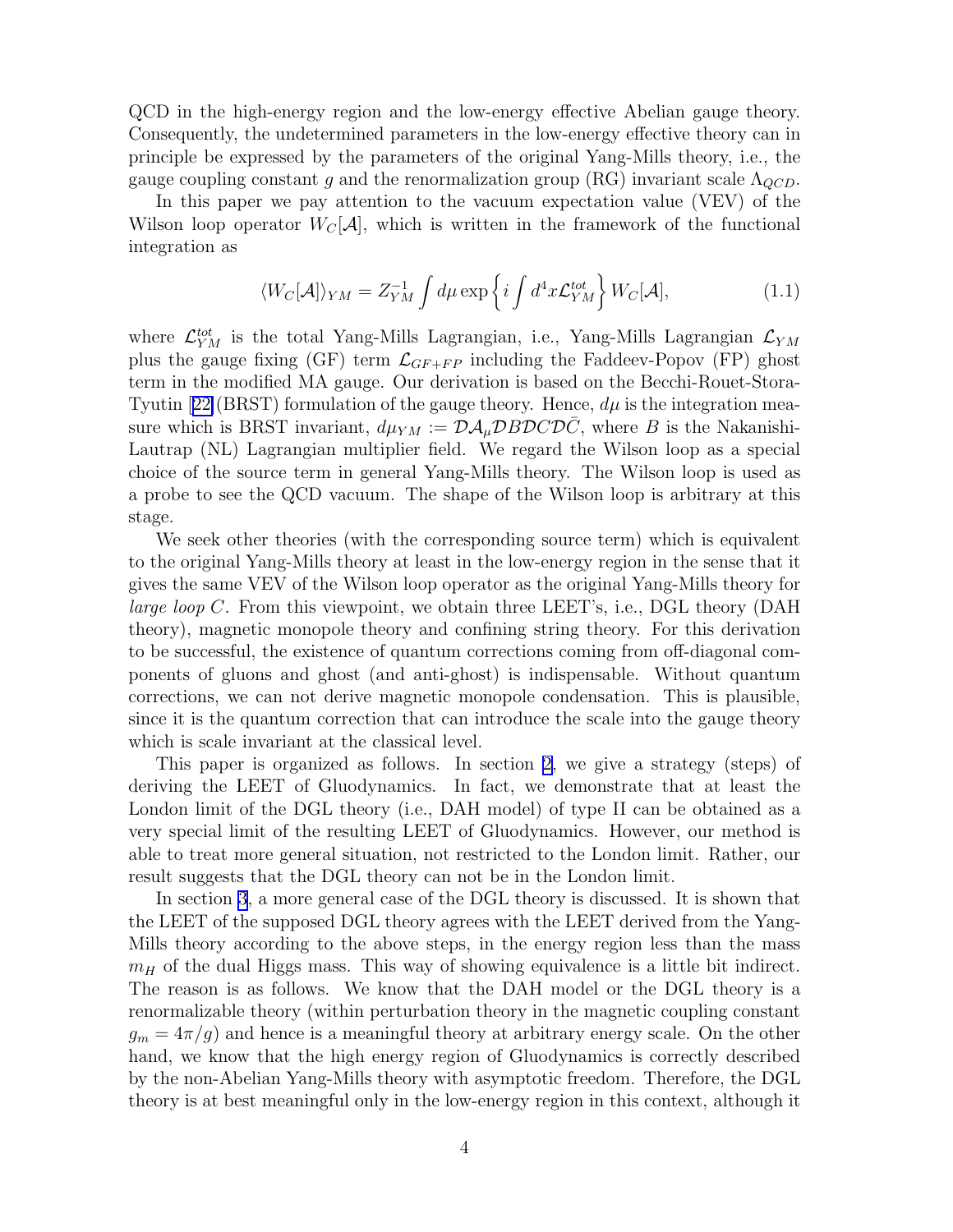QCD in the high-energy region and the low-energy effective Abelian gauge theory. Consequently, the undetermined parameters in the low-energy effective theory can in principle be expressed by the parameters of the original Yang-Mills theory, i.e., the gauge coupling constant g and the renormalization group (RG) invariant scale  $\Lambda_{QCD}$ .

In this paper we pay attention to the vacuum expectation value (VEV) of the Wilson loop operator  $W_{\mathcal{C}}[\mathcal{A}]$ , which is written in the framework of the functional integration as

$$
\langle W_C[\mathcal{A}]\rangle_{YM} = Z_{YM}^{-1} \int d\mu \exp\left\{ i \int d^4x \mathcal{L}_{YM}^{tot} \right\} W_C[\mathcal{A}], \tag{1.1}
$$

where  $\mathcal{L}_{YM}^{tot}$  is the total Yang-Mills Lagrangian, i.e., Yang-Mills Lagrangian  $\mathcal{L}_{YM}$ plus the gauge fixing (GF) term  $\mathcal{L}_{GF+FP}$  including the Faddeev-Popov (FP) ghost term in the modified MA gauge. Our derivation is based on the Becchi-Rouet-Stora-Tyutin $[22]$  $[22]$ (BRST) formulation of the gauge theory. Hence,  $d\mu$  is the integration measure which is BRST invariant,  $d\mu_{YM} := \mathcal{D} \mathcal{A}_{\mu} \mathcal{D} B \mathcal{D} C \mathcal{D} C$ , where B is the Nakanishi-Lautrap (NL) Lagrangian multiplier field. We regard the Wilson loop as a special choice of the source term in general Yang-Mills theory. The Wilson loop is used as a probe to see the QCD vacuum. The shape of the Wilson loop is arbitrary at this stage.

We seek other theories (with the corresponding source term) which is equivalent to the original Yang-Mills theory at least in the low-energy region in the sense that it gives the same VEV of the Wilson loop operator as the original Yang-Mills theory for *large loop C.* From this viewpoint, we obtain three LEET's, i.e., DGL theory (DAH) theory), magnetic monopole theory and confining string theory. For this derivation to be successful, the existence of quantum corrections coming from off-diagonal components of gluons and ghost (and anti-ghost) is indispensable. Without quantum corrections, we can not derive magnetic monopole condensation. This is plausible, since it is the quantum correction that can introduce the scale into the gauge theory which is scale invariant at the classical level.

This paper is organized as follows. In section [2,](#page-7-0) we give a strategy (steps) of deriving the LEET of Gluodynamics. In fact, we demonstrate that at least the London limit of the DGL theory (i.e., DAH model) of type II can be obtained as a very special limit of the resulting LEET of Gluodynamics. However, our method is able to treat more general situation, not restricted to the London limit. Rather, our result suggests that the DGL theory can not be in the London limit.

In section [3](#page-31-0), a more general case of the DGL theory is discussed. It is shown that the LEET of the supposed DGL theory agrees with the LEET derived from the Yang-Mills theory according to the above steps, in the energy region less than the mass  $m_H$  of the dual Higgs mass. This way of showing equivalence is a little bit indirect. The reason is as follows. We know that the DAH model or the DGL theory is a renormalizable theory (within perturbation theory in the magnetic coupling constant  $g_m = 4\pi/g$  and hence is a meaningful theory at arbitrary energy scale. On the other hand, we know that the high energy region of Gluodynamics is correctly described by the non-Abelian Yang-Mills theory with asymptotic freedom. Therefore, the DGL theory is at best meaningful only in the low-energy region in this context, although it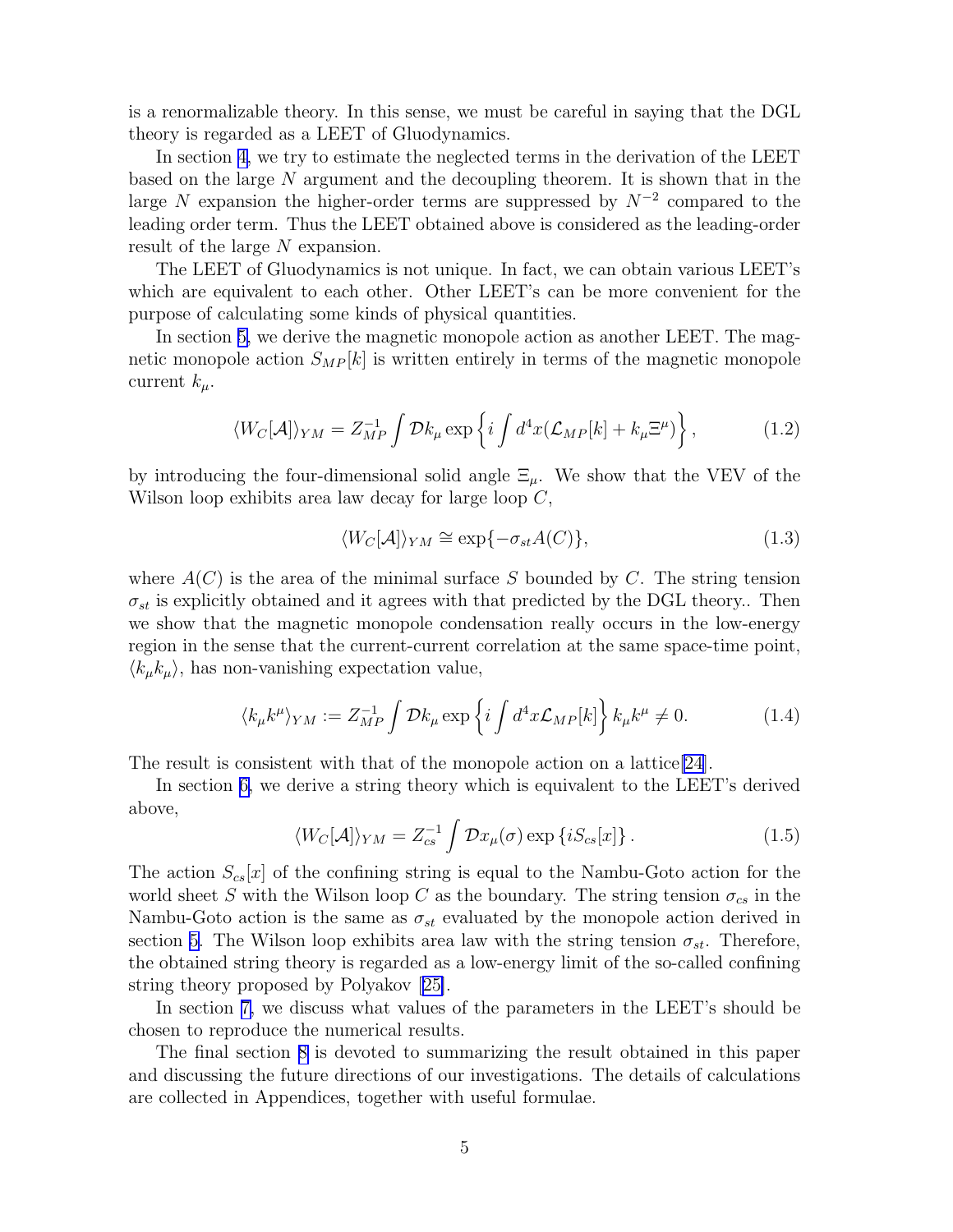is a renormalizable theory. In this sense, we must be careful in saying that the DGL theory is regarded as a LEET of Gluodynamics.

In section [4,](#page-39-0) we try to estimate the neglected terms in the derivation of the LEET based on the large N argument and the decoupling theorem. It is shown that in the large N expansion the higher-order terms are suppressed by  $N^{-2}$  compared to the leading order term. Thus the LEET obtained above is considered as the leading-order result of the large N expansion.

The LEET of Gluodynamics is not unique. In fact, we can obtain various LEET's which are equivalent to each other. Other LEET's can be more convenient for the purpose of calculating some kinds of physical quantities.

In section [5,](#page-42-0) we derive the magnetic monopole action as another LEET. The magnetic monopole action  $S_{MP}[k]$  is written entirely in terms of the magnetic monopole current  $k_{\mu}$ .

$$
\langle W_C[\mathcal{A}]\rangle_{YM} = Z_{MP}^{-1} \int \mathcal{D}k_\mu \exp\left\{ i \int d^4x (\mathcal{L}_{MP}[k] + k_\mu \Xi^\mu) \right\},\tag{1.2}
$$

by introducing the four-dimensional solid angle  $\Xi_{\mu}$ . We show that the VEV of the Wilson loop exhibits area law decay for large loop C,

$$
\langle W_C[\mathcal{A}]\rangle_{YM} \cong \exp\{-\sigma_{st}A(C)\},\tag{1.3}
$$

where  $A(C)$  is the area of the minimal surface S bounded by C. The string tension  $\sigma_{st}$  is explicitly obtained and it agrees with that predicted by the DGL theory.. Then we show that the magnetic monopole condensation really occurs in the low-energy region in the sense that the current-current correlation at the same space-time point,  $\langle k_{\mu}k_{\mu}\rangle$ , has non-vanishing expectation value,

$$
\langle k_{\mu}k^{\mu}\rangle_{YM} := Z_{MP}^{-1} \int \mathcal{D}k_{\mu} \exp\left\{i \int d^4x \mathcal{L}_{MP}[k]\right\} k_{\mu}k^{\mu} \neq 0. \tag{1.4}
$$

The result is consistent with that of the monopole action on a lattice [\[24\]](#page-78-0).

In section [6,](#page-48-0) we derive a string theory which is equivalent to the LEET's derived above,

$$
\langle W_C[\mathcal{A}]\rangle_{YM} = Z_{cs}^{-1} \int \mathcal{D}x_\mu(\sigma) \exp\left\{i S_{cs}[x]\right\}.
$$
 (1.5)

The action  $S_{cs}[x]$  of the confining string is equal to the Nambu-Goto action for the world sheet S with the Wilson loop C as the boundary. The string tension  $\sigma_{cs}$  in the Nambu-Goto action is the same as  $\sigma_{st}$  evaluated by the monopole action derived in section [5.](#page-42-0) The Wilson loop exhibits area law with the string tension  $\sigma_{st}$ . Therefore, the obtained string theory is regarded as a low-energy limit of the so-called confining string theory proposed by Polyakov[[25\]](#page-78-0).

In section [7,](#page-53-0) we discuss what values of the parameters in the LEET's should be chosen to reproduce the numerical results.

The final section [8](#page-54-0) is devoted to summarizing the result obtained in this paper and discussing the future directions of our investigations. The details of calculations are collected in Appendices, together with useful formulae.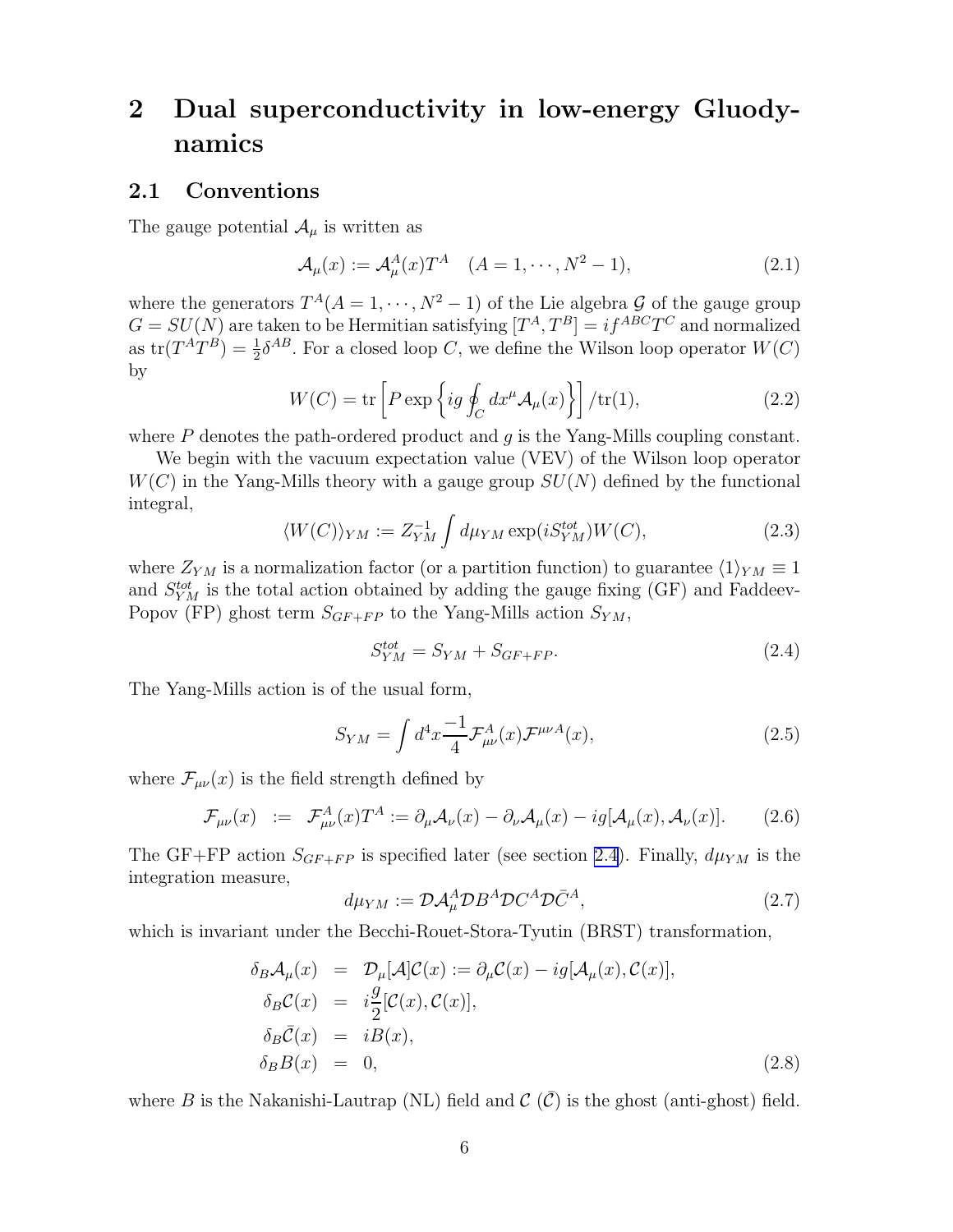# <span id="page-7-0"></span>2 Dual superconductivity in low-energy Gluodynamics

### 2.1 Conventions

The gauge potential  $\mathcal{A}_{\mu}$  is written as

$$
\mathcal{A}_{\mu}(x) := \mathcal{A}_{\mu}^{A}(x) T^{A} \quad (A = 1, \cdots, N^{2} - 1), \tag{2.1}
$$

where the generators  $T^A(A = 1, \dots, N^2 - 1)$  of the Lie algebra  $\mathcal G$  of the gauge group  $G = SU(N)$  are taken to be Hermitian satisfying  $[T^A, T^B] = i f^{ABC} T^C$  and normalized as  $\text{tr}(T^AT^B) = \frac{1}{2}\delta^{AB}$ . For a closed loop C, we define the Wilson loop operator  $W(C)$ by

$$
W(C) = \text{tr}\left[P \exp\left\{ig \oint_C dx^\mu \mathcal{A}_\mu(x)\right\}\right] / \text{tr}(1),\tag{2.2}
$$

where  $P$  denotes the path-ordered product and  $q$  is the Yang-Mills coupling constant.

We begin with the vacuum expectation value (VEV) of the Wilson loop operator  $W(C)$  in the Yang-Mills theory with a gauge group  $SU(N)$  defined by the functional integral,

$$
\langle W(C) \rangle_{YM} := Z_{YM}^{-1} \int d\mu_{YM} \exp(iS_{YM}^{tot}) W(C), \qquad (2.3)
$$

where  $Z_{YM}$  is a normalization factor (or a partition function) to guarantee  $\langle 1 \rangle_{YM} \equiv 1$ and  $S_{YM}^{tot}$  is the total action obtained by adding the gauge fixing (GF) and Faddeev-Popov (FP) ghost term  $S_{GF+FP}$  to the Yang-Mills action  $S_{YM}$ ,

$$
S_{YM}^{tot} = S_{YM} + S_{GF+FP}.\tag{2.4}
$$

The Yang-Mills action is of the usual form,

$$
S_{YM} = \int d^4x \frac{-1}{4} \mathcal{F}^A_{\mu\nu}(x) \mathcal{F}^{\mu\nu A}(x), \tag{2.5}
$$

where  $\mathcal{F}_{\mu\nu}(x)$  is the field strength defined by

$$
\mathcal{F}_{\mu\nu}(x) := \mathcal{F}^A_{\mu\nu}(x) T^A := \partial_\mu \mathcal{A}_\nu(x) - \partial_\nu \mathcal{A}_\mu(x) - ig[\mathcal{A}_\mu(x), \mathcal{A}_\nu(x)]. \tag{2.6}
$$

The GF+FP action  $S_{GF+FP}$  is specified later (see section [2.4](#page-11-0)). Finally,  $d\mu_{YM}$  is the integration measure,

$$
d\mu_{YM} := \mathcal{D}\mathcal{A}^A_\mu \mathcal{D} B^A \mathcal{D} C^A \mathcal{D} \bar{C}^A,\tag{2.7}
$$

which is invariant under the Becchi-Rouet-Stora-Tyutin (BRST) transformation,

$$
\delta_B A_\mu(x) = \mathcal{D}_\mu[A] \mathcal{C}(x) := \partial_\mu \mathcal{C}(x) - ig[\mathcal{A}_\mu(x), \mathcal{C}(x)],
$$
  
\n
$$
\delta_B \mathcal{C}(x) = i \frac{g}{2} [\mathcal{C}(x), \mathcal{C}(x)],
$$
  
\n
$$
\delta_B \bar{\mathcal{C}}(x) = i \mathcal{B}(x),
$$
  
\n
$$
\delta_B B(x) = 0,
$$
\n(2.8)

where B is the Nakanishi-Lautrap (NL) field and  $\mathcal{C}(\overline{\mathcal{C}})$  is the ghost (anti-ghost) field.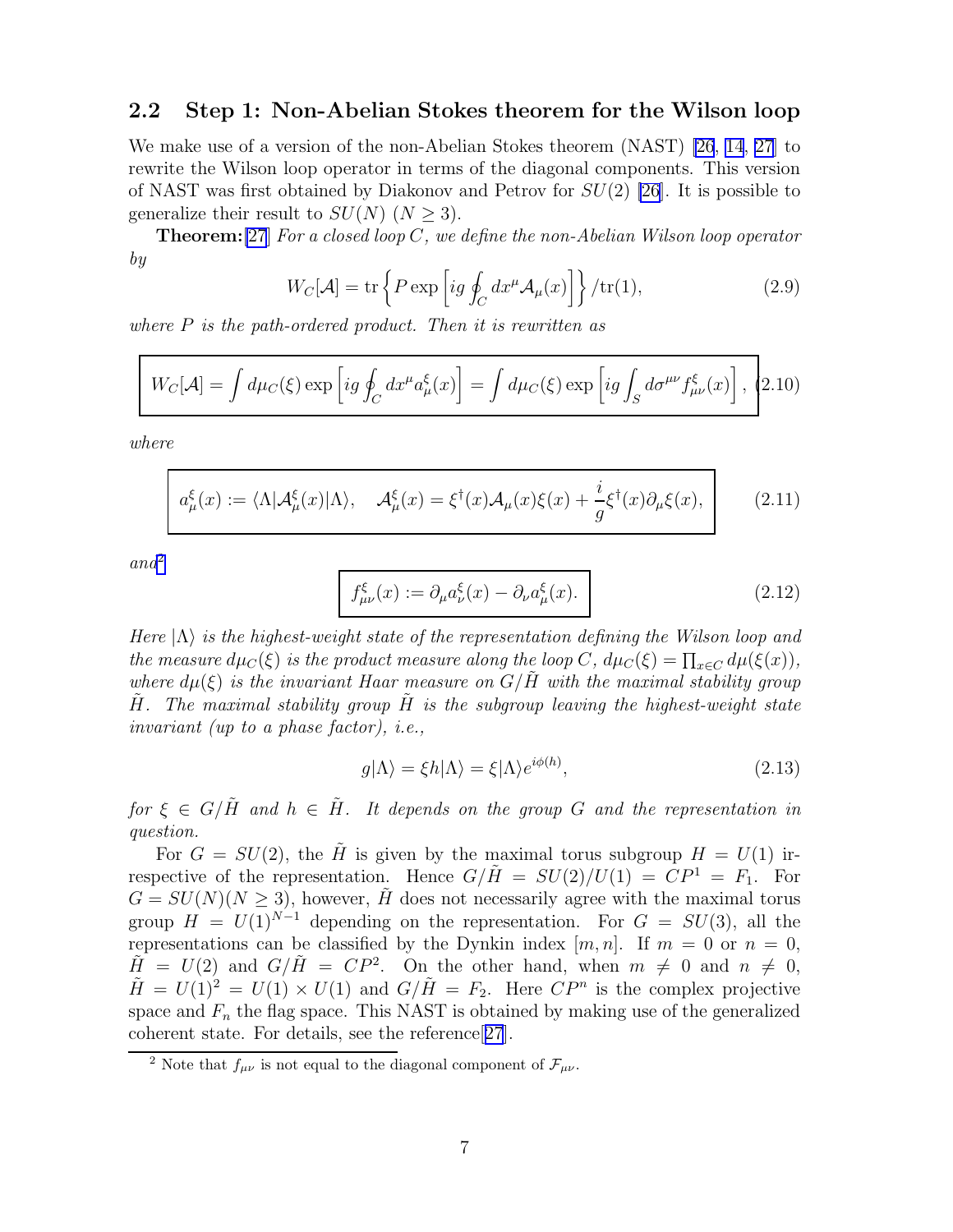#### <span id="page-8-0"></span>2.2 Step 1: Non-Abelian Stokes theorem for the Wilson loop

We make use of a version of the non-Abelian Stokes theorem (NAST) [\[26](#page-78-0), [14](#page-77-0), [27\]](#page-78-0) to rewrite the Wilson loop operator in terms of the diagonal components. This version of NAST was first obtained by Diakonov and Petrov for  $SU(2)$  [\[26](#page-78-0)]. It is possible to generalize their result to  $SU(N)$  ( $N > 3$ ).

**Theorem:**[\[27](#page-78-0)] For a closed loop C, we define the non-Abelian Wilson loop operator by

$$
W_C[\mathcal{A}] = \text{tr}\left\{ P \exp\left[ ig \oint_C dx^\mu \mathcal{A}_\mu(x) \right] \right\} / \text{tr}(1),\tag{2.9}
$$

where  $P$  is the path-ordered product. Then it is rewritten as

$$
W_C[\mathcal{A}] = \int d\mu_C(\xi) \exp\left[ig \oint_C dx^\mu a_\mu^\xi(x)\right] = \int d\mu_C(\xi) \exp\left[ig \int_S d\sigma^{\mu\nu} f_{\mu\nu}^\xi(x)\right],
$$
 (2.10)

where

$$
a^{\xi}_{\mu}(x) := \langle \Lambda | \mathcal{A}^{\xi}_{\mu}(x) | \Lambda \rangle, \quad \mathcal{A}^{\xi}_{\mu}(x) = \xi^{\dagger}(x) \mathcal{A}_{\mu}(x) \xi(x) + \frac{i}{g} \xi^{\dagger}(x) \partial_{\mu} \xi(x), \tag{2.11}
$$

 $and^2$ 

$$
f_{\mu\nu}^{\xi}(x) := \partial_{\mu} a_{\nu}^{\xi}(x) - \partial_{\nu} a_{\mu}^{\xi}(x). \tag{2.12}
$$

Here  $|\Lambda\rangle$  is the highest-weight state of the representation defining the Wilson loop and the measure  $d\mu_C(\xi)$  is the product measure along the loop C,  $d\mu_C(\xi) = \prod_{x \in C} d\mu(\xi(x))$ , where  $d\mu(\xi)$  is the invariant Haar measure on  $G/H$  with the maximal stability group  $\tilde{H}$ . The maximal stability group  $H$  is the subgroup leaving the highest-weight state invariant (up to a phase factor), i.e.,

$$
g|\Lambda\rangle = \xi h|\Lambda\rangle = \xi|\Lambda\rangle e^{i\phi(h)},\tag{2.13}
$$

for  $\xi \in G/\tilde{H}$  and  $h \in \tilde{H}$ . It depends on the group G and the representation in question.

For  $G = SU(2)$ , the  $\tilde{H}$  is given by the maximal torus subgroup  $H = U(1)$  irrespective of the representation. Hence  $G/H = SU(2)/U(1) = CP^{1} = F_{1}$ . For  $G = SU(N)(N > 3)$ , however,  $\tilde{H}$  does not necessarily agree with the maximal torus group  $H = U(1)^{N-1}$  depending on the representation. For  $G = SU(3)$ , all the representations can be classified by the Dynkin index  $[m, n]$ . If  $m = 0$  or  $n = 0$ ,  $\tilde{H} = U(2)$  and  $G/\tilde{H} = CP^2$ . On the other hand, when  $m \neq 0$  and  $n \neq 0$ ,  $\tilde{H} = U(1)^2 = U(1) \times U(1)$  and  $G/\tilde{H} = F_2$ . Here  $\mathbb{CP}^n$  is the complex projective space and  $F_n$  the flag space. This NAST is obtained by making use of the generalized coherent state. For details, see the reference[[27](#page-78-0)].

<sup>&</sup>lt;sup>2</sup> Note that  $f_{\mu\nu}$  is not equal to the diagonal component of  $\mathcal{F}_{\mu\nu}$ .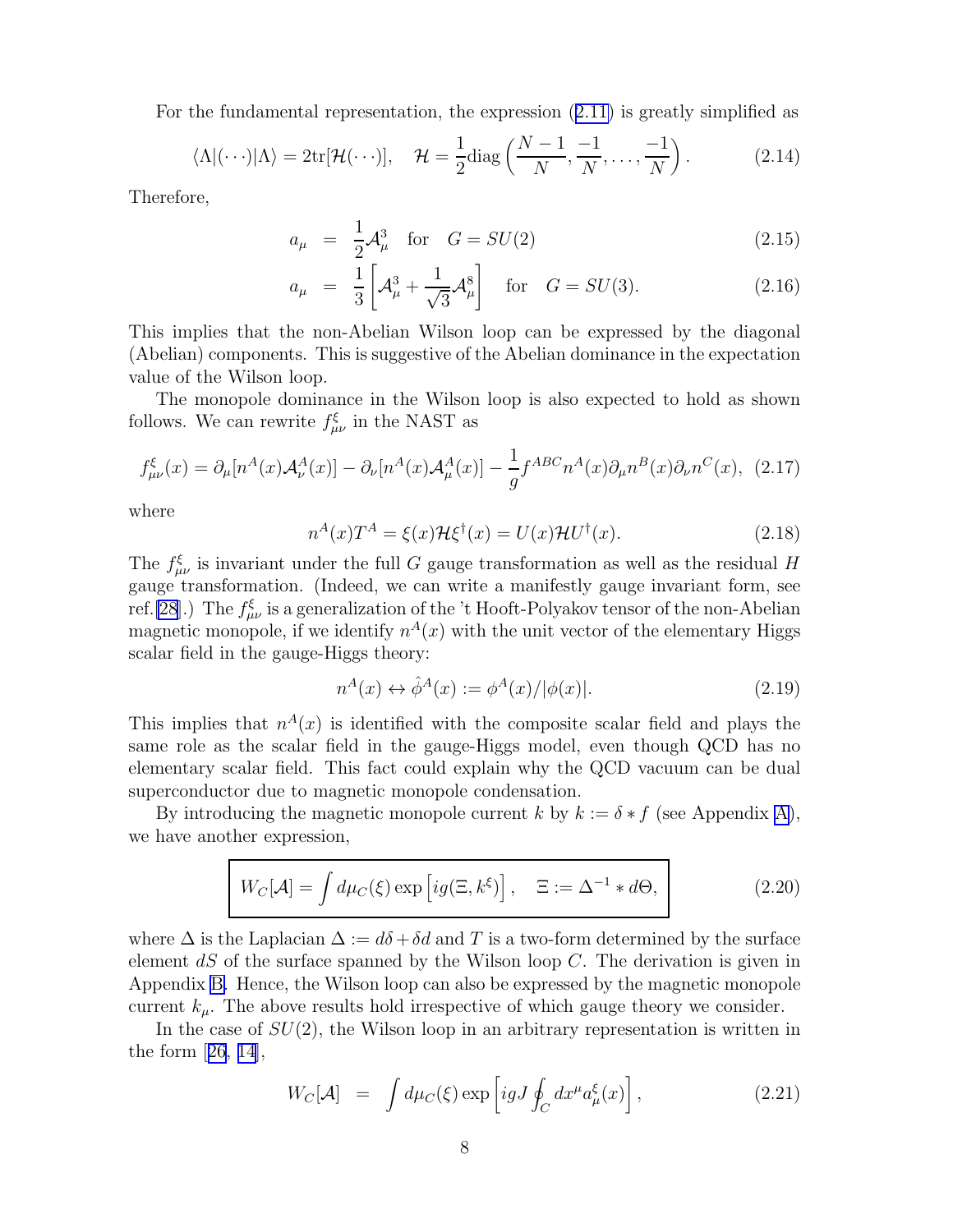For the fundamental representation, the expression([2.11\)](#page-8-0) is greatly simplified as

$$
\langle \Lambda | (\cdots) | \Lambda \rangle = 2 \text{tr}[\mathcal{H}(\cdots)], \quad \mathcal{H} = \frac{1}{2} \text{diag}\left(\frac{N-1}{N}, \frac{-1}{N}, \dots, \frac{-1}{N}\right). \tag{2.14}
$$

Therefore,

$$
a_{\mu} = \frac{1}{2}A_{\mu}^{3} \text{ for } G = SU(2)
$$
 (2.15)

$$
a_{\mu} = \frac{1}{3} \left[ \mathcal{A}_{\mu}^{3} + \frac{1}{\sqrt{3}} \mathcal{A}_{\mu}^{8} \right] \quad \text{for} \quad G = SU(3). \tag{2.16}
$$

This implies that the non-Abelian Wilson loop can be expressed by the diagonal (Abelian) components. This is suggestive of the Abelian dominance in the expectation value of the Wilson loop.

The monopole dominance in the Wilson loop is also expected to hold as shown follows. We can rewrite  $f_{\mu\nu}^{\xi}$  in the NAST as

$$
f_{\mu\nu}^{\xi}(x) = \partial_{\mu}[n^{A}(x)\mathcal{A}_{\nu}^{A}(x)] - \partial_{\nu}[n^{A}(x)\mathcal{A}_{\mu}^{A}(x)] - \frac{1}{g}f^{ABC}n^{A}(x)\partial_{\mu}n^{B}(x)\partial_{\nu}n^{C}(x), \tag{2.17}
$$

where

n

$$
u^{A}(x)T^{A} = \xi(x)\mathcal{H}\xi^{\dagger}(x) = U(x)\mathcal{H}U^{\dagger}(x).
$$
 (2.18)

The  $f_{\mu\nu}^{\xi}$  is invariant under the full G gauge transformation as well as the residual H gauge transformation. (Indeed, we can write a manifestly gauge invariant form, see ref.[\[28](#page-78-0)].) The  $f^{\xi}_{\mu\nu}$  is a generalization of the 't Hooft-Polyakov tensor of the non-Abelian magnetic monopole, if we identify  $n^{A}(x)$  with the unit vector of the elementary Higgs scalar field in the gauge-Higgs theory:

$$
n^{A}(x) \leftrightarrow \hat{\phi}^{A}(x) := \phi^{A}(x) / |\phi(x)|. \tag{2.19}
$$

This implies that  $n^{A}(x)$  is identified with the composite scalar field and plays the same role as the scalar field in the gauge-Higgs model, even though QCD has no elementary scalar field. This fact could explain why the QCD vacuum can be dual superconductor due to magnetic monopole condensation.

By introducing the magnetic monopole current k by  $k := \delta * f$  (see Appendix [A\)](#page-56-0), we have another expression,

$$
W_C[\mathcal{A}] = \int d\mu_C(\xi) \exp[i g(\Xi, k^{\xi})], \quad \Xi := \Delta^{-1} * d\Theta,
$$
\n(2.20)

where  $\Delta$  is the Laplacian  $\Delta := d\delta + \delta d$  and T is a two-form determined by the surface element  $dS$  of the surface spanned by the Wilson loop  $C$ . The derivation is given in Appendix [B.](#page-57-0) Hence, the Wilson loop can also be expressed by the magnetic monopole current  $k_{\mu}$ . The above results hold irrespective of which gauge theory we consider.

In the case of  $SU(2)$ , the Wilson loop in an arbitrary representation is written in theform  $[26, 14]$  $[26, 14]$  $[26, 14]$  $[26, 14]$  $[26, 14]$ ,

$$
W_C[\mathcal{A}] = \int d\mu_C(\xi) \exp\left[i g J \oint_C dx^\mu a_\mu^\xi(x)\right], \tag{2.21}
$$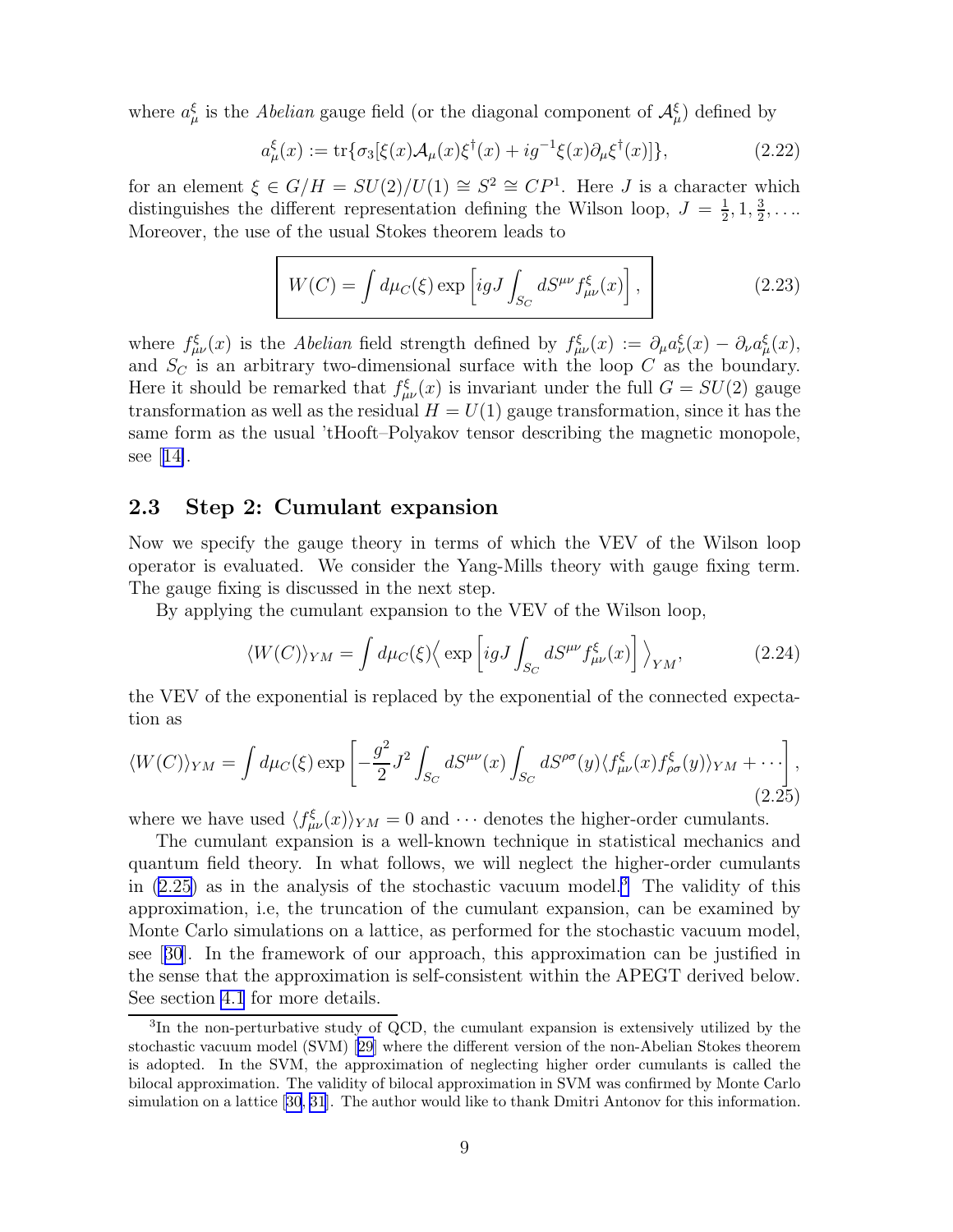<span id="page-10-0"></span>where  $a_{\mu}^{\xi}$  is the *Abelian* gauge field (or the diagonal component of  $\mathcal{A}_{\mu}^{\xi}$ ) defined by

$$
a^{\xi}_{\mu}(x) := \text{tr}\{\sigma_3[\xi(x)\mathcal{A}_{\mu}(x)\xi^{\dagger}(x) + ig^{-1}\xi(x)\partial_{\mu}\xi^{\dagger}(x)]\},\tag{2.22}
$$

for an element  $\xi \in G/H = SU(2)/U(1) \cong S^2 \cong CP^1$ . Here J is a character which distinguishes the different representation defining the Wilson loop,  $J = \frac{1}{2}$  $\frac{1}{2}$ , 1,  $\frac{3}{2}$  $\frac{3}{2}$ , .... Moreover, the use of the usual Stokes theorem leads to

$$
W(C) = \int d\mu_C(\xi) \exp\left[igJ \int_{S_C} dS^{\mu\nu} f_{\mu\nu}^{\xi}(x)\right],
$$
 (2.23)

where  $f_{\mu\nu}^{\xi}(x)$  is the Abelian field strength defined by  $f_{\mu\nu}^{\xi}(x) := \partial_{\mu}a_{\nu}^{\xi}(x) - \partial_{\nu}a_{\mu}^{\xi}(x)$ , and  $S_C$  is an arbitrary two-dimensional surface with the loop  $C$  as the boundary. Here it should be remarked that  $f_{\mu\nu}^{\xi}(x)$  is invariant under the full  $G = SU(2)$  gauge transformation as well as the residual  $H = U(1)$  gauge transformation, since it has the same form as the usual 'tHooft–Polyakov tensor describing the magnetic monopole, see[[14\]](#page-77-0).

#### 2.3 Step 2: Cumulant expansion

Now we specify the gauge theory in terms of which the VEV of the Wilson loop operator is evaluated. We consider the Yang-Mills theory with gauge fixing term. The gauge fixing is discussed in the next step.

By applying the cumulant expansion to the VEV of the Wilson loop,

$$
\langle W(C) \rangle_{YM} = \int d\mu_C(\xi) \Big\langle \exp \left[ igJ \int_{S_C} dS^{\mu\nu} f_{\mu\nu}^{\xi}(x) \right] \Big\rangle_{YM}, \tag{2.24}
$$

the VEV of the exponential is replaced by the exponential of the connected expectation as

$$
\langle W(C) \rangle_{YM} = \int d\mu_C(\xi) \exp\left[ -\frac{g^2}{2} J^2 \int_{S_C} dS^{\mu\nu}(x) \int_{S_C} dS^{\rho\sigma}(y) \langle f_{\mu\nu}^{\xi}(x) f_{\rho\sigma}^{\xi}(y) \rangle_{YM} + \cdots \right],
$$
\n(2.25)

where we have used  $\langle f_{\mu\nu}^{\xi}(x) \rangle_{YM} = 0$  and  $\cdots$  denotes the higher-order cumulants.

The cumulant expansion is a well-known technique in statistical mechanics and quantum field theory. In what follows, we will neglect the higher-order cumulants in  $(2.25)$  as in the analysis of the stochastic vacuum model.<sup>3</sup> The validity of this approximation, i.e, the truncation of the cumulant expansion, can be examined by Monte Carlo simulations on a lattice, as performed for the stochastic vacuum model, see[[30](#page-78-0)]. In the framework of our approach, this approximation can be justified in the sense that the approximation is self-consistent within the APEGT derived below. See section [4.1](#page-39-0) for more details.

<sup>&</sup>lt;sup>3</sup>In the non-perturbative study of QCD, the cumulant expansion is extensively utilized by the stochastic vacuum model (SVM) [\[29\]](#page-78-0) where the different version of the non-Abelian Stokes theorem is adopted. In the SVM, the approximation of neglecting higher order cumulants is called the bilocal approximation. The validity of bilocal approximation in SVM was confirmed by Monte Carlo simulation on a lattice[[30, 31](#page-78-0)]. The author would like to thank Dmitri Antonov for this information.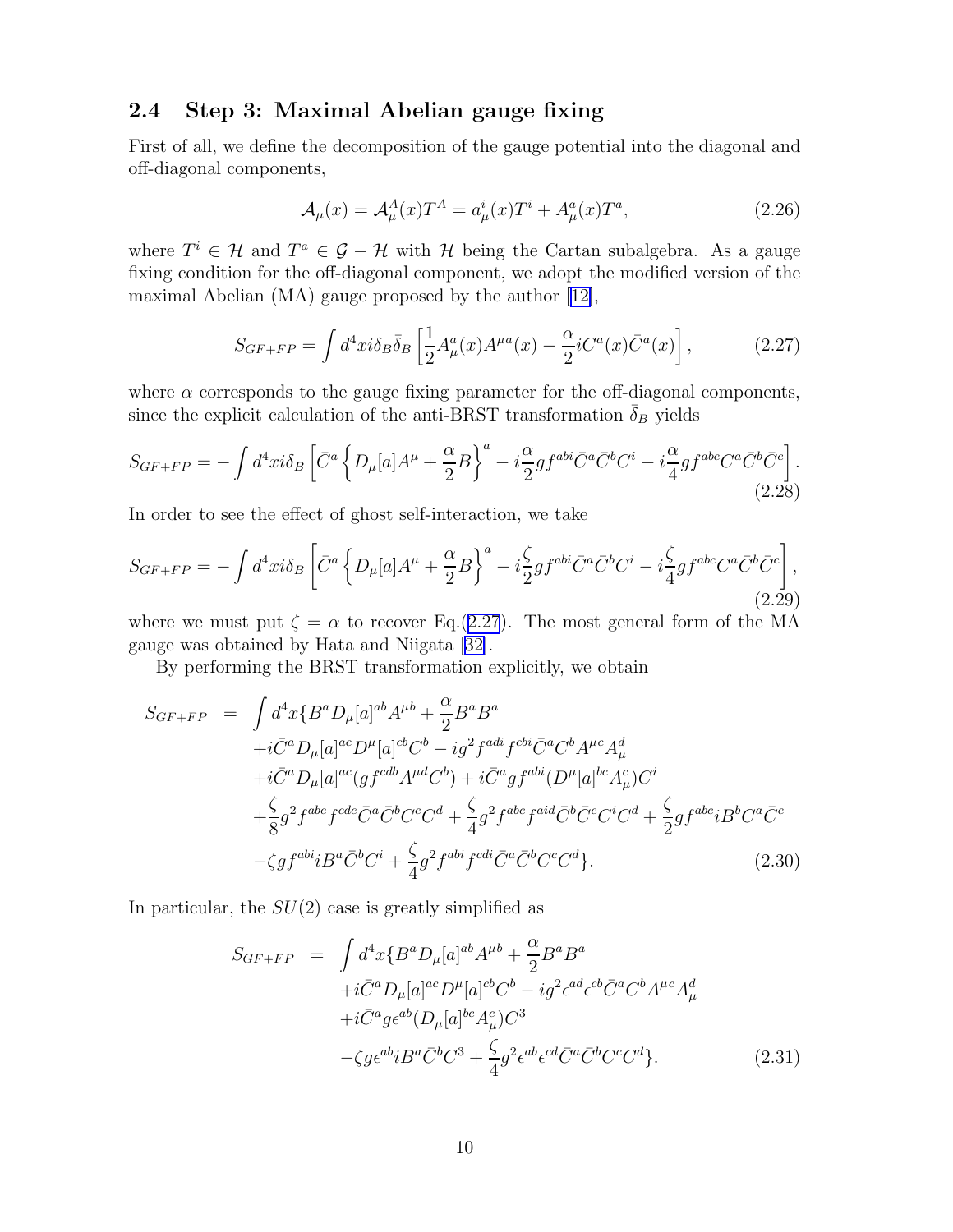#### <span id="page-11-0"></span>2.4 Step 3: Maximal Abelian gauge fixing

First of all, we define the decomposition of the gauge potential into the diagonal and off-diagonal components,

$$
\mathcal{A}_{\mu}(x) = \mathcal{A}_{\mu}^{A}(x)T^{A} = a_{\mu}^{i}(x)T^{i} + A_{\mu}^{a}(x)T^{a}, \qquad (2.26)
$$

where  $T^i \in \mathcal{H}$  and  $T^a \in \mathcal{G} - \mathcal{H}$  with  $\mathcal{H}$  being the Cartan subalgebra. As a gauge fixing condition for the off-diagonal component, we adopt the modified version of the maximal Abelian (MA) gauge proposed by the author[[12\]](#page-77-0),

$$
S_{GF+FP} = \int d^4x i \delta_B \bar{\delta}_B \left[ \frac{1}{2} A^a_\mu(x) A^{\mu a}(x) - \frac{\alpha}{2} i C^a(x) \bar{C}^a(x) \right],\tag{2.27}
$$

where  $\alpha$  corresponds to the gauge fixing parameter for the off-diagonal components, since the explicit calculation of the anti-BRST transformation  $\delta_B$  yields

$$
S_{GF+FP} = -\int d^4x i \delta_B \left[ \bar{C}^a \left\{ D_\mu[a] A^\mu + \frac{\alpha}{2} B \right\}^a - i \frac{\alpha}{2} g f^{abi} \bar{C}^a \bar{C}^b C^i - i \frac{\alpha}{4} g f^{abc} C^a \bar{C}^b \bar{C}^c \right].
$$
\n(2.28)

In order to see the effect of ghost self-interaction, we take

$$
S_{GF+FP} = -\int d^4x i \delta_B \left[ \bar{C}^a \left\{ D_\mu[a] A^\mu + \frac{\alpha}{2} B \right\}^a - i \frac{\zeta}{2} g f^{abi} \bar{C}^a \bar{C}^b C^i - i \frac{\zeta}{4} g f^{abc} C^a \bar{C}^b \bar{C}^c \right],\tag{2.29}
$$

where we must put  $\zeta = \alpha$  to recover Eq.(2.27). The most general form of the MA gauge was obtained by Hata and Niigata[[32\]](#page-78-0).

By performing the BRST transformation explicitly, we obtain

$$
S_{GF+FP} = \int d^4x \{B^a D_\mu [a]^{ab} A^{\mu b} + \frac{\alpha}{2} B^a B^a
$$
  
+ $i\bar{C}^a D_\mu [a]^{ac} D^\mu [a]^{cb} C^b - i g^2 f^{adi} f^{cbi} \bar{C}^a C^b A^{\mu c} A^d_\mu$   
+ $i\bar{C}^a D_\mu [a]^{ac} (gf^{cdb} A^{\mu d} C^b) + i\bar{C}^a gf^{abi} (D^\mu [a]^{bc} A^c_\mu) C^i$   
+ $\frac{\zeta}{8} g^2 f^{abe} f^{cde} \bar{C}^a \bar{C}^b C^c C^d + \frac{\zeta}{4} g^2 f^{abc} f^{aid} \bar{C}^b \bar{C}^c C^i C^d + \frac{\zeta}{2} gf^{abc} i B^b C^a \bar{C}^c$   
- $\zeta gf^{abi} i B^a \bar{C}^b C^i + \frac{\zeta}{4} g^2 f^{abi} f^{cdi} \bar{C}^a \bar{C}^b C^c C^d$ }. (2.30)

In particular, the  $SU(2)$  case is greatly simplified as

$$
S_{GF+FP} = \int d^4x \{B^a D_\mu[a]^{ab} A^{\mu b} + \frac{\alpha}{2} B^a B^a
$$
  
+ $i\bar{C}^a D_\mu[a]^{ac} D^\mu[a]^{cb} C^b - i g^2 \epsilon^{ad} \epsilon^{cb} \bar{C}^a C^b A^{\mu c} A^d_\mu$   
+ $i\bar{C}^a g \epsilon^{ab} (D_\mu[a]^{bc} A^c_\mu) C^3$   
- $\zeta g \epsilon^{ab} i B^a \bar{C}^b C^3 + \frac{\zeta}{4} g^2 \epsilon^{ab} \epsilon^{cd} \bar{C}^a \bar{C}^b C^c C^d \}.$  (2.31)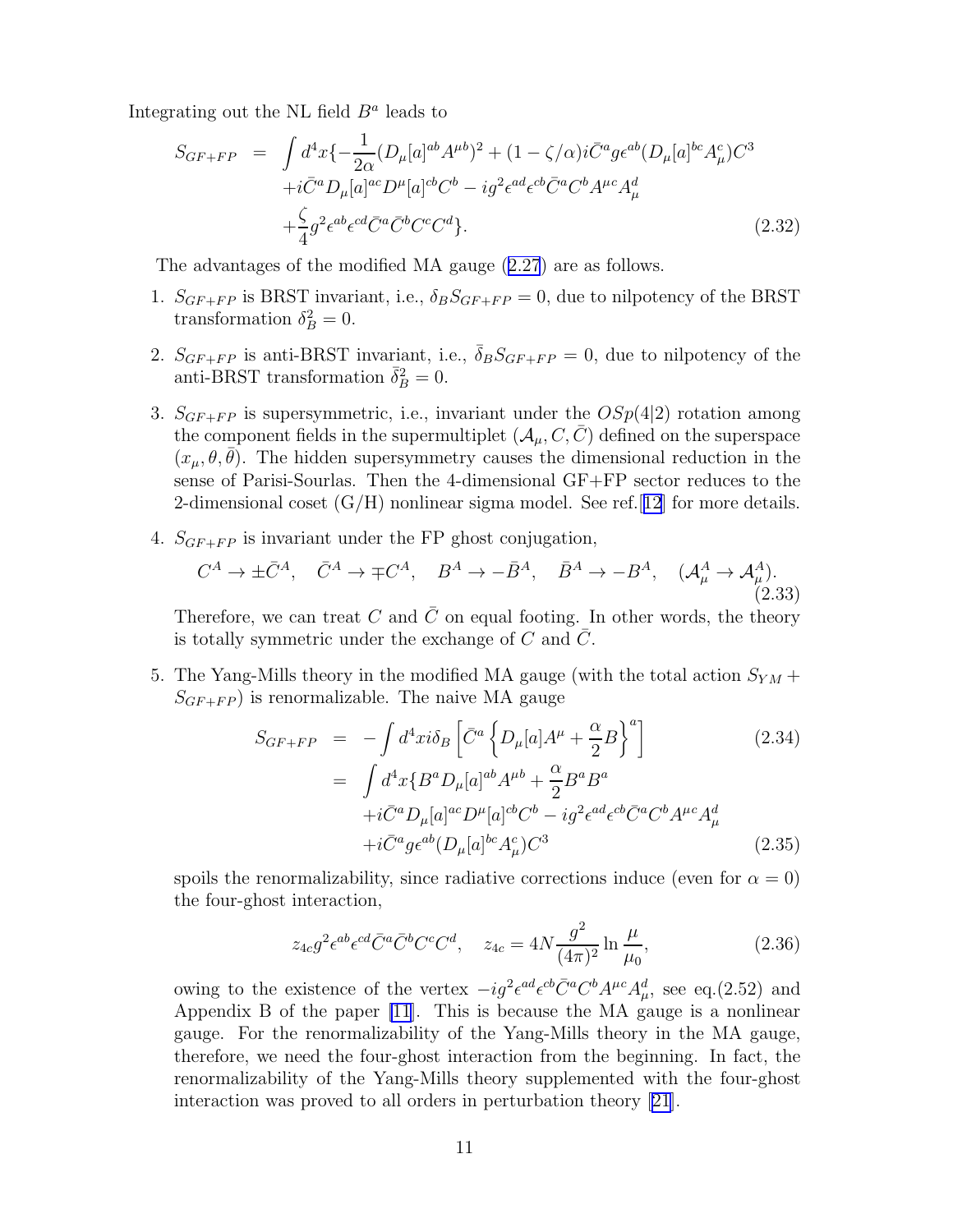Integrating out the NL field  $B^a$  leads to

$$
S_{GF+FP} = \int d^4x \{ -\frac{1}{2\alpha} (D_{\mu}[a]^{ab} A^{\mu b})^2 + (1 - \zeta/\alpha) i \bar{C}^a g \epsilon^{ab} (D_{\mu}[a]^{bc} A_{\mu}^c) C^3 + i \bar{C}^a D_{\mu}[a]^{ac} D^{\mu}[a]^{cb} C^b - i g^2 \epsilon^{ad} \epsilon^{cb} \bar{C}^a C^b A^{\mu c} A_{\mu}^d + \frac{\zeta}{4} g^2 \epsilon^{ab} \epsilon^{cd} \bar{C}^a \bar{C}^b C^c C^d \}. \tag{2.32}
$$

The advantages of the modified MA gauge([2.27](#page-11-0)) are as follows.

- 1.  $S_{GF+FP}$  is BRST invariant, i.e.,  $\delta_B S_{GF+FP} = 0$ , due to nilpotency of the BRST transformation  $\delta_B^2 = 0$ .
- 2.  $S_{GF+FP}$  is anti-BRST invariant, i.e.,  $\overline{\delta}_B S_{GF+FP} = 0$ , due to nilpotency of the anti-BRST transformation  $\bar{\delta}_B^2 = 0$ .
- 3.  $S_{GF+FP}$  is supersymmetric, i.e., invariant under the  $OSp(4|2)$  rotation among the component fields in the supermultiplet  $(\mathcal{A}_{\mu}, C, \bar{C})$  defined on the superspace  $(x_{\mu}, \theta, \theta)$ . The hidden supersymmetry causes the dimensional reduction in the sense of Parisi-Sourlas. Then the 4-dimensional GF+FP sector reduces to the 2-dimensional coset  $(G/H)$  nonlinear sigma model. See ref. [[12](#page-77-0)] for more details.
- 4.  $S_{GF+FP}$  is invariant under the FP ghost conjugation,

$$
C^A \to \pm \bar{C}^A, \quad \bar{C}^A \to \mp C^A, \quad B^A \to -\bar{B}^A, \quad \bar{B}^A \to -B^A, \quad (\mathcal{A}^A_\mu \to \mathcal{A}^A_\mu). \tag{2.33}
$$

Therefore, we can treat C and C on equal footing. In other words, the theory is totally symmetric under the exchange of  $C$  and  $C$ .

5. The Yang-Mills theory in the modified MA gauge (with the total action  $S_{YM}$  +  $S_{GF+FP}$ ) is renormalizable. The naive MA gauge

$$
S_{GF+FP} = -\int d^4x i \delta_B \left[ \bar{C}^a \left\{ D_\mu [a] A^\mu + \frac{\alpha}{2} B \right\}^a \right]
$$
(2.34)  

$$
= \int d^4x \{ B^a D_\mu [a]^{ab} A^{\mu b} + \frac{\alpha}{2} B^a B^a
$$

$$
+ i \bar{C}^a D_\mu [a]^{ac} D^\mu [a]^{cb} C^b - i g^2 \epsilon^{ad} \epsilon^{cb} \bar{C}^a C^b A^{\mu c} A_\mu^d
$$

$$
+ i \bar{C}^a g \epsilon^{ab} (D_\mu [a]^{bc} A_\mu^c) C^3
$$
(2.35)

spoils the renormalizability, since radiative corrections induce (even for  $\alpha = 0$ ) the four-ghost interaction,

$$
z_{4c}g^2\epsilon^{ab}\epsilon^{cd}\bar{C}^a\bar{C}^bC^cC^d, \quad z_{4c} = 4N\frac{g^2}{(4\pi)^2}\ln\frac{\mu}{\mu_0},\tag{2.36}
$$

owing to the existence of the vertex  $-i g^2 \epsilon^{ad} \epsilon^{cb} \bar{C}^a C^b A^{\mu c} A^d_\mu$ , see eq.(2.52) and Appendix B of the paper [\[11](#page-77-0)]. This is because the MA gauge is a nonlinear gauge. For the renormalizability of the Yang-Mills theory in the MA gauge, therefore, we need the four-ghost interaction from the beginning. In fact, the renormalizability of the Yang-Mills theory supplemented with the four-ghost interaction was proved to all orders in perturbation theory [\[21\]](#page-77-0).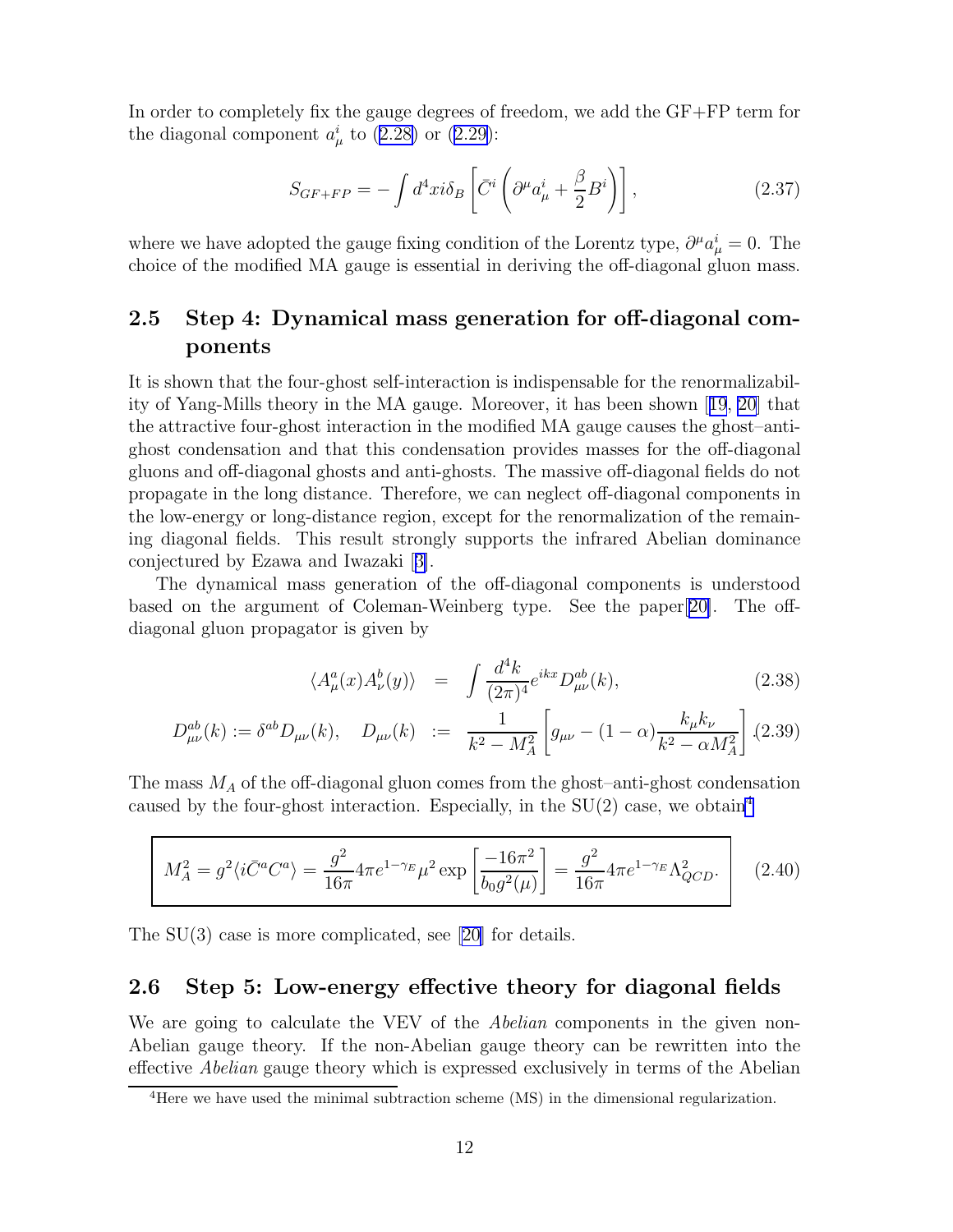<span id="page-13-0"></span>In order to completely fix the gauge degrees of freedom, we add the GF+FP term for thediagonal component  $a^i_\mu$  to ([2.28\)](#page-11-0) or ([2.29\)](#page-11-0):

$$
S_{GF+FP} = -\int d^4x i \delta_B \left[ \bar{C}^i \left( \partial^\mu a^i_\mu + \frac{\beta}{2} B^i \right) \right],\tag{2.37}
$$

where we have adopted the gauge fixing condition of the Lorentz type,  $\partial^{\mu}a_{\mu}^{i}=0$ . The choice of the modified MA gauge is essential in deriving the off-diagonal gluon mass.

## 2.5 Step 4: Dynamical mass generation for off-diagonal components

It is shown that the four-ghost self-interaction is indispensable for the renormalizability of Yang-Mills theory in the MA gauge. Moreover, it has been shown [[19](#page-77-0), [20](#page-77-0)] that the attractive four-ghost interaction in the modified MA gauge causes the ghost–antighost condensation and that this condensation provides masses for the off-diagonal gluons and off-diagonal ghosts and anti-ghosts. The massive off-diagonal fields do not propagate in the long distance. Therefore, we can neglect off-diagonal components in the low-energy or long-distance region, except for the renormalization of the remaining diagonal fields. This result strongly supports the infrared Abelian dominance conjectured by Ezawa and Iwazaki[[3\]](#page-76-0).

The dynamical mass generation of the off-diagonal components is understood based on the argument of Coleman-Weinberg type. See the paper[[20\]](#page-77-0). The offdiagonal gluon propagator is given by

$$
\langle A^a_\mu(x) A^b_\nu(y) \rangle = \int \frac{d^4k}{(2\pi)^4} e^{ikx} D^{ab}_{\mu\nu}(k), \qquad (2.38)
$$

$$
D_{\mu\nu}^{ab}(k) := \delta^{ab} D_{\mu\nu}(k), \quad D_{\mu\nu}(k) := \frac{1}{k^2 - M_A^2} \left[ g_{\mu\nu} - (1 - \alpha) \frac{k_{\mu} k_{\nu}}{k^2 - \alpha M_A^2} \right] (2.39)
$$

The mass  $M_A$  of the off-diagonal gluon comes from the ghost-anti-ghost condensation caused by the four-ghost interaction. Especially, in the  $SU(2)$  case, we obtain<sup>4</sup>

$$
M_A^2 = g^2 \langle i \bar{C}^a C^a \rangle = \frac{g^2}{16\pi} 4\pi e^{1-\gamma_E} \mu^2 \exp\left[\frac{-16\pi^2}{b_0 g^2(\mu)}\right] = \frac{g^2}{16\pi} 4\pi e^{1-\gamma_E} \Lambda_{QCD}^2.
$$
 (2.40)

The SU(3) case is more complicated, see [\[20\]](#page-77-0) for details.

#### 2.6 Step 5: Low-energy effective theory for diagonal fields

We are going to calculate the VEV of the *Abelian* components in the given non-Abelian gauge theory. If the non-Abelian gauge theory can be rewritten into the effective Abelian gauge theory which is expressed exclusively in terms of the Abelian

<sup>4</sup>Here we have used the minimal subtraction scheme (MS) in the dimensional regularization.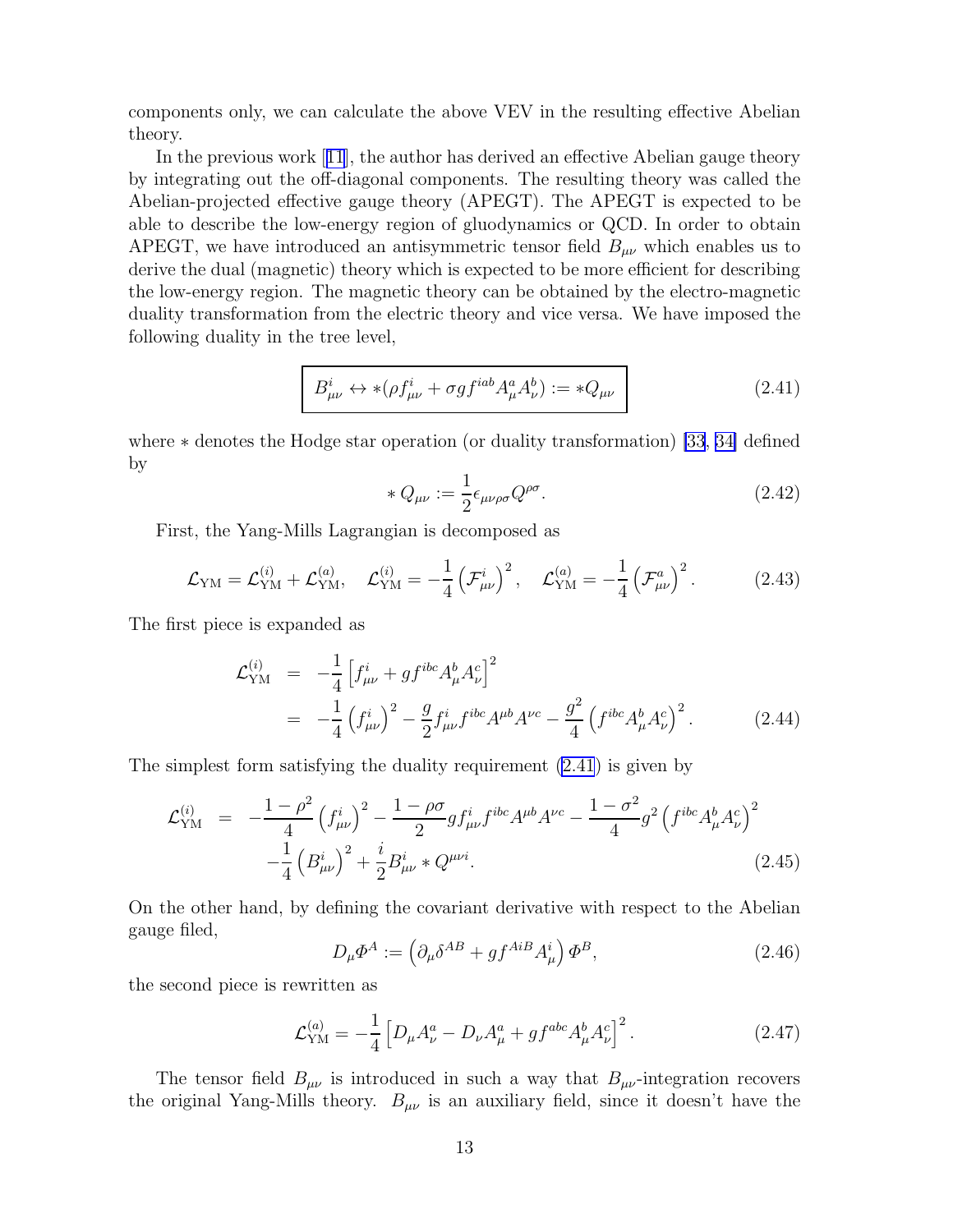<span id="page-14-0"></span>components only, we can calculate the above VEV in the resulting effective Abelian theory.

In the previous work[[11](#page-77-0)], the author has derived an effective Abelian gauge theory by integrating out the off-diagonal components. The resulting theory was called the Abelian-projected effective gauge theory (APEGT). The APEGT is expected to be able to describe the low-energy region of gluodynamics or QCD. In order to obtain APEGT, we have introduced an antisymmetric tensor field  $B_{\mu\nu}$  which enables us to derive the dual (magnetic) theory which is expected to be more efficient for describing the low-energy region. The magnetic theory can be obtained by the electro-magnetic duality transformation from the electric theory and vice versa. We have imposed the following duality in the tree level,

$$
B^i_{\mu\nu} \leftrightarrow *(\rho f^i_{\mu\nu} + \sigma g f^{iab} A^a_{\mu} A^b_{\nu}) := *Q_{\mu\nu}
$$
 (2.41)

where ∗ denotes the Hodge star operation (or duality transformation) [\[33](#page-78-0), [34\]](#page-78-0) defined by

$$
* Q_{\mu\nu} := \frac{1}{2} \epsilon_{\mu\nu\rho\sigma} Q^{\rho\sigma}.
$$
\n(2.42)

First, the Yang-Mills Lagrangian is decomposed as

$$
\mathcal{L}_{\rm YM} = \mathcal{L}_{\rm YM}^{(i)} + \mathcal{L}_{\rm YM}^{(a)}, \quad \mathcal{L}_{\rm YM}^{(i)} = -\frac{1}{4} \left( \mathcal{F}_{\mu\nu}^i \right)^2, \quad \mathcal{L}_{\rm YM}^{(a)} = -\frac{1}{4} \left( \mathcal{F}_{\mu\nu}^a \right)^2. \tag{2.43}
$$

The first piece is expanded as

$$
\mathcal{L}_{\text{YM}}^{(i)} = -\frac{1}{4} \left[ f_{\mu\nu}^i + g f^{ibc} A_\mu^b A_\nu^c \right]^2
$$
  
= 
$$
-\frac{1}{4} \left( f_{\mu\nu}^i \right)^2 - \frac{g}{2} f_{\mu\nu}^i f^{ibc} A^{\mu b} A^{\nu c} - \frac{g^2}{4} \left( f^{ibc} A_\mu^b A_\nu^c \right)^2.
$$
 (2.44)

The simplest form satisfying the duality requirement (2.41) is given by

$$
\mathcal{L}_{\text{YM}}^{(i)} = -\frac{1-\rho^2}{4} \left(f_{\mu\nu}^i\right)^2 - \frac{1-\rho\sigma}{2} g f_{\mu\nu}^i f^{ibc} A^{\mu b} A^{\nu c} - \frac{1-\sigma^2}{4} g^2 \left(f^{ibc} A_\mu^b A_\nu^c\right)^2 - \frac{1}{4} \left(B_{\mu\nu}^i\right)^2 + \frac{i}{2} B_{\mu\nu}^i * Q^{\mu\nu i}.
$$
\n(2.45)

On the other hand, by defining the covariant derivative with respect to the Abelian gauge filed,

$$
D_{\mu}\Phi^{A} := \left(\partial_{\mu}\delta^{AB} + gf^{AiB}A_{\mu}^{i}\right)\Phi^{B},\tag{2.46}
$$

the second piece is rewritten as

$$
\mathcal{L}_{\text{YM}}^{(a)} = -\frac{1}{4} \left[ D_{\mu} A_{\nu}^{a} - D_{\nu} A_{\mu}^{a} + g f^{abc} A_{\mu}^{b} A_{\nu}^{c} \right]^{2}.
$$
 (2.47)

The tensor field  $B_{\mu\nu}$  is introduced in such a way that  $B_{\mu\nu}$ -integration recovers the original Yang-Mills theory.  $B_{\mu\nu}$  is an auxiliary field, since it doesn't have the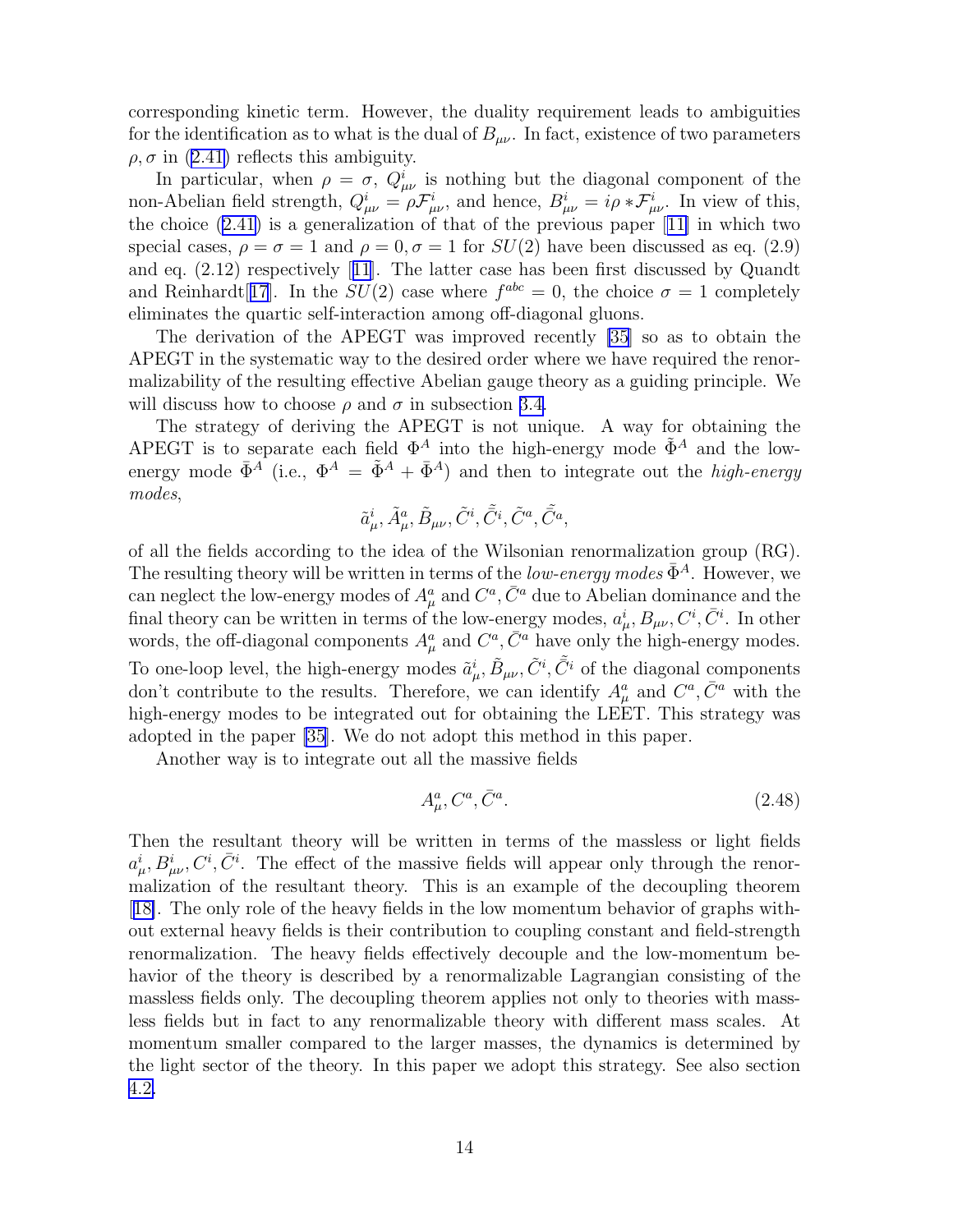corresponding kinetic term. However, the duality requirement leads to ambiguities for the identification as to what is the dual of  $B_{\mu\nu}$ . In fact, existence of two parameters  $\rho$ , $\sigma$  in ([2.41\)](#page-14-0) reflects this ambiguity.

In particular, when  $\rho = \sigma$ ,  $Q^i_{\mu\nu}$  is nothing but the diagonal component of the non-Abelian field strength,  $Q_{\mu\nu}^i = \rho \mathcal{F}_{\mu\nu}^i$ , and hence,  $B_{\mu\nu}^i = i\rho * \mathcal{F}_{\mu\nu}^i$ . In view of this, the choice [\(2.41](#page-14-0)) is a generalization of that of the previous paper[[11\]](#page-77-0) in which two special cases,  $\rho = \sigma = 1$  and  $\rho = 0, \sigma = 1$  for  $SU(2)$  have been discussed as eq. (2.9) and eq. (2.12) respectively[[11](#page-77-0)]. The latter case has been first discussed by Quandt and Reinhardt[[17](#page-77-0)]. In the  $SU(2)$  case where  $f^{abc} = 0$ , the choice  $\sigma = 1$  completely eliminates the quartic self-interaction among off-diagonal gluons.

The derivation of the APEGT was improved recently [\[35\]](#page-78-0) so as to obtain the APEGT in the systematic way to the desired order where we have required the renormalizability of the resulting effective Abelian gauge theory as a guiding principle. We will discuss how to choose  $\rho$  and  $\sigma$  in subsection [3.4.](#page-37-0)

The strategy of deriving the APEGT is not unique. A way for obtaining the APEGT is to separate each field  $\Phi^A$  into the high-energy mode  $\tilde{\Phi}^A$  and the lowenergy mode  $\bar{\Phi}^A$  (i.e.,  $\Phi^A = \tilde{\Phi}^A + \bar{\Phi}^A$ ) and then to integrate out the *high-energy* modes,

$$
\tilde{a}^i_\mu, \tilde{A}^a_\mu, \tilde{B}_{\mu\nu}, \tilde{C}^i, \tilde{\bar{C}}^i, \tilde{C}^a, \tilde{\bar{C}}^a,
$$

of all the fields according to the idea of the Wilsonian renormalization group (RG). The resulting theory will be written in terms of the *low-energy modes*  $\bar{\Phi}^A$ . However, we can neglect the low-energy modes of  $A^a_\mu$  and  $C^a$ ,  $\bar{C}^a$  due to Abelian dominance and the final theory can be written in terms of the low-energy modes,  $a^i_\mu, B_{\mu\nu}, C^i, \bar{C}^i$ . In other words, the off-diagonal components  $A^a_\mu$  and  $C^a$ ,  $\bar{C}^a$  have only the high-energy modes. To one-loop level, the high-energy modes  $\tilde{a}^i_\mu$ ,  $\tilde{B}_{\mu\nu}$ ,  $\tilde{C}^i$ ,  $\tilde{C}^i$  of the diagonal components don't contribute to the results. Therefore, we can identify  $A^a_\mu$  and  $C^a$ ,  $\bar{C}^a$  with the high-energy modes to be integrated out for obtaining the LEET. This strategy was adopted in the paper [\[35](#page-78-0)]. We do not adopt this method in this paper.

Another way is to integrate out all the massive fields

$$
A^a_\mu, C^a, \bar{C}^a. \tag{2.48}
$$

Then the resultant theory will be written in terms of the massless or light fields  $a^i_\mu, B^i_{\mu\nu}, C^i, \bar{C}^i$ . The effect of the massive fields will appear only through the renormalization of the resultant theory. This is an example of the decoupling theorem [[18\]](#page-77-0). The only role of the heavy fields in the low momentum behavior of graphs without external heavy fields is their contribution to coupling constant and field-strength renormalization. The heavy fields effectively decouple and the low-momentum behavior of the theory is described by a renormalizable Lagrangian consisting of the massless fields only. The decoupling theorem applies not only to theories with massless fields but in fact to any renormalizable theory with different mass scales. At momentum smaller compared to the larger masses, the dynamics is determined by the light sector of the theory. In this paper we adopt this strategy. See also section [4.2.](#page-41-0)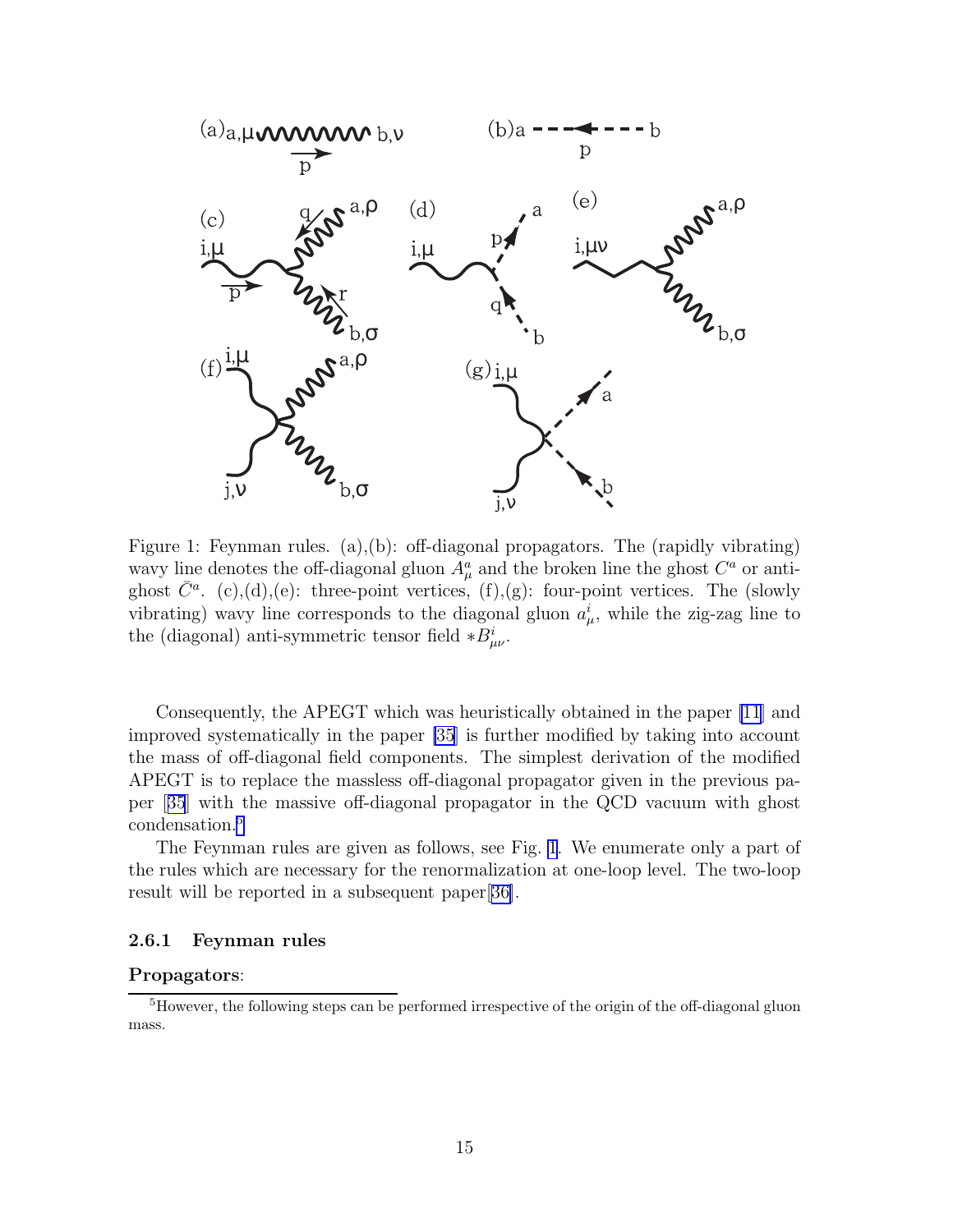<span id="page-16-0"></span>

Figure 1: Feynman rules. (a),(b): off-diagonal propagators. The (rapidly vibrating) wavy line denotes the off-diagonal gluon  $A^a_\mu$  and the broken line the ghost  $C^a$  or antighost  $\bar{C}^a$ . (c),(d),(e): three-point vertices, (f),(g): four-point vertices. The (slowly vibrating) wavy line corresponds to the diagonal gluon  $a^i_\mu$ , while the zig-zag line to the (diagonal) anti-symmetric tensor field  $*B_{\mu\nu}^i$ .

Consequently, the APEGT which was heuristically obtained in the paper [\[11](#page-77-0)] and improved systematically in the paper [\[35](#page-78-0)] is further modified by taking into account the mass of off-diagonal field components. The simplest derivation of the modified APEGT is to replace the massless off-diagonal propagator given in the previous paper[[35](#page-78-0)] with the massive off-diagonal propagator in the QCD vacuum with ghost condensation.<sup>5</sup>

The Feynman rules are given as follows, see Fig. 1. We enumerate only a part of the rules which are necessary for the renormalization at one-loop level. The two-loop result will be reported in a subsequent paper[[36\]](#page-78-0).

#### 2.6.1 Feynman rules

#### Propagators:

<sup>&</sup>lt;sup>5</sup>However, the following steps can be performed irrespective of the origin of the off-diagonal gluon mass.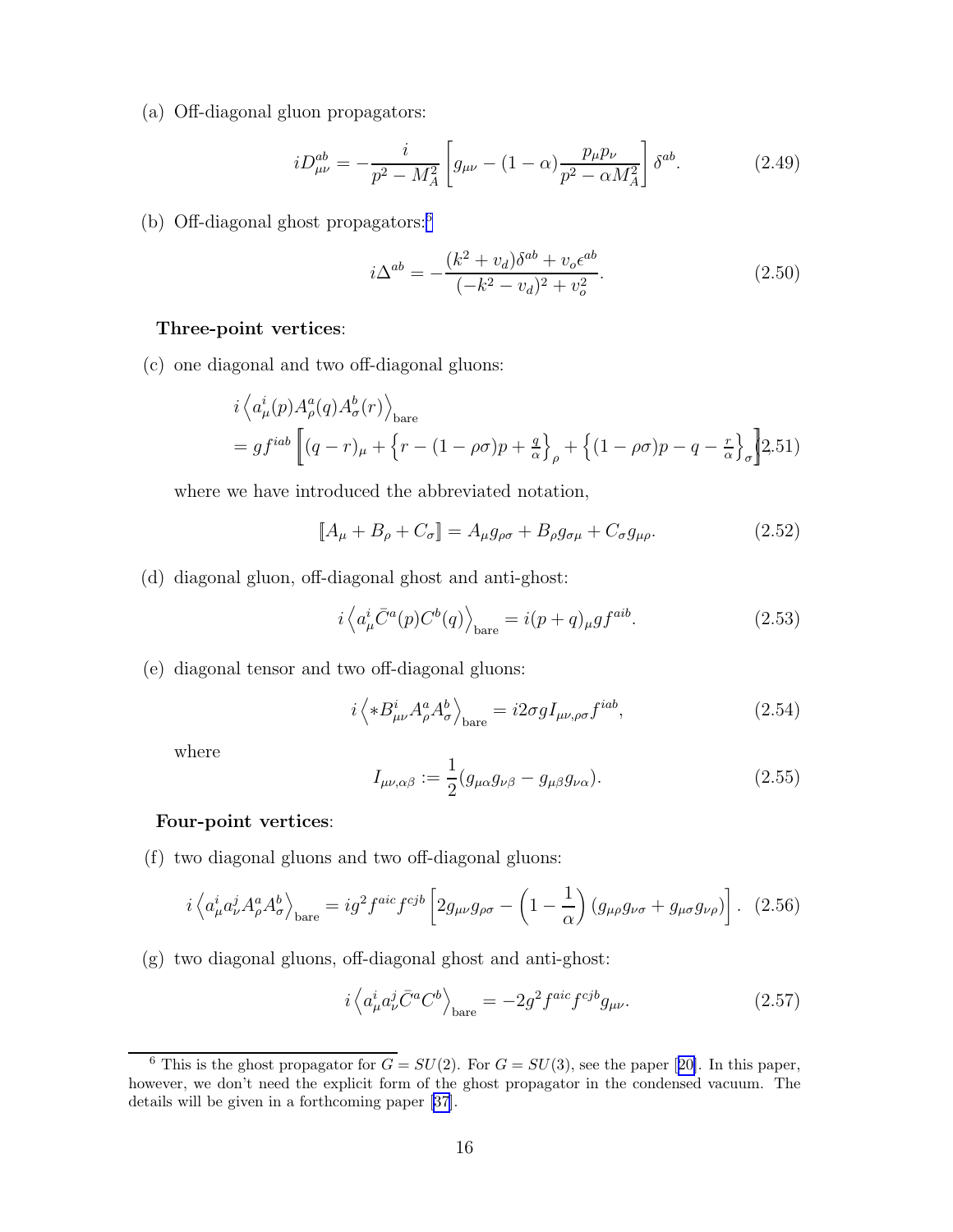(a) Off-diagonal gluon propagators:

$$
iD_{\mu\nu}^{ab} = -\frac{i}{p^2 - M_A^2} \left[ g_{\mu\nu} - (1 - \alpha) \frac{p_\mu p_\nu}{p^2 - \alpha M_A^2} \right] \delta^{ab}.
$$
 (2.49)

(b) Off-diagonal ghost propagators:<sup>6</sup>

$$
i\Delta^{ab} = -\frac{(k^2 + v_d)\delta^{ab} + v_o \epsilon^{ab}}{(-k^2 - v_d)^2 + v_o^2}.
$$
\n(2.50)

#### Three-point vertices:

(c) one diagonal and two off-diagonal gluons:

$$
i \langle a_{\mu}^{i}(p) A_{\rho}^{a}(q) A_{\sigma}^{b}(r) \rangle_{\text{bare}}
$$
  
=  $gf^{iab} \left[ (q-r)_{\mu} + \left\{ r - (1-\rho\sigma)p + \frac{q}{\alpha} \right\}_{\rho} + \left\{ (1-\rho\sigma)p - q - \frac{r}{\alpha} \right\}_{\sigma} \right]$  2.51)

where we have introduced the abbreviated notation,

$$
\llbracket A_{\mu} + B_{\rho} + C_{\sigma} \rrbracket = A_{\mu} g_{\rho\sigma} + B_{\rho} g_{\sigma\mu} + C_{\sigma} g_{\mu\rho}.
$$
 (2.52)

(d) diagonal gluon, off-diagonal ghost and anti-ghost:

$$
i\left\langle a_{\mu}^{i}\bar{C}^{a}(p)C^{b}(q)\right\rangle_{\text{bare}} = i(p+q)_{\mu}gf^{aib}.\tag{2.53}
$$

(e) diagonal tensor and two off-diagonal gluons:

$$
i \left\langle *B_{\mu\nu}^i A_\rho^a A_\sigma^b \right\rangle_{\text{bare}} = i2\sigma g I_{\mu\nu,\rho\sigma} f^{iab},\tag{2.54}
$$

where

$$
I_{\mu\nu,\alpha\beta} := \frac{1}{2} (g_{\mu\alpha} g_{\nu\beta} - g_{\mu\beta} g_{\nu\alpha}).
$$
\n(2.55)

#### Four-point vertices:

(f) two diagonal gluons and two off-diagonal gluons:

$$
i\left\langle a_{\mu}^{i}a_{\nu}^{j}A_{\rho}^{a}A_{\sigma}^{b}\right\rangle_{\text{bare}}=ig^{2}f^{aic}f^{cjb}\left[2g_{\mu\nu}g_{\rho\sigma}-\left(1-\frac{1}{\alpha}\right)\left(g_{\mu\rho}g_{\nu\sigma}+g_{\mu\sigma}g_{\nu\rho}\right)\right].
$$
 (2.56)

(g) two diagonal gluons, off-diagonal ghost and anti-ghost:

$$
i \left\langle a_{\mu}^{i} a_{\nu}^{j} \bar{C}^{a} C^{b} \right\rangle_{\text{bare}} = -2g^{2} f^{aic} f^{cjb} g_{\mu\nu}.
$$
 (2.57)

<sup>&</sup>lt;sup>6</sup>This is the ghost propagator for  $G = SU(2)$ . For  $G = SU(3)$ , see the paper [[20\]](#page-77-0). In this paper, however, we don't need the explicit form of the ghost propagator in the condensed vacuum. The details will be given in a forthcoming paper[[37\]](#page-78-0).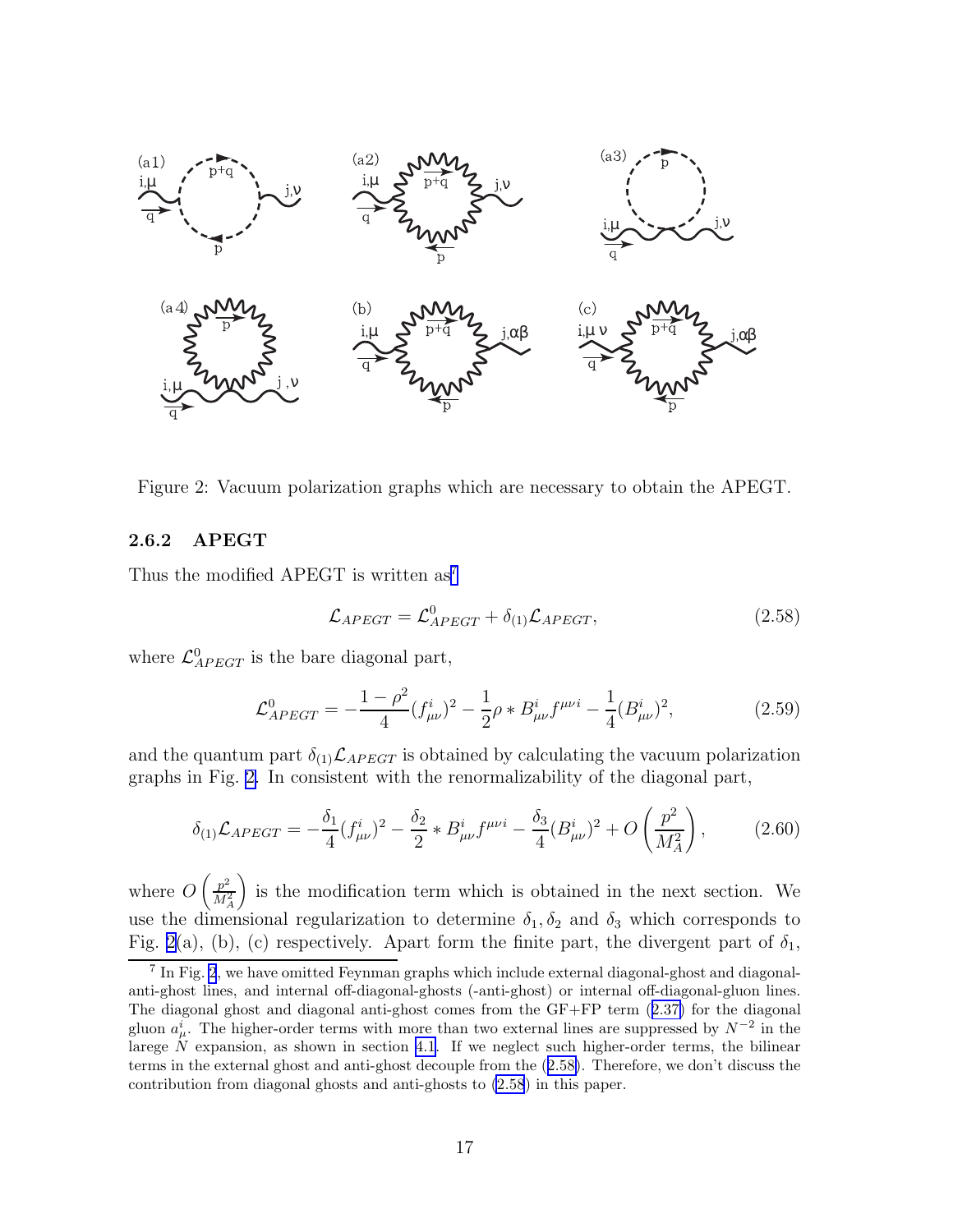<span id="page-18-0"></span>

Figure 2: Vacuum polarization graphs which are necessary to obtain the APEGT.

#### 2.6.2 APEGT

Thus the modified APEGT is written  $as^7$ 

$$
\mathcal{L}_{APEGT} = \mathcal{L}_{APEGT}^{0} + \delta_{(1)} \mathcal{L}_{APEGT}, \qquad (2.58)
$$

where  $\mathcal{L}_{APEGT}^{0}$  is the bare diagonal part,

$$
\mathcal{L}_{APEGT}^{0} = -\frac{1-\rho^2}{4} (f_{\mu\nu}^i)^2 - \frac{1}{2}\rho * B_{\mu\nu}^i f^{\mu\nu i} - \frac{1}{4} (B_{\mu\nu}^i)^2, \tag{2.59}
$$

and the quantum part  $\delta_{(1)}\mathcal{L}_{APEGT}$  is obtained by calculating the vacuum polarization graphs in Fig. 2. In consistent with the renormalizability of the diagonal part,

$$
\delta_{(1)}\mathcal{L}_{APEGT} = -\frac{\delta_1}{4} (f_{\mu\nu}^i)^2 - \frac{\delta_2}{2} * B_{\mu\nu}^i f^{\mu\nu i} - \frac{\delta_3}{4} (B_{\mu\nu}^i)^2 + O\left(\frac{p^2}{M_A^2}\right),\tag{2.60}
$$

where  $O\left(\frac{p^2}{M^2}\right)$  $\dot M_A^2$ is the modification term which is obtained in the next section. We use the dimensional regularization to determine  $\delta_1, \delta_2$  and  $\delta_3$  which corresponds to Fig. 2(a), (b), (c) respectively. Apart form the finite part, the divergent part of  $\delta_1$ ,

<sup>&</sup>lt;sup>7</sup> In Fig. 2, we have omitted Feynman graphs which include external diagonal-ghost and diagonalanti-ghost lines, and internal off-diagonal-ghosts (-anti-ghost) or internal off-diagonal-gluon lines. The diagonal ghost and diagonal anti-ghost comes from the GF+FP term([2.37\)](#page-13-0) for the diagonal gluon  $a^i_\mu$ . The higher-order terms with more than two external lines are suppressed by  $N^{-2}$  in the larege  $N$  expansion, as shown in section [4.1.](#page-39-0) If we neglect such higher-order terms, the bilinear terms in the external ghost and anti-ghost decouple from the (2.58). Therefore, we don't discuss the contribution from diagonal ghosts and anti-ghosts to (2.58) in this paper.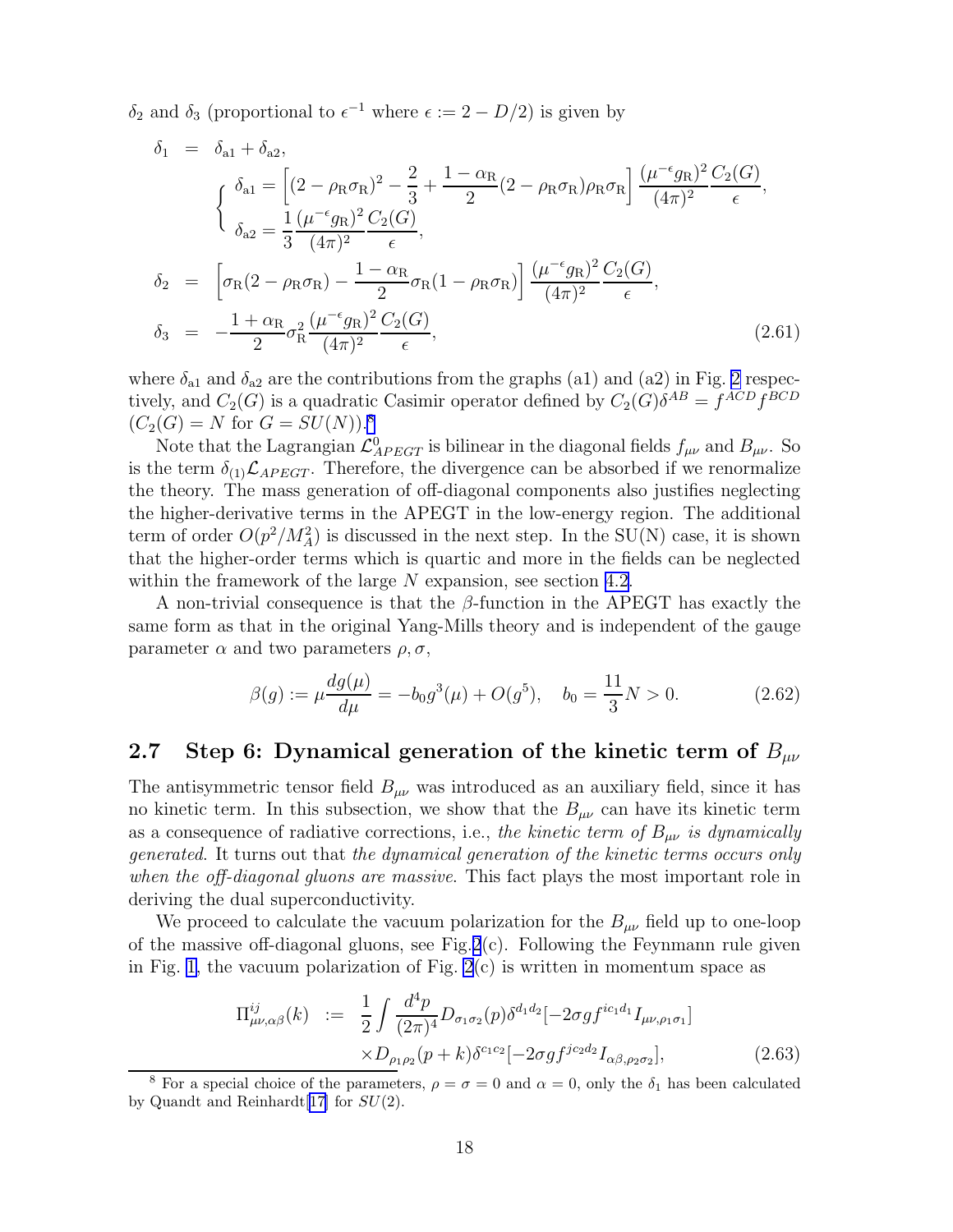<span id="page-19-0"></span> $\delta_2$  and  $\delta_3$  (proportional to  $\epsilon^{-1}$  where  $\epsilon := 2 - D/2$ ) is given by

$$
\delta_1 = \delta_{a1} + \delta_{a2},
$$
\n
$$
\begin{cases}\n\delta_{a1} = \left[ (2 - \rho_R \sigma_R)^2 - \frac{2}{3} + \frac{1 - \alpha_R}{2} (2 - \rho_R \sigma_R) \rho_R \sigma_R \right] \frac{(\mu^{-\epsilon} g_R)^2 C_2(G)}{(4\pi)^2} \frac{C_2(G)}{\epsilon}, \\
\delta_{a2} = \frac{1}{3} \frac{(\mu^{-\epsilon} g_R)^2 C_2(G)}{(4\pi)^2}, \\
\delta_2 = \left[ \sigma_R (2 - \rho_R \sigma_R) - \frac{1 - \alpha_R}{2} \sigma_R (1 - \rho_R \sigma_R) \right] \frac{(\mu^{-\epsilon} g_R)^2 C_2(G)}{(4\pi)^2} \frac{C_2(G)}{\epsilon}, \\
\delta_3 = -\frac{1 + \alpha_R}{2} \sigma_R^2 \frac{(\mu^{-\epsilon} g_R)^2 C_2(G)}{(4\pi)^2} \frac{C_2(G)}{\epsilon},\n\end{cases} (2.61)
$$

where  $\delta_{a1}$  and  $\delta_{a2}$  are the contributions from the graphs (a1) and (a2) in Fig. [2](#page-18-0) respectively, and  $C_2(G)$  is a quadratic Casimir operator defined by  $C_2(G)\delta^{AB} = f^{ACD}f^{BCD}$  $(C_2(G) = N$  for  $G = SU(N))$ .<sup>8</sup>

Note that the Lagrangian  $\mathcal{L}_{APEGT}^0$  is bilinear in the diagonal fields  $f_{\mu\nu}$  and  $B_{\mu\nu}$ . So is the term  $\delta_{(1)}\mathcal{L}_{APEGT}$ . Therefore, the divergence can be absorbed if we renormalize the theory. The mass generation of off-diagonal components also justifies neglecting the higher-derivative terms in the APEGT in the low-energy region. The additional term of order  $O(p^2/M_A^2)$  is discussed in the next step. In the SU(N) case, it is shown that the higher-order terms which is quartic and more in the fields can be neglected within the framework of the large  $N$  expansion, see section [4.2.](#page-41-0)

A non-trivial consequence is that the  $\beta$ -function in the APEGT has exactly the same form as that in the original Yang-Mills theory and is independent of the gauge parameter  $\alpha$  and two parameters  $\rho$ ,  $\sigma$ ,

$$
\beta(g) := \mu \frac{dg(\mu)}{d\mu} = -b_0 g^3(\mu) + O(g^5), \quad b_0 = \frac{11}{3}N > 0. \tag{2.62}
$$

### 2.7 Step 6: Dynamical generation of the kinetic term of  $B_{\mu\nu}$

The antisymmetric tensor field  $B_{\mu\nu}$  was introduced as an auxiliary field, since it has no kinetic term. In this subsection, we show that the  $B_{\mu\nu}$  can have its kinetic term as a consequence of radiative corrections, i.e., the kinetic term of  $B_{\mu\nu}$  is dynamically generated. It turns out that the dynamical generation of the kinetic terms occurs only when the off-diagonal gluons are massive. This fact plays the most important role in deriving the dual superconductivity.

We proceed to calculate the vacuum polarization for the  $B_{\mu\nu}$  field up to one-loop of the massive off-diagonal gluons, see Fig.  $2(c)$  $2(c)$ . Following the Feynmann rule given in Fig. [1,](#page-16-0) the vacuum polarization of Fig.  $2(c)$  is written in momentum space as

$$
\Pi_{\mu\nu,\alpha\beta}^{ij}(k) := \frac{1}{2} \int \frac{d^4 p}{(2\pi)^4} D_{\sigma_1\sigma_2}(p) \delta^{d_1 d_2} [-2\sigma g f^{ic_1 d_1} I_{\mu\nu,\rho_1 \sigma_1}]
$$
  
 
$$
\times D_{\rho_1 \rho_2}(p+k) \delta^{c_1 c_2} [-2\sigma g f^{jc_2 d_2} I_{\alpha\beta,\rho_2 \sigma_2}], \qquad (2.63)
$$

<sup>&</sup>lt;sup>8</sup> For a special choice of the parameters,  $\rho = \sigma = 0$  and  $\alpha = 0$ , only the  $\delta_1$  has been calculated by Quandt and Reinhardt[[17\]](#page-77-0) for  $SU(2)$ .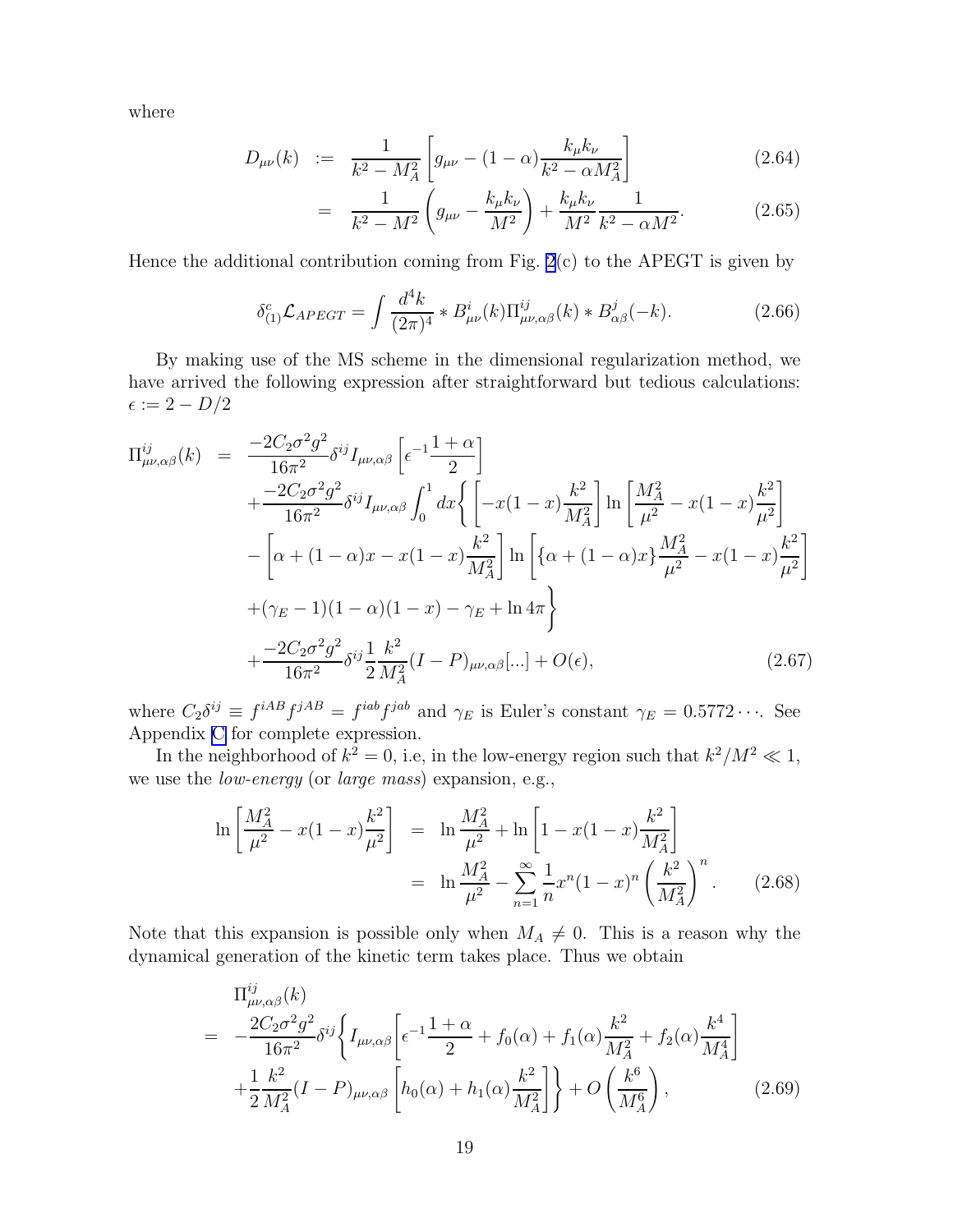where

$$
D_{\mu\nu}(k) := \frac{1}{k^2 - M_A^2} \left[ g_{\mu\nu} - (1 - \alpha) \frac{k_{\mu} k_{\nu}}{k^2 - \alpha M_A^2} \right] \tag{2.64}
$$

$$
= \frac{1}{k^2 - M^2} \left( g_{\mu\nu} - \frac{k_\mu k_\nu}{M^2} \right) + \frac{k_\mu k_\nu}{M^2} \frac{1}{k^2 - \alpha M^2}.
$$
 (2.65)

Hence the additional contribution coming from Fig.  $2(c)$  to the APEGT is given by

$$
\delta_{(1)}^c \mathcal{L}_{APEGT} = \int \frac{d^4 k}{(2\pi)^4} * B_{\mu\nu}^i(k) \Pi_{\mu\nu,\alpha\beta}^{ij}(k) * B_{\alpha\beta}^j(-k). \tag{2.66}
$$

By making use of the MS scheme in the dimensional regularization method, we have arrived the following expression after straightforward but tedious calculations:  $\epsilon := 2 - D/2$ 

$$
\Pi_{\mu\nu,\alpha\beta}^{ij}(k) = \frac{-2C_2\sigma^2 g^2}{16\pi^2} \delta^{ij} I_{\mu\nu,\alpha\beta} \left[ \epsilon^{-1} \frac{1+\alpha}{2} \right] \n+ \frac{-2C_2\sigma^2 g^2}{16\pi^2} \delta^{ij} I_{\mu\nu,\alpha\beta} \int_0^1 dx \left\{ \left[ -x(1-x) \frac{k^2}{M_A^2} \right] \ln \left[ \frac{M_A^2}{\mu^2} - x(1-x) \frac{k^2}{\mu^2} \right] \right. \n- \left[ \alpha + (1-\alpha)x - x(1-x) \frac{k^2}{M_A^2} \right] \ln \left[ \{ \alpha + (1-\alpha)x \} \frac{M_A^2}{\mu^2} - x(1-x) \frac{k^2}{\mu^2} \right] \n+ (\gamma_E - 1)(1-\alpha)(1-x) - \gamma_E + \ln 4\pi \right\} \n+ \frac{-2C_2\sigma^2 g^2}{16\pi^2} \delta^{ij} \frac{1}{2} \frac{k^2}{M_A^2} (I - P)_{\mu\nu,\alpha\beta}[\dots] + O(\epsilon),
$$
\n(2.67)

where  $C_2 \delta^{ij} \equiv f^{iAB} f^{jAB} = f^{iab} f^{jab}$  and  $\gamma_E$  is Euler's constant  $\gamma_E = 0.5772 \cdots$ . See Appendix [C](#page-58-0) for complete expression.

In the neighborhood of  $k^2 = 0$ , i.e, in the low-energy region such that  $k^2/M^2 \ll 1$ , we use the low-energy (or large mass) expansion, e.g.,

$$
\ln\left[\frac{M_A^2}{\mu^2} - x(1-x)\frac{k^2}{\mu^2}\right] = \ln\frac{M_A^2}{\mu^2} + \ln\left[1-x(1-x)\frac{k^2}{M_A^2}\right]
$$

$$
= \ln\frac{M_A^2}{\mu^2} - \sum_{n=1}^{\infty}\frac{1}{n}x^n(1-x)^n\left(\frac{k^2}{M_A^2}\right)^n.
$$
(2.68)

Note that this expansion is possible only when  $M_A \neq 0$ . This is a reason why the dynamical generation of the kinetic term takes place. Thus we obtain

$$
\Pi_{\mu\nu,\alpha\beta}^{ij}(k) = -\frac{2C_2\sigma^2 g^2}{16\pi^2} \delta^{ij} \left\{ I_{\mu\nu,\alpha\beta} \left[ \epsilon^{-1} \frac{1+\alpha}{2} + f_0(\alpha) + f_1(\alpha) \frac{k^2}{M_A^2} + f_2(\alpha) \frac{k^4}{M_A^4} \right] + \frac{1}{2} \frac{k^2}{M_A^2} (I - P)_{\mu\nu,\alpha\beta} \left[ h_0(\alpha) + h_1(\alpha) \frac{k^2}{M_A^2} \right] \right\} + O\left(\frac{k^6}{M_A^6}\right),
$$
\n(2.69)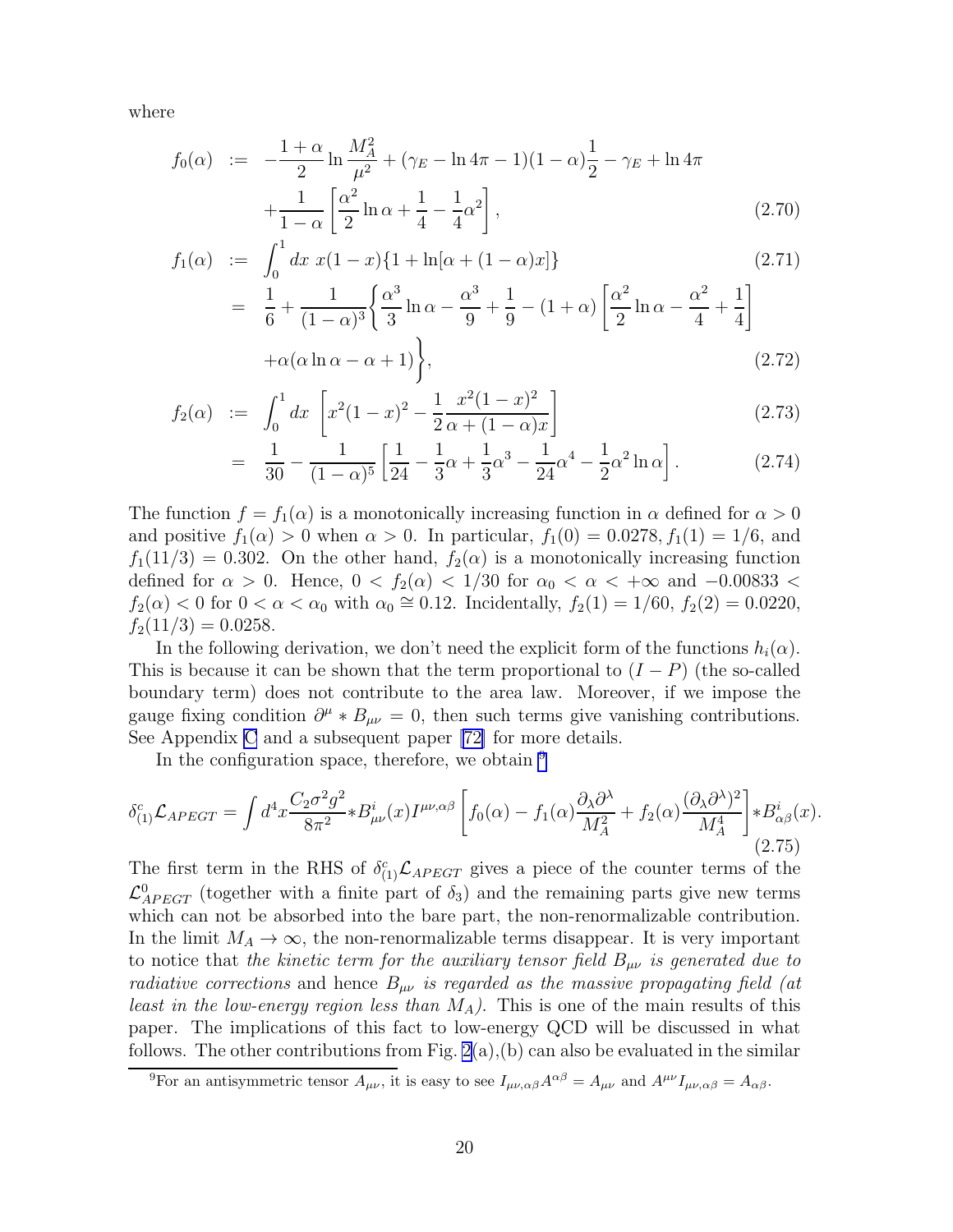where

$$
f_0(\alpha) := -\frac{1+\alpha}{2} \ln \frac{M_A^2}{\mu^2} + (\gamma_E - \ln 4\pi - 1)(1-\alpha)\frac{1}{2} - \gamma_E + \ln 4\pi + \frac{1}{1-\alpha} \left[ \frac{\alpha^2}{2} \ln \alpha + \frac{1}{4} - \frac{1}{4} \alpha^2 \right],
$$
\n(2.70)

$$
f_1(\alpha) := \int_0^1 dx \ x(1-x)\{1 + \ln[\alpha + (1-\alpha)x]\}
$$
\n
$$
= \frac{1}{6} + \frac{1}{(1-\alpha)^3} \left\{ \frac{\alpha^3}{3} \ln \alpha - \frac{\alpha^3}{9} + \frac{1}{9} - (1+\alpha) \left[ \frac{\alpha^2}{2} \ln \alpha - \frac{\alpha^2}{4} + \frac{1}{4} \right] + \alpha(\alpha \ln \alpha - \alpha + 1) \right\},\tag{2.72}
$$

$$
f_2(\alpha) := \int_0^1 dx \left[ x^2 (1-x)^2 - \frac{1}{2} \frac{x^2 (1-x)^2}{\alpha + (1-\alpha)x} \right]
$$
 (2.73)

$$
= \frac{1}{30} - \frac{1}{(1-\alpha)^5} \left[ \frac{1}{24} - \frac{1}{3}\alpha + \frac{1}{3}\alpha^3 - \frac{1}{24}\alpha^4 - \frac{1}{2}\alpha^2 \ln \alpha \right].
$$
 (2.74)

The function  $f = f_1(\alpha)$  is a monotonically increasing function in  $\alpha$  defined for  $\alpha > 0$ and positive  $f_1(\alpha) > 0$  when  $\alpha > 0$ . In particular,  $f_1(0) = 0.0278, f_1(1) = 1/6$ , and  $f_1(11/3) = 0.302$ . On the other hand,  $f_2(\alpha)$  is a monotonically increasing function defined for  $\alpha > 0$ . Hence,  $0 < f_2(\alpha) < 1/30$  for  $\alpha_0 < \alpha < +\infty$  and  $-0.00833 <$  $f_2(\alpha) < 0$  for  $0 < \alpha < \alpha_0$  with  $\alpha_0 \approx 0.12$ . Incidentally,  $f_2(1) = 1/60$ ,  $f_2(2) = 0.0220$ ,  $f_2(11/3) = 0.0258.$ 

In the following derivation, we don't need the explicit form of the functions  $h_i(\alpha)$ . This is because it can be shown that the term proportional to  $(I - P)$  (the so-called boundary term) does not contribute to the area law. Moreover, if we impose the gauge fixing condition  $\partial^{\mu} * B_{\mu\nu} = 0$ , then such terms give vanishing contributions. See Appendix [C](#page-58-0) and a subsequent paper[[72\]](#page-80-0) for more details.

In the configuration space, therefore, we obtain  $9$ 

$$
\delta_{(1)}^c \mathcal{L}_{APEGT} = \int d^4 x \frac{C_2 \sigma^2 g^2}{8\pi^2} * B_{\mu\nu}^i(x) I^{\mu\nu,\alpha\beta} \left[ f_0(\alpha) - f_1(\alpha) \frac{\partial_\lambda \partial^\lambda}{M_A^2} + f_2(\alpha) \frac{(\partial_\lambda \partial^\lambda)^2}{M_A^4} \right] * B_{\alpha\beta}^i(x). \tag{2.75}
$$

The first term in the RHS of  $\delta_{(1)}^c$  L<sub>APEGT</sub> gives a piece of the counter terms of the  $\mathcal{L}_{APEGT}^0$  (together with a finite part of  $\delta_3$ ) and the remaining parts give new terms which can not be absorbed into the bare part, the non-renormalizable contribution. In the limit  $M_A \to \infty$ , the non-renormalizable terms disappear. It is very important to notice that the kinetic term for the auxiliary tensor field  $B_{\mu\nu}$  is generated due to radiative corrections and hence  $B_{\mu\nu}$  is regarded as the massive propagating field (at least in the low-energy region less than  $M_A$ ). This is one of the main results of this paper. The implications of this fact to low-energy QCD will be discussed in what follows. The other contributions from Fig.  $2(a)$ , (b) can also be evaluated in the similar

<sup>&</sup>lt;sup>9</sup>For an antisymmetric tensor  $A_{\mu\nu}$ , it is easy to see  $I_{\mu\nu,\alpha\beta}A^{\alpha\beta} = A_{\mu\nu}$  and  $A^{\mu\nu}I_{\mu\nu,\alpha\beta} = A_{\alpha\beta}$ .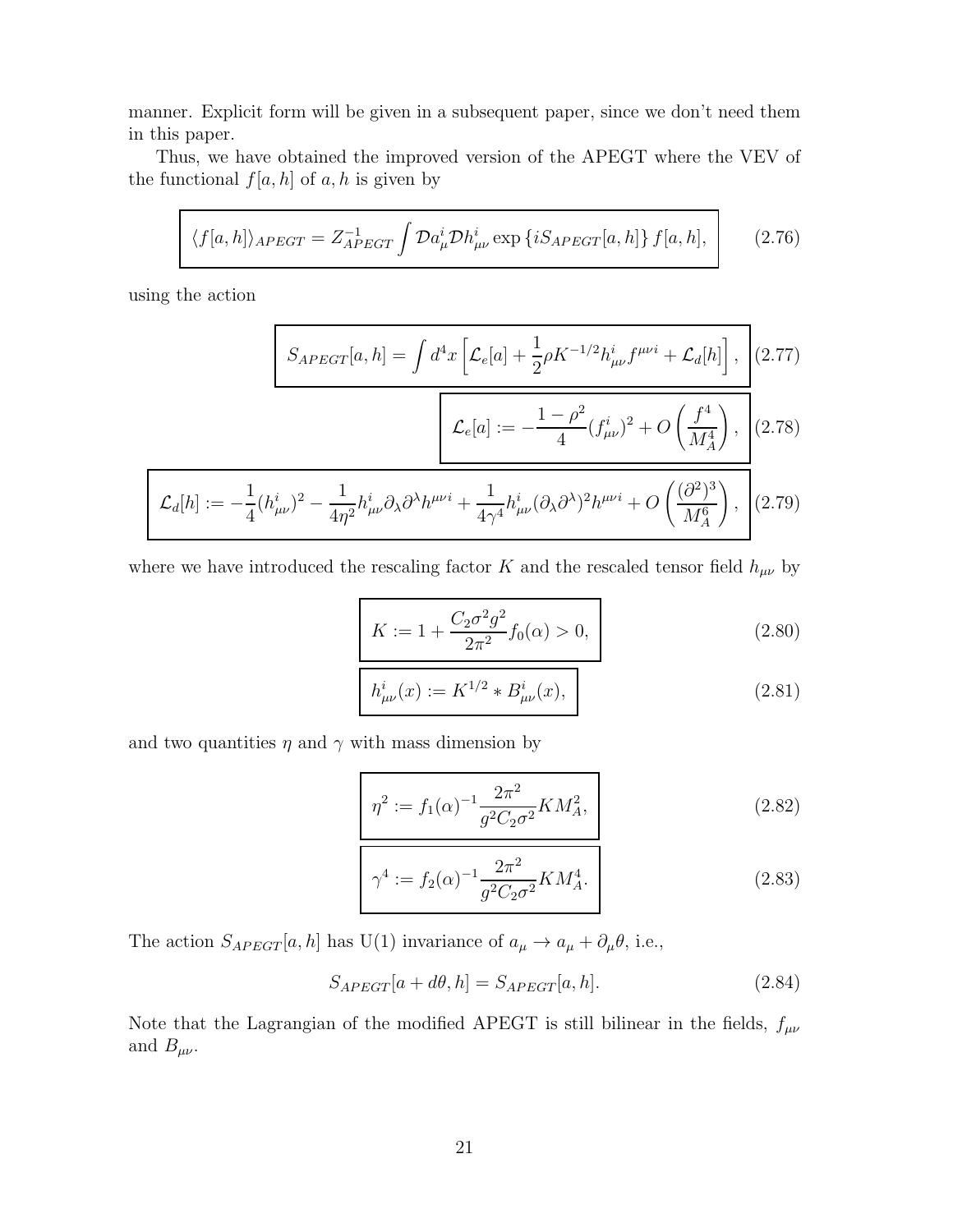manner. Explicit form will be given in a subsequent paper, since we don't need them in this paper.

Thus, we have obtained the improved version of the APEGT where the VEV of the functional  $f[a, h]$  of  $a, h$  is given by

$$
\langle f[a,h] \rangle_{APEGT} = Z_{APEGT}^{-1} \int \mathcal{D}a_{\mu}^{i} \mathcal{D}h_{\mu\nu}^{i} \exp \left\{ iS_{APEGT}[a,h] \right\} f[a,h], \qquad (2.76)
$$

using the action

$$
S_{APEGT}[a,h] = \int d^4x \left[ \mathcal{L}_e[a] + \frac{1}{2} \rho K^{-1/2} h^i_{\mu\nu} f^{\mu\nu i} + \mathcal{L}_d[h] \right], \quad (2.77)
$$

$$
\mathcal{L}_e[a] := -\frac{1 - \rho^2}{4} (f_{\mu\nu}^i)^2 + O\left(\frac{f^4}{M_A^4}\right), \quad (2.78)
$$

$$
\mathcal{L}_d[h] := -\frac{1}{4} (h^i_{\mu\nu})^2 - \frac{1}{4\eta^2} h^i_{\mu\nu} \partial_\lambda \partial^\lambda h^{\mu\nu i} + \frac{1}{4\gamma^4} h^i_{\mu\nu} (\partial_\lambda \partial^\lambda)^2 h^{\mu\nu i} + O\left(\frac{(\partial^2)^3}{M_A^6}\right), \tag{2.79}
$$

where we have introduced the rescaling factor K and the rescaled tensor field  $h_{\mu\nu}$  by

$$
K := 1 + \frac{C_2 \sigma^2 g^2}{2\pi^2} f_0(\alpha) > 0,
$$
\n(2.80)

$$
h_{\mu\nu}^{i}(x) := K^{1/2} * B_{\mu\nu}^{i}(x), \qquad (2.81)
$$

and two quantities  $\eta$  and  $\gamma$  with mass dimension by

$$
\eta^2 := f_1(\alpha)^{-1} \frac{2\pi^2}{g^2 C_2 \sigma^2} K M_A^2, \qquad (2.82)
$$

$$
\gamma^4 := f_2(\alpha)^{-1} \frac{2\pi^2}{g^2 C_2 \sigma^2} K M_A^4.
$$
\n(2.83)

The action  $S_{APEGT}[a, h]$  has U(1) invariance of  $a_{\mu} \to a_{\mu} + \partial_{\mu} \theta$ , i.e.,

$$
S_{APEGT}[a+d\theta,h] = S_{APEGT}[a,h].
$$
\n(2.84)

Note that the Lagrangian of the modified APEGT is still bilinear in the fields,  $f_{\mu\nu}$ and  $B_{\mu\nu}$ .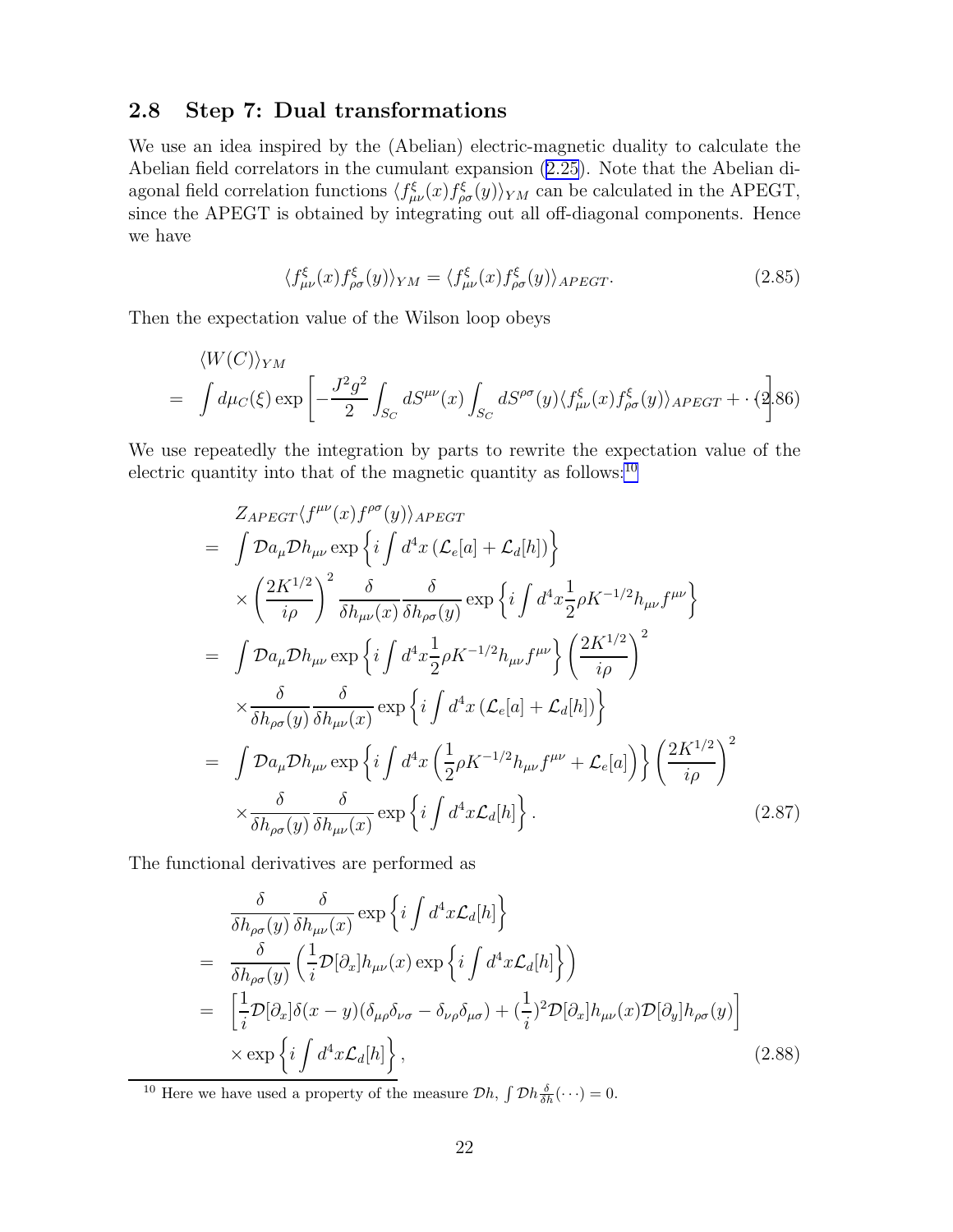# <span id="page-23-0"></span>2.8 Step 7: Dual transformations

We use an idea inspired by the (Abelian) electric-magnetic duality to calculate the Abelian field correlators in the cumulant expansion [\(2.25\)](#page-10-0). Note that the Abelian diagonal field correlation functions  $\langle f_{\mu\nu}^{\xi}(x) f_{\rho\sigma}^{\xi}(y) \rangle_{YM}$  can be calculated in the APEGT, since the APEGT is obtained by integrating out all off-diagonal components. Hence we have

$$
\langle f_{\mu\nu}^{\xi}(x) f_{\rho\sigma}^{\xi}(y) \rangle_{YM} = \langle f_{\mu\nu}^{\xi}(x) f_{\rho\sigma}^{\xi}(y) \rangle_{APEGT}.
$$
 (2.85)

Then the expectation value of the Wilson loop obeys

$$
\langle W(C) \rangle_{YM}
$$
  
=  $\int d\mu_C(\xi) \exp \left[ -\frac{J^2 g^2}{2} \int_{S_C} dS^{\mu\nu}(x) \int_{S_C} dS^{\rho\sigma}(y) \langle f_{\mu\nu}^{\xi}(x) f_{\rho\sigma}^{\xi}(y) \rangle_{APEGT} + \cdot (2.86) \right]$ 

We use repeatedly the integration by parts to rewrite the expectation value of the electric quantity into that of the magnetic quantity as follows: $^{10}$ 

$$
Z_{APEGT}\langle f^{\mu\nu}(x)f^{\rho\sigma}(y)\rangle_{APEGT}
$$
\n
$$
= \int \mathcal{D}a_{\mu}\mathcal{D}h_{\mu\nu} \exp\left\{i\int d^{4}x \left(\mathcal{L}_{e}[a] + \mathcal{L}_{d}[h]\right)\right\}
$$
\n
$$
\times \left(\frac{2K^{1/2}}{i\rho}\right)^{2} \frac{\delta}{\delta h_{\mu\nu}(x)} \frac{\delta}{\delta h_{\rho\sigma}(y)} \exp\left\{i\int d^{4}x \frac{1}{2}\rho K^{-1/2}h_{\mu\nu}f^{\mu\nu}\right\}
$$
\n
$$
= \int \mathcal{D}a_{\mu}\mathcal{D}h_{\mu\nu} \exp\left\{i\int d^{4}x \frac{1}{2}\rho K^{-1/2}h_{\mu\nu}f^{\mu\nu}\right\} \left(\frac{2K^{1/2}}{i\rho}\right)^{2}
$$
\n
$$
\times \frac{\delta}{\delta h_{\rho\sigma}(y)} \frac{\delta}{\delta h_{\mu\nu}(x)} \exp\left\{i\int d^{4}x \left(\mathcal{L}_{e}[a] + \mathcal{L}_{d}[h]\right)\right\}
$$
\n
$$
= \int \mathcal{D}a_{\mu}\mathcal{D}h_{\mu\nu} \exp\left\{i\int d^{4}x \left(\frac{1}{2}\rho K^{-1/2}h_{\mu\nu}f^{\mu\nu} + \mathcal{L}_{e}[a]\right)\right\} \left(\frac{2K^{1/2}}{i\rho}\right)^{2}
$$
\n
$$
\times \frac{\delta}{\delta h_{\rho\sigma}(y)} \frac{\delta}{\delta h_{\mu\nu}(x)} \exp\left\{i\int d^{4}x \mathcal{L}_{d}[h]\right\}.
$$
\n(2.87)

The functional derivatives are performed as

$$
\frac{\delta}{\delta h_{\rho\sigma}(y)} \frac{\delta}{\delta h_{\mu\nu}(x)} \exp\left\{i \int d^4x \mathcal{L}_d[h]\right\}
$$
\n
$$
= \frac{\delta}{\delta h_{\rho\sigma}(y)} \left(\frac{1}{i} \mathcal{D}[\partial_x] h_{\mu\nu}(x) \exp\left\{i \int d^4x \mathcal{L}_d[h]\right\}\right)
$$
\n
$$
= \left[\frac{1}{i} \mathcal{D}[\partial_x] \delta(x-y) (\delta_{\mu\rho} \delta_{\nu\sigma} - \delta_{\nu\rho} \delta_{\mu\sigma}) + (\frac{1}{i})^2 \mathcal{D}[\partial_x] h_{\mu\nu}(x) \mathcal{D}[\partial_y] h_{\rho\sigma}(y)\right]
$$
\n
$$
\times \exp\left\{i \int d^4x \mathcal{L}_d[h]\right\},
$$
\n(2.88)

<sup>10</sup> Here we have used a property of the measure  $\mathcal{D}h$ ,  $\int \mathcal{D}h \frac{\delta}{\delta h}(\cdots) = 0$ .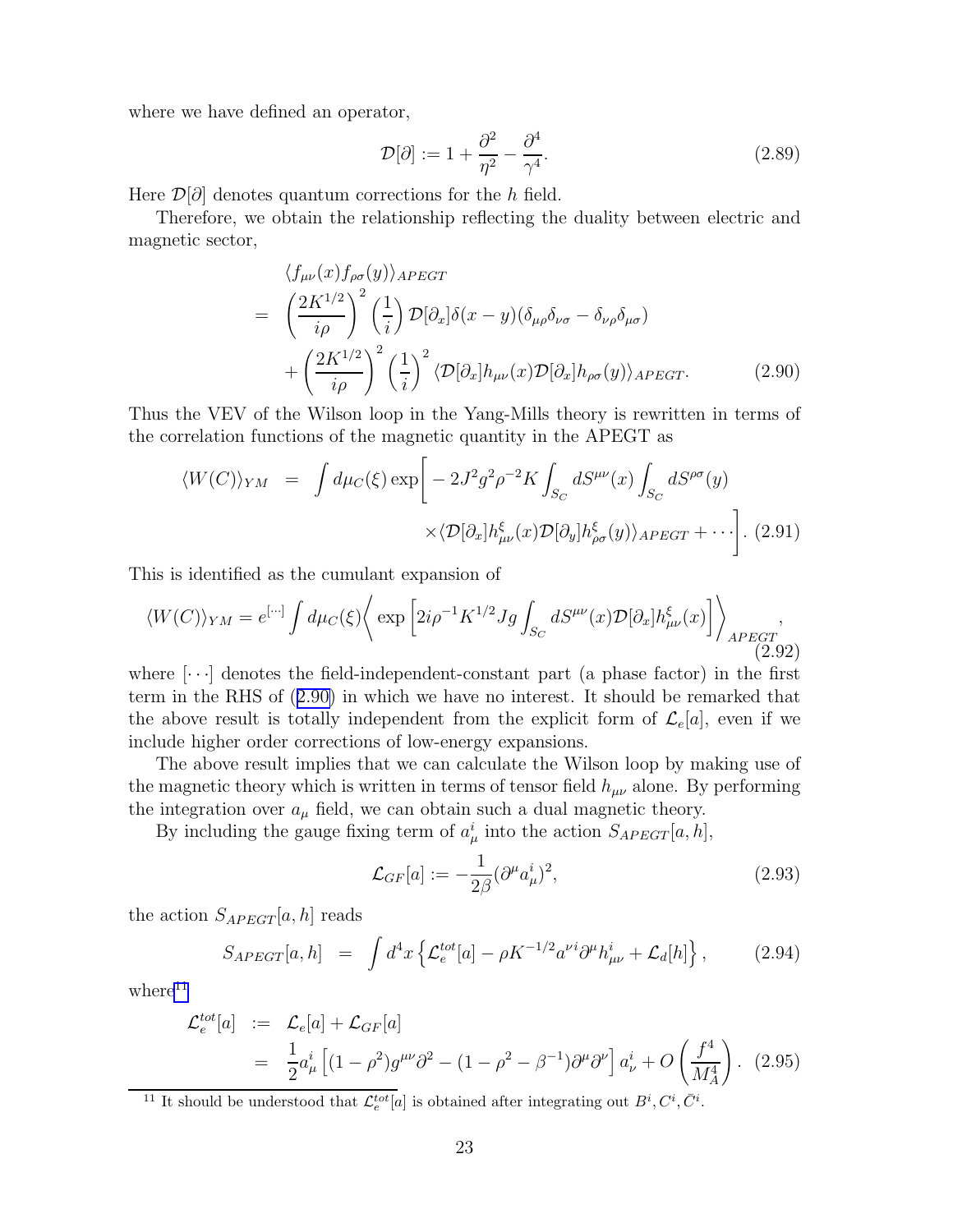where we have defined an operator,

$$
\mathcal{D}[\partial] := 1 + \frac{\partial^2}{\eta^2} - \frac{\partial^4}{\gamma^4}.
$$
\n(2.89)

Here  $\mathcal{D}[\partial]$  denotes quantum corrections for the h field.

Therefore, we obtain the relationship reflecting the duality between electric and magnetic sector,

$$
\langle f_{\mu\nu}(x) f_{\rho\sigma}(y) \rangle_{APEGT}
$$
\n
$$
= \left( \frac{2K^{1/2}}{i\rho} \right)^2 \left( \frac{1}{i} \right) \mathcal{D}[\partial_x] \delta(x - y) (\delta_{\mu\rho} \delta_{\nu\sigma} - \delta_{\nu\rho} \delta_{\mu\sigma})
$$
\n
$$
+ \left( \frac{2K^{1/2}}{i\rho} \right)^2 \left( \frac{1}{i} \right)^2 \langle \mathcal{D}[\partial_x] h_{\mu\nu}(x) \mathcal{D}[\partial_x] h_{\rho\sigma}(y) \rangle_{APEGT}.
$$
\n(2.90)

Thus the VEV of the Wilson loop in the Yang-Mills theory is rewritten in terms of the correlation functions of the magnetic quantity in the APEGT as

$$
\langle W(C) \rangle_{YM} = \int d\mu_C(\xi) \exp \left[ -2J^2 g^2 \rho^{-2} K \int_{S_C} dS^{\mu\nu}(x) \int_{S_C} dS^{\rho\sigma}(y) \right. \\ \times \langle \mathcal{D}[\partial_x] h_{\mu\nu}^{\xi}(x) \mathcal{D}[\partial_y] h_{\rho\sigma}^{\xi}(y) \rangle_{APEGT} + \cdots \right]. \tag{2.91}
$$

This is identified as the cumulant expansion of

$$
\langle W(C) \rangle_{YM} = e^{[\cdots]} \int d\mu_C(\xi) \langle \exp \left[ 2i\rho^{-1} K^{1/2} Jg \int_{S_C} dS^{\mu\nu}(x) \mathcal{D}[\partial_x] h^{\xi}_{\mu\nu}(x) \right] \rangle_{APEGT} , \tag{2.92}
$$

where  $[\cdots]$  denotes the field-independent-constant part (a phase factor) in the first term in the RHS of (2.90) in which we have no interest. It should be remarked that the above result is totally independent from the explicit form of  $\mathcal{L}_e[a]$ , even if we include higher order corrections of low-energy expansions.

The above result implies that we can calculate the Wilson loop by making use of the magnetic theory which is written in terms of tensor field  $h_{\mu\nu}$  alone. By performing the integration over  $a_{\mu}$  field, we can obtain such a dual magnetic theory.

By including the gauge fixing term of  $a^i_\mu$  into the action  $S_{APEGT}[a, h]$ ,

$$
\mathcal{L}_{GF}[a] := -\frac{1}{2\beta} (\partial^{\mu} a_{\mu}^{i})^{2},\tag{2.93}
$$

the action  $S_{APEGT}[a, h]$  reads

$$
S_{APEGT}[a,h] = \int d^4x \left\{ \mathcal{L}_e^{tot}[a] - \rho K^{-1/2} a^{\nu i} \partial^{\mu} h_{\mu\nu}^i + \mathcal{L}_d[h] \right\}, \tag{2.94}
$$

 $where<sup>11</sup>$ 

$$
\mathcal{L}_e^{tot}[a] := \mathcal{L}_e[a] + \mathcal{L}_{GF}[a]
$$
  
=  $\frac{1}{2}a^i_\mu \left[ (1 - \rho^2) g^{\mu\nu} \partial^2 - (1 - \rho^2 - \beta^{-1}) \partial^\mu \partial^\nu \right] a^i_\nu + O\left(\frac{f^4}{M_A^4}\right)$ . (2.95)

<sup>11</sup> It should be understood that  $\mathcal{L}_e^{tot}[a]$  is obtained after integrating out  $B^i, C^i, \bar{C}^i$ .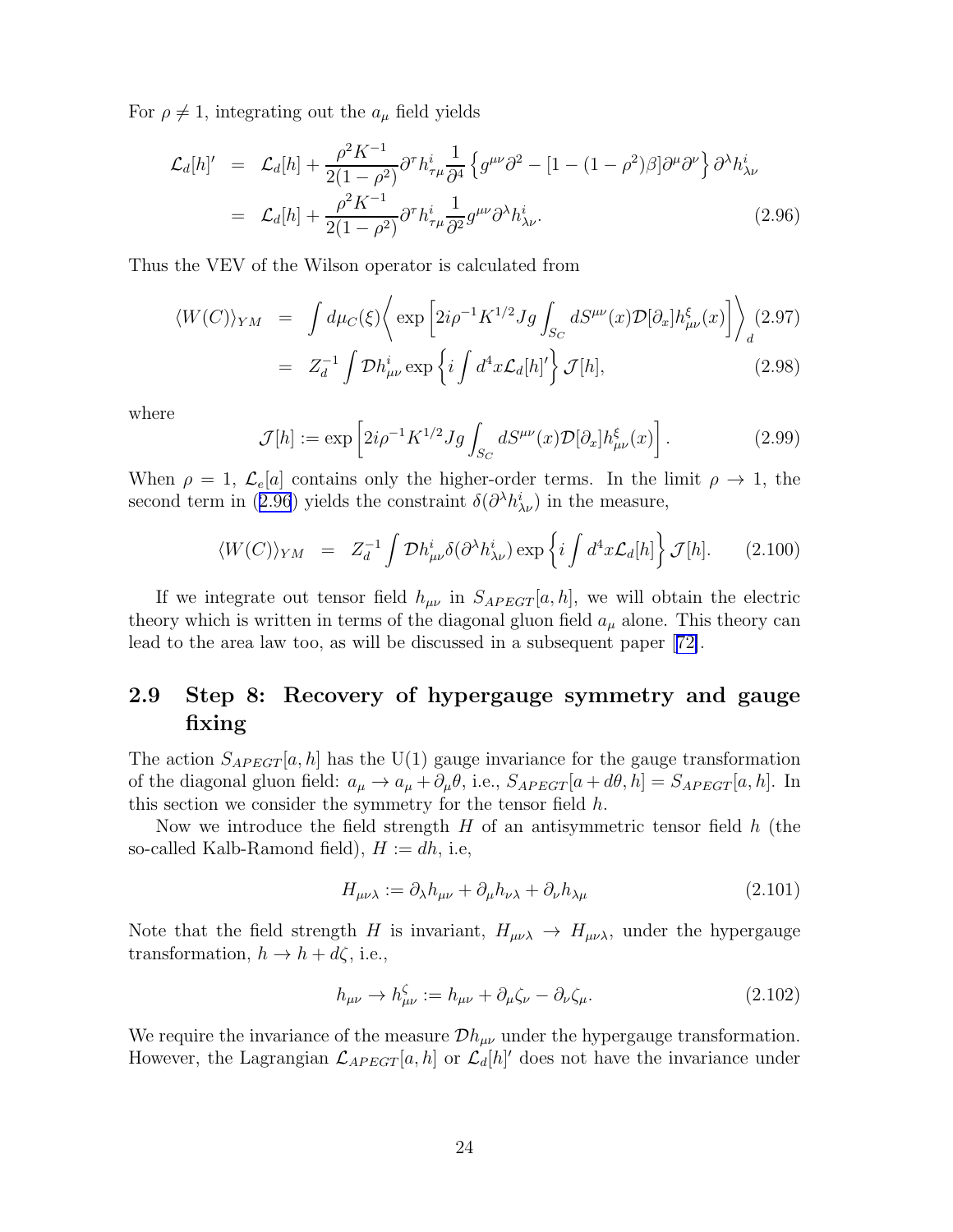<span id="page-25-0"></span>For  $\rho \neq 1$ , integrating out the  $a_{\mu}$  field yields

$$
\mathcal{L}_{d}[h]' = \mathcal{L}_{d}[h] + \frac{\rho^2 K^{-1}}{2(1 - \rho^2)} \partial^{\tau} h_{\tau\mu}^i \frac{1}{\partial^4} \left\{ g^{\mu\nu} \partial^2 - [1 - (1 - \rho^2)\beta] \partial^{\mu} \partial^{\nu} \right\} \partial^{\lambda} h_{\lambda\nu}^i
$$
  
=  $\mathcal{L}_{d}[h] + \frac{\rho^2 K^{-1}}{2(1 - \rho^2)} \partial^{\tau} h_{\tau\mu}^i \frac{1}{\partial^2} g^{\mu\nu} \partial^{\lambda} h_{\lambda\nu}^i.$  (2.96)

Thus the VEV of the Wilson operator is calculated from

$$
\langle W(C) \rangle_{YM} = \int d\mu_C(\xi) \left\langle \exp \left[ 2i \rho^{-1} K^{1/2} Jg \int_{S_C} dS^{\mu\nu}(x) \mathcal{D}[\partial_x] h_{\mu\nu}^{\xi}(x) \right] \right\rangle_d (2.97)
$$
  
=  $Z_d^{-1} \int \mathcal{D} h_{\mu\nu}^i \exp \left\{ i \int d^4 x \mathcal{L}_d[h] \right\} \mathcal{J}[h],$  (2.98)

where

$$
\mathcal{J}[h] := \exp\left[2i\rho^{-1}K^{1/2}Jg\int_{S_C} dS^{\mu\nu}(x)\mathcal{D}[\partial_x]h^{\xi}_{\mu\nu}(x)\right].\tag{2.99}
$$

When  $\rho = 1$ ,  $\mathcal{L}_e[a]$  contains only the higher-order terms. In the limit  $\rho \to 1$ , the second term in (2.96) yields the constraint  $\delta(\partial^{\lambda}h_{\lambda\nu}^{i})$  in the measure,

$$
\langle W(C) \rangle_{YM} = Z_d^{-1} \int \mathcal{D}h_{\mu\nu}^i \delta(\partial^\lambda h_{\lambda\nu}^i) \exp\left\{ i \int d^4x \mathcal{L}_d[h] \right\} \mathcal{J}[h]. \tag{2.100}
$$

If we integrate out tensor field  $h_{\mu\nu}$  in  $S_{APEGT}[a, h]$ , we will obtain the electric theory which is written in terms of the diagonal gluon field  $a_{\mu}$  alone. This theory can lead to the area law too, as will be discussed in a subsequent paper[[72\]](#page-80-0).

## 2.9 Step 8: Recovery of hypergauge symmetry and gauge fixing

The action  $S_{APEGT}[a, h]$  has the U(1) gauge invariance for the gauge transformation of the diagonal gluon field:  $a_{\mu} \to a_{\mu} + \partial_{\mu} \theta$ , i.e.,  $S_{APEGT}[a + d\theta, h] = S_{APEGT}[a, h]$ . In this section we consider the symmetry for the tensor field h.

Now we introduce the field strength  $H$  of an antisymmetric tensor field  $h$  (the so-called Kalb-Ramond field),  $H := dh$ , i.e,

$$
H_{\mu\nu\lambda} := \partial_{\lambda} h_{\mu\nu} + \partial_{\mu} h_{\nu\lambda} + \partial_{\nu} h_{\lambda\mu} \tag{2.101}
$$

Note that the field strength H is invariant,  $H_{\mu\nu\lambda} \rightarrow H_{\mu\nu\lambda}$ , under the hypergauge transformation,  $h \to h + d\zeta$ , i.e.,

$$
h_{\mu\nu} \to h^{\zeta}_{\mu\nu} := h_{\mu\nu} + \partial_{\mu}\zeta_{\nu} - \partial_{\nu}\zeta_{\mu}.
$$
\n(2.102)

We require the invariance of the measure  $\mathcal{D}h_{\mu\nu}$  under the hypergauge transformation. However, the Lagrangian  $\mathcal{L}_{APEGT}[a, h]$  or  $\mathcal{L}_{d}[h]'$  does not have the invariance under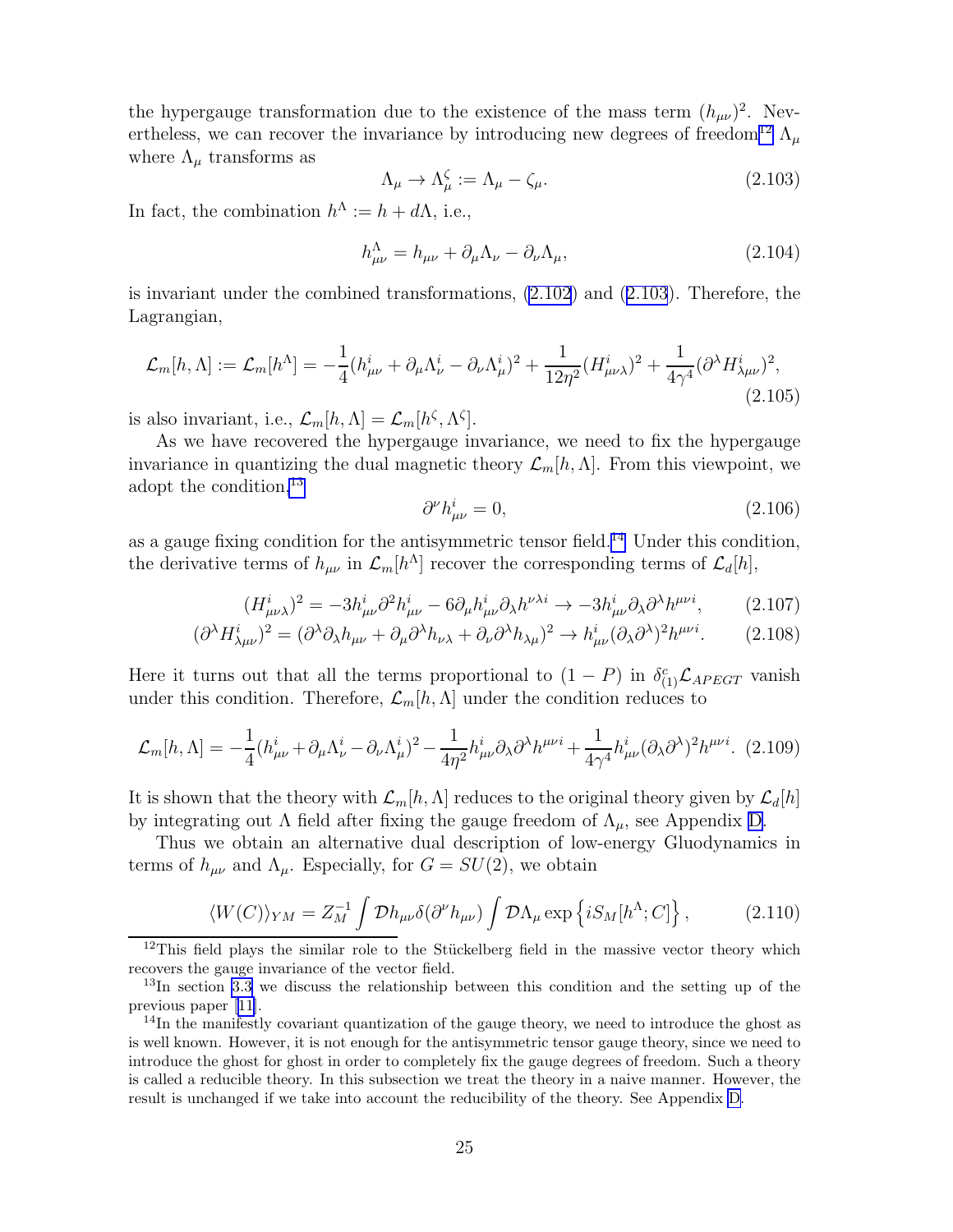<span id="page-26-0"></span>the hypergauge transformation due to the existence of the mass term  $(h_{\mu\nu})^2$ . Nevertheless, we can recover the invariance by introducing new degrees of freedom<sup>12</sup>  $\Lambda$ <sub>*u*</sub> where  $\Lambda_{\mu}$  transforms as

$$
\Lambda_{\mu} \to \Lambda_{\mu}^{\zeta} := \Lambda_{\mu} - \zeta_{\mu}.
$$
\n(2.103)

In fact, the combination  $h^{\Lambda} := h + d\Lambda$ , i.e.,

$$
h_{\mu\nu}^{\Lambda} = h_{\mu\nu} + \partial_{\mu}\Lambda_{\nu} - \partial_{\nu}\Lambda_{\mu}, \qquad (2.104)
$$

is invariant under the combined transformations, [\(2.102](#page-25-0)) and (2.103). Therefore, the Lagrangian,

$$
\mathcal{L}_m[h,\Lambda] := \mathcal{L}_m[h^{\Lambda}] = -\frac{1}{4}(h_{\mu\nu}^i + \partial_{\mu}\Lambda_{\nu}^i - \partial_{\nu}\Lambda_{\mu}^i)^2 + \frac{1}{12\eta^2}(H_{\mu\nu\lambda}^i)^2 + \frac{1}{4\gamma^4}(\partial^{\lambda}H_{\lambda\mu\nu}^i)^2, \tag{2.105}
$$

is also invariant, i.e.,  $\mathcal{L}_m[h,\Lambda] = \mathcal{L}_m[h^{\zeta},\Lambda^{\zeta}].$ 

As we have recovered the hypergauge invariance, we need to fix the hypergauge invariance in quantizing the dual magnetic theory  $\mathcal{L}_m[h,\Lambda]$ . From this viewpoint, we adopt the condition,<sup>13</sup>

$$
\partial^{\nu}h_{\mu\nu}^{i} = 0, \tag{2.106}
$$

as a gauge fixing condition for the antisymmetric tensor field.<sup>14</sup> Under this condition, the derivative terms of  $h_{\mu\nu}$  in  $\mathcal{L}_m[h^{\Lambda}]$  recover the corresponding terms of  $\mathcal{L}_d[h]$ ,

$$
(H^i_{\mu\nu\lambda})^2 = -3h^i_{\mu\nu}\partial^2 h^i_{\mu\nu} - 6\partial_\mu h^i_{\mu\nu}\partial_\lambda h^{\nu\lambda i} \to -3h^i_{\mu\nu}\partial_\lambda \partial^\lambda h^{\mu\nu i},\tag{2.107}
$$

$$
(\partial^{\lambda} H_{\lambda\mu\nu}^{i})^{2} = (\partial^{\lambda}\partial_{\lambda}h_{\mu\nu} + \partial_{\mu}\partial^{\lambda}h_{\nu\lambda} + \partial_{\nu}\partial^{\lambda}h_{\lambda\mu})^{2} \to h_{\mu\nu}^{i}(\partial_{\lambda}\partial^{\lambda})^{2}h^{\mu\nu i}.
$$
 (2.108)

Here it turns out that all the terms proportional to  $(1 - P)$  in  $\delta_{(1)}^c \mathcal{L}_{APEGT}$  vanish under this condition. Therefore,  $\mathcal{L}_m[h,\Lambda]$  under the condition reduces to

$$
\mathcal{L}_m[h,\Lambda] = -\frac{1}{4}(h^i_{\mu\nu} + \partial_\mu \Lambda^i_\nu - \partial_\nu \Lambda^i_\mu)^2 - \frac{1}{4\eta^2}h^i_{\mu\nu}\partial_\lambda\partial^\lambda h^{\mu\nu i} + \frac{1}{4\gamma^4}h^i_{\mu\nu}(\partial_\lambda\partial^\lambda)^2 h^{\mu\nu i}.\tag{2.109}
$$

It is shown that the theory with  $\mathcal{L}_m[h,\Lambda]$  reduces to the original theory given by  $\mathcal{L}_d[h]$ by integrating out  $\Lambda$  field after fixing the gauge freedom of  $\Lambda_{\mu}$ , see Appendix [D.](#page-62-0)

Thus we obtain an alternative dual description of low-energy Gluodynamics in terms of  $h_{\mu\nu}$  and  $\Lambda_{\mu}$ . Especially, for  $G = SU(2)$ , we obtain

$$
\langle W(C) \rangle_{YM} = Z_M^{-1} \int \mathcal{D}h_{\mu\nu} \delta(\partial^\nu h_{\mu\nu}) \int \mathcal{D}\Lambda_\mu \exp\left\{ i S_M[h^\Lambda; C] \right\},\tag{2.110}
$$

 $12$ This field plays the similar role to the Stückelberg field in the massive vector theory which recovers the gauge invariance of the vector field.

<sup>13</sup>In section [3.3](#page-36-0) we discuss the relationship between this condition and the setting up of the previous paper[[11\]](#page-77-0).

<sup>&</sup>lt;sup>14</sup>In the manifestly covariant quantization of the gauge theory, we need to introduce the ghost as is well known. However, it is not enough for the antisymmetric tensor gauge theory, since we need to introduce the ghost for ghost in order to completely fix the gauge degrees of freedom. Such a theory is called a reducible theory. In this subsection we treat the theory in a naive manner. However, the result is unchanged if we take into account the reducibility of the theory. See Appendix [D.](#page-62-0)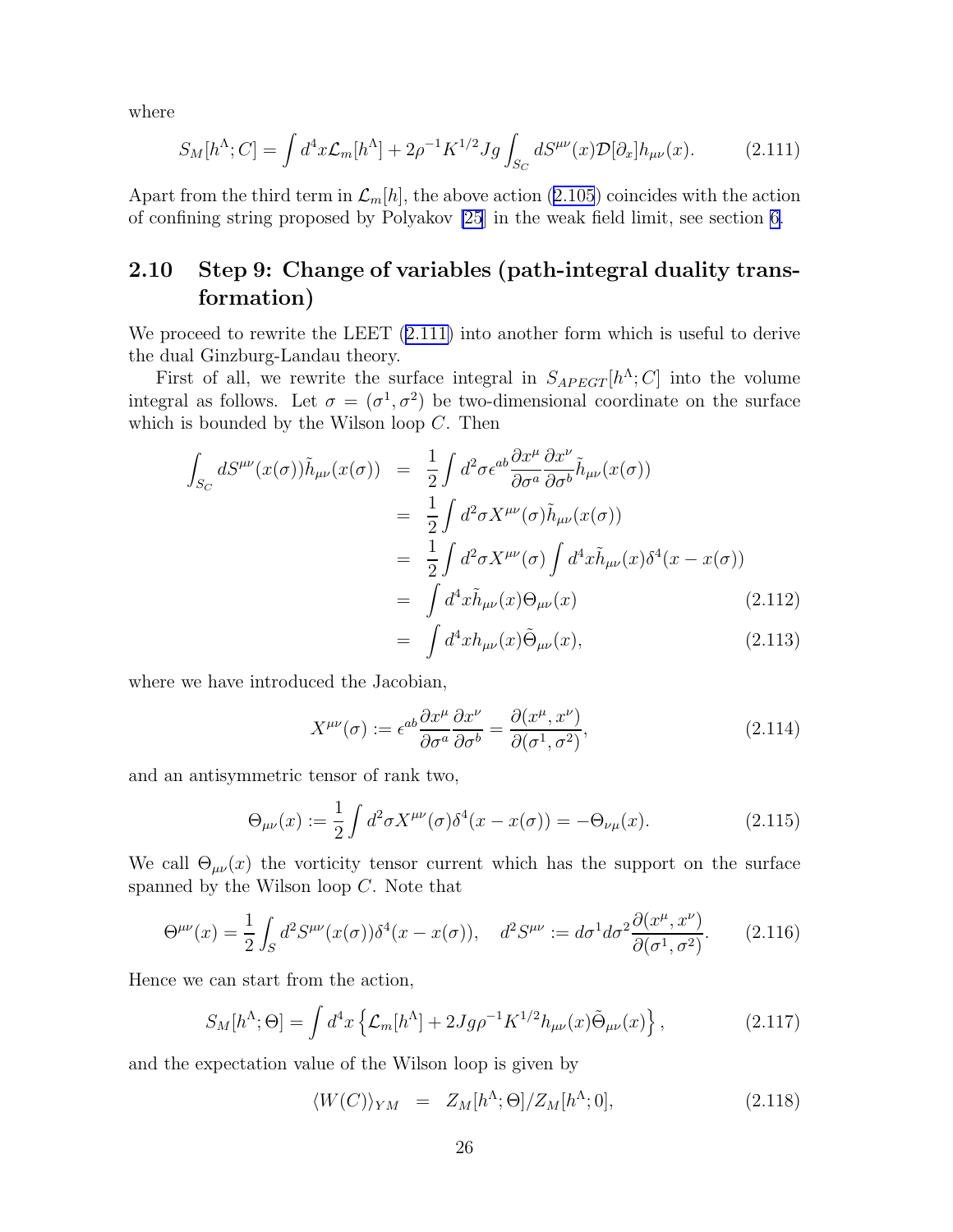<span id="page-27-0"></span>where

$$
S_M[h^{\Lambda};C] = \int d^4x \mathcal{L}_m[h^{\Lambda}] + 2\rho^{-1} K^{1/2} Jg \int_{S_C} dS^{\mu\nu}(x) \mathcal{D}[\partial_x] h_{\mu\nu}(x). \tag{2.111}
$$

Apartfrom the third term in  $\mathcal{L}_m[h]$ , the above action ([2.105](#page-26-0)) coincides with the action of confining string proposed by Polyakov [\[25](#page-78-0)] in the weak field limit, see section [6.](#page-48-0)

## 2.10 Step 9: Change of variables (path-integral duality transformation)

We proceed to rewrite the LEET  $(2.111)$  into another form which is useful to derive the dual Ginzburg-Landau theory.

First of all, we rewrite the surface integral in  $S_{APEGT}[h^{\Lambda};C]$  into the volume integral as follows. Let  $\sigma = (\sigma^1, \sigma^2)$  be two-dimensional coordinate on the surface which is bounded by the Wilson loop  $C$ . Then

$$
\int_{S_C} dS^{\mu\nu}(x(\sigma))\tilde{h}_{\mu\nu}(x(\sigma)) = \frac{1}{2} \int d^2 \sigma \epsilon^{ab} \frac{\partial x^{\mu}}{\partial \sigma^a} \frac{\partial x^{\nu}}{\partial \sigma^b} \tilde{h}_{\mu\nu}(x(\sigma)) \n= \frac{1}{2} \int d^2 \sigma X^{\mu\nu}(\sigma) \tilde{h}_{\mu\nu}(x(\sigma)) \n= \frac{1}{2} \int d^2 \sigma X^{\mu\nu}(\sigma) \int d^4 x \tilde{h}_{\mu\nu}(x) \delta^4(x - x(\sigma)) \n= \int d^4 x \tilde{h}_{\mu\nu}(x) \Theta_{\mu\nu}(x) \n= \int d^4 x h_{\mu\nu}(x) \tilde{\Theta}_{\mu\nu}(x),
$$
\n(2.113)

where we have introduced the Jacobian,

$$
X^{\mu\nu}(\sigma) := \epsilon^{ab} \frac{\partial x^{\mu}}{\partial \sigma^a} \frac{\partial x^{\nu}}{\partial \sigma^b} = \frac{\partial (x^{\mu}, x^{\nu})}{\partial (\sigma^1, \sigma^2)},
$$
\n(2.114)

and an antisymmetric tensor of rank two,

$$
\Theta_{\mu\nu}(x) := \frac{1}{2} \int d^2 \sigma X^{\mu\nu}(\sigma) \delta^4(x - x(\sigma)) = -\Theta_{\nu\mu}(x). \tag{2.115}
$$

We call  $\Theta_{\mu\nu}(x)$  the vorticity tensor current which has the support on the surface spanned by the Wilson loop C. Note that

$$
\Theta^{\mu\nu}(x) = \frac{1}{2} \int_{S} d^{2} S^{\mu\nu}(x(\sigma)) \delta^{4}(x - x(\sigma)), \quad d^{2} S^{\mu\nu} := d\sigma^{1} d\sigma^{2} \frac{\partial(x^{\mu}, x^{\nu})}{\partial(\sigma^{1}, \sigma^{2})}.
$$
 (2.116)

Hence we can start from the action,

$$
S_M[h^{\Lambda}; \Theta] = \int d^4x \left\{ \mathcal{L}_m[h^{\Lambda}] + 2Jg\rho^{-1} K^{1/2} h_{\mu\nu}(x) \tilde{\Theta}_{\mu\nu}(x) \right\},\tag{2.117}
$$

and the expectation value of the Wilson loop is given by

$$
\langle W(C) \rangle_{YM} = Z_M[h^{\Lambda}; \Theta] / Z_M[h^{\Lambda}; 0], \qquad (2.118)
$$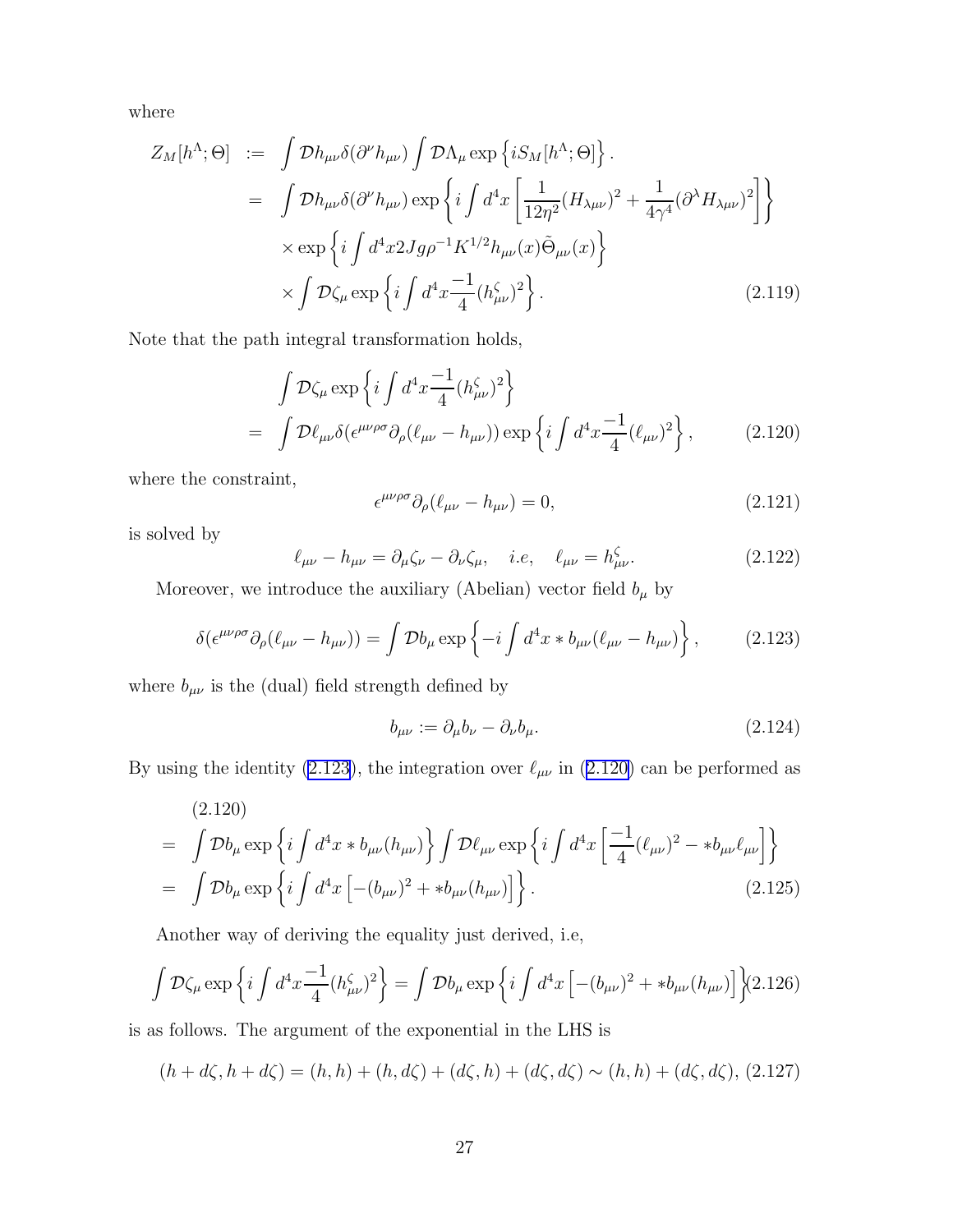where

$$
Z_M[h^{\Lambda};\Theta] := \int \mathcal{D}h_{\mu\nu}\delta(\partial^{\nu}h_{\mu\nu}) \int \mathcal{D}\Lambda_{\mu} \exp\left\{iS_M[h^{\Lambda};\Theta]\right\}.
$$
  
\n
$$
= \int \mathcal{D}h_{\mu\nu}\delta(\partial^{\nu}h_{\mu\nu}) \exp\left\{i\int d^4x \left[\frac{1}{12\eta^2}(H_{\lambda\mu\nu})^2 + \frac{1}{4\gamma^4}(\partial^{\lambda}H_{\lambda\mu\nu})^2\right]\right\} \times \exp\left\{i\int d^4x 2Jg\rho^{-1}K^{1/2}h_{\mu\nu}(x)\tilde{\Theta}_{\mu\nu}(x)\right\} \times \int \mathcal{D}\zeta_{\mu} \exp\left\{i\int d^4x \frac{-1}{4}(h_{\mu\nu}^{\zeta})^2\right\}.
$$
 (2.119)

Note that the path integral transformation holds,

$$
\int \mathcal{D}\zeta_{\mu} \exp\left\{i \int d^4x \frac{-1}{4} (h^{\zeta}_{\mu\nu})^2 \right\}
$$
\n
$$
= \int \mathcal{D}\ell_{\mu\nu} \delta(\epsilon^{\mu\nu\rho\sigma} \partial_{\rho} (\ell_{\mu\nu} - h_{\mu\nu})) \exp\left\{i \int d^4x \frac{-1}{4} (\ell_{\mu\nu})^2 \right\}, \tag{2.120}
$$

where the constraint,

$$
\epsilon^{\mu\nu\rho\sigma}\partial_{\rho}(\ell_{\mu\nu} - h_{\mu\nu}) = 0, \tag{2.121}
$$

is solved by

$$
\ell_{\mu\nu} - h_{\mu\nu} = \partial_{\mu}\zeta_{\nu} - \partial_{\nu}\zeta_{\mu}, \quad i.e, \quad \ell_{\mu\nu} = h_{\mu\nu}^{\zeta}.
$$
 (2.122)

Moreover, we introduce the auxiliary (Abelian) vector field  $b_\mu$  by

$$
\delta(\epsilon^{\mu\nu\rho\sigma}\partial_{\rho}(\ell_{\mu\nu}-h_{\mu\nu})) = \int \mathcal{D}b_{\mu} \exp\left\{-i \int d^4x * b_{\mu\nu}(\ell_{\mu\nu}-h_{\mu\nu})\right\},\qquad(2.123)
$$

where  $b_{\mu\nu}$  is the (dual) field strength defined by

$$
b_{\mu\nu} := \partial_{\mu}b_{\nu} - \partial_{\nu}b_{\mu}.
$$
\n(2.124)

By using the identity (2.123), the integration over  $\ell_{\mu\nu}$  in (2.120) can be performed as

$$
(2.120)
$$
\n
$$
= \int \mathcal{D}b_{\mu} \exp \left\{ i \int d^{4}x * b_{\mu\nu}(h_{\mu\nu}) \right\} \int \mathcal{D}\ell_{\mu\nu} \exp \left\{ i \int d^{4}x \left[ \frac{-1}{4} (\ell_{\mu\nu})^{2} - *b_{\mu\nu} \ell_{\mu\nu} \right] \right\}
$$
\n
$$
= \int \mathcal{D}b_{\mu} \exp \left\{ i \int d^{4}x \left[ -(b_{\mu\nu})^{2} + *b_{\mu\nu}(h_{\mu\nu}) \right] \right\}.
$$
\n(2.125)

Another way of deriving the equality just derived, i.e,

$$
\int \mathcal{D}\zeta_{\mu} \exp \left\{ i \int d^{4}x \frac{-1}{4} (h_{\mu\nu}^{\zeta})^{2} \right\} = \int \mathcal{D}b_{\mu} \exp \left\{ i \int d^{4}x \left[ -(b_{\mu\nu})^{2} + *b_{\mu\nu} (h_{\mu\nu}) \right] \right\} (2.126)
$$

is as follows. The argument of the exponential in the LHS is

$$
(h + d\zeta, h + d\zeta) = (h, h) + (h, d\zeta) + (d\zeta, h) + (d\zeta, d\zeta) \sim (h, h) + (d\zeta, d\zeta), (2.127)
$$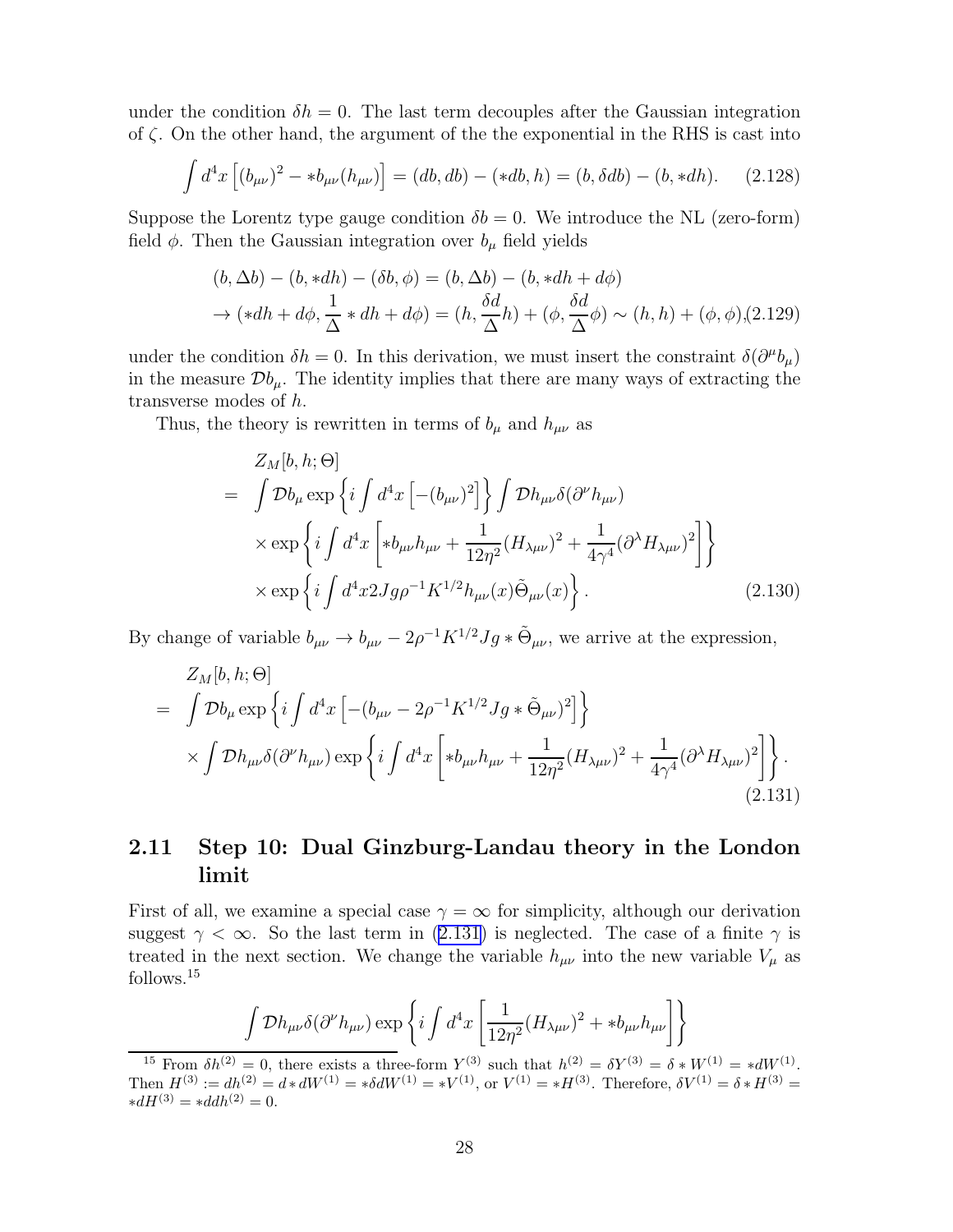<span id="page-29-0"></span>under the condition  $\delta h = 0$ . The last term decouples after the Gaussian integration of  $\zeta$ . On the other hand, the argument of the the exponential in the RHS is cast into

$$
\int d^4x \left[ (b_{\mu\nu})^2 - *b_{\mu\nu} (h_{\mu\nu}) \right] = (db, db) - (*db, h) = (b, \delta db) - (b, *dh). \tag{2.128}
$$

Suppose the Lorentz type gauge condition  $\delta b = 0$ . We introduce the NL (zero-form) field  $\phi$ . Then the Gaussian integration over  $b_{\mu}$  field yields

$$
(b, \Delta b) - (b, *dh) - (\delta b, \phi) = (b, \Delta b) - (b, *dh + d\phi)
$$
  
\n
$$
\rightarrow (*dh + d\phi, \frac{1}{\Delta} * dh + d\phi) = (h, \frac{\delta d}{\Delta}h) + (\phi, \frac{\delta d}{\Delta}\phi) \sim (h, h) + (\phi, \phi), (2.129)
$$

under the condition  $\delta h = 0$ . In this derivation, we must insert the constraint  $\delta(\partial^{\mu}b_{\mu})$ in the measure  $\mathcal{D}b_{\mu}$ . The identity implies that there are many ways of extracting the transverse modes of h.

Thus, the theory is rewritten in terms of  $b_{\mu}$  and  $h_{\mu\nu}$  as

$$
Z_M[b, h; \Theta]
$$
  
=  $\int \mathcal{D}b_{\mu} \exp \left\{ i \int d^4x \left[ -(b_{\mu\nu})^2 \right] \right\} \int \mathcal{D}h_{\mu\nu} \delta(\partial^{\nu} h_{\mu\nu})$   
 $\times \exp \left\{ i \int d^4x \left[ *b_{\mu\nu} h_{\mu\nu} + \frac{1}{12\eta^2} (H_{\lambda\mu\nu})^2 + \frac{1}{4\gamma^4} (\partial^{\lambda} H_{\lambda\mu\nu})^2 \right] \right\}$   
 $\times \exp \left\{ i \int d^4x 2Jg\rho^{-1} K^{1/2} h_{\mu\nu}(x) \tilde{\Theta}_{\mu\nu}(x) \right\}.$  (2.130)

By change of variable  $b_{\mu\nu} \to b_{\mu\nu} - 2\rho^{-1} K^{1/2} Jg * \tilde{\Theta}_{\mu\nu}$ , we arrive at the expression,

$$
Z_M[b, h; \Theta]
$$
\n
$$
= \int \mathcal{D}b_{\mu} \exp\left\{ i \int d^4x \left[ -(b_{\mu\nu} - 2\rho^{-1} K^{1/2} Jg * \tilde{\Theta}_{\mu\nu})^2 \right] \right\}
$$
\n
$$
\times \int \mathcal{D}h_{\mu\nu} \delta(\partial^{\nu} h_{\mu\nu}) \exp\left\{ i \int d^4x \left[ *b_{\mu\nu} h_{\mu\nu} + \frac{1}{12\eta^2} (H_{\lambda\mu\nu})^2 + \frac{1}{4\gamma^4} (\partial^{\lambda} H_{\lambda\mu\nu})^2 \right] \right\}.
$$
\n(2.131)

## 2.11 Step 10: Dual Ginzburg-Landau theory in the London limit

First of all, we examine a special case  $\gamma = \infty$  for simplicity, although our derivation suggest  $\gamma < \infty$ . So the last term in (2.131) is neglected. The case of a finite  $\gamma$  is treated in the next section. We change the variable  $h_{\mu\nu}$  into the new variable  $V_{\mu}$  as follows.<sup>15</sup>

$$
\int \mathcal{D}h_{\mu\nu}\delta(\partial^{\nu}h_{\mu\nu})\exp\left\{i\int d^4x\left[\frac{1}{12\eta^2}(H_{\lambda\mu\nu})^2 + *b_{\mu\nu}h_{\mu\nu}\right]\right\}
$$

<sup>&</sup>lt;sup>15</sup> From  $\delta h^{(2)} = 0$ , there exists a three-form  $Y^{(3)}$  such that  $h^{(2)} = \delta Y^{(3)} = \delta * W^{(1)} = *dW^{(1)}$ . Then  $H^{(3)} := dh^{(2)} = d * dW^{(1)} = * \delta dW^{(1)} = *V^{(1)}$ , or  $V^{(1)} = *H^{(3)}$ . Therefore,  $\delta V^{(1)} = \delta * H^{(3)} =$  $*dH^{(3)} = *ddh^{(2)} = 0.$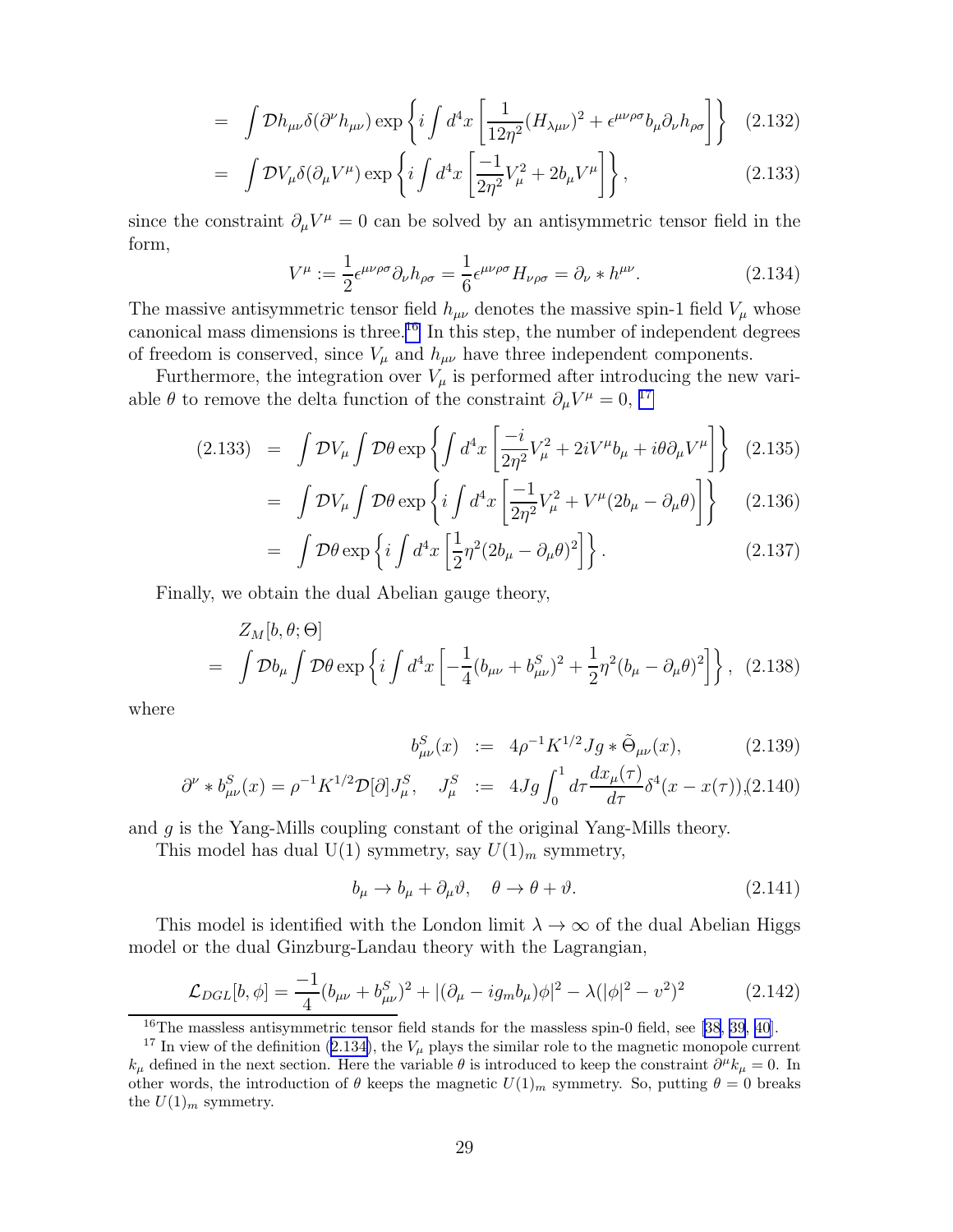<span id="page-30-0"></span>
$$
= \int \mathcal{D}h_{\mu\nu}\delta(\partial^{\nu}h_{\mu\nu}) \exp\left\{i \int d^4x \left[\frac{1}{12\eta^2}(H_{\lambda\mu\nu})^2 + \epsilon^{\mu\nu\rho\sigma}b_{\mu}\partial_{\nu}h_{\rho\sigma}\right]\right\} \quad (2.132)
$$

$$
= \int \mathcal{D}V_{\mu}\delta(\partial_{\mu}V^{\mu}) \exp\left\{i \int d^4x \left[\frac{-1}{2\eta^2}V_{\mu}^2 + 2b_{\mu}V^{\mu}\right]\right\},\tag{2.133}
$$

since the constraint  $\partial_\mu V^\mu = 0$  can be solved by an antisymmetric tensor field in the form,

$$
V^{\mu} := \frac{1}{2} \epsilon^{\mu\nu\rho\sigma} \partial_{\nu} h_{\rho\sigma} = \frac{1}{6} \epsilon^{\mu\nu\rho\sigma} H_{\nu\rho\sigma} = \partial_{\nu} * h^{\mu\nu}.
$$
 (2.134)

The massive antisymmetric tensor field  $h_{\mu\nu}$  denotes the massive spin-1 field  $V_{\mu}$  whose canonical mass dimensions is three.<sup>16</sup> In this step, the number of independent degrees of freedom is conserved, since  $V_{\mu}$  and  $h_{\mu\nu}$  have three independent components.

Furthermore, the integration over  $V_{\mu}$  is performed after introducing the new variable  $\theta$  to remove the delta function of the constraint  $\partial_{\mu}V^{\mu} = 0$ , <sup>17</sup>

$$
(2.133) = \int \mathcal{D}V_{\mu} \int \mathcal{D}\theta \exp\left\{ \int d^4x \left[ \frac{-i}{2\eta^2} V_{\mu}^2 + 2iV^{\mu}b_{\mu} + i\theta \partial_{\mu}V^{\mu} \right] \right\} (2.135)
$$

$$
= \int \mathcal{D}V_{\mu} \int \mathcal{D}\theta \exp\left\{ i \int d^4x \left[ \frac{-1}{2\eta^2} V_{\mu}^2 + V^{\mu} (2b_{\mu} - \partial_{\mu}\theta) \right] \right\} \tag{2.136}
$$

$$
= \int \mathcal{D}\theta \exp\left\{ i \int d^4x \left[ \frac{1}{2} \eta^2 (2b_\mu - \partial_\mu \theta)^2 \right] \right\}.
$$
 (2.137)

Finally, we obtain the dual Abelian gauge theory,

$$
Z_M[b,\theta;\Theta]
$$
  
=  $\int \mathcal{D}b_\mu \int \mathcal{D}\theta \exp\left\{i \int d^4x \left[ -\frac{1}{4} (b_{\mu\nu} + b_{\mu\nu}^S)^2 + \frac{1}{2} \eta^2 (b_\mu - \partial_\mu \theta)^2 \right] \right\}$ , (2.138)

where

$$
b^S_{\mu\nu}(x) := 4\rho^{-1} K^{1/2} Jg * \tilde{\Theta}_{\mu\nu}(x), \qquad (2.139)
$$

$$
\partial^{\nu} * b^{S}_{\mu\nu}(x) = \rho^{-1} K^{1/2} \mathcal{D}[\partial] J^{S}_{\mu}, \quad J^{S}_{\mu} := 4Jg \int_{0}^{1} d\tau \frac{dx_{\mu}(\tau)}{d\tau} \delta^{4}(x - x(\tau)) (2.140)
$$

and g is the Yang-Mills coupling constant of the original Yang-Mills theory.

This model has dual  $U(1)$  symmetry, say  $U(1)<sub>m</sub>$  symmetry,

$$
b_{\mu} \to b_{\mu} + \partial_{\mu} \vartheta, \quad \theta \to \theta + \vartheta. \tag{2.141}
$$

This model is identified with the London limit  $\lambda \to \infty$  of the dual Abelian Higgs model or the dual Ginzburg-Landau theory with the Lagrangian,

$$
\mathcal{L}_{DGL}[b,\phi] = \frac{-1}{4}(b_{\mu\nu} + b_{\mu\nu}^S)^2 + |(\partial_\mu - ig_m b_\mu)\phi|^2 - \lambda(|\phi|^2 - v^2)^2 \tag{2.142}
$$

<sup>&</sup>lt;sup>16</sup>The massless antisymmetric tensor field stands for the massless spin-0 field, see [\[38](#page-78-0), [39](#page-79-0), [40](#page-79-0)].

<sup>&</sup>lt;sup>17</sup> In view of the definition (2.134), the  $V_\mu$  plays the similar role to the magnetic monopole current  $k_{\mu}$  defined in the next section. Here the variable  $\theta$  is introduced to keep the constraint  $\partial^{\mu}k_{\mu}=0$ . In other words, the introduction of  $\theta$  keeps the magnetic  $U(1)_m$  symmetry. So, putting  $\theta = 0$  breaks the  $U(1)_m$  symmetry.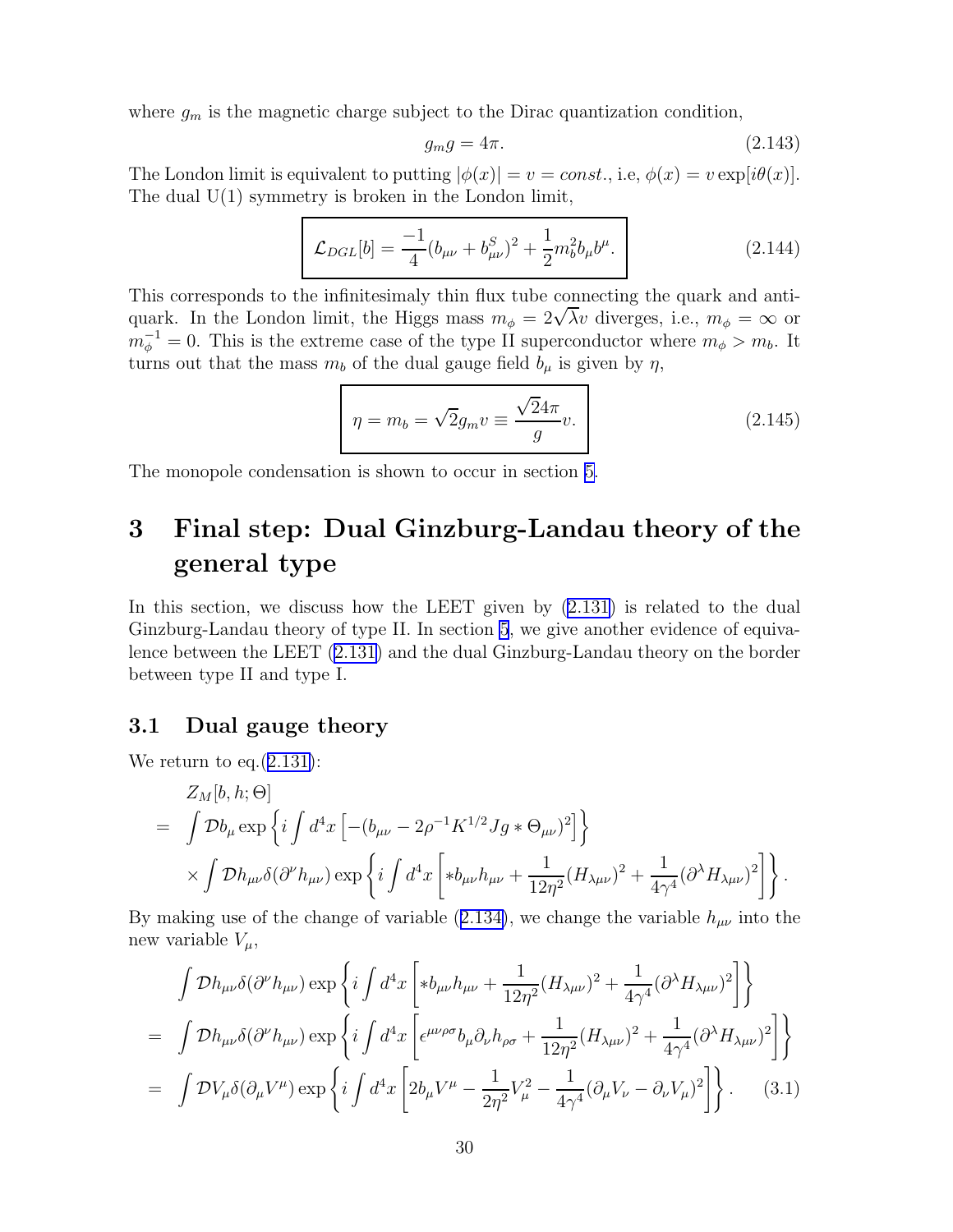<span id="page-31-0"></span>where  $g_m$  is the magnetic charge subject to the Dirac quantization condition,

$$
g_m g = 4\pi. \tag{2.143}
$$

The London limit is equivalent to putting  $|\phi(x)| = v = const.$ , i.e,  $\phi(x) = v \exp[i\theta(x)]$ . The dual  $U(1)$  symmetry is broken in the London limit,

$$
\mathcal{L}_{DGL}[b] = \frac{-1}{4} (b_{\mu\nu} + b_{\mu\nu}^S)^2 + \frac{1}{2} m_b^2 b_\mu b^\mu.
$$
 (2.144)

This corresponds to the infinitesimaly thin flux tube connecting the quark and antiquark. In the London limit, the Higgs mass  $m_{\phi} = 2\sqrt{\lambda}v$  diverges, i.e.,  $m_{\phi} = \infty$  or  $m_{\phi}^{-1} = 0$ . This is the extreme case of the type II superconductor where  $m_{\phi} > m_b$ . It turns out that the mass  $m_b$  of the dual gauge field  $b_\mu$  is given by  $\eta$ ,

$$
\eta = m_b = \sqrt{2}g_m v \equiv \frac{\sqrt{2}4\pi}{g}v.
$$
\n(2.145)

The monopole condensation is shown to occur in section [5.](#page-42-0)

# 3 Final step: Dual Ginzburg-Landau theory of the general type

Inthis section, we discuss how the LEET given by  $(2.131)$  $(2.131)$  is related to the dual Ginzburg-Landau theory of type II. In section [5](#page-42-0), we give another evidence of equivalence between the LEET([2.131\)](#page-29-0) and the dual Ginzburg-Landau theory on the border between type II and type I.

### 3.1 Dual gauge theory

We return to eq. $(2.131)$  $(2.131)$ :

$$
Z_M[b, h; \Theta]
$$
  
=  $\int \mathcal{D}b_{\mu} \exp \left\{ i \int d^4x \left[ -(b_{\mu\nu} - 2\rho^{-1} K^{1/2} Jg * \Theta_{\mu\nu})^2 \right] \right\}$   
 $\times \int \mathcal{D}h_{\mu\nu} \delta(\partial^{\nu} h_{\mu\nu}) \exp \left\{ i \int d^4x \left[ *b_{\mu\nu} h_{\mu\nu} + \frac{1}{12\eta^2} (H_{\lambda\mu\nu})^2 + \frac{1}{4\gamma^4} (\partial^{\lambda} H_{\lambda\mu\nu})^2 \right] \right\}.$ 

Bymaking use of the change of variable ([2.134\)](#page-30-0), we change the variable  $h_{\mu\nu}$  into the new variable  $V_\mu$ ,

$$
\int \mathcal{D}h_{\mu\nu}\delta(\partial^{\nu}h_{\mu\nu}) \exp\left\{i\int d^4x \left[ *b_{\mu\nu}h_{\mu\nu} + \frac{1}{12\eta^2}(H_{\lambda\mu\nu})^2 + \frac{1}{4\gamma^4}(\partial^{\lambda}H_{\lambda\mu\nu})^2 \right] \right\}
$$
  
= 
$$
\int \mathcal{D}h_{\mu\nu}\delta(\partial^{\nu}h_{\mu\nu}) \exp\left\{i\int d^4x \left[ \epsilon^{\mu\nu\rho\sigma}b_{\mu}\partial_{\nu}h_{\rho\sigma} + \frac{1}{12\eta^2}(H_{\lambda\mu\nu})^2 + \frac{1}{4\gamma^4}(\partial^{\lambda}H_{\lambda\mu\nu})^2 \right] \right\}
$$
  
= 
$$
\int \mathcal{D}V_{\mu}\delta(\partial_{\mu}V^{\mu}) \exp\left\{i\int d^4x \left[ 2b_{\mu}V^{\mu} - \frac{1}{2\eta^2}V_{\mu}^2 - \frac{1}{4\gamma^4}(\partial_{\mu}V_{\nu} - \partial_{\nu}V_{\mu})^2 \right] \right\}.
$$
 (3.1)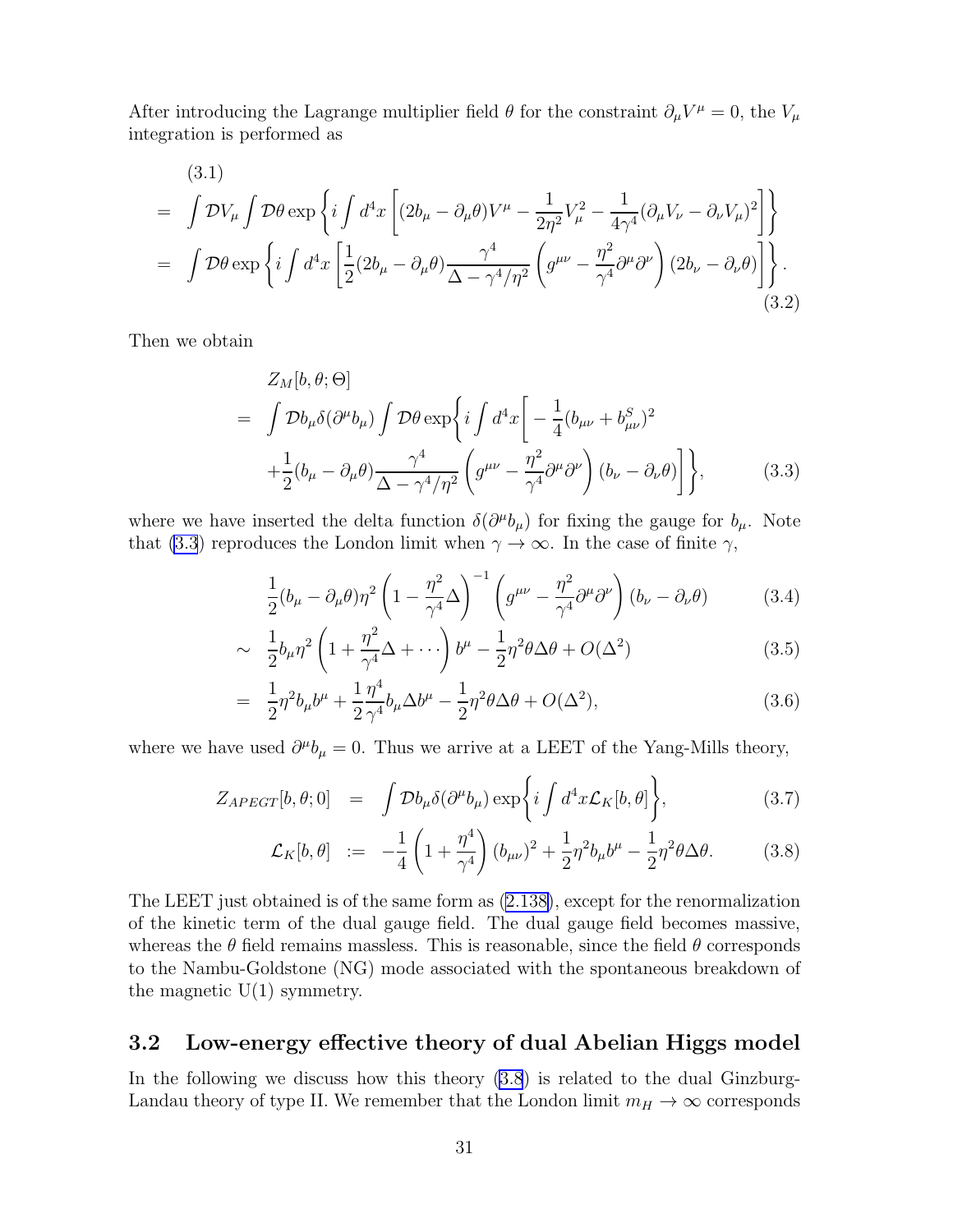<span id="page-32-0"></span>After introducing the Lagrange multiplier field  $\theta$  for the constraint  $\partial_{\mu}V^{\mu} = 0$ , the  $V_{\mu}$ integration is performed as

(3.1)  
\n
$$
= \int \mathcal{D}V_{\mu} \int \mathcal{D}\theta \exp\left\{ i \int d^{4}x \left[ (2b_{\mu} - \partial_{\mu}\theta)V^{\mu} - \frac{1}{2\eta^{2}}V_{\mu}^{2} - \frac{1}{4\gamma^{4}}(\partial_{\mu}V_{\nu} - \partial_{\nu}V_{\mu})^{2} \right] \right\}
$$
\n
$$
= \int \mathcal{D}\theta \exp\left\{ i \int d^{4}x \left[ \frac{1}{2}(2b_{\mu} - \partial_{\mu}\theta) \frac{\gamma^{4}}{\Delta - \gamma^{4}/\eta^{2}} \left( g^{\mu\nu} - \frac{\eta^{2}}{\gamma^{4}}\partial^{\mu}\partial^{\nu} \right) (2b_{\nu} - \partial_{\nu}\theta) \right] \right\}.
$$
\n(3.2)

Then we obtain

$$
Z_M[b, \theta; \Theta]
$$
  
=  $\int \mathcal{D}b_{\mu}\delta(\partial^{\mu}b_{\mu}) \int \mathcal{D}\theta \exp\left\{ i \int d^4x \left[ -\frac{1}{4} (b_{\mu\nu} + b_{\mu\nu}^S)^2 + \frac{1}{2} (b_{\mu} - \partial_{\mu}\theta) \frac{\gamma^4}{\Delta - \gamma^4/\eta^2} \left( g^{\mu\nu} - \frac{\eta^2}{\gamma^4} \partial^{\mu}\partial^{\nu} \right) (b_{\nu} - \partial_{\nu}\theta) \right] \right\},$  (3.3)

where we have inserted the delta function  $\delta(\partial^{\mu}b_{\mu})$  for fixing the gauge for  $b_{\mu}$ . Note that (3.3) reproduces the London limit when  $\gamma \to \infty$ . In the case of finite  $\gamma$ ,

$$
\frac{1}{2}(b_{\mu} - \partial_{\mu}\theta)\eta^{2} \left(1 - \frac{\eta^{2}}{\gamma^{4}}\Delta\right)^{-1} \left(g^{\mu\nu} - \frac{\eta^{2}}{\gamma^{4}}\partial^{\mu}\partial^{\nu}\right) \left(b_{\nu} - \partial_{\nu}\theta\right) \tag{3.4}
$$

$$
\sim \frac{1}{2}b_{\mu}\eta^2 \left(1 + \frac{\eta^2}{\gamma^4} \Delta + \cdots \right) b^{\mu} - \frac{1}{2}\eta^2 \theta \Delta \theta + O(\Delta^2)
$$
 (3.5)

$$
= \frac{1}{2}\eta^2 b_\mu b^\mu + \frac{1}{2}\frac{\eta^4}{\gamma^4}b_\mu \Delta b^\mu - \frac{1}{2}\eta^2 \theta \Delta \theta + O(\Delta^2),\tag{3.6}
$$

where we have used  $\partial^{\mu}b_{\mu}=0$ . Thus we arrive at a LEET of the Yang-Mills theory,

$$
Z_{APEGT}[b,\theta;0] = \int \mathcal{D}b_{\mu}\delta(\partial^{\mu}b_{\mu}) \exp\bigg\{i\int d^{4}x \mathcal{L}_{K}[b,\theta]\bigg\},\tag{3.7}
$$

$$
\mathcal{L}_K[b, \theta] := -\frac{1}{4} \left( 1 + \frac{\eta^4}{\gamma^4} \right) (b_{\mu\nu})^2 + \frac{1}{2} \eta^2 b_\mu b^\mu - \frac{1}{2} \eta^2 \theta \Delta \theta. \tag{3.8}
$$

The LEET just obtained is of the same form as [\(2.138\)](#page-30-0), except for the renormalization of the kinetic term of the dual gauge field. The dual gauge field becomes massive, whereas the  $\theta$  field remains massless. This is reasonable, since the field  $\theta$  corresponds to the Nambu-Goldstone (NG) mode associated with the spontaneous breakdown of the magnetic  $U(1)$  symmetry.

### 3.2 Low-energy effective theory of dual Abelian Higgs model

In the following we discuss how this theory (3.8) is related to the dual Ginzburg-Landau theory of type II. We remember that the London limit  $m_H \to \infty$  corresponds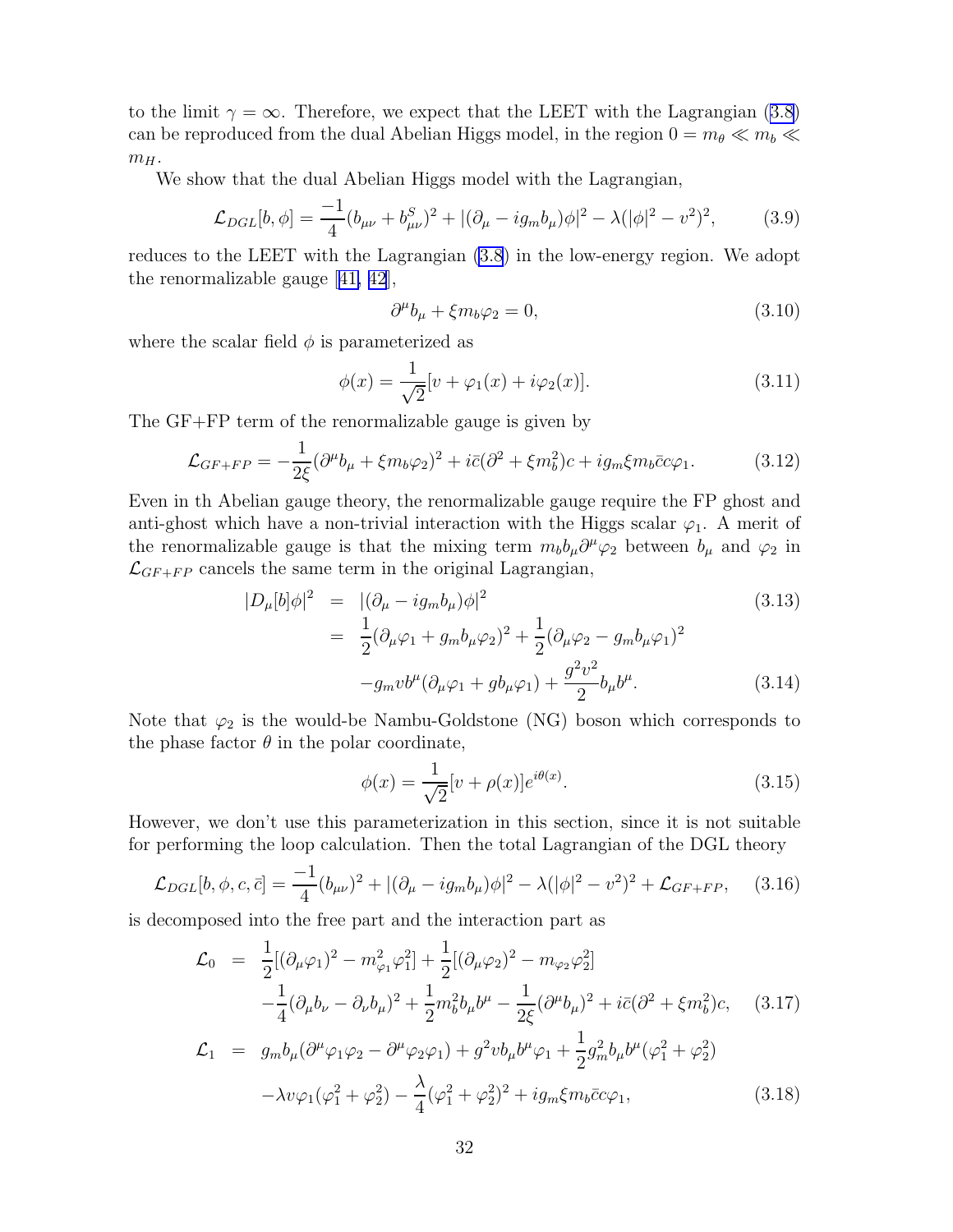tothe limit  $\gamma = \infty$ . Therefore, we expect that the LEET with the Lagrangian ([3.8](#page-32-0)) can be reproduced from the dual Abelian Higgs model, in the region  $0 = m_{\theta} \ll m_b \ll$  $m_H$ .

We show that the dual Abelian Higgs model with the Lagrangian,

$$
\mathcal{L}_{DGL}[b,\phi] = \frac{-1}{4}(b_{\mu\nu} + b_{\mu\nu}^S)^2 + |(\partial_\mu - ig_m b_\mu)\phi|^2 - \lambda(|\phi|^2 - v^2)^2,\tag{3.9}
$$

reduces to the LEET with the Lagrangian [\(3.8](#page-32-0)) in the low-energy region. We adopt the renormalizable gauge[[41, 42](#page-79-0)],

$$
\partial^{\mu}b_{\mu} + \xi m_b \varphi_2 = 0, \qquad (3.10)
$$

where the scalar field  $\phi$  is parameterized as

$$
\phi(x) = \frac{1}{\sqrt{2}} [v + \varphi_1(x) + i\varphi_2(x)].
$$
\n(3.11)

The GF+FP term of the renormalizable gauge is given by

$$
\mathcal{L}_{GF+FP} = -\frac{1}{2\xi} (\partial^{\mu}b_{\mu} + \xi m_b \varphi_2)^2 + i\bar{c}(\partial^2 + \xi m_b^2)c + ig_m \xi m_b \bar{c}c\varphi_1.
$$
 (3.12)

Even in th Abelian gauge theory, the renormalizable gauge require the FP ghost and anti-ghost which have a non-trivial interaction with the Higgs scalar  $\varphi_1$ . A merit of the renormalizable gauge is that the mixing term  $m_b b_\mu \partial^\mu \varphi_2$  between  $b_\mu$  and  $\varphi_2$  in  $\mathcal{L}_{GF+FP}$  cancels the same term in the original Lagrangian,

$$
|D_{\mu}[b]\phi|^{2} = |(\partial_{\mu} - ig_{m}b_{\mu})\phi|^{2}
$$
\n
$$
= \frac{1}{2}(\partial_{\mu}\varphi_{1} + g_{m}b_{\mu}\varphi_{2})^{2} + \frac{1}{2}(\partial_{\mu}\varphi_{2} - g_{m}b_{\mu}\varphi_{1})^{2}
$$
\n
$$
-g_{m}vb^{\mu}(\partial_{\mu}\varphi_{1} + gb_{\mu}\varphi_{1}) + \frac{g^{2}v^{2}}{2}b_{\mu}b^{\mu}.
$$
\n(3.14)

Note that  $\varphi_2$  is the would-be Nambu-Goldstone (NG) boson which corresponds to the phase factor  $\theta$  in the polar coordinate,

$$
\phi(x) = \frac{1}{\sqrt{2}} [v + \rho(x)] e^{i\theta(x)}.
$$
\n(3.15)

However, we don't use this parameterization in this section, since it is not suitable for performing the loop calculation. Then the total Lagrangian of the DGL theory

$$
\mathcal{L}_{DGL}[b,\phi,c,\bar{c}] = \frac{-1}{4}(b_{\mu\nu})^2 + |(\partial_{\mu} - ig_m b_{\mu})\phi|^2 - \lambda(|\phi|^2 - v^2)^2 + \mathcal{L}_{GF+FP}, \quad (3.16)
$$

is decomposed into the free part and the interaction part as

$$
\mathcal{L}_{0} = \frac{1}{2} [(\partial_{\mu}\varphi_{1})^{2} - m_{\varphi_{1}}^{2}\varphi_{1}^{2}] + \frac{1}{2} [(\partial_{\mu}\varphi_{2})^{2} - m_{\varphi_{2}}\varphi_{2}^{2}] \n- \frac{1}{4} (\partial_{\mu}b_{\nu} - \partial_{\nu}b_{\mu})^{2} + \frac{1}{2} m_{b}^{2}b_{\mu}b^{\mu} - \frac{1}{2\xi} (\partial^{\mu}b_{\mu})^{2} + i\bar{c}(\partial^{2} + \xi m_{b}^{2})c, \quad (3.17) \n\mathcal{L}_{1} = g_{m}b_{\mu}(\partial^{\mu}\varphi_{1}\varphi_{2} - \partial^{\mu}\varphi_{2}\varphi_{1}) + g^{2}vb_{\mu}b^{\mu}\varphi_{1} + \frac{1}{2}g_{m}^{2}b_{\mu}b^{\mu}(\varphi_{1}^{2} + \varphi_{2}^{2}) \n- \lambda v\varphi_{1}(\varphi_{1}^{2} + \varphi_{2}^{2}) - \frac{\lambda}{4}(\varphi_{1}^{2} + \varphi_{2}^{2})^{2} + ig_{m}\xi m_{b}\bar{c}c\varphi_{1}, \quad (3.18)
$$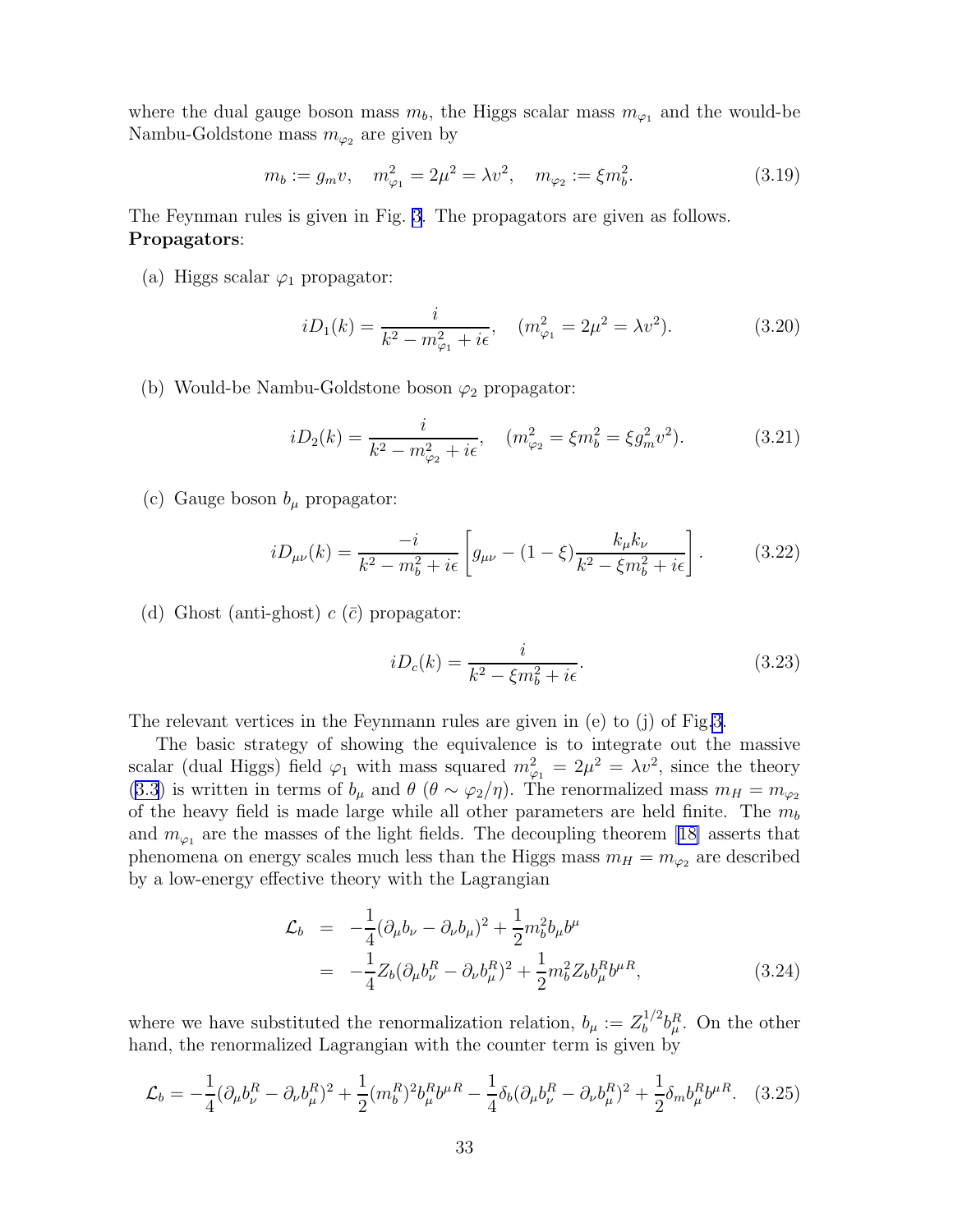<span id="page-34-0"></span>where the dual gauge boson mass  $m_b$ , the Higgs scalar mass  $m_{\varphi_1}$  and the would-be Nambu-Goldstone mass  $m_{\varphi_2}$  are given by

$$
m_b := g_m v, \quad m_{\varphi_1}^2 = 2\mu^2 = \lambda v^2, \quad m_{\varphi_2} := \xi m_b^2. \tag{3.19}
$$

The Feynman rules is given in Fig. [3.](#page-35-0) The propagators are given as follows. Propagators:

(a) Higgs scalar  $\varphi_1$  propagator:

$$
iD_1(k) = \frac{i}{k^2 - m_{\varphi_1}^2 + i\epsilon}, \quad (m_{\varphi_1}^2 = 2\mu^2 = \lambda v^2). \tag{3.20}
$$

(b) Would-be Nambu-Goldstone boson  $\varphi_2$  propagator:

$$
iD_2(k) = \frac{i}{k^2 - m_{\varphi_2}^2 + i\epsilon}, \quad (m_{\varphi_2}^2 = \xi m_b^2 = \xi g_m^2 v^2). \tag{3.21}
$$

(c) Gauge boson  $b_{\mu}$  propagator:

$$
iD_{\mu\nu}(k) = \frac{-i}{k^2 - m_b^2 + i\epsilon} \left[ g_{\mu\nu} - (1 - \xi) \frac{k_{\mu}k_{\nu}}{k^2 - \xi m_b^2 + i\epsilon} \right].
$$
 (3.22)

(d) Ghost (anti-ghost)  $c(\bar{c})$  propagator:

$$
iD_c(k) = \frac{i}{k^2 - \xi m_b^2 + i\epsilon}.
$$
\n(3.23)

The relevant vertices in the Feynmann rules are given in (e) to (j) of Fig[.3](#page-35-0).

The basic strategy of showing the equivalence is to integrate out the massive scalar (dual Higgs) field  $\varphi_1$  with mass squared  $m_{\varphi_1}^2 = 2\mu^2 = \lambda v^2$ , since the theory [\(3.3](#page-32-0)) is written in terms of  $b_\mu$  and  $\theta$  ( $\theta \sim \varphi_2/\eta$ ). The renormalized mass  $m_H = m_{\varphi_2}$ of the heavy field is made large while all other parameters are held finite. The  $m_b$ and  $m_{\varphi_1}$  are the masses of the light fields. The decoupling theorem [\[18\]](#page-77-0) asserts that phenomena on energy scales much less than the Higgs mass  $m_H = m_{\varphi_2}$  are described by a low-energy effective theory with the Lagrangian

$$
\mathcal{L}_b = -\frac{1}{4}(\partial_\mu b_\nu - \partial_\nu b_\mu)^2 + \frac{1}{2}m_b^2 b_\mu b^\mu
$$
  
= 
$$
-\frac{1}{4}Z_b(\partial_\mu b_\nu^R - \partial_\nu b_\mu^R)^2 + \frac{1}{2}m_b^2 Z_b b_\mu^R b^{\mu R},
$$
(3.24)

where we have substituted the renormalization relation,  $b_{\mu} := Z_b^{1/2}$  $b^{1/2}b^R_\mu$ . On the other hand, the renormalized Lagrangian with the counter term is given by

$$
\mathcal{L}_b = -\frac{1}{4}(\partial_\mu b_\nu^R - \partial_\nu b_\mu^R)^2 + \frac{1}{2}(m_b^R)^2 b_\mu^R b^\mu - \frac{1}{4}\delta_b(\partial_\mu b_\nu^R - \partial_\nu b_\mu^R)^2 + \frac{1}{2}\delta_m b_\mu^R b^\mu R. \quad (3.25)
$$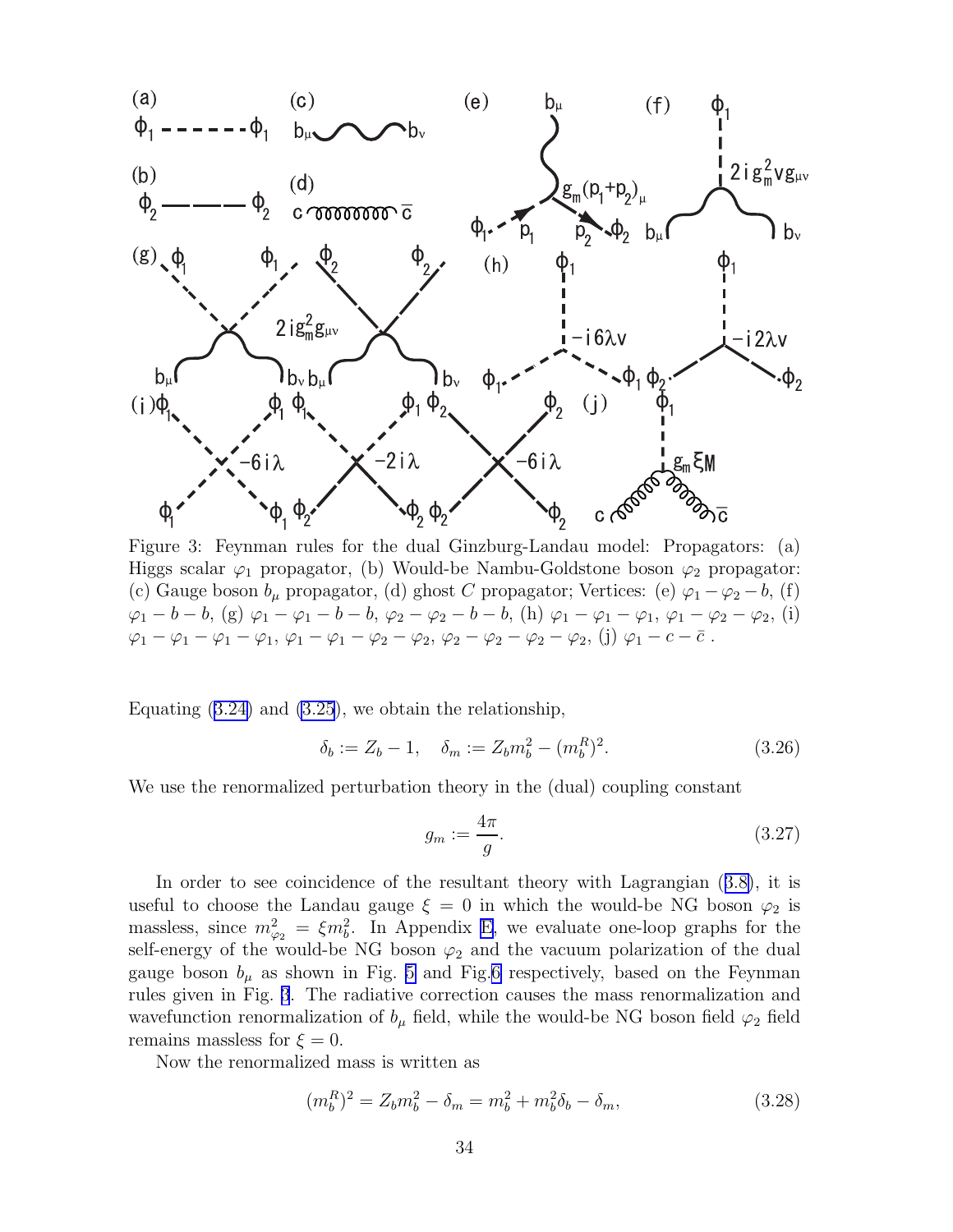<span id="page-35-0"></span>

Figure 3: Feynman rules for the dual Ginzburg-Landau model: Propagators: (a) Higgs scalar  $\varphi_1$  propagator, (b) Would-be Nambu-Goldstone boson  $\varphi_2$  propagator: (c) Gauge boson  $b_{\mu}$  propagator, (d) ghost C propagator; Vertices: (e)  $\varphi_1 - \varphi_2 - b$ , (f)  $\varphi_1 - b - b$ , (g)  $\varphi_1 - \varphi_1 - b - b$ ,  $\varphi_2 - \varphi_2 - b - b$ , (h)  $\varphi_1 - \varphi_1 - \varphi_1$ ,  $\varphi_1 - \varphi_2 - \varphi_2$ , (i)  $\varphi_1 - \varphi_1 - \varphi_1 - \varphi_1, \varphi_1 - \varphi_1 - \varphi_2 - \varphi_2, \varphi_2 - \varphi_2 - \varphi_2 - \varphi_2, (j) \varphi_1 - c - \bar{c}$ .

Equating $(3.24)$  $(3.24)$  and  $(3.25)$ , we obtain the relationship,

$$
\delta_b := Z_b - 1, \quad \delta_m := Z_b m_b^2 - (m_b^R)^2. \tag{3.26}
$$

We use the renormalized perturbation theory in the (dual) coupling constant

$$
g_m := \frac{4\pi}{g}.\tag{3.27}
$$

In order to see coincidence of the resultant theory with Lagrangian([3.8\)](#page-32-0), it is useful to choose the Landau gauge  $\xi = 0$  in which the would-be NG boson  $\varphi_2$  is massless, since  $m_{\varphi_2}^2 = \xi m_b^2$ . In Appendix [E,](#page-67-0) we evaluate one-loop graphs for the self-energy of the would-be NG boson  $\varphi_2$  and the vacuum polarization of the dual gauge boson  $b_{\mu}$  as shown in Fig. [5](#page-67-0) and Fig.[6](#page-68-0) respectively, based on the Feynman rules given in Fig. 3. The radiative correction causes the mass renormalization and wavefunction renormalization of  $b_{\mu}$  field, while the would-be NG boson field  $\varphi_2$  field remains massless for  $\xi = 0$ .

Now the renormalized mass is written as

$$
(m_b^R)^2 = Z_b m_b^2 - \delta_m = m_b^2 + m_b^2 \delta_b - \delta_m, \qquad (3.28)
$$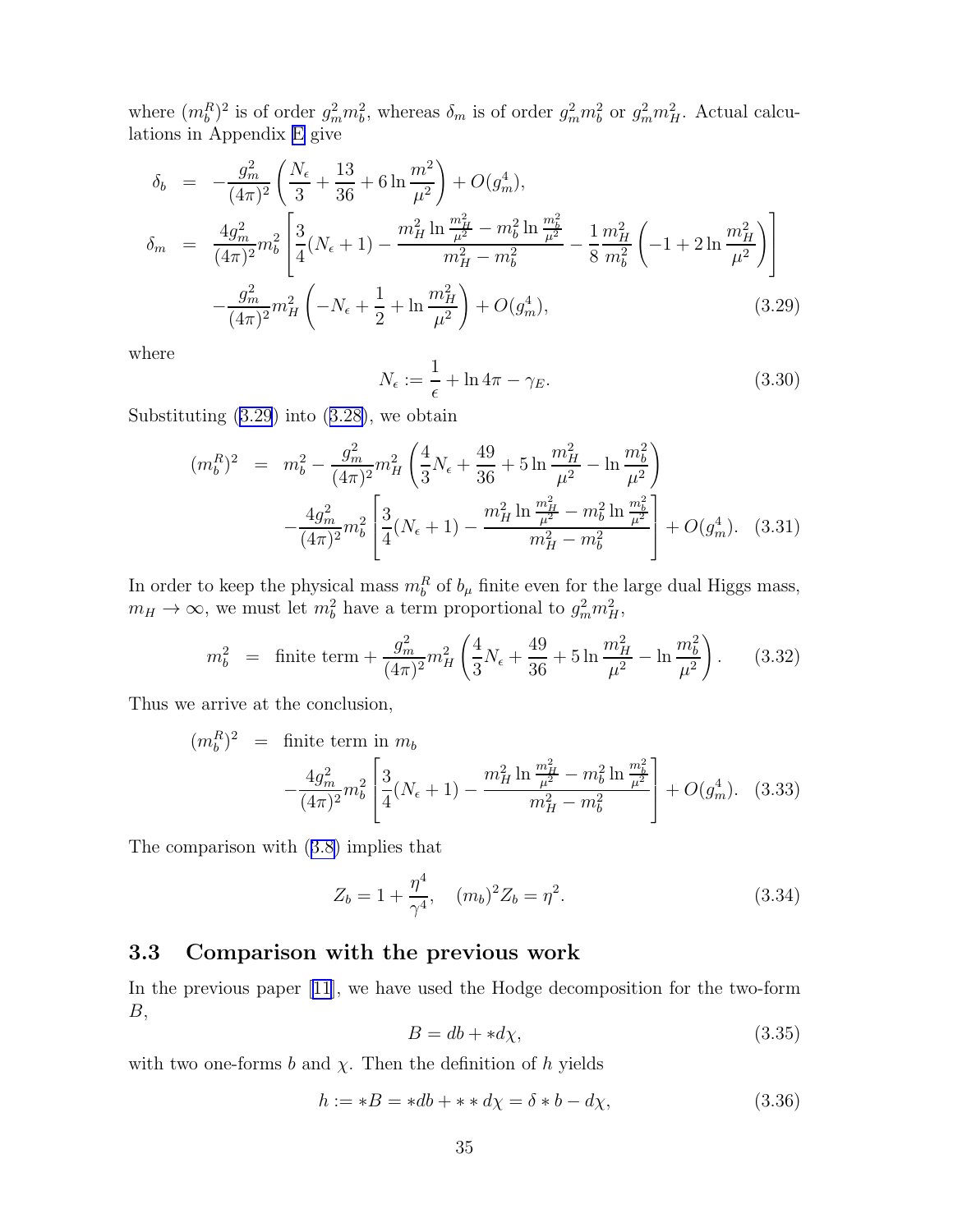where  $(m_b^R)^2$  is of order  $g_m^2 m_b^2$ , whereas  $\delta_m$  is of order  $g_m^2 m_b^2$  or  $g_m^2 m_H^2$ . Actual calculations in Appendix [E](#page-67-0) give

$$
\delta_b = -\frac{g_m^2}{(4\pi)^2} \left( \frac{N_\epsilon}{3} + \frac{13}{36} + 6 \ln \frac{m^2}{\mu^2} \right) + O(g_m^4),
$$
\n
$$
\delta_m = \frac{4g_m^2}{(4\pi)^2} m_b^2 \left[ \frac{3}{4} (N_\epsilon + 1) - \frac{m_H^2 \ln \frac{m_H^2}{\mu^2} - m_b^2 \ln \frac{m_b^2}{\mu^2}}{m_H^2 - m_b^2} - \frac{1}{8} \frac{m_H^2}{m_b^2} \left( -1 + 2 \ln \frac{m_H^2}{\mu^2} \right) \right]
$$
\n
$$
-\frac{g_m^2}{(4\pi)^2} m_H^2 \left( -N_\epsilon + \frac{1}{2} + \ln \frac{m_H^2}{\mu^2} \right) + O(g_m^4),
$$
\n(3.29)

where

$$
N_{\epsilon} := \frac{1}{\epsilon} + \ln 4\pi - \gamma_E. \tag{3.30}
$$

Substituting (3.29) into([3.28\)](#page-35-0), we obtain

$$
(m_b^R)^2 = m_b^2 - \frac{g_m^2}{(4\pi)^2} m_H^2 \left(\frac{4}{3}N_\epsilon + \frac{49}{36} + 5\ln\frac{m_H^2}{\mu^2} - \ln\frac{m_b^2}{\mu^2}\right) - \frac{4g_m^2}{(4\pi)^2} m_b^2 \left[\frac{3}{4}(N_\epsilon + 1) - \frac{m_H^2\ln\frac{m_H^2}{\mu^2} - m_b^2\ln\frac{m_b^2}{\mu^2}}{m_H^2 - m_b^2}\right] + O(g_m^4). \quad (3.31)
$$

In order to keep the physical mass  $m_b^R$  of  $b_\mu$  finite even for the large dual Higgs mass,  $m_H \to \infty$ , we must let  $m_b^2$  have a term proportional to  $g_m^2 m_H^2$ ,

$$
m_b^2 = \text{finite term} + \frac{g_m^2}{(4\pi)^2} m_H^2 \left(\frac{4}{3} N_\epsilon + \frac{49}{36} + 5 \ln \frac{m_H^2}{\mu^2} - \ln \frac{m_b^2}{\mu^2}\right). \tag{3.32}
$$

Thus we arrive at the conclusion,

$$
(m_b^R)^2 = \text{finite term in } m_b
$$
  

$$
-\frac{4g_m^2}{(4\pi)^2}m_b^2 \left[ \frac{3}{4}(N_{\epsilon}+1) - \frac{m_H^2 \ln\frac{m_H^2}{\mu^2} - m_b^2 \ln\frac{m_b^2}{\mu^2}}{m_H^2 - m_b^2} \right] + O(g_m^4). \quad (3.33)
$$

The comparison with([3.8\)](#page-32-0) implies that

$$
Z_b = 1 + \frac{\eta^4}{\gamma^4}, \quad (m_b)^2 Z_b = \eta^2. \tag{3.34}
$$

### 3.3 Comparison with the previous work

In the previous paper [\[11\]](#page-77-0), we have used the Hodge decomposition for the two-form B,

$$
B = db + *d\chi,\tag{3.35}
$$

with two one-forms b and  $\chi$ . Then the definition of h yields

$$
h := *B = *db + * *d\chi = \delta * b - d\chi, \tag{3.36}
$$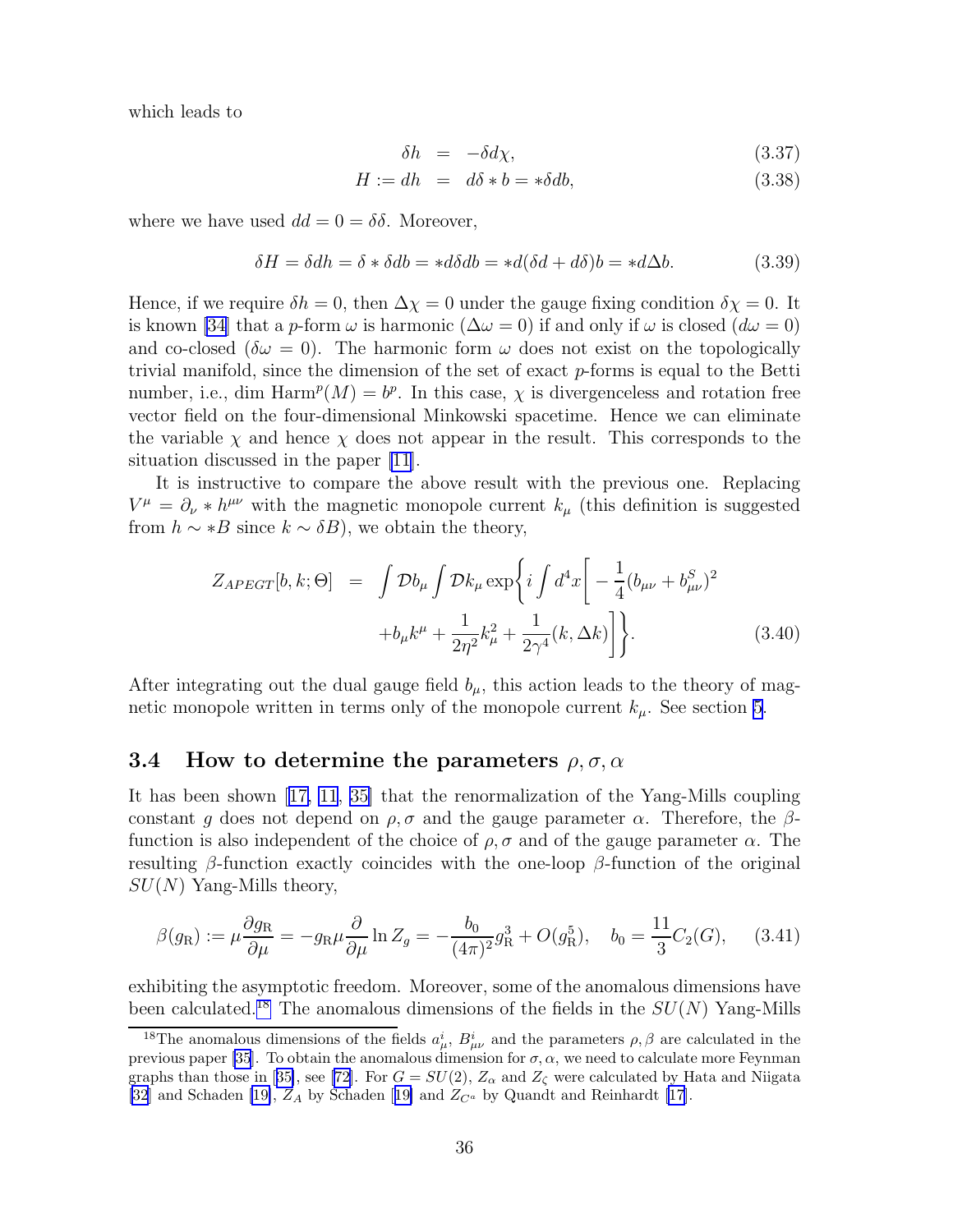which leads to

$$
\delta h = -\delta d\chi,\tag{3.37}
$$

$$
H := dh = d\delta * b = * \delta db, \tag{3.38}
$$

where we have used  $dd = 0 = \delta\delta$ . Moreover,

$$
\delta H = \delta dh = \delta * \delta db = *d\delta db = *d(\delta d + d\delta)b = *d\Delta b. \tag{3.39}
$$

Hence, if we require  $\delta h = 0$ , then  $\Delta \chi = 0$  under the gauge fixing condition  $\delta \chi = 0$ . It is known [\[34](#page-78-0)] that a p-form  $\omega$  is harmonic  $(\Delta \omega = 0)$  if and only if  $\omega$  is closed  $(d\omega = 0)$ and co-closed ( $\delta\omega = 0$ ). The harmonic form  $\omega$  does not exist on the topologically trivial manifold, since the dimension of the set of exact  $p$ -forms is equal to the Betti number, i.e., dim  $\text{Harm}^p(M) = b^p$ . In this case,  $\chi$  is divergenceless and rotation free vector field on the four-dimensional Minkowski spacetime. Hence we can eliminate the variable  $\chi$  and hence  $\chi$  does not appear in the result. This corresponds to the situation discussed in the paper [\[11\]](#page-77-0).

It is instructive to compare the above result with the previous one. Replacing  $V^{\mu} = \partial_{\nu} * h^{\mu\nu}$  with the magnetic monopole current  $k_{\mu}$  (this definition is suggested from  $h \sim *B$  since  $k \sim \delta B$ ), we obtain the theory,

$$
Z_{APEGT}[b, k; \Theta] = \int \mathcal{D}b_{\mu} \int \mathcal{D}k_{\mu} \exp\left\{ i \int d^{4}x \left[ -\frac{1}{4} (b_{\mu\nu} + b_{\mu\nu}^{S})^{2} + b_{\mu}k^{\mu} + \frac{1}{2\eta^{2}} k_{\mu}^{2} + \frac{1}{2\gamma^{4}} (k, \Delta k) \right] \right\}.
$$
 (3.40)

After integrating out the dual gauge field  $b_{\mu}$ , this action leads to the theory of magnetic monopole written in terms only of the monopole current  $k_{\mu}$ . See section [5](#page-42-0).

#### 3.4 How to determine the parameters  $\rho, \sigma, \alpha$

It has been shown[[17, 11](#page-77-0), [35\]](#page-78-0) that the renormalization of the Yang-Mills coupling constant g does not depend on  $\rho$ ,  $\sigma$  and the gauge parameter  $\alpha$ . Therefore, the  $\beta$ function is also independent of the choice of  $\rho$ ,  $\sigma$  and of the gauge parameter  $\alpha$ . The resulting  $\beta$ -function exactly coincides with the one-loop  $\beta$ -function of the original  $SU(N)$  Yang-Mills theory,

$$
\beta(g_{\rm R}) := \mu \frac{\partial g_{\rm R}}{\partial \mu} = -g_{\rm R} \mu \frac{\partial}{\partial \mu} \ln Z_g = -\frac{b_0}{(4\pi)^2} g_{\rm R}^3 + O(g_{\rm R}^5), \quad b_0 = \frac{11}{3} C_2(G), \quad (3.41)
$$

exhibiting the asymptotic freedom. Moreover, some of the anomalous dimensions have been calculated.<sup>18</sup> The anomalous dimensions of the fields in the  $SU(N)$  Yang-Mills

<sup>&</sup>lt;sup>18</sup>The anomalous dimensions of the fields  $a^i_\mu$ ,  $B^i_{\mu\nu}$  and the parameters  $\rho$ ,  $\beta$  are calculated in the previous paper [\[35](#page-78-0)]. To obtain the anomalous dimension for  $\sigma$ ,  $\alpha$ , we need to calculate more Feynman graphsthan those in [[35\]](#page-78-0), see [[72\]](#page-80-0). For  $G = SU(2)$ ,  $Z_{\alpha}$  and  $Z_{\zeta}$  were calculated by Hata and Niigata [\[32](#page-78-0)] and Schaden [\[19\]](#page-77-0), $Z_A$  by Schaden [[19\]](#page-77-0) and  $Z_{C^a}$  by Quandt and Reinhardt [[17\]](#page-77-0).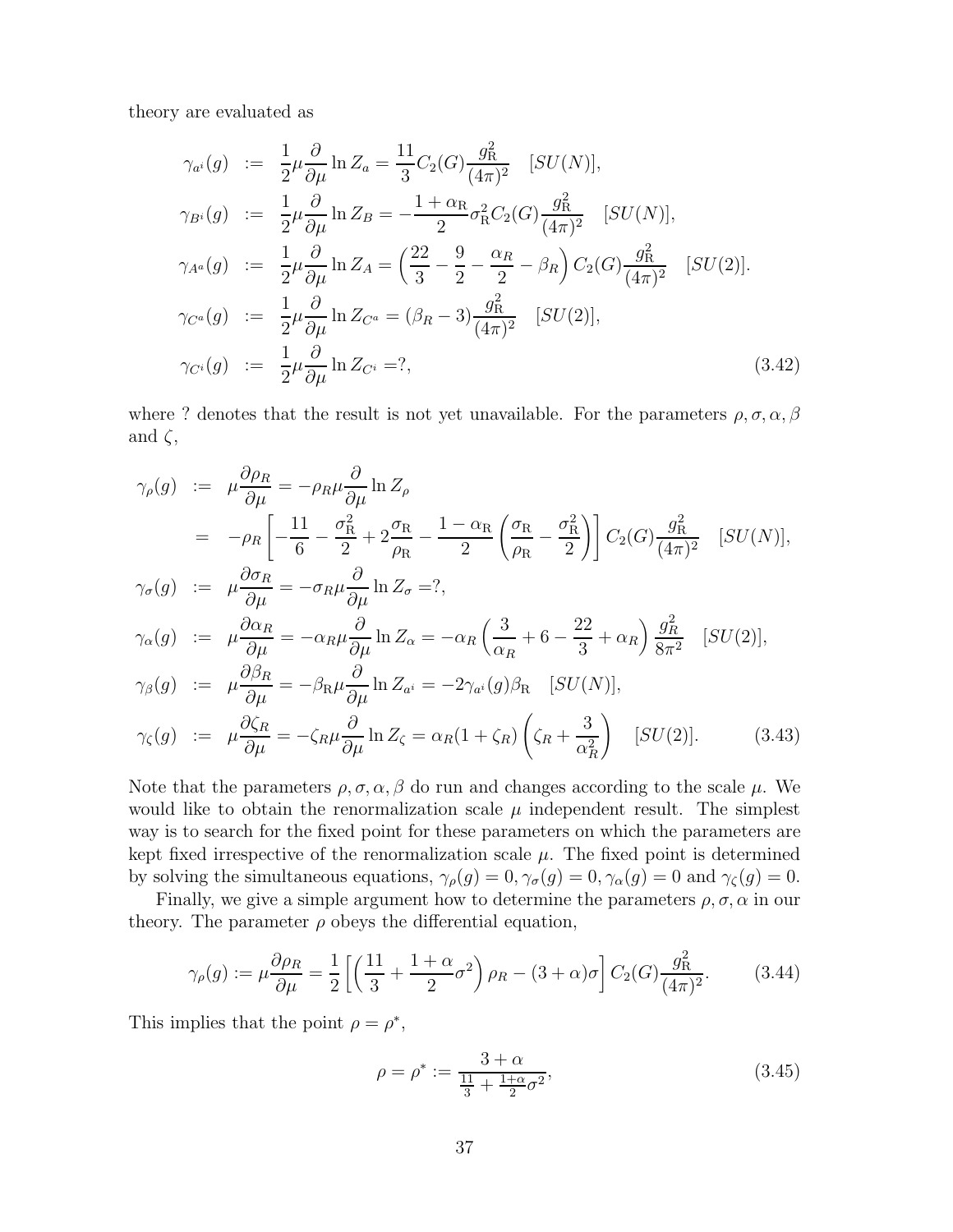<span id="page-38-0"></span>theory are evaluated as

$$
\gamma_{a^{i}}(g) := \frac{1}{2}\mu \frac{\partial}{\partial \mu} \ln Z_{a} = \frac{11}{3}C_{2}(G)\frac{g_{R}^{2}}{(4\pi)^{2}} \quad [SU(N)],
$$
  
\n
$$
\gamma_{B^{i}}(g) := \frac{1}{2}\mu \frac{\partial}{\partial \mu} \ln Z_{B} = -\frac{1+\alpha_{R}}{2}\sigma_{R}^{2}C_{2}(G)\frac{g_{R}^{2}}{(4\pi)^{2}} \quad [SU(N)],
$$
  
\n
$$
\gamma_{A^{a}}(g) := \frac{1}{2}\mu \frac{\partial}{\partial \mu} \ln Z_{A} = \left(\frac{22}{3} - \frac{9}{2} - \frac{\alpha_{R}}{2} - \beta_{R}\right)C_{2}(G)\frac{g_{R}^{2}}{(4\pi)^{2}} \quad [SU(2)].
$$
  
\n
$$
\gamma_{C^{a}}(g) := \frac{1}{2}\mu \frac{\partial}{\partial \mu} \ln Z_{C^{a}} = (\beta_{R} - 3)\frac{g_{R}^{2}}{(4\pi)^{2}} \quad [SU(2)],
$$
  
\n
$$
\gamma_{C^{i}}(g) := \frac{1}{2}\mu \frac{\partial}{\partial \mu} \ln Z_{C^{i}} = ?,
$$
  
\n(3.42)

where ? denotes that the result is not yet unavailable. For the parameters  $\rho, \sigma, \alpha, \beta$ and  $\zeta$ ,

$$
\gamma_{\rho}(g) := \mu \frac{\partial \rho_R}{\partial \mu} = -\rho_R \mu \frac{\partial}{\partial \mu} \ln Z_{\rho}
$$
  
\n
$$
= -\rho_R \left[ -\frac{11}{6} - \frac{\sigma_R^2}{2} + 2\frac{\sigma_R}{\rho_R} - \frac{1 - \alpha_R}{2} \left( \frac{\sigma_R}{\rho_R} - \frac{\sigma_R^2}{2} \right) \right] C_2(G) \frac{g_R^2}{(4\pi)^2} \quad [SU(N)],
$$
  
\n
$$
\gamma_{\sigma}(g) := \mu \frac{\partial \sigma_R}{\partial \mu} = -\sigma_R \mu \frac{\partial}{\partial \mu} \ln Z_{\sigma} = ?
$$
  
\n
$$
\gamma_{\alpha}(g) := \mu \frac{\partial \alpha_R}{\partial \mu} = -\alpha_R \mu \frac{\partial}{\partial \mu} \ln Z_{\alpha} = -\alpha_R \left( \frac{3}{\alpha_R} + 6 - \frac{22}{3} + \alpha_R \right) \frac{g_R^2}{8\pi^2} \quad [SU(2)],
$$
  
\n
$$
\gamma_{\beta}(g) := \mu \frac{\partial \beta_R}{\partial \mu} = -\beta_R \mu \frac{\partial}{\partial \mu} \ln Z_{\alpha} = -2\gamma_{a^i}(g) \beta_R \quad [SU(N)],
$$
  
\n
$$
\gamma_{\zeta}(g) := \mu \frac{\partial \zeta_R}{\partial \mu} = -\zeta_R \mu \frac{\partial}{\partial \mu} \ln Z_{\zeta} = \alpha_R (1 + \zeta_R) \left( \zeta_R + \frac{3}{\alpha_R^2} \right) \quad [SU(2)]. \tag{3.43}
$$

Note that the parameters  $\rho, \sigma, \alpha, \beta$  do run and changes according to the scale  $\mu$ . We would like to obtain the renormalization scale  $\mu$  independent result. The simplest way is to search for the fixed point for these parameters on which the parameters are kept fixed irrespective of the renormalization scale  $\mu$ . The fixed point is determined by solving the simultaneous equations,  $\gamma_{\rho}(g) = 0$ ,  $\gamma_{\sigma}(g) = 0$ ,  $\gamma_{\alpha}(g) = 0$  and  $\gamma_{\zeta}(g) = 0$ .

Finally, we give a simple argument how to determine the parameters  $\rho, \sigma, \alpha$  in our theory. The parameter  $\rho$  obeys the differential equation,

$$
\gamma_{\rho}(g) := \mu \frac{\partial \rho_R}{\partial \mu} = \frac{1}{2} \left[ \left( \frac{11}{3} + \frac{1+\alpha}{2} \sigma^2 \right) \rho_R - (3+\alpha)\sigma \right] C_2(G) \frac{g_R^2}{(4\pi)^2}.
$$
 (3.44)

This implies that the point  $\rho = \rho^*$ ,

$$
\rho = \rho^* := \frac{3 + \alpha}{\frac{11}{3} + \frac{1 + \alpha}{2}\sigma^2},\tag{3.45}
$$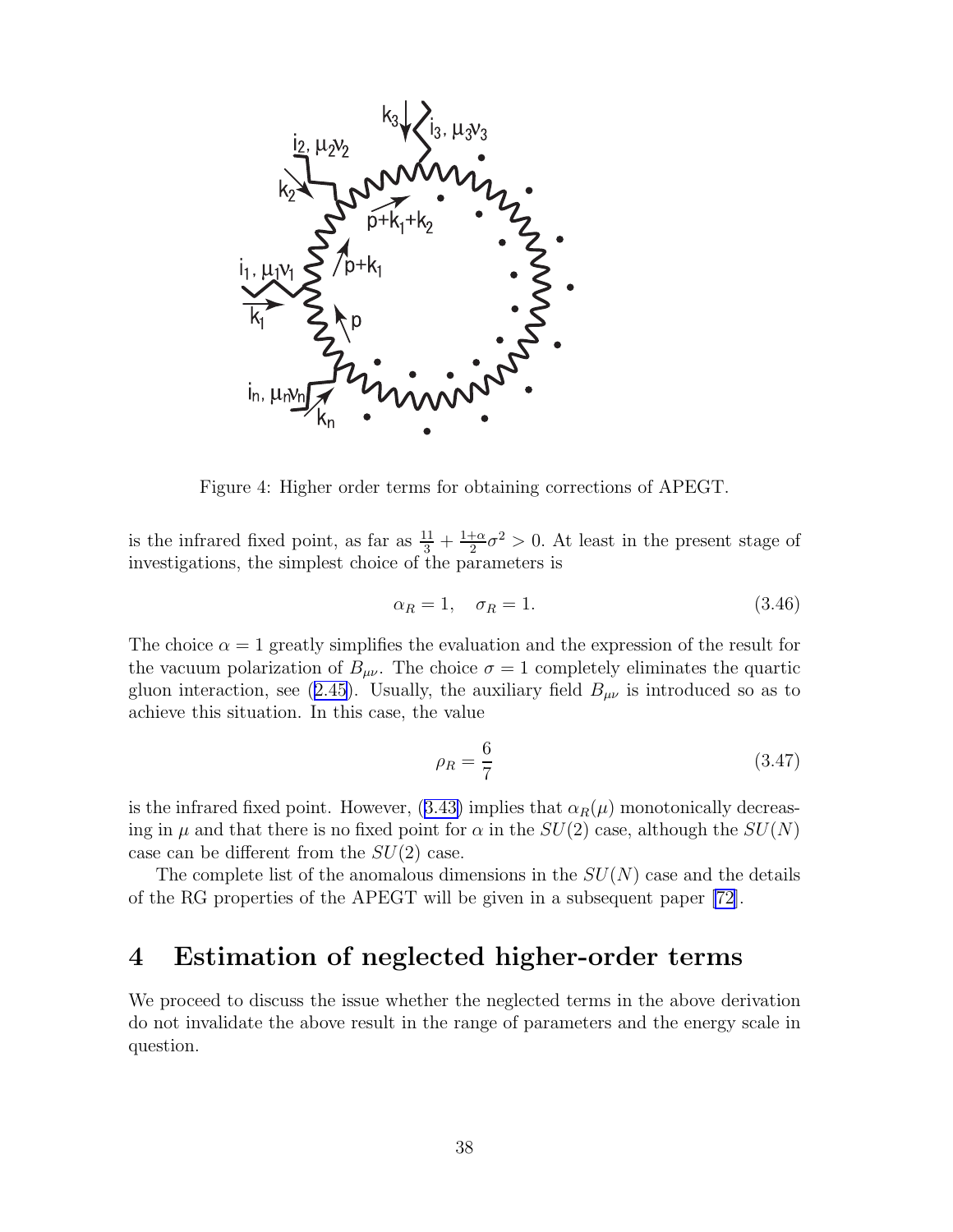<span id="page-39-0"></span>

Figure 4: Higher order terms for obtaining corrections of APEGT.

is the infrared fixed point, as far as  $\frac{11}{3} + \frac{1+\alpha}{2}$  $\frac{1}{2}\sigma^2 > 0$ . At least in the present stage of investigations, the simplest choice of the parameters is

$$
\alpha_R = 1, \quad \sigma_R = 1. \tag{3.46}
$$

The choice  $\alpha = 1$  greatly simplifies the evaluation and the expression of the result for the vacuum polarization of  $B_{\mu\nu}$ . The choice  $\sigma = 1$  completely eliminates the quartic gluoninteraction, see ([2.45\)](#page-14-0). Usually, the auxiliary field  $B_{\mu\nu}$  is introduced so as to achieve this situation. In this case, the value

$$
\rho_R = \frac{6}{7} \tag{3.47}
$$

isthe infrared fixed point. However, ([3.43\)](#page-38-0) implies that  $\alpha_R(\mu)$  monotonically decreasing in  $\mu$  and that there is no fixed point for  $\alpha$  in the  $SU(2)$  case, although the  $SU(N)$ case can be different from the  $SU(2)$  case.

The complete list of the anomalous dimensions in the  $SU(N)$  case and the details of the RG properties of the APEGT will be given in a subsequent paper [\[72\]](#page-80-0).

### 4 Estimation of neglected higher-order terms

We proceed to discuss the issue whether the neglected terms in the above derivation do not invalidate the above result in the range of parameters and the energy scale in question.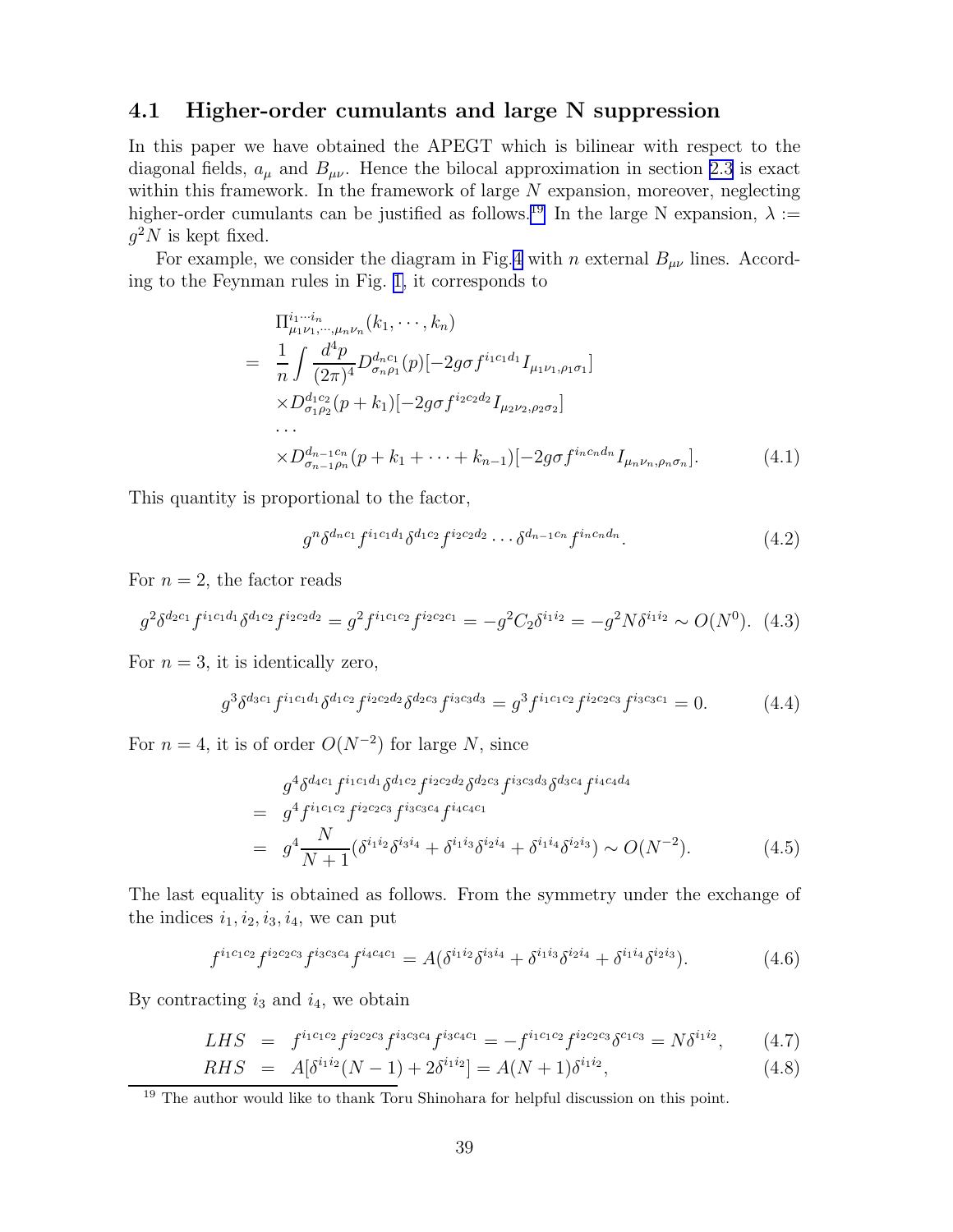### 4.1 Higher-order cumulants and large N suppression

In this paper we have obtained the APEGT which is bilinear with respect to the diagonal fields,  $a_{\mu}$  and  $B_{\mu\nu}$ . Hence the bilocal approximation in section [2.3](#page-10-0) is exact within this framework. In the framework of large  $N$  expansion, moreover, neglecting higher-order cumulants can be justified as follows.<sup>19</sup> In the large N expansion,  $\lambda :=$  $g^2N$  is kept fixed.

For example, we consider the diagram in Fig.[4](#page-39-0) with n external  $B_{\mu\nu}$  lines. According to the Feynman rules in Fig. [1,](#page-16-0) it corresponds to

$$
\Pi_{\mu_1\nu_1,\dots,\mu_n\nu_n}^{i_1\cdots i_n}(k_1,\dots,k_n)
$$
\n
$$
= \frac{1}{n} \int \frac{d^4 p}{(2\pi)^4} D_{\sigma_n\rho_1}^{d_{n}c_1}(p) [-2g\sigma f^{i_1c_1d_1} I_{\mu_1\nu_1,\rho_1\sigma_1}]
$$
\n
$$
\times D_{\sigma_1\rho_2}^{d_1c_2}(p+k_1) [-2g\sigma f^{i_2c_2d_2} I_{\mu_2\nu_2,\rho_2\sigma_2}]
$$
\n
$$
\dots
$$
\n
$$
\times D_{\sigma_{n-1}\rho_n}^{d_{n-1}c_n}(p+k_1+\dots+k_{n-1}) [-2g\sigma f^{i_n c_n d_n} I_{\mu_n\nu_n,\rho_n\sigma_n}].
$$
\n(4.1)

This quantity is proportional to the factor,

$$
g^n \delta^{d_n c_1} f^{i_1 c_1 d_1} \delta^{d_1 c_2} f^{i_2 c_2 d_2} \cdots \delta^{d_{n-1} c_n} f^{i_n c_n d_n}.
$$
 (4.2)

For  $n = 2$ , the factor reads

$$
g^2 \delta^{d_2 c_1} f^{i_1 c_1 d_1} \delta^{d_1 c_2} f^{i_2 c_2 d_2} = g^2 f^{i_1 c_1 c_2} f^{i_2 c_2 c_1} = -g^2 C_2 \delta^{i_1 i_2} = -g^2 N \delta^{i_1 i_2} \sim O(N^0). \tag{4.3}
$$

For  $n = 3$ , it is identically zero,

$$
g^3 \delta^{d_3 c_1} f^{i_1 c_1 d_1} \delta^{d_1 c_2} f^{i_2 c_2 d_2} \delta^{d_2 c_3} f^{i_3 c_3 d_3} = g^3 f^{i_1 c_1 c_2} f^{i_2 c_2 c_3} f^{i_3 c_3 c_1} = 0.
$$
 (4.4)

For  $n = 4$ , it is of order  $O(N^{-2})$  for large N, since

$$
g^{4}\delta^{d_{4}c_{1}}f^{i_{1}c_{1}d_{1}}\delta^{d_{1}c_{2}}f^{i_{2}c_{2}d_{2}}\delta^{d_{2}c_{3}}f^{i_{3}c_{3}d_{3}}\delta^{d_{3}c_{4}}f^{i_{4}c_{4}d_{4}} = g^{4}f^{i_{1}c_{1}c_{2}}f^{i_{2}c_{2}c_{3}}f^{i_{3}c_{3}c_{4}}f^{i_{4}c_{4}c_{1}} = g^{4}\frac{N}{N+1}(\delta^{i_{1}i_{2}}\delta^{i_{3}i_{4}} + \delta^{i_{1}i_{3}}\delta^{i_{2}i_{4}} + \delta^{i_{1}i_{4}}\delta^{i_{2}i_{3}}) \sim O(N^{-2}).
$$
\n(4.5)

The last equality is obtained as follows. From the symmetry under the exchange of the indices  $i_1, i_2, i_3, i_4$ , we can put

$$
f^{i_1c_1c_2}f^{i_2c_2c_3}f^{i_3c_3c_4}f^{i_4c_4c_1} = A(\delta^{i_1i_2}\delta^{i_3i_4} + \delta^{i_1i_3}\delta^{i_2i_4} + \delta^{i_1i_4}\delta^{i_2i_3}).
$$
\n(4.6)

By contracting  $i_3$  and  $i_4$ , we obtain

$$
LHS = f^{i_1c_1c_2}f^{i_2c_2c_3}f^{i_3c_3c_4}f^{i_3c_4c_1} = -f^{i_1c_1c_2}f^{i_2c_2c_3}\delta^{c_1c_3} = N\delta^{i_1i_2},\qquad(4.7)
$$

$$
RHS = A[\delta^{i_1 i_2}(N-1) + 2\delta^{i_1 i_2}] = A(N+1)\delta^{i_1 i_2}, \tag{4.8}
$$

<sup>&</sup>lt;sup>19</sup> The author would like to thank Toru Shinohara for helpful discussion on this point.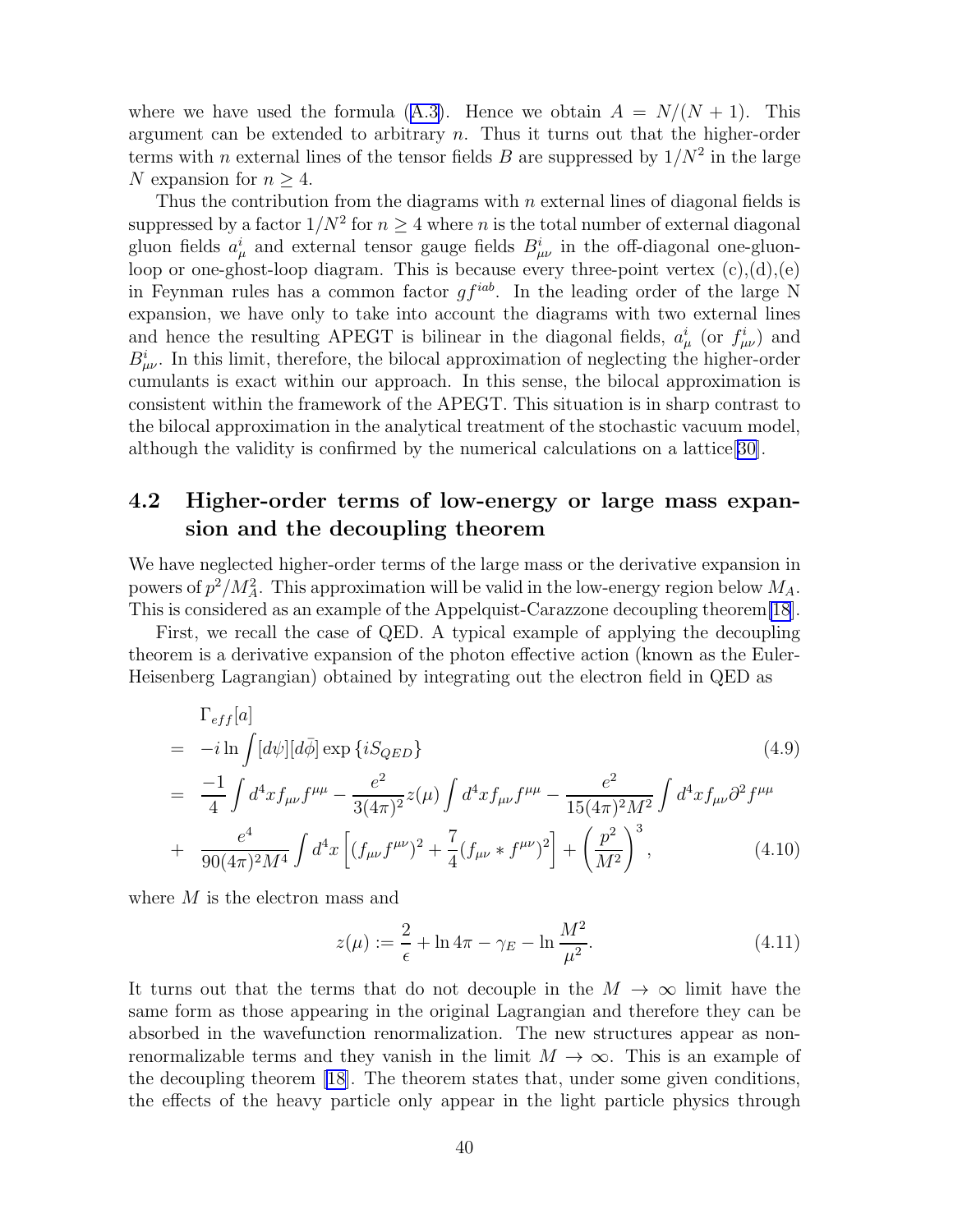wherewe have used the formula ([A.3\)](#page-56-0). Hence we obtain  $A = N/(N + 1)$ . This argument can be extended to arbitrary n. Thus it turns out that the higher-order terms with *n* external lines of the tensor fields *B* are suppressed by  $1/N^2$  in the large N expansion for  $n \geq 4$ .

Thus the contribution from the diagrams with  $n$  external lines of diagonal fields is suppressed by a factor  $1/N^2$  for  $n \geq 4$  where n is the total number of external diagonal gluon fields  $a^i_\mu$  and external tensor gauge fields  $B^i_{\mu\nu}$  in the off-diagonal one-gluonloop or one-ghost-loop diagram. This is because every three-point vertex  $(c)$ , $(d)$ , $(e)$ in Feynman rules has a common factor  $gf^{iab}$ . In the leading order of the large N expansion, we have only to take into account the diagrams with two external lines and hence the resulting APEGT is bilinear in the diagonal fields,  $a^i_\mu$  (or  $f^i_{\mu\nu}$ ) and  $B^i_{\mu\nu}$ . In this limit, therefore, the bilocal approximation of neglecting the higher-order cumulants is exact within our approach. In this sense, the bilocal approximation is consistent within the framework of the APEGT. This situation is in sharp contrast to the bilocal approximation in the analytical treatment of the stochastic vacuum model, although the validity is confirmed by the numerical calculations on a lattice[\[30\]](#page-78-0).

### 4.2 Higher-order terms of low-energy or large mass expansion and the decoupling theorem

We have neglected higher-order terms of the large mass or the derivative expansion in powers of  $p^2/M_A^2$ . This approximation will be valid in the low-energy region below  $M_A$ . This is considered as an example of the Appelquist-Carazzone decoupling theorem[\[18](#page-77-0)].

First, we recall the case of QED. A typical example of applying the decoupling theorem is a derivative expansion of the photon effective action (known as the Euler-Heisenberg Lagrangian) obtained by integrating out the electron field in QED as

$$
\begin{split}\n&= -i \ln \int [d\psi][d\bar{\phi}] \exp \{i S_{QED}\} \\
&= \frac{-1}{4} \int d^4 x f_{\mu\nu} f^{\mu\mu} - \frac{e^2}{3(4\pi)^2} z(\mu) \int d^4 x f_{\mu\nu} f^{\mu\mu} - \frac{e^2}{15(4\pi)^2 M^2} \int d^4 x f_{\mu\nu} \partial^2 f^{\mu\mu} \\
&+ \frac{e^4}{90(4\pi)^2 M^4} \int d^4 x \left[ (f_{\mu\nu} f^{\mu\nu})^2 + \frac{7}{4} (f_{\mu\nu} * f^{\mu\nu})^2 \right] + \left(\frac{p^2}{M^2}\right)^3,\n\end{split}
$$
\n(4.10)

where  $M$  is the electron mass and

$$
z(\mu) := \frac{2}{\epsilon} + \ln 4\pi - \gamma_E - \ln \frac{M^2}{\mu^2}.
$$
 (4.11)

It turns out that the terms that do not decouple in the  $M \to \infty$  limit have the same form as those appearing in the original Lagrangian and therefore they can be absorbed in the wavefunction renormalization. The new structures appear as nonrenormalizable terms and they vanish in the limit  $M \to \infty$ . This is an example of the decoupling theorem [\[18](#page-77-0)]. The theorem states that, under some given conditions, the effects of the heavy particle only appear in the light particle physics through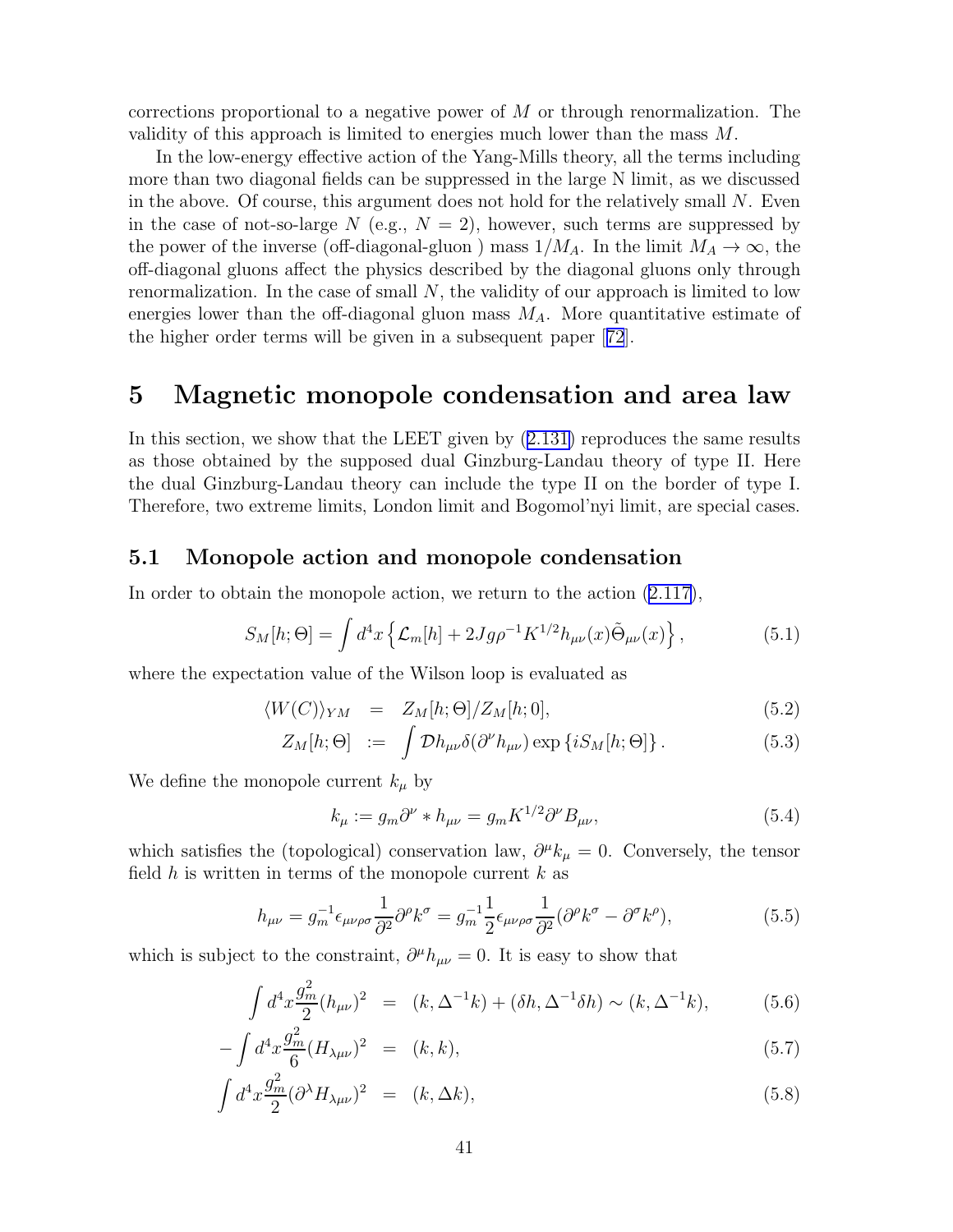<span id="page-42-0"></span>corrections proportional to a negative power of M or through renormalization. The validity of this approach is limited to energies much lower than the mass M.

In the low-energy effective action of the Yang-Mills theory, all the terms including more than two diagonal fields can be suppressed in the large N limit, as we discussed in the above. Of course, this argument does not hold for the relatively small N. Even in the case of not-so-large N (e.g.,  $N = 2$ ), however, such terms are suppressed by the power of the inverse (off-diagonal-gluon) mass  $1/M_A$ . In the limit  $M_A \to \infty$ , the off-diagonal gluons affect the physics described by the diagonal gluons only through renormalization. In the case of small N, the validity of our approach is limited to low energies lower than the off-diagonal gluon mass  $M_A$ . More quantitative estimate of the higher order terms will be given in a subsequent paper[[72](#page-80-0)].

### 5 Magnetic monopole condensation and area law

In this section, we show that the LEET given by([2.131\)](#page-29-0) reproduces the same results as those obtained by the supposed dual Ginzburg-Landau theory of type II. Here the dual Ginzburg-Landau theory can include the type II on the border of type I. Therefore, two extreme limits, London limit and Bogomol'nyi limit, are special cases.

#### 5.1 Monopole action and monopole condensation

In order to obtain the monopole action, we return to the action [\(2.117\)](#page-27-0),

$$
S_M[h; \Theta] = \int d^4x \left\{ \mathcal{L}_m[h] + 2Jg\rho^{-1} K^{1/2} h_{\mu\nu}(x) \tilde{\Theta}_{\mu\nu}(x) \right\},\tag{5.1}
$$

where the expectation value of the Wilson loop is evaluated as

$$
\langle W(C) \rangle_{YM} = Z_M[h; \Theta] / Z_M[h; 0], \qquad (5.2)
$$

$$
Z_M[h; \Theta] \quad := \quad \int \mathcal{D}h_{\mu\nu} \delta(\partial^{\nu} h_{\mu\nu}) \exp\left\{i S_M[h; \Theta]\right\}.
$$

We define the monopole current  $k_{\mu}$  by

$$
k_{\mu} := g_m \partial^{\nu} * h_{\mu\nu} = g_m K^{1/2} \partial^{\nu} B_{\mu\nu}, \qquad (5.4)
$$

which satisfies the (topological) conservation law,  $\partial^{\mu}k_{\mu} = 0$ . Conversely, the tensor field h is written in terms of the monopole current  $k$  as

$$
h_{\mu\nu} = g_m^{-1} \epsilon_{\mu\nu\rho\sigma} \frac{1}{\partial^2} \partial^\rho k^\sigma = g_m^{-1} \frac{1}{2} \epsilon_{\mu\nu\rho\sigma} \frac{1}{\partial^2} (\partial^\rho k^\sigma - \partial^\sigma k^\rho), \tag{5.5}
$$

which is subject to the constraint,  $\partial^{\mu}h_{\mu\nu} = 0$ . It is easy to show that

$$
\int d^4x \frac{g_m^2}{2}(h_{\mu\nu})^2 = (k, \Delta^{-1}k) + (\delta h, \Delta^{-1}\delta h) \sim (k, \Delta^{-1}k),
$$
 (5.6)

$$
-\int d^4x \frac{g_m^2}{6} (H_{\lambda\mu\nu})^2 = (k,k),\tag{5.7}
$$

$$
\int d^4x \frac{g_m^2}{2} (\partial^\lambda H_{\lambda\mu\nu})^2 = (k, \Delta k), \tag{5.8}
$$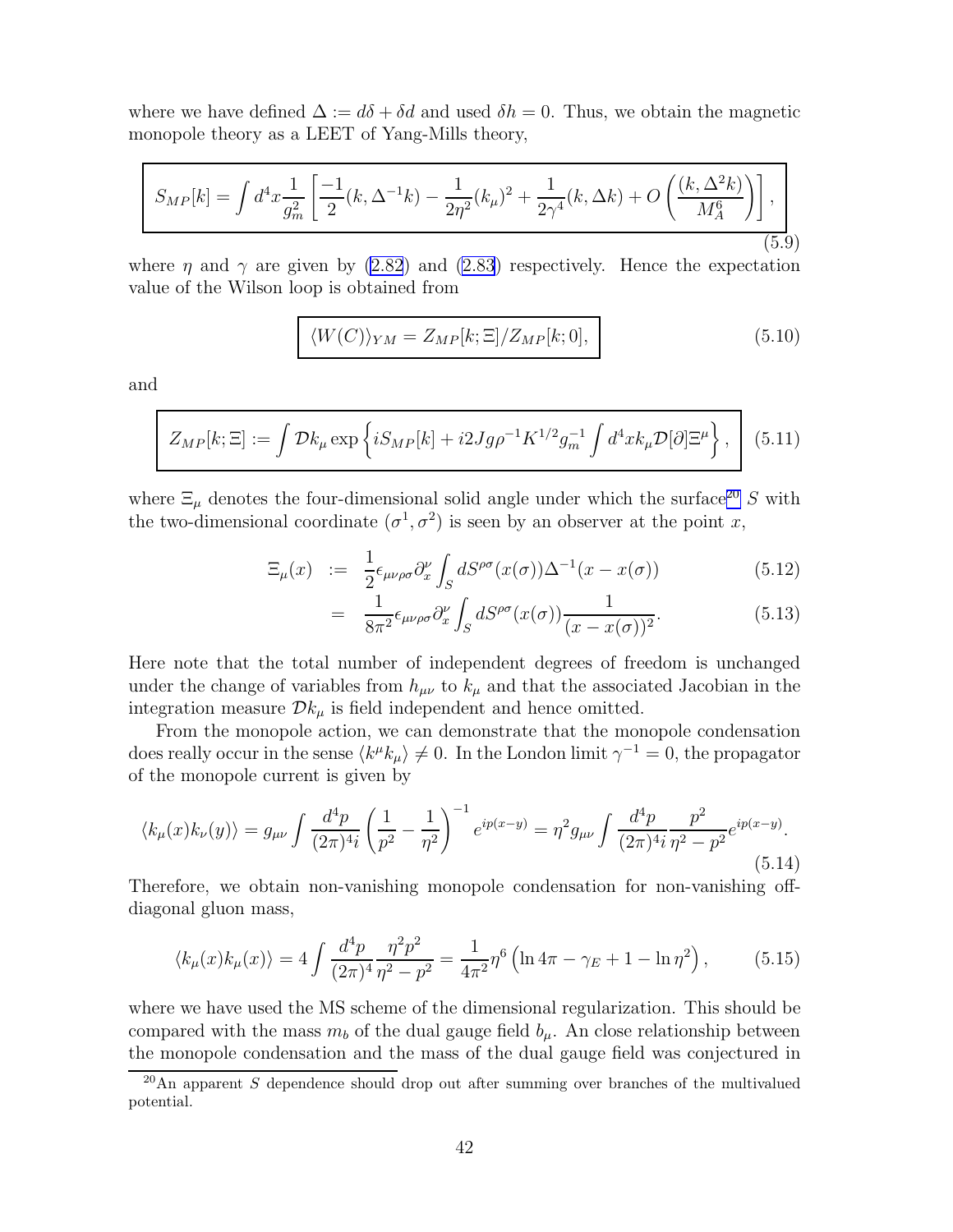<span id="page-43-0"></span>where we have defined  $\Delta := d\delta + \delta d$  and used  $\delta h = 0$ . Thus, we obtain the magnetic monopole theory as a LEET of Yang-Mills theory,

$$
S_{MP}[k] = \int d^4x \frac{1}{g_m^2} \left[ \frac{-1}{2} (k, \Delta^{-1}k) - \frac{1}{2\eta^2} (k,\mu)^2 + \frac{1}{2\gamma^4} (k, \Delta k) + O\left(\frac{(k, \Delta^2 k)}{M_A^6}\right) \right],
$$
\n(5.9)

where  $\eta$  and  $\gamma$  are given by [\(2.82](#page-22-0)) and [\(2.83](#page-22-0)) respectively. Hence the expectation value of the Wilson loop is obtained from

$$
\langle W(C) \rangle_{YM} = Z_{MP}[k; \Xi] / Z_{MP}[k; 0], \qquad (5.10)
$$

and

$$
Z_{MP}[k;\Xi] := \int \mathcal{D}k_{\mu} \exp\left\{ iS_{MP}[k] + i2Jg\rho^{-1}K^{1/2}g_{m}^{-1} \int d^{4}x k_{\mu} \mathcal{D}[\partial]\Xi^{\mu} \right\}, \quad (5.11)
$$

where  $\Xi_\mu$  denotes the four-dimensional solid angle under which the surface<sup>20</sup> S with the two-dimensional coordinate  $(\sigma^1, \sigma^2)$  is seen by an observer at the point x,

$$
\Xi_{\mu}(x) := \frac{1}{2} \epsilon_{\mu\nu\rho\sigma} \partial_x^{\nu} \int_S dS^{\rho\sigma}(x(\sigma)) \Delta^{-1}(x - x(\sigma)) \tag{5.12}
$$

$$
= \frac{1}{8\pi^2} \epsilon_{\mu\nu\rho\sigma} \partial_x^{\nu} \int_S dS^{\rho\sigma}(x(\sigma)) \frac{1}{(x - x(\sigma))^2}.
$$
 (5.13)

Here note that the total number of independent degrees of freedom is unchanged under the change of variables from  $h_{\mu\nu}$  to  $k_{\mu}$  and that the associated Jacobian in the integration measure  $\mathcal{D}k_{\mu}$  is field independent and hence omitted.

From the monopole action, we can demonstrate that the monopole condensation does really occur in the sense  $\langle k^{\mu}k_{\mu}\rangle\neq 0$ . In the London limit  $\gamma^{-1}=0$ , the propagator of the monopole current is given by

$$
\langle k_{\mu}(x)k_{\nu}(y)\rangle = g_{\mu\nu} \int \frac{d^4p}{(2\pi)^4 i} \left(\frac{1}{p^2} - \frac{1}{\eta^2}\right)^{-1} e^{ip(x-y)} = \eta^2 g_{\mu\nu} \int \frac{d^4p}{(2\pi)^4 i} \frac{p^2}{\eta^2 - p^2} e^{ip(x-y)}.
$$
\n(5.14)

Therefore, we obtain non-vanishing monopole condensation for non-vanishing offdiagonal gluon mass,

$$
\langle k_{\mu}(x)k_{\mu}(x)\rangle = 4\int \frac{d^4p}{(2\pi)^4} \frac{\eta^2 p^2}{\eta^2 - p^2} = \frac{1}{4\pi^2} \eta^6 \left(\ln 4\pi - \gamma_E + 1 - \ln \eta^2\right),\tag{5.15}
$$

where we have used the MS scheme of the dimensional regularization. This should be compared with the mass  $m_b$  of the dual gauge field  $b_\mu$ . An close relationship between the monopole condensation and the mass of the dual gauge field was conjectured in

 $^{20}$ An apparent S dependence should drop out after summing over branches of the multivalued potential.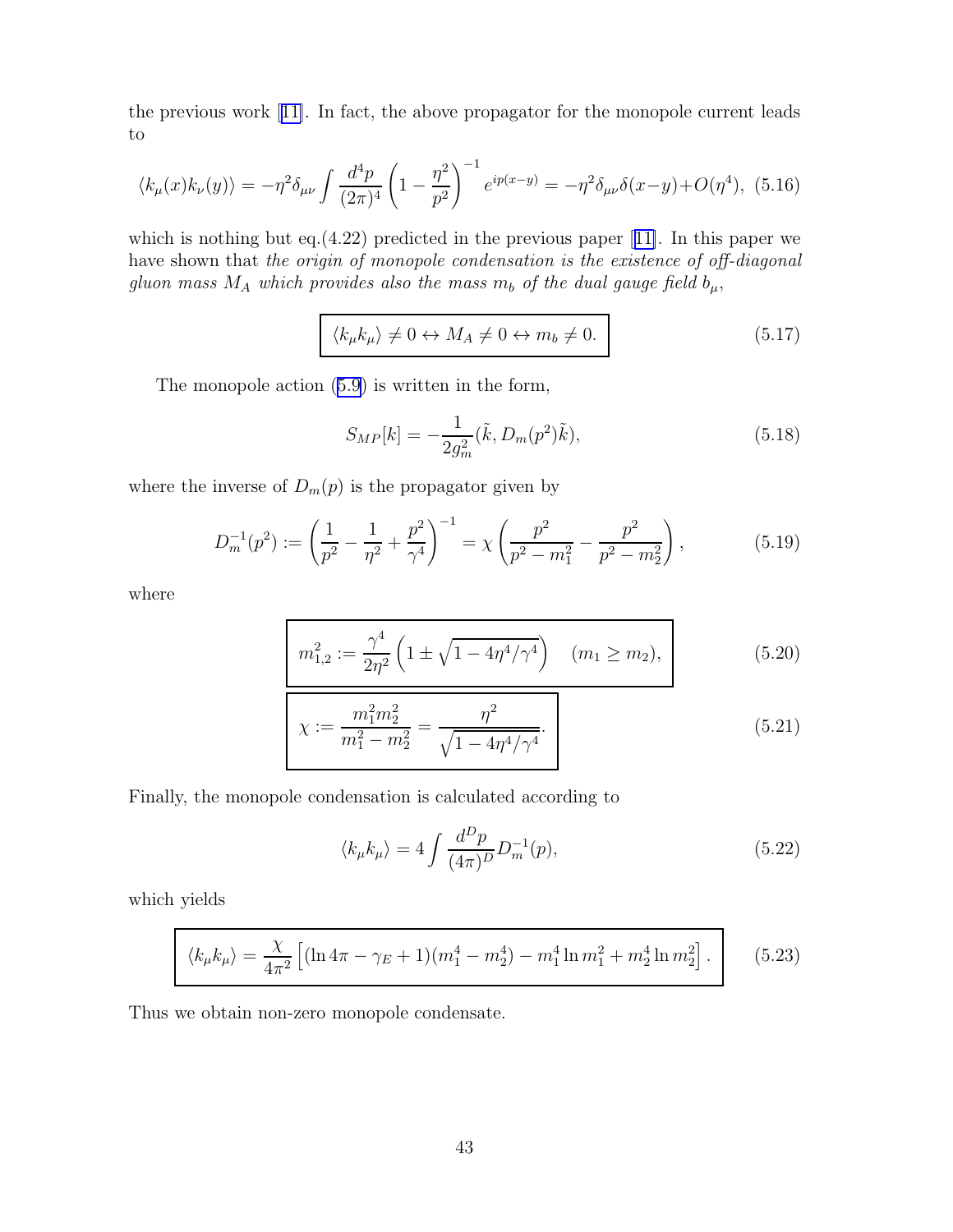<span id="page-44-0"></span>the previous work[[11\]](#page-77-0). In fact, the above propagator for the monopole current leads to

$$
\langle k_{\mu}(x)k_{\nu}(y)\rangle = -\eta^{2}\delta_{\mu\nu}\int \frac{d^{4}p}{(2\pi)^{4}}\left(1 - \frac{\eta^{2}}{p^{2}}\right)^{-1}e^{ip(x-y)} = -\eta^{2}\delta_{\mu\nu}\delta(x-y) + O(\eta^{4}), \tag{5.16}
$$

whichis nothing but eq.(4.22) predicted in the previous paper [[11\]](#page-77-0). In this paper we have shown that the origin of monopole condensation is the existence of off-diagonal gluon mass  $M_A$  which provides also the mass  $m_b$  of the dual gauge field  $b_\mu$ ,

$$
\langle k_{\mu}k_{\mu}\rangle \neq 0 \leftrightarrow M_A \neq 0 \leftrightarrow m_b \neq 0. \tag{5.17}
$$

The monopole action([5.9\)](#page-43-0) is written in the form,

$$
S_{MP}[k] = -\frac{1}{2g_m^2}(\tilde{k}, D_m(p^2)\tilde{k}),\tag{5.18}
$$

where the inverse of  $D_m(p)$  is the propagator given by

$$
D_m^{-1}(p^2) := \left(\frac{1}{p^2} - \frac{1}{\eta^2} + \frac{p^2}{\gamma^4}\right)^{-1} = \chi \left(\frac{p^2}{p^2 - m_1^2} - \frac{p^2}{p^2 - m_2^2}\right),\tag{5.19}
$$

where

$$
m_{1,2}^2 := \frac{\gamma^4}{2\eta^2} \left( 1 \pm \sqrt{1 - 4\eta^4/\gamma^4} \right) \quad (m_1 \ge m_2), \tag{5.20}
$$

$$
\chi := \frac{m_1^2 m_2^2}{m_1^2 - m_2^2} = \frac{\eta^2}{\sqrt{1 - 4\eta^4/\gamma^4}}.
$$
\n(5.21)

Finally, the monopole condensation is calculated according to

$$
\langle k_{\mu}k_{\mu}\rangle = 4 \int \frac{d^D p}{(4\pi)^D} D_m^{-1}(p),\tag{5.22}
$$

which yields

$$
\langle k_{\mu}k_{\mu}\rangle = \frac{\chi}{4\pi^2} \left[ (\ln 4\pi - \gamma_E + 1)(m_1^4 - m_2^4) - m_1^4 \ln m_1^2 + m_2^4 \ln m_2^2 \right]. \tag{5.23}
$$

Thus we obtain non-zero monopole condensate.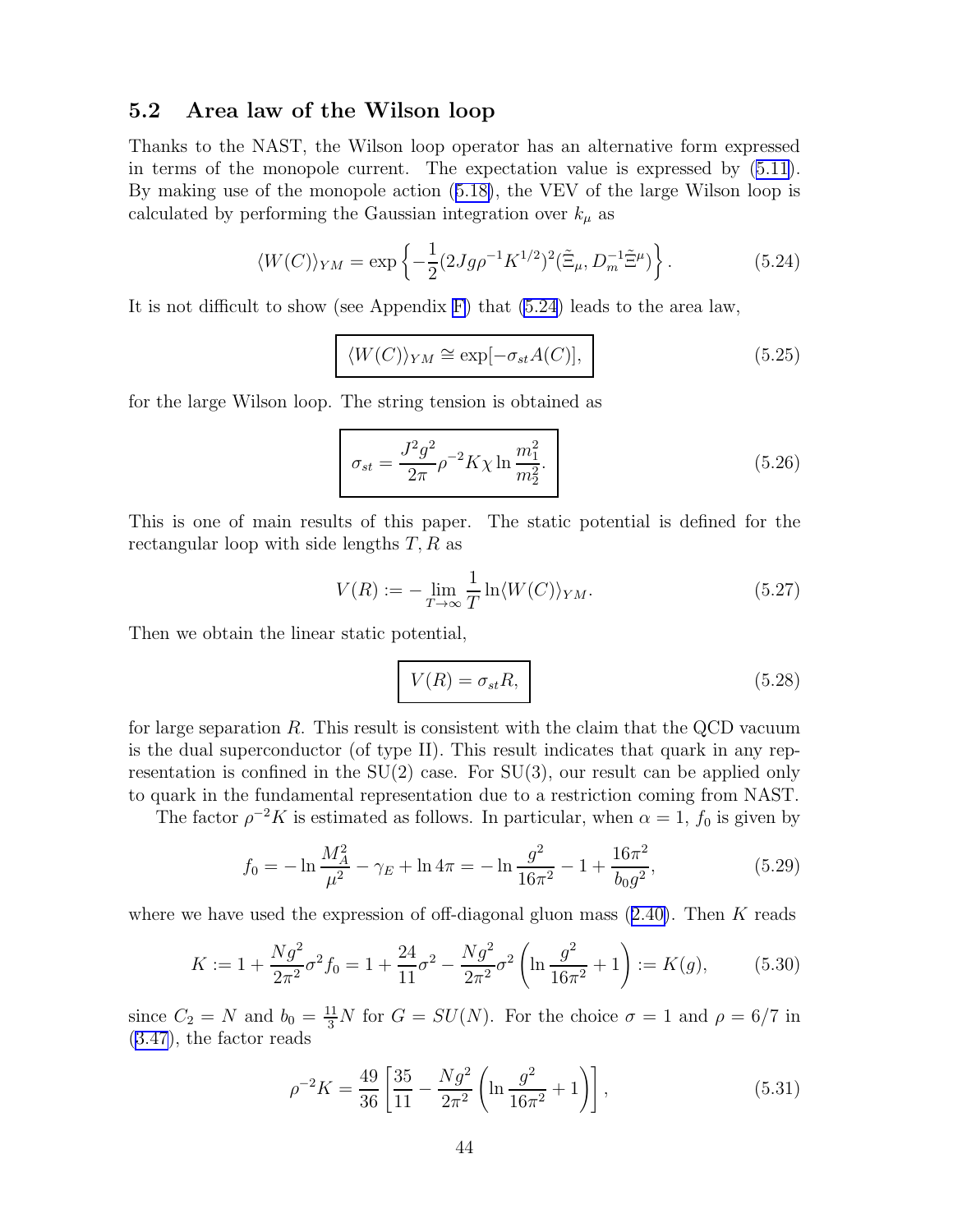### 5.2 Area law of the Wilson loop

Thanks to the NAST, the Wilson loop operator has an alternative form expressed in terms of the monopole current. The expectation value is expressed by([5.11\)](#page-43-0). By making use of the monopole action([5.18\)](#page-44-0), the VEV of the large Wilson loop is calculated by performing the Gaussian integration over  $k_{\mu}$  as

$$
\langle W(C) \rangle_{YM} = \exp \left\{ -\frac{1}{2} (2Jg \rho^{-1} K^{1/2})^2 (\tilde{\Xi}_{\mu}, D_m^{-1} \tilde{\Xi}^{\mu}) \right\}.
$$
 (5.24)

It is not difficult to show (see Appendix [F\)](#page-72-0) that (5.24) leads to the area law,

$$
\langle W(C) \rangle_{YM} \cong \exp[-\sigma_{st} A(C)], \qquad (5.25)
$$

for the large Wilson loop. The string tension is obtained as

$$
\sigma_{st} = \frac{J^2 g^2}{2\pi} \rho^{-2} K \chi \ln \frac{m_1^2}{m_2^2}.
$$
\n(5.26)

This is one of main results of this paper. The static potential is defined for the rectangular loop with side lengths  $T, R$  as

$$
V(R) := -\lim_{T \to \infty} \frac{1}{T} \ln \langle W(C) \rangle_{YM}.
$$
\n(5.27)

Then we obtain the linear static potential,

$$
V(R) = \sigma_{st}R,\tag{5.28}
$$

for large separation  $R$ . This result is consistent with the claim that the QCD vacuum is the dual superconductor (of type II). This result indicates that quark in any representation is confined in the  $SU(2)$  case. For  $SU(3)$ , our result can be applied only to quark in the fundamental representation due to a restriction coming from NAST.

The factor  $\rho^{-2}K$  is estimated as follows. In particular, when  $\alpha = 1$ ,  $f_0$  is given by

$$
f_0 = -\ln \frac{M_A^2}{\mu^2} - \gamma_E + \ln 4\pi = -\ln \frac{g^2}{16\pi^2} - 1 + \frac{16\pi^2}{b_0 g^2},
$$
 (5.29)

wherewe have used the expression of off-diagonal gluon mass  $(2.40)$  $(2.40)$ . Then K reads

$$
K := 1 + \frac{Ng^2}{2\pi^2} \sigma^2 f_0 = 1 + \frac{24}{11} \sigma^2 - \frac{Ng^2}{2\pi^2} \sigma^2 \left( \ln \frac{g^2}{16\pi^2} + 1 \right) := K(g), \tag{5.30}
$$

since  $C_2 = N$  and  $b_0 = \frac{11}{3}N$  for  $G = SU(N)$ . For the choice  $\sigma = 1$  and  $\rho = 6/7$  in [\(3.47](#page-39-0)), the factor reads

$$
\rho^{-2}K = \frac{49}{36} \left[ \frac{35}{11} - \frac{Ng^2}{2\pi^2} \left( \ln \frac{g^2}{16\pi^2} + 1 \right) \right],\tag{5.31}
$$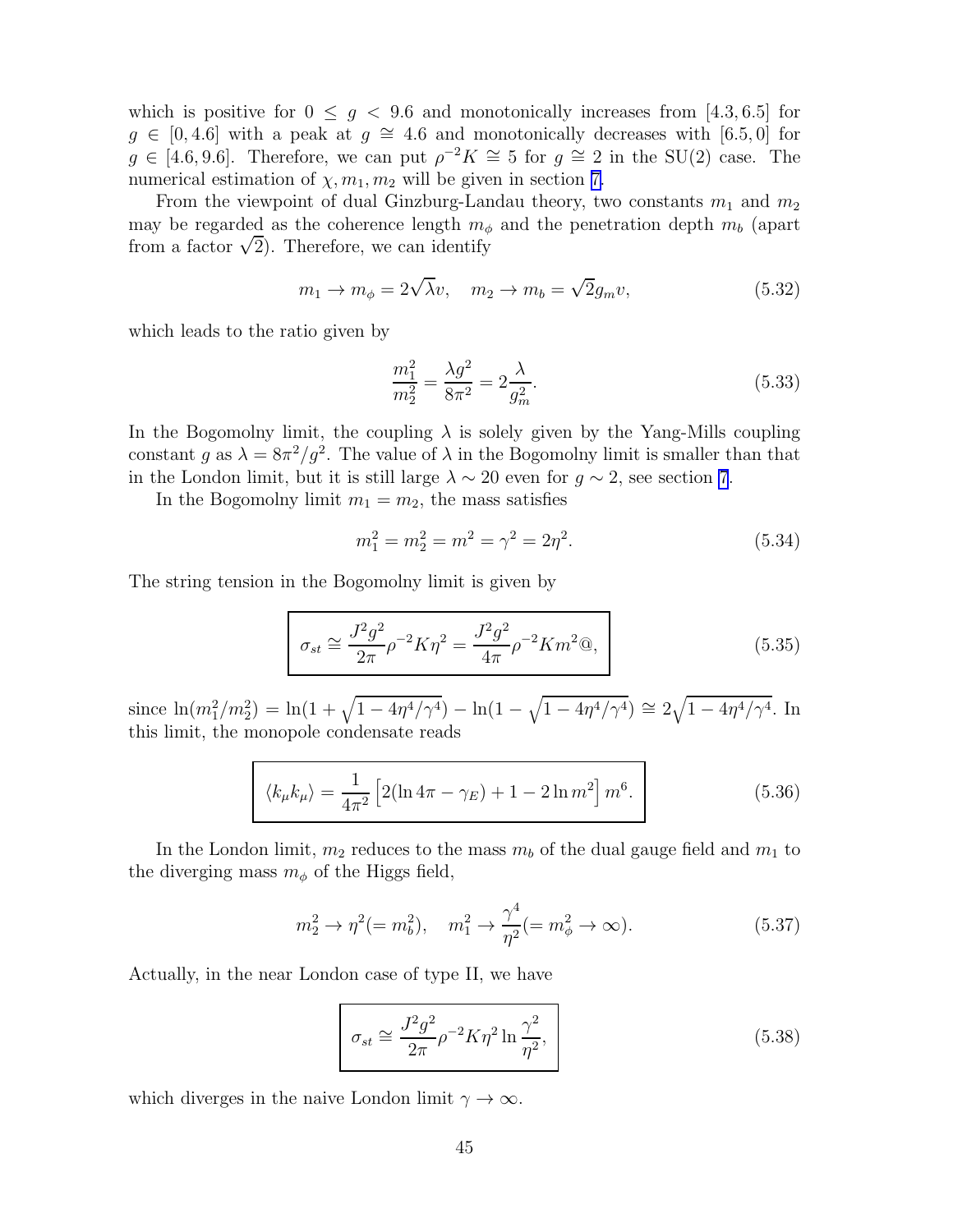which is positive for  $0 \leq g < 9.6$  and monotonically increases from [4.3, 6.5] for  $g \in [0, 4.6]$  with a peak at  $g \cong 4.6$  and monotonically decreases with [6.5,0] for  $g \in [4.6, 9.6]$ . Therefore, we can put  $\rho^{-2}K \cong 5$  for  $g \cong 2$  in the SU(2) case. The numerical estimation of  $\chi, m_1, m_2$  will be given in section [7.](#page-53-0)

From the viewpoint of dual Ginzburg-Landau theory, two constants  $m_1$  and  $m_2$ may be regarded as the coherence length  $m_{\phi}$  and the penetration depth  $m_{b}$  (apart from a factor  $\sqrt{2}$ ). Therefore, we can identify

$$
m_1 \to m_\phi = 2\sqrt{\lambda}v, \quad m_2 \to m_b = \sqrt{2}g_m v,\tag{5.32}
$$

which leads to the ratio given by

$$
\frac{m_1^2}{m_2^2} = \frac{\lambda g^2}{8\pi^2} = 2\frac{\lambda}{g_m^2}.
$$
\n(5.33)

In the Bogomolny limit, the coupling  $\lambda$  is solely given by the Yang-Mills coupling constant g as  $\lambda = 8\pi^2/g^2$ . The value of  $\lambda$  in the Bogomolny limit is smaller than that in the London limit, but it is still large  $\lambda \sim 20$  even for  $g \sim 2$ , see section [7](#page-53-0).

In the Bogomolny limit  $m_1 = m_2$ , the mass satisfies

$$
m_1^2 = m_2^2 = m^2 = \gamma^2 = 2\eta^2. \tag{5.34}
$$

The string tension in the Bogomolny limit is given by

$$
\sigma_{st} \cong \frac{J^2 g^2}{2\pi} \rho^{-2} K \eta^2 = \frac{J^2 g^2}{4\pi} \rho^{-2} K m^2 @,
$$
\n(5.35)

since  $\ln(m_1^2/m_2^2) = \ln(1 + \sqrt{1 - 4\eta^4/\gamma^4}) - \ln(1 - \sqrt{1 - 4\eta^4/\gamma^4}) \approx 2\sqrt{1 - 4\eta^4/\gamma^4}$ . In this limit, the monopole condensate reads

$$
\langle k_{\mu}k_{\mu}\rangle = \frac{1}{4\pi^2} \left[2(\ln 4\pi - \gamma_E) + 1 - 2\ln m^2\right] m^6.
$$
 (5.36)

In the London limit,  $m_2$  reduces to the mass  $m_b$  of the dual gauge field and  $m_1$  to the diverging mass  $m_{\phi}$  of the Higgs field,

$$
m_2^2 \to \eta^2 (= m_b^2), \quad m_1^2 \to \frac{\gamma^4}{\eta^2} (= m_\phi^2 \to \infty).
$$
 (5.37)

Actually, in the near London case of type II, we have

$$
\sigma_{st} \cong \frac{J^2 g^2}{2\pi} \rho^{-2} K \eta^2 \ln \frac{\gamma^2}{\eta^2},\tag{5.38}
$$

which diverges in the naive London limit  $\gamma \to \infty$ .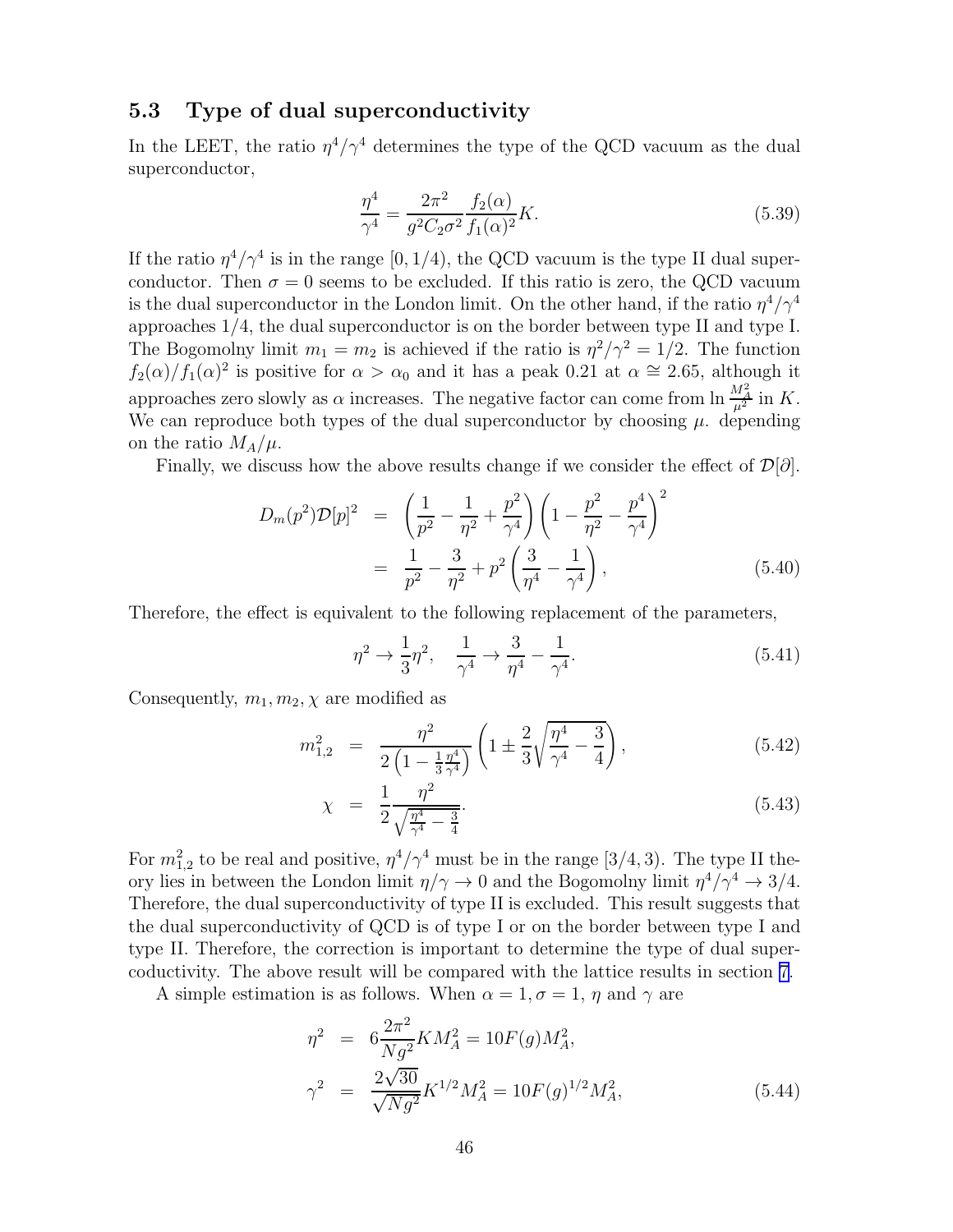### 5.3 Type of dual superconductivity

In the LEET, the ratio  $\eta^4/\gamma^4$  determines the type of the QCD vacuum as the dual superconductor,

$$
\frac{\eta^4}{\gamma^4} = \frac{2\pi^2}{g^2 C_2 \sigma^2} \frac{f_2(\alpha)}{f_1(\alpha)^2} K.
$$
\n(5.39)

If the ratio  $\eta^4/\gamma^4$  is in the range [0, 1/4), the QCD vacuum is the type II dual superconductor. Then  $\sigma = 0$  seems to be excluded. If this ratio is zero, the QCD vacuum is the dual superconductor in the London limit. On the other hand, if the ratio  $\eta^4/\gamma^4$ approaches 1/4, the dual superconductor is on the border between type II and type I. The Bogomolny limit  $m_1 = m_2$  is achieved if the ratio is  $\eta^2/\gamma^2 = 1/2$ . The function  $f_2(\alpha)/f_1(\alpha)^2$  is positive for  $\alpha > \alpha_0$  and it has a peak 0.21 at  $\alpha \approx 2.65$ , although it approaches zero slowly as  $\alpha$  increases. The negative factor can come from  $\ln \frac{M_A^2}{\mu^2}$  in K. We can reproduce both types of the dual superconductor by choosing  $\mu$ . depending on the ratio  $M_A/\mu$ .

Finally, we discuss how the above results change if we consider the effect of  $\mathcal{D}[\partial]$ .

$$
D_m(p^2)\mathcal{D}[p]^2 = \left(\frac{1}{p^2} - \frac{1}{\eta^2} + \frac{p^2}{\gamma^4}\right) \left(1 - \frac{p^2}{\eta^2} - \frac{p^4}{\gamma^4}\right)^2
$$
  
= 
$$
\frac{1}{p^2} - \frac{3}{\eta^2} + p^2 \left(\frac{3}{\eta^4} - \frac{1}{\gamma^4}\right),
$$
 (5.40)

Therefore, the effect is equivalent to the following replacement of the parameters,

$$
\eta^2 \to \frac{1}{3} \eta^2, \quad \frac{1}{\gamma^4} \to \frac{3}{\eta^4} - \frac{1}{\gamma^4}.
$$
 (5.41)

Consequently,  $m_1, m_2, \chi$  are modified as

$$
m_{1,2}^2 = \frac{\eta^2}{2\left(1 - \frac{1}{3}\frac{\eta^4}{\gamma^4}\right)} \left(1 \pm \frac{2}{3}\sqrt{\frac{\eta^4}{\gamma^4} - \frac{3}{4}}\right),\tag{5.42}
$$

$$
\chi = \frac{1}{2} \frac{\eta^2}{\sqrt{\frac{\eta^4}{\gamma^4} - \frac{3}{4}}}.
$$
\n(5.43)

For  $m_{1,2}^2$  to be real and positive,  $\eta^4/\gamma^4$  must be in the range [3/4, 3). The type II theory lies in between the London limit  $\eta/\gamma \to 0$  and the Bogomolny limit  $\eta^4/\gamma^4 \to 3/4$ . Therefore, the dual superconductivity of type II is excluded. This result suggests that the dual superconductivity of QCD is of type I or on the border between type I and type II. Therefore, the correction is important to determine the type of dual supercoductivity. The above result will be compared with the lattice results in section [7.](#page-53-0)

A simple estimation is as follows. When  $\alpha = 1, \sigma = 1, \eta$  and  $\gamma$  are

$$
\eta^2 = 6 \frac{2\pi^2}{Ng^2} K M_A^2 = 10F(g) M_A^2,
$$
  

$$
\gamma^2 = \frac{2\sqrt{30}}{\sqrt{Ng^2}} K^{1/2} M_A^2 = 10F(g)^{1/2} M_A^2,
$$
 (5.44)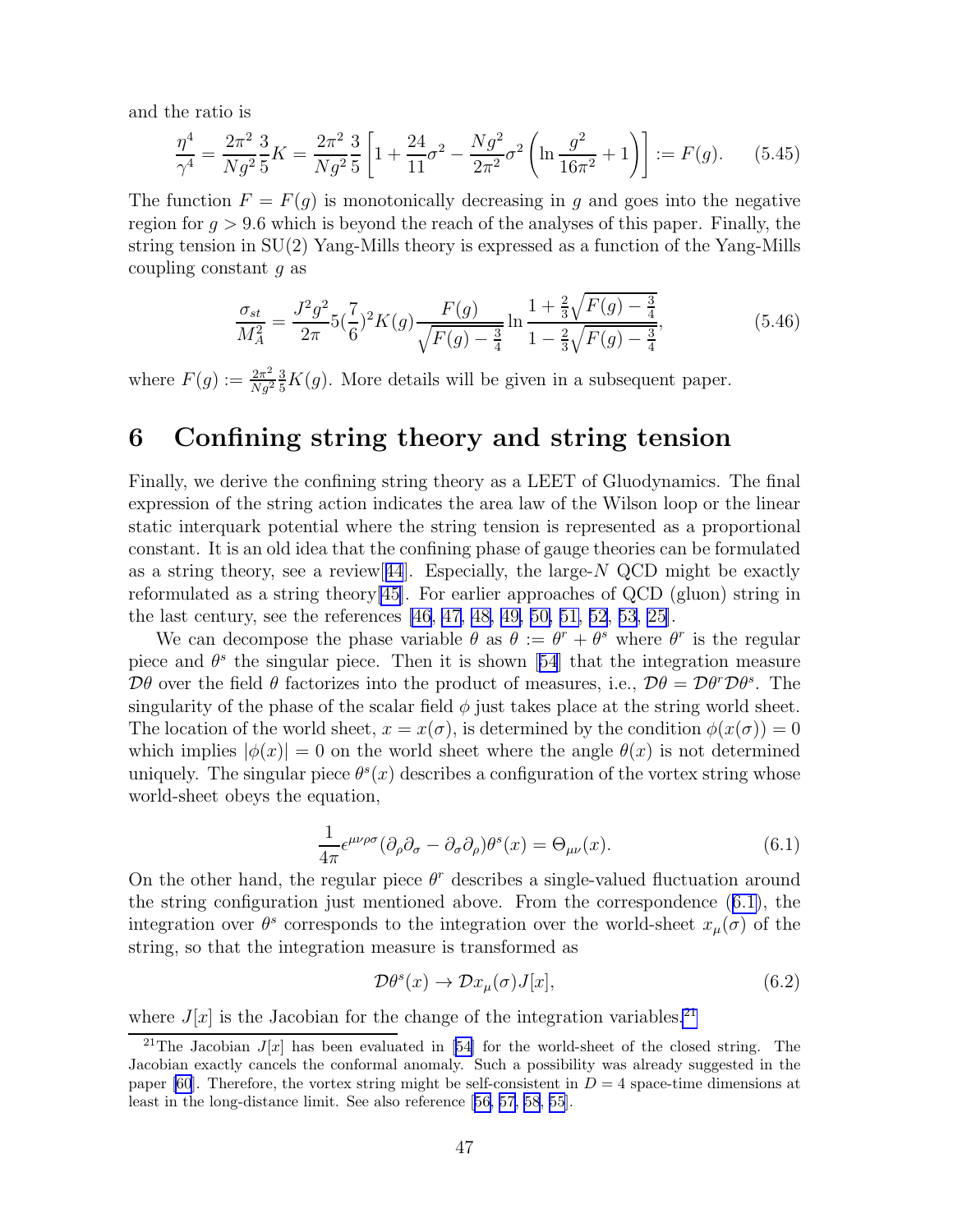and the ratio is

$$
\frac{\eta^4}{\gamma^4} = \frac{2\pi^2}{Ng^2} \frac{3}{5} K = \frac{2\pi^2}{Ng^2} \frac{3}{5} \left[ 1 + \frac{24}{11}\sigma^2 - \frac{Ng^2}{2\pi^2}\sigma^2 \left( \ln \frac{g^2}{16\pi^2} + 1 \right) \right] := F(g). \tag{5.45}
$$

The function  $F = F(q)$  is monotonically decreasing in q and goes into the negative region for  $q > 9.6$  which is beyond the reach of the analyses of this paper. Finally, the string tension in SU(2) Yang-Mills theory is expressed as a function of the Yang-Mills coupling constant g as

$$
\frac{\sigma_{st}}{M_A^2} = \frac{J^2 g^2}{2\pi} 5\left(\frac{7}{6}\right)^2 K(g) \frac{F(g)}{\sqrt{F(g) - \frac{3}{4}}} \ln \frac{1 + \frac{2}{3}\sqrt{F(g) - \frac{3}{4}}}{1 - \frac{2}{3}\sqrt{F(g) - \frac{3}{4}}},\tag{5.46}
$$

where  $F(g) := \frac{2\pi^2}{Ng^2}$  $\frac{2\pi^2}{Ng^2} \frac{3}{5}K(g)$ . More details will be given in a subsequent paper.

## 6 Confining string theory and string tension

Finally, we derive the confining string theory as a LEET of Gluodynamics. The final expression of the string action indicates the area law of the Wilson loop or the linear static interquark potential where the string tension is represented as a proportional constant. It is an old idea that the confining phase of gauge theories can be formulated as a string theory, see a review  $[44]$  $[44]$  $[44]$ . Especially, the large-N QCD might be exactly reformulated as a string theory[\[45](#page-79-0)]. For earlier approaches of QCD (gluon) string in the last century, see the references [\[46](#page-79-0), [47](#page-79-0), [48, 49, 50, 51, 52](#page-79-0), [53](#page-79-0), [25](#page-78-0)].

We can decompose the phase variable  $\theta$  as  $\theta := \theta^r + \theta^s$  where  $\theta^r$  is the regular pieceand  $\theta^s$  the singular piece. Then it is shown [[54](#page-79-0)] that the integration measure  $\mathcal{D}\theta$  over the field  $\theta$  factorizes into the product of measures, i.e.,  $\mathcal{D}\theta = \mathcal{D}\theta^r \mathcal{D}\theta^s$ . The singularity of the phase of the scalar field  $\phi$  just takes place at the string world sheet. The location of the world sheet,  $x = x(\sigma)$ , is determined by the condition  $\phi(x(\sigma)) = 0$ which implies  $|\phi(x)| = 0$  on the world sheet where the angle  $\theta(x)$  is not determined uniquely. The singular piece  $\theta^s(x)$  describes a configuration of the vortex string whose world-sheet obeys the equation,

$$
\frac{1}{4\pi} \epsilon^{\mu\nu\rho\sigma} (\partial_{\rho} \partial_{\sigma} - \partial_{\sigma} \partial_{\rho}) \theta^{s}(x) = \Theta_{\mu\nu}(x). \tag{6.1}
$$

On the other hand, the regular piece  $\theta^r$  describes a single-valued fluctuation around the string configuration just mentioned above. From the correspondence (6.1), the integration over  $\theta^s$  corresponds to the integration over the world-sheet  $x_\mu(\sigma)$  of the string, so that the integration measure is transformed as

$$
\mathcal{D}\theta^s(x) \to \mathcal{D}x_\mu(\sigma)J[x],\tag{6.2}
$$

where  $J[x]$  is the Jacobian for the change of the integration variables.<sup>21</sup>

<sup>&</sup>lt;sup>21</sup>TheJacobian  $J[x]$  has been evaluated in [[54\]](#page-79-0) for the world-sheet of the closed string. The Jacobian exactly cancels the conformal anomaly. Such a possibility was already suggested in the paper [\[60](#page-79-0)]. Therefore, the vortex string might be self-consistent in  $D = 4$  space-time dimensions at least in the long-distance limit. See also reference [\[56, 57, 58](#page-79-0), [55](#page-79-0)].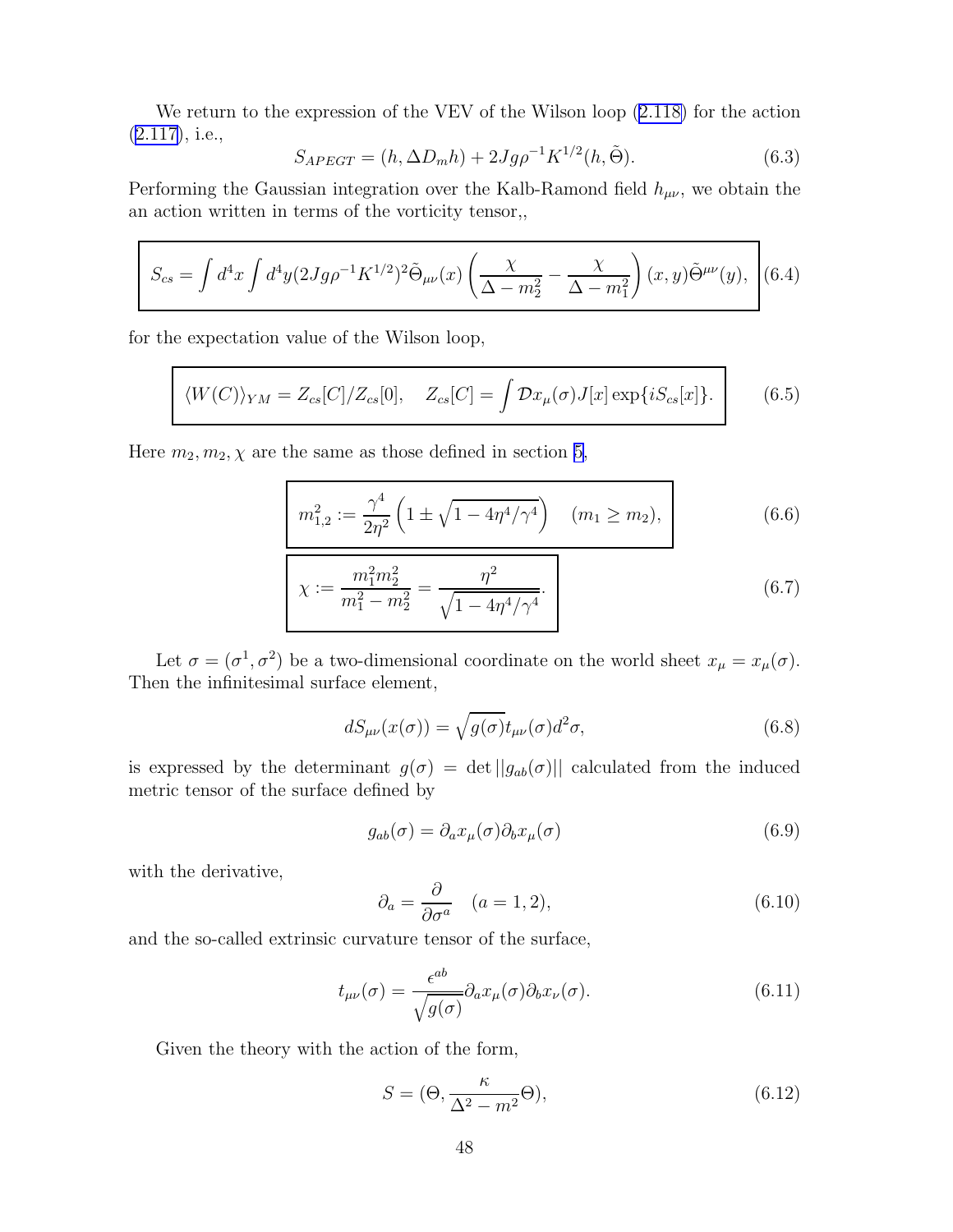<span id="page-49-0"></span>We return to the expression of the VEV of the Wilson loop([2.118\)](#page-27-0) for the action [\(2.117\)](#page-27-0), i.e.,

$$
S_{APEGT} = (h, \Delta D_m h) + 2Jg\rho^{-1} K^{1/2}(h, \tilde{\Theta}).
$$
\n(6.3)

Performing the Gaussian integration over the Kalb-Ramond field  $h_{\mu\nu}$ , we obtain the an action written in terms of the vorticity tensor,,

$$
S_{cs} = \int d^4x \int d^4y (2Jg\rho^{-1}K^{1/2})^2 \tilde{\Theta}_{\mu\nu}(x) \left( \frac{\chi}{\Delta - m_2^2} - \frac{\chi}{\Delta - m_1^2} \right)(x, y) \tilde{\Theta}^{\mu\nu}(y), \tag{6.4}
$$

for the expectation value of the Wilson loop,

$$
\langle W(C) \rangle_{YM} = Z_{cs}[C]/Z_{cs}[0], \quad Z_{cs}[C] = \int \mathcal{D}x_{\mu}(\sigma)J[x] \exp\{iS_{cs}[x]\}.
$$
 (6.5)

Here  $m_2, m_2, \chi$  are the same as those defined in section [5,](#page-42-0)

$$
m_{1,2}^2 := \frac{\gamma^4}{2\eta^2} \left( 1 \pm \sqrt{1 - 4\eta^4/\gamma^4} \right) \quad (m_1 \ge m_2),
$$
\n
$$
m_1^2 m_2^2 = \frac{\eta^2}{2\eta^2} \qquad (6.6)
$$
\n
$$
(6.7)
$$

$$
\chi := \frac{m_1^2 m_2^2}{m_1^2 - m_2^2} = \frac{\eta^2}{\sqrt{1 - 4\eta^4/\gamma^4}}.
$$
\n(6.7)

Let  $\sigma = (\sigma^1, \sigma^2)$  be a two-dimensional coordinate on the world sheet  $x_{\mu} = x_{\mu}(\sigma)$ . Then the infinitesimal surface element,

$$
dS_{\mu\nu}(x(\sigma)) = \sqrt{g(\sigma)} t_{\mu\nu}(\sigma) d^2 \sigma,
$$
\n(6.8)

is expressed by the determinant  $g(\sigma) = \det ||g_{ab}(\sigma)||$  calculated from the induced metric tensor of the surface defined by

$$
g_{ab}(\sigma) = \partial_a x_\mu(\sigma) \partial_b x_\mu(\sigma) \tag{6.9}
$$

with the derivative,

$$
\partial_a = \frac{\partial}{\partial \sigma^a} \quad (a = 1, 2), \tag{6.10}
$$

and the so-called extrinsic curvature tensor of the surface,

$$
t_{\mu\nu}(\sigma) = \frac{\epsilon^{ab}}{\sqrt{g(\sigma)}} \partial_a x_\mu(\sigma) \partial_b x_\nu(\sigma). \tag{6.11}
$$

Given the theory with the action of the form,

$$
S = (\Theta, \frac{\kappa}{\Delta^2 - m^2} \Theta), \tag{6.12}
$$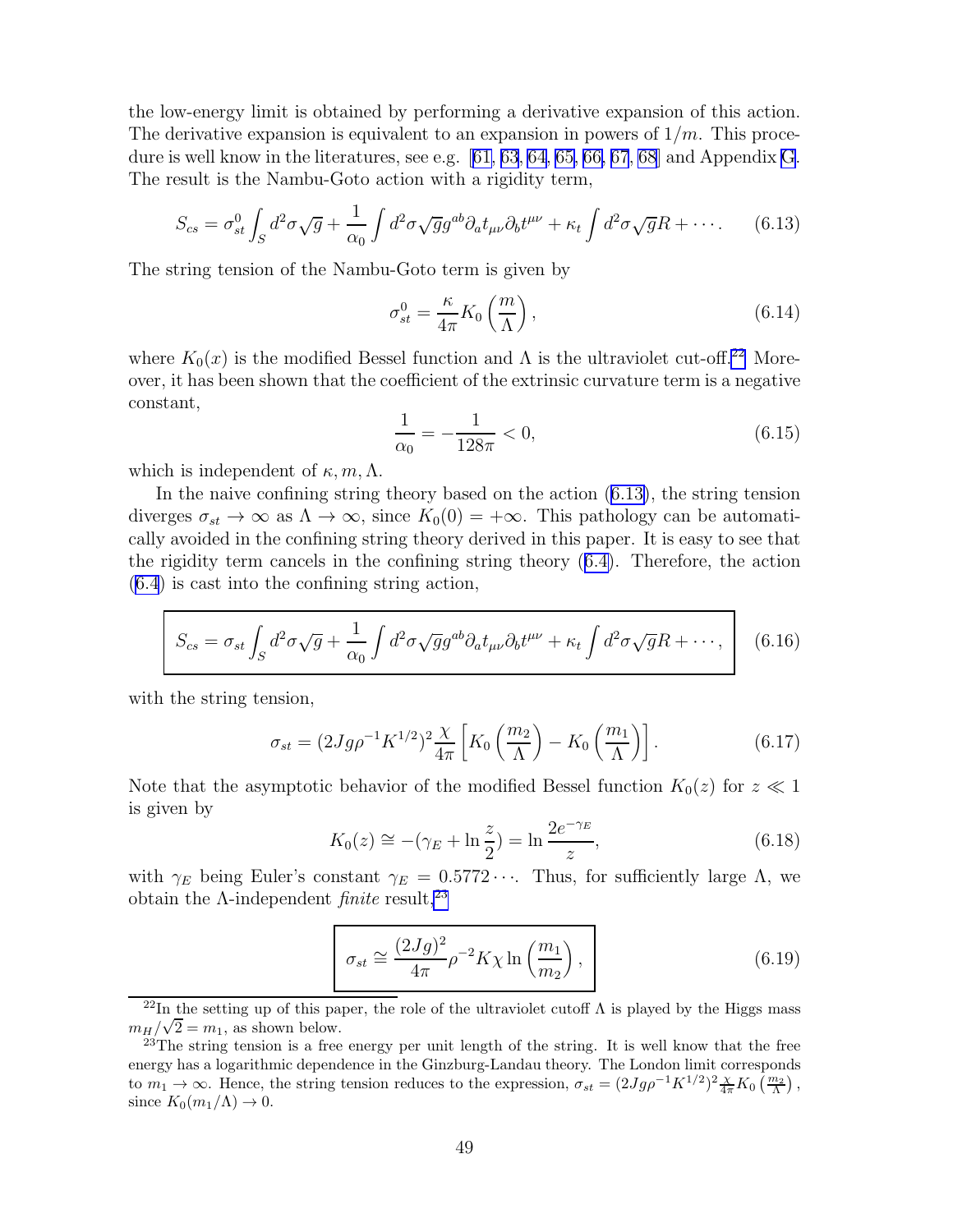<span id="page-50-0"></span>the low-energy limit is obtained by performing a derivative expansion of this action. The derivative expansion is equivalent to an expansion in powers of  $1/m$ . This procedure is well know in the literatures, see e.g.[[61, 63](#page-80-0), [64](#page-80-0), [65, 66, 67](#page-80-0), [68](#page-80-0)] and Appendix [G](#page-74-0). The result is the Nambu-Goto action with a rigidity term,

$$
S_{cs} = \sigma_{st}^0 \int_S d^2 \sigma \sqrt{g} + \frac{1}{\alpha_0} \int d^2 \sigma \sqrt{g} g^{ab} \partial_a t_{\mu\nu} \partial_b t^{\mu\nu} + \kappa_t \int d^2 \sigma \sqrt{g} R + \cdots. \tag{6.13}
$$

The string tension of the Nambu-Goto term is given by

$$
\sigma_{st}^0 = \frac{\kappa}{4\pi} K_0 \left(\frac{m}{\Lambda}\right),\tag{6.14}
$$

where  $K_0(x)$  is the modified Bessel function and  $\Lambda$  is the ultraviolet cut-off.<sup>22</sup> Moreover, it has been shown that the coefficient of the extrinsic curvature term is a negative constant,

$$
\frac{1}{\alpha_0} = -\frac{1}{128\pi} < 0,\tag{6.15}
$$

which is independent of  $\kappa, m, \Lambda$ .

In the naive confining string theory based on the action (6.13), the string tension diverges  $\sigma_{st} \to \infty$  as  $\Lambda \to \infty$ , since  $K_0(0) = +\infty$ . This pathology can be automatically avoided in the confining string theory derived in this paper. It is easy to see that the rigidity term cancels in the confining string theory([6.4\)](#page-49-0). Therefore, the action [\(6.4](#page-49-0)) is cast into the confining string action,

$$
S_{cs} = \sigma_{st} \int_{S} d^2 \sigma \sqrt{g} + \frac{1}{\alpha_0} \int d^2 \sigma \sqrt{g} g^{ab} \partial_a t_{\mu\nu} \partial_b t^{\mu\nu} + \kappa_t \int d^2 \sigma \sqrt{g} R + \cdots, \qquad (6.16)
$$

with the string tension,

$$
\sigma_{st} = (2Jg\rho^{-1}K^{1/2})^2 \frac{\chi}{4\pi} \left[ K_0 \left( \frac{m_2}{\Lambda} \right) - K_0 \left( \frac{m_1}{\Lambda} \right) \right]. \tag{6.17}
$$

Note that the asymptotic behavior of the modified Bessel function  $K_0(z)$  for  $z \ll 1$ is given by

$$
K_0(z) \approx -(\gamma_E + \ln \frac{z}{2}) = \ln \frac{2e^{-\gamma_E}}{z},
$$
 (6.18)

with  $\gamma_E$  being Euler's constant  $\gamma_E = 0.5772 \cdots$ . Thus, for sufficiently large  $\Lambda$ , we obtain the  $\Lambda$ -independent *finite* result,<sup>23</sup>

$$
\sigma_{st} \cong \frac{(2Jg)^2}{4\pi} \rho^{-2} K \chi \ln\left(\frac{m_1}{m_2}\right),\tag{6.19}
$$

<sup>&</sup>lt;sup>22</sup>In the setting up of this paper, the role of the ultraviolet cutoff  $\Lambda$  is played by the Higgs mass  $m_H/\sqrt{2} = m_1$ , as shown below.

<sup>&</sup>lt;sup>23</sup>The string tension is a free energy per unit length of the string. It is well know that the free energy has a logarithmic dependence in the Ginzburg-Landau theory. The London limit corresponds to  $m_1 \to \infty$ . Hence, the string tension reduces to the expression,  $\sigma_{st} = (2Jg\rho^{-1}K^{1/2})^2 \frac{\chi}{4\pi} K_0(\frac{m_2}{\Lambda})$ , since  $K_0(m_1/\Lambda) \to 0$ .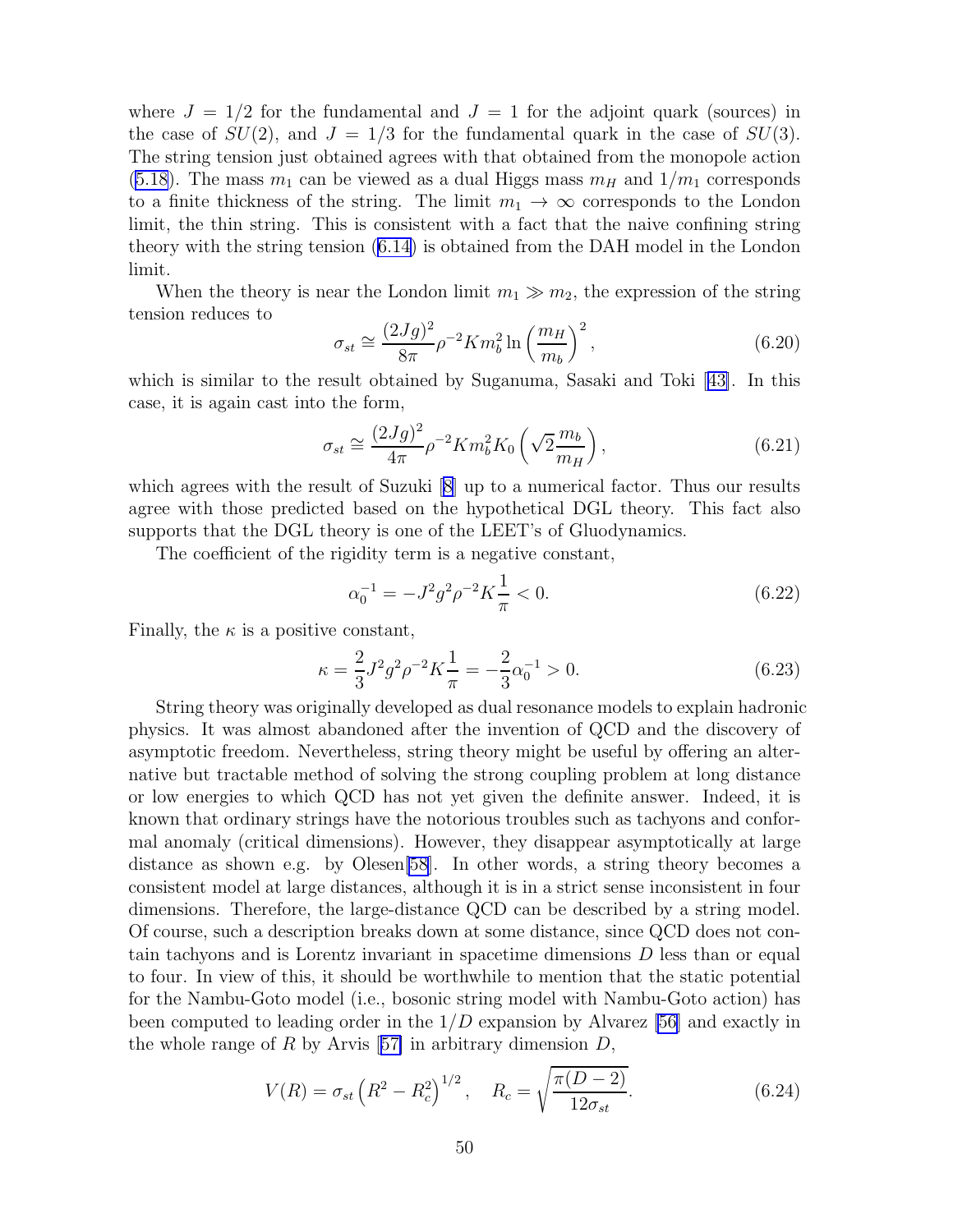where  $J = 1/2$  for the fundamental and  $J = 1$  for the adjoint quark (sources) in the case of  $SU(2)$ , and  $J = 1/3$  for the fundamental quark in the case of  $SU(3)$ . The string tension just obtained agrees with that obtained from the monopole action [\(5.18](#page-44-0)). The mass  $m_1$  can be viewed as a dual Higgs mass  $m_H$  and  $1/m_1$  corresponds to a finite thickness of the string. The limit  $m_1 \rightarrow \infty$  corresponds to the London limit, the thin string. This is consistent with a fact that the naive confining string theory with the string tension([6.14\)](#page-50-0) is obtained from the DAH model in the London limit.

When the theory is near the London limit  $m_1 \gg m_2$ , the expression of the string tension reduces to

$$
\sigma_{st} \cong \frac{(2Jg)^2}{8\pi} \rho^{-2} K m_b^2 \ln\left(\frac{m_H}{m_b}\right)^2, \tag{6.20}
$$

whichis similar to the result obtained by Suganuma, Sasaki and Toki [[43\]](#page-79-0). In this case, it is again cast into the form,

$$
\sigma_{st} \cong \frac{(2Jg)^2}{4\pi} \rho^{-2} K m_b^2 K_0 \left(\sqrt{2} \frac{m_b}{m_H}\right),\tag{6.21}
$$

which agrees with the result of Suzuki  $[8]$  up to a numerical factor. Thus our results agree with those predicted based on the hypothetical DGL theory. This fact also supports that the DGL theory is one of the LEET's of Gluodynamics.

The coefficient of the rigidity term is a negative constant,

$$
\alpha_0^{-1} = -J^2 g^2 \rho^{-2} K \frac{1}{\pi} < 0. \tag{6.22}
$$

Finally, the  $\kappa$  is a positive constant,

$$
\kappa = \frac{2}{3}J^2 g^2 \rho^{-2} K \frac{1}{\pi} = -\frac{2}{3} \alpha_0^{-1} > 0.
$$
 (6.23)

String theory was originally developed as dual resonance models to explain hadronic physics. It was almost abandoned after the invention of QCD and the discovery of asymptotic freedom. Nevertheless, string theory might be useful by offering an alternative but tractable method of solving the strong coupling problem at long distance or low energies to which QCD has not yet given the definite answer. Indeed, it is known that ordinary strings have the notorious troubles such as tachyons and conformal anomaly (critical dimensions). However, they disappear asymptotically at large distance as shown e.g. by Olesen[\[58](#page-79-0)]. In other words, a string theory becomes a consistent model at large distances, although it is in a strict sense inconsistent in four dimensions. Therefore, the large-distance QCD can be described by a string model. Of course, such a description breaks down at some distance, since QCD does not contain tachyons and is Lorentz invariant in spacetime dimensions D less than or equal to four. In view of this, it should be worthwhile to mention that the static potential for the Nambu-Goto model (i.e., bosonic string model with Nambu-Goto action) has been computed to leading order in the  $1/D$  expansion by Alvarez [\[56\]](#page-79-0) and exactly in thewhole range of R by Arvis [[57\]](#page-79-0) in arbitrary dimension  $D$ ,

$$
V(R) = \sigma_{st} \left( R^2 - R_c^2 \right)^{1/2}, \quad R_c = \sqrt{\frac{\pi (D - 2)}{12 \sigma_{st}}}.
$$
 (6.24)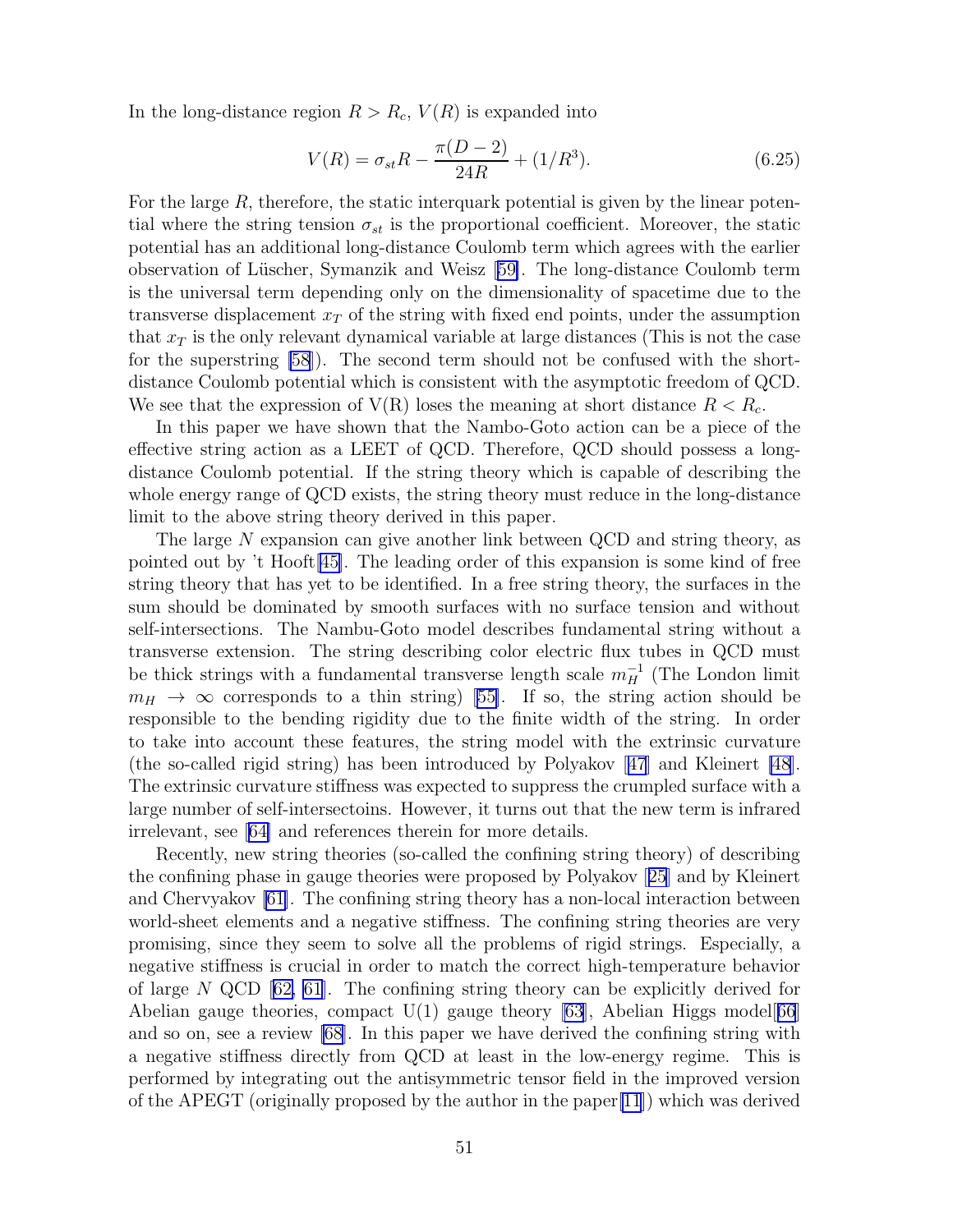In the long-distance region  $R > R_c$ ,  $V(R)$  is expanded into

$$
V(R) = \sigma_{st}R - \frac{\pi(D-2)}{24R} + (1/R^3). \tag{6.25}
$$

For the large  $R$ , therefore, the static interquark potential is given by the linear potential where the string tension  $\sigma_{st}$  is the proportional coefficient. Moreover, the static potential has an additional long-distance Coulomb term which agrees with the earlier observation of L¨uscher, Symanzik and Weisz[[59\]](#page-79-0). The long-distance Coulomb term is the universal term depending only on the dimensionality of spacetime due to the transverse displacement  $x_T$  of the string with fixed end points, under the assumption that  $x<sub>T</sub>$  is the only relevant dynamical variable at large distances (This is not the case for the superstring [\[58](#page-79-0)]). The second term should not be confused with the shortdistance Coulomb potential which is consistent with the asymptotic freedom of QCD. We see that the expression of  $V(R)$  loses the meaning at short distance  $R < R_c$ .

In this paper we have shown that the Nambo-Goto action can be a piece of the effective string action as a LEET of QCD. Therefore, QCD should possess a longdistance Coulomb potential. If the string theory which is capable of describing the whole energy range of QCD exists, the string theory must reduce in the long-distance limit to the above string theory derived in this paper.

The large  $N$  expansion can give another link between QCD and string theory, as pointed out by 't Hooft[\[45\]](#page-79-0). The leading order of this expansion is some kind of free string theory that has yet to be identified. In a free string theory, the surfaces in the sum should be dominated by smooth surfaces with no surface tension and without self-intersections. The Nambu-Goto model describes fundamental string without a transverse extension. The string describing color electric flux tubes in QCD must be thick strings with a fundamental transverse length scale  $m_H^{-1}$  (The London limit  $m_H \rightarrow \infty$  $m_H \rightarrow \infty$  $m_H \rightarrow \infty$  corresponds to a thin string) [[55\]](#page-79-0). If so, the string action should be responsible to the bending rigidity due to the finite width of the string. In order to take into account these features, the string model with the extrinsic curvature (the so-called rigid string) has been introduced by Polyakov[[47](#page-79-0)] and Kleinert [\[48](#page-79-0)]. The extrinsic curvature stiffness was expected to suppress the crumpled surface with a large number of self-intersectoins. However, it turns out that the new term is infrared irrelevant, see[[64\]](#page-80-0) and references therein for more details.

Recently, new string theories (so-called the confining string theory) of describing the confining phase in gauge theories were proposed by Polyakov[[25](#page-78-0)] and by Kleinert and Chervyakov [\[61\]](#page-80-0). The confining string theory has a non-local interaction between world-sheet elements and a negative stiffness. The confining string theories are very promising, since they seem to solve all the problems of rigid strings. Especially, a negative stiffness is crucial in order to match the correct high-temperature behavior oflarge  $N$  QCD  $[62, 61]$  $[62, 61]$  $[62, 61]$ . The confining string theory can be explicitly derived for Abelian gauge theories, compact  $U(1)$  gauge theory [\[63\]](#page-80-0), Abelian Higgs model[[66](#page-80-0)] and so on, see a review [\[68](#page-80-0)]. In this paper we have derived the confining string with a negative stiffness directly from QCD at least in the low-energy regime. This is performed by integrating out the antisymmetric tensor field in the improved version of the APEGT (originally proposed by the author in the paper[\[11](#page-77-0)]) which was derived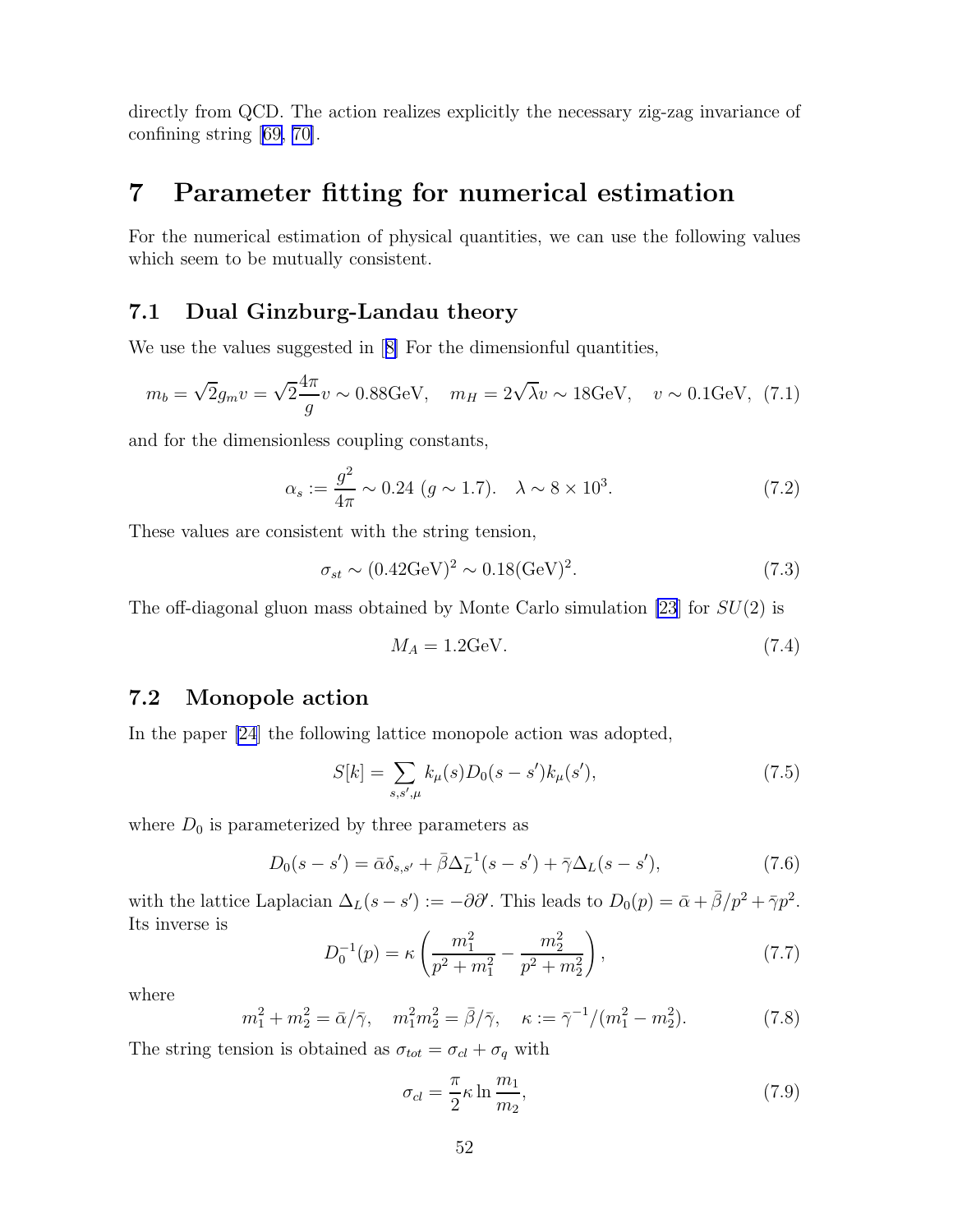<span id="page-53-0"></span>directly from QCD. The action realizes explicitly the necessary zig-zag invariance of confining string [\[69, 70\]](#page-80-0).

# 7 Parameter fitting for numerical estimation

For the numerical estimation of physical quantities, we can use the following values which seem to be mutually consistent.

### 7.1 Dual Ginzburg-Landau theory

Weuse the values suggested in [[8\]](#page-77-0) For the dimensionful quantities,

$$
m_b = \sqrt{2}g_m v = \sqrt{2}\frac{4\pi}{g}v \sim 0.88 \text{GeV}, \quad m_H = 2\sqrt{\lambda}v \sim 18 \text{GeV}, \quad v \sim 0.1 \text{GeV}, \tag{7.1}
$$

and for the dimensionless coupling constants,

$$
\alpha_s := \frac{g^2}{4\pi} \sim 0.24 \ (g \sim 1.7). \quad \lambda \sim 8 \times 10^3. \tag{7.2}
$$

These values are consistent with the string tension,

$$
\sigma_{st} \sim (0.42 \text{GeV})^2 \sim 0.18 (\text{GeV})^2. \tag{7.3}
$$

The off-diagonal gluon mass obtained by Monte Carlo simulation [\[23](#page-78-0)] for  $SU(2)$  is

$$
M_A = 1.2 \text{GeV}.\tag{7.4}
$$

### 7.2 Monopole action

In the paper [\[24](#page-78-0)] the following lattice monopole action was adopted,

$$
S[k] = \sum_{s,s',\mu} k_{\mu}(s)D_0(s-s')k_{\mu}(s'),\tag{7.5}
$$

where  $D_0$  is parameterized by three parameters as

$$
D_0(s - s') = \bar{\alpha}\delta_{s,s'} + \bar{\beta}\Delta_L^{-1}(s - s') + \bar{\gamma}\Delta_L(s - s'),
$$
\n(7.6)

with the lattice Laplacian  $\Delta_L(s - s') := -\partial \partial'$ . This leads to  $D_0(p) = \bar{\alpha} + \bar{\beta}/p^2 + \bar{\gamma}p^2$ . Its inverse is

$$
D_0^{-1}(p) = \kappa \left( \frac{m_1^2}{p^2 + m_1^2} - \frac{m_2^2}{p^2 + m_2^2} \right),\tag{7.7}
$$

where

$$
m_1^2 + m_2^2 = \bar{\alpha}/\bar{\gamma}, \quad m_1^2 m_2^2 = \bar{\beta}/\bar{\gamma}, \quad \kappa := \bar{\gamma}^{-1}/(m_1^2 - m_2^2). \tag{7.8}
$$

The string tension is obtained as  $\sigma_{tot} = \sigma_{cl} + \sigma_q$  with

$$
\sigma_{cl} = \frac{\pi}{2} \kappa \ln \frac{m_1}{m_2},\tag{7.9}
$$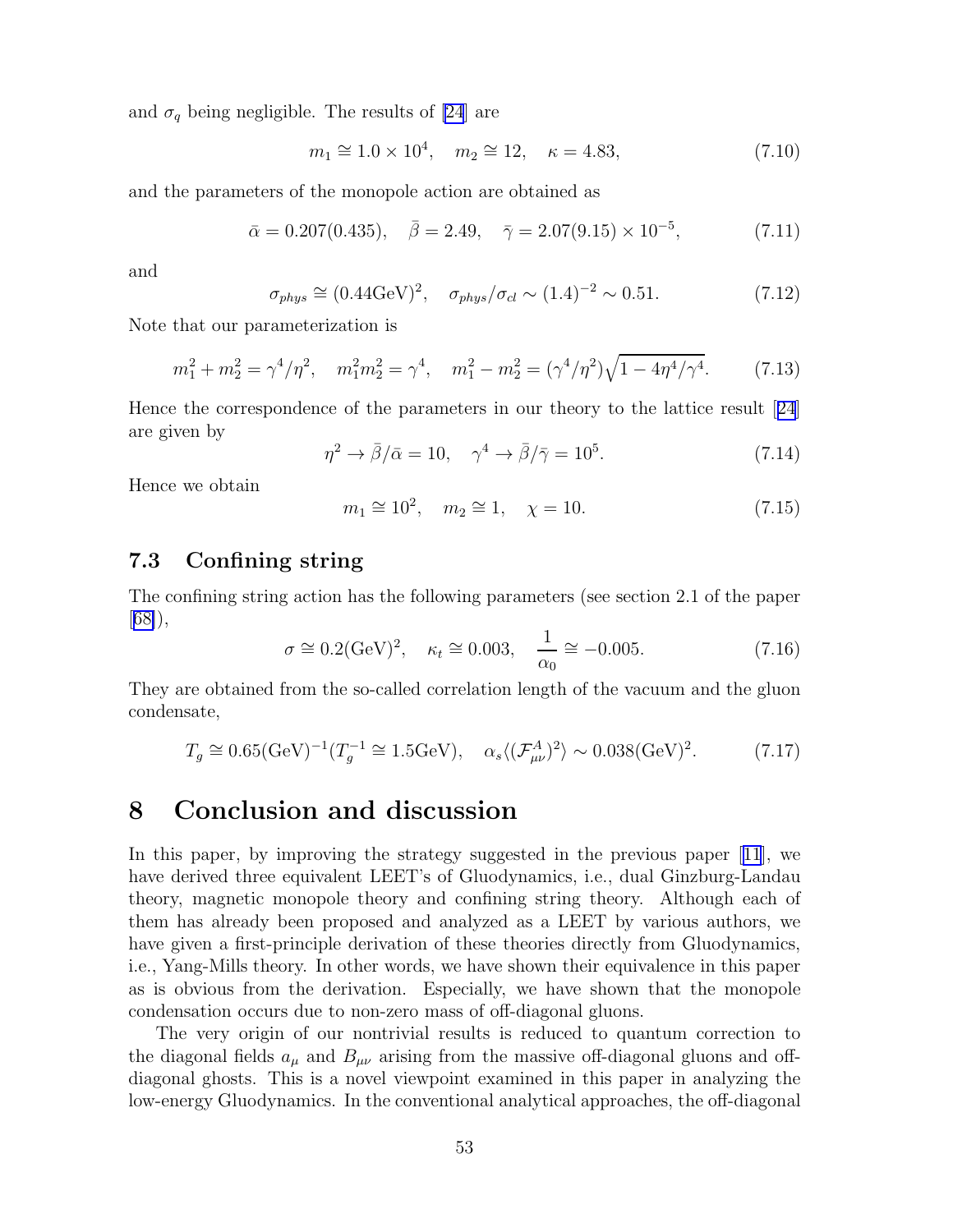and  $\sigma_q$  being negligible. The results of [\[24](#page-78-0)] are

 $m_1 \cong 1.0 \times 10^4$ ,  $m_2 \cong 12$ ,  $\kappa = 4.83$ , (7.10)

and the parameters of the monopole action are obtained as

$$
\bar{\alpha} = 0.207(0.435), \quad \bar{\beta} = 2.49, \quad \bar{\gamma} = 2.07(9.15) \times 10^{-5},
$$
\n(7.11)

and

$$
\sigma_{phys} \cong (0.44 \text{GeV})^2, \quad \sigma_{phys} / \sigma_{cl} \sim (1.4)^{-2} \sim 0.51. \tag{7.12}
$$

Note that our parameterization is

$$
m_1^2 + m_2^2 = \gamma^4 / \eta^2, \quad m_1^2 m_2^2 = \gamma^4, \quad m_1^2 - m_2^2 = (\gamma^4 / \eta^2) \sqrt{1 - 4\eta^4 / \gamma^4}.
$$
 (7.13)

Hence the correspondence of the parameters in our theory to the lattice result[[24](#page-78-0)] are given by

$$
\eta^2 \to \bar{\beta}/\bar{\alpha} = 10, \quad \gamma^4 \to \bar{\beta}/\bar{\gamma} = 10^5. \tag{7.14}
$$

Hence we obtain

$$
m_1 \approx 10^2
$$
,  $m_2 \approx 1$ ,  $\chi = 10$ . (7.15)

### 7.3 Confining string

The confining string action has the following parameters (see section 2.1 of the paper [[68\]](#page-80-0)),

$$
\sigma \cong 0.2(\text{GeV})^2, \quad \kappa_t \cong 0.003, \quad \frac{1}{\alpha_0} \cong -0.005.
$$
 (7.16)

They are obtained from the so-called correlation length of the vacuum and the gluon condensate,

$$
T_g \cong 0.65(\text{GeV})^{-1} (T_g^{-1} \cong 1.5\text{GeV}), \quad \alpha_s \langle (\mathcal{F}_{\mu\nu}^A)^2 \rangle \sim 0.038(\text{GeV})^2. \tag{7.17}
$$

### 8 Conclusion and discussion

In this paper, by improving the strategy suggested in the previous paper[[11](#page-77-0)], we have derived three equivalent LEET's of Gluodynamics, i.e., dual Ginzburg-Landau theory, magnetic monopole theory and confining string theory. Although each of them has already been proposed and analyzed as a LEET by various authors, we have given a first-principle derivation of these theories directly from Gluodynamics, i.e., Yang-Mills theory. In other words, we have shown their equivalence in this paper as is obvious from the derivation. Especially, we have shown that the monopole condensation occurs due to non-zero mass of off-diagonal gluons.

The very origin of our nontrivial results is reduced to quantum correction to the diagonal fields  $a_{\mu}$  and  $B_{\mu\nu}$  arising from the massive off-diagonal gluons and offdiagonal ghosts. This is a novel viewpoint examined in this paper in analyzing the low-energy Gluodynamics. In the conventional analytical approaches, the off-diagonal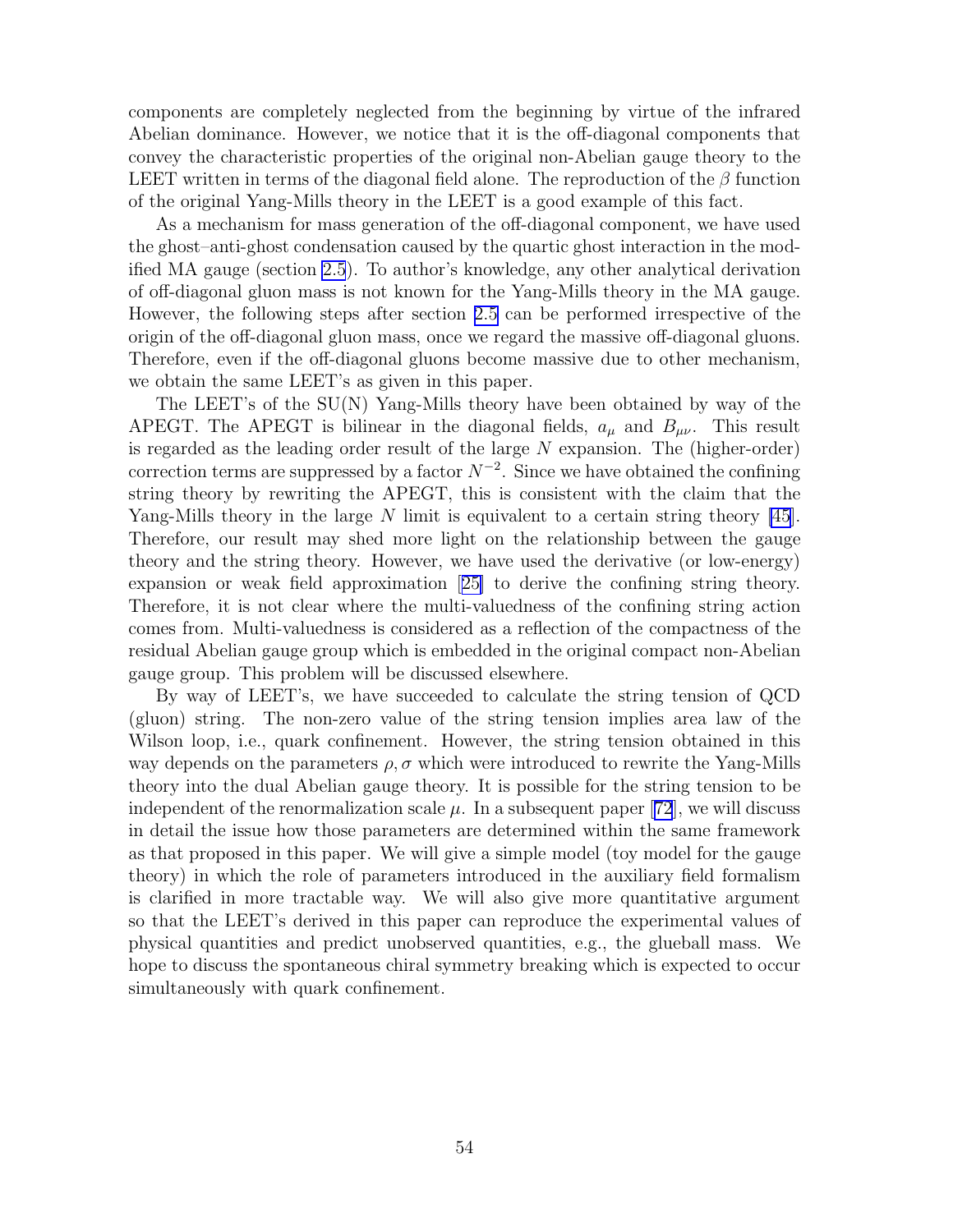components are completely neglected from the beginning by virtue of the infrared Abelian dominance. However, we notice that it is the off-diagonal components that convey the characteristic properties of the original non-Abelian gauge theory to the LEET written in terms of the diagonal field alone. The reproduction of the  $\beta$  function of the original Yang-Mills theory in the LEET is a good example of this fact.

As a mechanism for mass generation of the off-diagonal component, we have used the ghost–anti-ghost condensation caused by the quartic ghost interaction in the modified MA gauge (section [2.5](#page-13-0)). To author's knowledge, any other analytical derivation of off-diagonal gluon mass is not known for the Yang-Mills theory in the MA gauge. However, the following steps after section [2.5](#page-13-0) can be performed irrespective of the origin of the off-diagonal gluon mass, once we regard the massive off-diagonal gluons. Therefore, even if the off-diagonal gluons become massive due to other mechanism, we obtain the same LEET's as given in this paper.

The LEET's of the SU(N) Yang-Mills theory have been obtained by way of the APEGT. The APEGT is bilinear in the diagonal fields,  $a_{\mu}$  and  $B_{\mu\nu}$ . This result is regarded as the leading order result of the large N expansion. The (higher-order) correction terms are suppressed by a factor  $N^{-2}$ . Since we have obtained the confining string theory by rewriting the APEGT, this is consistent with the claim that the Yang-Mills theory in the large N limit is equivalent to a certain string theory [\[45](#page-79-0)]. Therefore, our result may shed more light on the relationship between the gauge theory and the string theory. However, we have used the derivative (or low-energy) expansion or weak field approximation[[25\]](#page-78-0) to derive the confining string theory. Therefore, it is not clear where the multi-valuedness of the confining string action comes from. Multi-valuedness is considered as a reflection of the compactness of the residual Abelian gauge group which is embedded in the original compact non-Abelian gauge group. This problem will be discussed elsewhere.

By way of LEET's, we have succeeded to calculate the string tension of QCD (gluon) string. The non-zero value of the string tension implies area law of the Wilson loop, i.e., quark confinement. However, the string tension obtained in this way depends on the parameters  $\rho$ ,  $\sigma$  which were introduced to rewrite the Yang-Mills theory into the dual Abelian gauge theory. It is possible for the string tension to be independentof the renormalization scale  $\mu$ . In a subsequent paper [[72](#page-80-0)], we will discuss in detail the issue how those parameters are determined within the same framework as that proposed in this paper. We will give a simple model (toy model for the gauge theory) in which the role of parameters introduced in the auxiliary field formalism is clarified in more tractable way. We will also give more quantitative argument so that the LEET's derived in this paper can reproduce the experimental values of physical quantities and predict unobserved quantities, e.g., the glueball mass. We hope to discuss the spontaneous chiral symmetry breaking which is expected to occur simultaneously with quark confinement.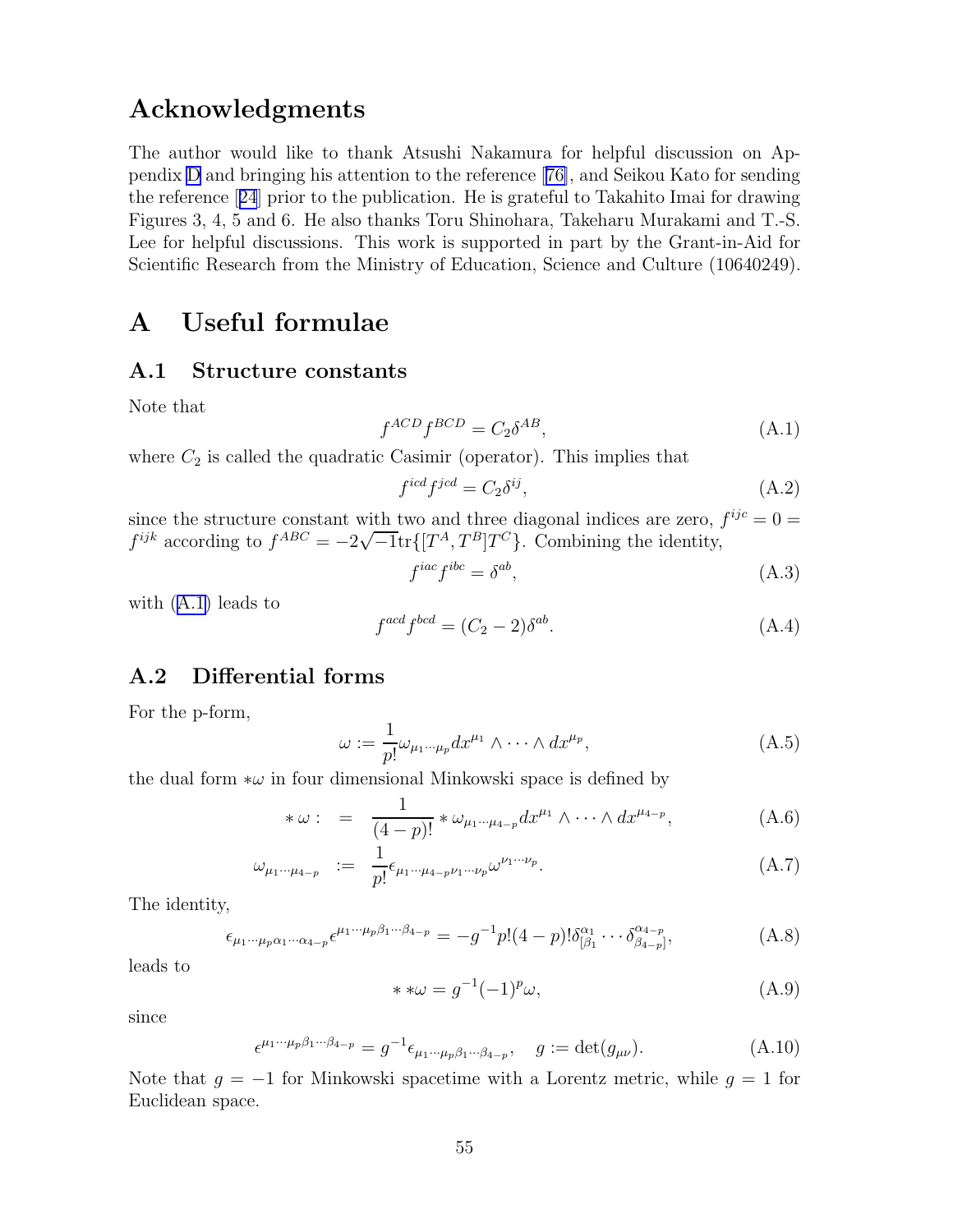### <span id="page-56-0"></span>Acknowledgments

The author would like to thank Atsushi Nakamura for helpful discussion on Appendix [D](#page-62-0) and bringing his attention to the reference[[76\]](#page-80-0), and Seikou Kato for sending the reference[[24](#page-78-0)] prior to the publication. He is grateful to Takahito Imai for drawing Figures 3, 4, 5 and 6. He also thanks Toru Shinohara, Takeharu Murakami and T.-S. Lee for helpful discussions. This work is supported in part by the Grant-in-Aid for Scientific Research from the Ministry of Education, Science and Culture (10640249).

# A Useful formulae

#### A.1 Structure constants

Note that

$$
f^{ACD}f^{BCD} = C_2 \delta^{AB},\tag{A.1}
$$

where  $C_2$  is called the quadratic Casimir (operator). This implies that

$$
f^{icd}f^{jcd} = C_2 \delta^{ij},\tag{A.2}
$$

since the structure constant with two and three diagonal indices are zero,  $f^{ijc} = 0$  = f<sup>ijk</sup> according to  $f^{ABC} = -2\sqrt{-1}\text{tr}\{[T^A, T^B]T^C\}$ . Combining the identity,

$$
f^{iac}f^{ibc} = \delta^{ab},\tag{A.3}
$$

with (A.1) leads to

$$
f^{acd}f^{bcd} = (C_2 - 2)\delta^{ab}.
$$
\n(A.4)

### A.2 Differential forms

For the p-form,

$$
\omega := \frac{1}{p!} \omega_{\mu_1 \cdots \mu_p} dx^{\mu_1} \wedge \cdots \wedge dx^{\mu_p}, \tag{A.5}
$$

the dual form  $*\omega$  in four dimensional Minkowski space is defined by

$$
*\omega: = \frac{1}{(4-p)!} * \omega_{\mu_1 \cdots \mu_{4-p}} dx^{\mu_1} \wedge \cdots \wedge dx^{\mu_{4-p}}, \qquad (A.6)
$$

$$
\omega_{\mu_1 \cdots \mu_{4-p}} \; := \; \frac{1}{p!} \epsilon_{\mu_1 \cdots \mu_{4-p} \nu_1 \cdots \nu_p} \omega^{\nu_1 \cdots \nu_p}.
$$
\n(A.7)

The identity,

$$
\epsilon_{\mu_1 \cdots \mu_p \alpha_1 \cdots \alpha_{4-p}} \epsilon^{\mu_1 \cdots \mu_p \beta_1 \cdots \beta_{4-p}} = -g^{-1} p! (4-p)! \delta^{\alpha_1}_{[\beta_1} \cdots \delta^{\alpha_{4-p}}_{\beta_{4-p}]}, \tag{A.8}
$$

leads to

$$
**\omega = g^{-1}(-1)^p \omega,
$$
\n(A.9)

since

$$
\epsilon^{\mu_1\cdots\mu_p\beta_1\cdots\beta_{4-p}} = g^{-1}\epsilon_{\mu_1\cdots\mu_p\beta_1\cdots\beta_{4-p}}, \quad g := \det(g_{\mu\nu}).\tag{A.10}
$$

Note that  $g = -1$  for Minkowski spacetime with a Lorentz metric, while  $g = 1$  for Euclidean space.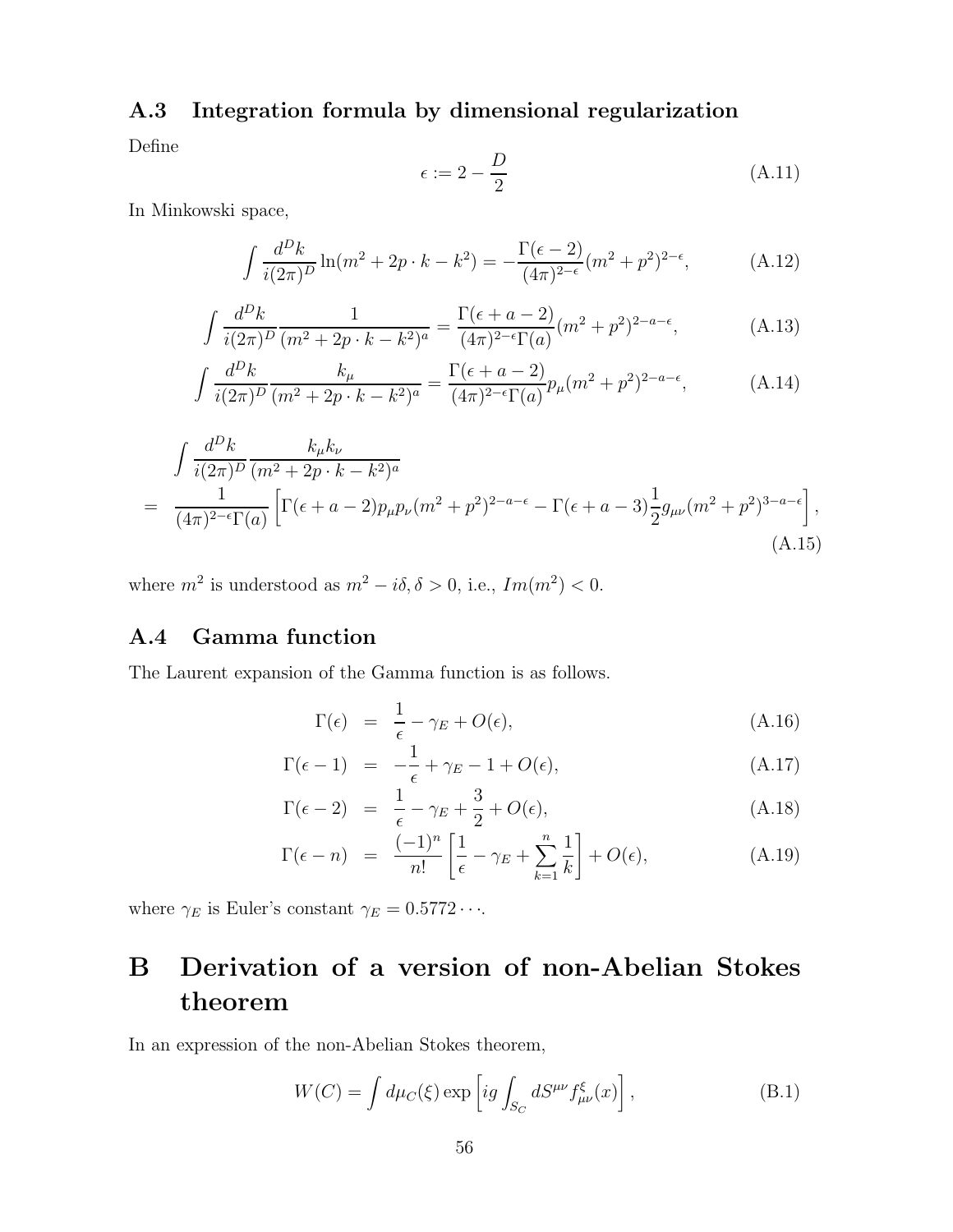### A.3 Integration formula by dimensional regularization

Define

$$
\epsilon := 2 - \frac{D}{2} \tag{A.11}
$$

In Minkowski space,

$$
\int \frac{d^D k}{i(2\pi)^D} \ln(m^2 + 2p \cdot k - k^2) = -\frac{\Gamma(\epsilon - 2)}{(4\pi)^{2-\epsilon}} (m^2 + p^2)^{2-\epsilon}, \tag{A.12}
$$

$$
\int \frac{d^D k}{i(2\pi)^D} \frac{1}{(m^2 + 2p \cdot k - k^2)^a} = \frac{\Gamma(\epsilon + a - 2)}{(4\pi)^{2-\epsilon}\Gamma(a)} (m^2 + p^2)^{2-a-\epsilon},
$$
\n(A.13)

$$
\int \frac{d^D k}{i(2\pi)^D} \frac{k_\mu}{(m^2 + 2p \cdot k - k^2)^a} = \frac{\Gamma(\epsilon + a - 2)}{(4\pi)^{2-\epsilon}\Gamma(a)} p_\mu(m^2 + p^2)^{2-a-\epsilon},\tag{A.14}
$$

$$
\int \frac{d^D k}{i(2\pi)^D} \frac{k_{\mu}k_{\nu}}{(m^2 + 2p \cdot k - k^2)^a}
$$
\n
$$
= \frac{1}{(4\pi)^{2-\epsilon}\Gamma(a)} \left[ \Gamma(\epsilon + a - 2)p_{\mu}p_{\nu}(m^2 + p^2)^{2-a-\epsilon} - \Gamma(\epsilon + a - 3)\frac{1}{2}g_{\mu\nu}(m^2 + p^2)^{3-a-\epsilon} \right],
$$
\n(A.15)

where  $m^2$  is understood as  $m^2 - i\delta$ ,  $\delta > 0$ , i.e.,  $Im(m^2) < 0$ .

### A.4 Gamma function

The Laurent expansion of the Gamma function is as follows.

$$
\Gamma(\epsilon) = \frac{1}{\epsilon} - \gamma_E + O(\epsilon), \tag{A.16}
$$

$$
\Gamma(\epsilon - 1) = -\frac{1}{\epsilon} + \gamma_E - 1 + O(\epsilon), \tag{A.17}
$$

$$
\Gamma(\epsilon - 2) = \frac{1}{\epsilon} - \gamma_E + \frac{3}{2} + O(\epsilon), \tag{A.18}
$$

$$
\Gamma(\epsilon - n) = \frac{(-1)^n}{n!} \left[ \frac{1}{\epsilon} - \gamma_E + \sum_{k=1}^n \frac{1}{k} \right] + O(\epsilon), \tag{A.19}
$$

where  $\gamma_E$  is Euler's constant  $\gamma_E = 0.5772 \cdots$ .

# B Derivation of a version of non-Abelian Stokes theorem

In an expression of the non-Abelian Stokes theorem,

$$
W(C) = \int d\mu_C(\xi) \exp\left[ig \int_{S_C} dS^{\mu\nu} f_{\mu\nu}^{\xi}(x)\right],
$$
 (B.1)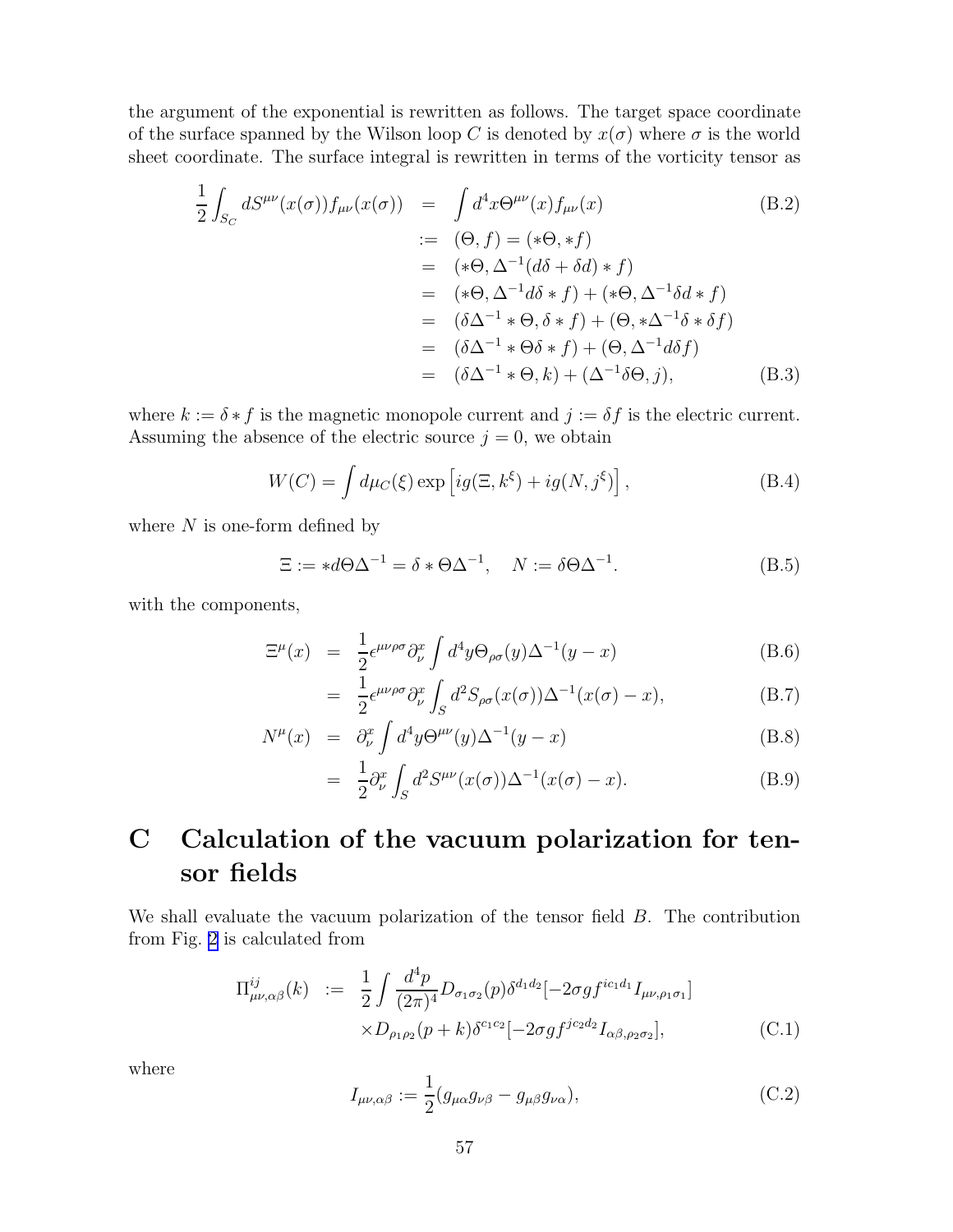the argument of the exponential is rewritten as follows. The target space coordinate of the surface spanned by the Wilson loop C is denoted by  $x(\sigma)$  where  $\sigma$  is the world sheet coordinate. The surface integral is rewritten in terms of the vorticity tensor as

$$
\frac{1}{2} \int_{S_C} dS^{\mu\nu}(x(\sigma)) f_{\mu\nu}(x(\sigma)) = \int d^4x \Theta^{\mu\nu}(x) f_{\mu\nu}(x)
$$
\n
$$
:= (\Theta, f) = (*\Theta, *f)
$$
\n
$$
= (*\Theta, \Delta^{-1}(d\delta + \delta d) * f)
$$
\n
$$
= (*\Theta, \Delta^{-1}d\delta * f) + (*\Theta, \Delta^{-1}\delta d * f)
$$
\n
$$
= (\delta\Delta^{-1} * \Theta, \delta * f) + (\Theta, * \Delta^{-1}\delta * \delta f)
$$
\n
$$
= (\delta\Delta^{-1} * \Theta \delta * f) + (\Theta, \Delta^{-1}d\delta f)
$$
\n
$$
= (\delta\Delta^{-1} * \Theta, k) + (\Delta^{-1}\delta\Theta, j),
$$
\n(B.3)

where  $k := \delta * f$  is the magnetic monopole current and  $j := \delta f$  is the electric current. Assuming the absence of the electric source  $j = 0$ , we obtain

$$
W(C) = \int d\mu_C(\xi) \exp \left[ ig(\Xi, k^{\xi}) + ig(N, j^{\xi}) \right], \tag{B.4}
$$

where  $N$  is one-form defined by

$$
\Xi := *d\Theta \Delta^{-1} = \delta * \Theta \Delta^{-1}, \quad N := \delta \Theta \Delta^{-1}.
$$
 (B.5)

with the components,

$$
\Xi^{\mu}(x) = \frac{1}{2} \epsilon^{\mu\nu\rho\sigma} \partial_{\nu}^{x} \int d^{4}y \Theta_{\rho\sigma}(y) \Delta^{-1}(y-x)
$$
 (B.6)

$$
= \frac{1}{2} \epsilon^{\mu\nu\rho\sigma} \partial_{\nu}^{x} \int_{S} d^{2} S_{\rho\sigma}(x(\sigma)) \Delta^{-1}(x(\sigma) - x), \tag{B.7}
$$

$$
N^{\mu}(x) = \partial_{\nu}^{x} \int d^{4}y \Theta^{\mu\nu}(y) \Delta^{-1}(y - x)
$$
 (B.8)

$$
= \frac{1}{2} \partial_{\nu}^{x} \int_{S} d^{2} S^{\mu \nu}(x(\sigma)) \Delta^{-1}(x(\sigma) - x). \tag{B.9}
$$

# C Calculation of the vacuum polarization for tensor fields

We shall evaluate the vacuum polarization of the tensor field B. The contribution from Fig. [2](#page-18-0) is calculated from

$$
\Pi^{ij}_{\mu\nu,\alpha\beta}(k) := \frac{1}{2} \int \frac{d^4p}{(2\pi)^4} D_{\sigma_1\sigma_2}(p) \delta^{d_1d_2} [-2\sigma g f^{ic_1d_1} I_{\mu\nu,\rho_1\sigma_1}]
$$
  
 
$$
\times D_{\rho_1\rho_2}(p+k) \delta^{c_1c_2} [-2\sigma g f^{jc_2d_2} I_{\alpha\beta,\rho_2\sigma_2}], \qquad (C.1)
$$

where

$$
I_{\mu\nu,\alpha\beta} := \frac{1}{2} (g_{\mu\alpha} g_{\nu\beta} - g_{\mu\beta} g_{\nu\alpha}),
$$
\n(C.2)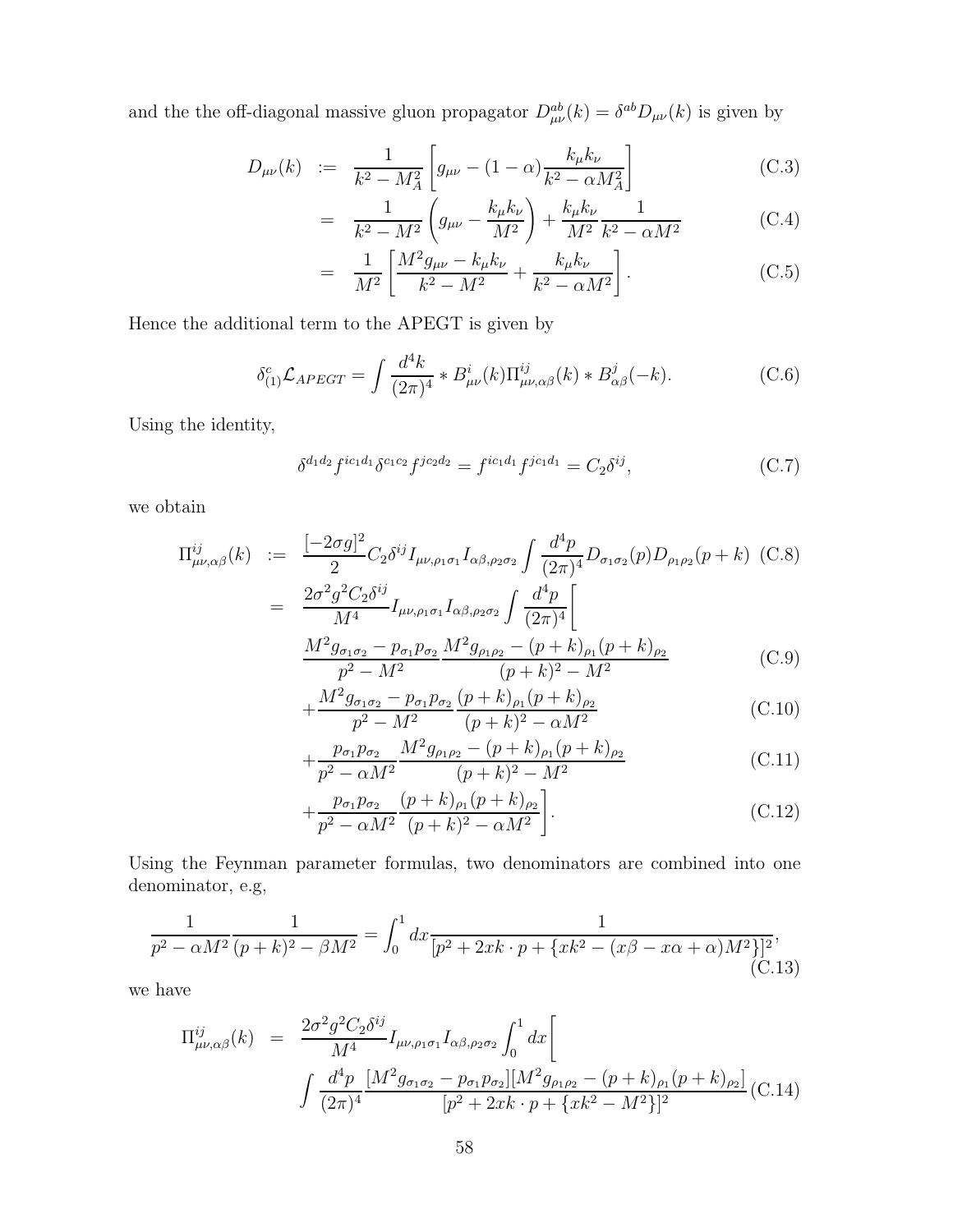and the the off-diagonal massive gluon propagator  $D_{\mu\nu}^{ab}(k) = \delta^{ab}D_{\mu\nu}(k)$  is given by

$$
D_{\mu\nu}(k) := \frac{1}{k^2 - M_A^2} \left[ g_{\mu\nu} - (1 - \alpha) \frac{k_{\mu} k_{\nu}}{k^2 - \alpha M_A^2} \right]
$$
(C.3)

$$
= \frac{1}{k^2 - M^2} \left( g_{\mu\nu} - \frac{k_{\mu} k_{\nu}}{M^2} \right) + \frac{k_{\mu} k_{\nu}}{M^2} \frac{1}{k^2 - \alpha M^2}
$$
(C.4)

$$
= \frac{1}{M^2} \left[ \frac{M^2 g_{\mu\nu} - k_{\mu} k_{\nu}}{k^2 - M^2} + \frac{k_{\mu} k_{\nu}}{k^2 - \alpha M^2} \right]. \tag{C.5}
$$

Hence the additional term to the APEGT is given by

$$
\delta_{(1)}^c \mathcal{L}_{APEGT} = \int \frac{d^4k}{(2\pi)^4} * B^i_{\mu\nu}(k) \Pi^{ij}_{\mu\nu,\alpha\beta}(k) * B^j_{\alpha\beta}(-k). \tag{C.6}
$$

Using the identity,

$$
\delta^{d_1 d_2} f^{ic_1 d_1} \delta^{c_1 c_2} f^{jc_2 d_2} = f^{ic_1 d_1} f^{jc_1 d_1} = C_2 \delta^{ij}, \tag{C.7}
$$

we obtain

$$
\Pi_{\mu\nu,\alpha\beta}^{ij}(k) := \frac{[-2\sigma g]^2}{2} C_2 \delta^{ij} I_{\mu\nu,\rho_1\sigma_1} I_{\alpha\beta,\rho_2\sigma_2} \int \frac{d^4 p}{(2\pi)^4} D_{\sigma_1\sigma_2}(p) D_{\rho_1\rho_2}(p+k) \quad \text{(C.8)}
$$
\n
$$
= \frac{2\sigma^2 g^2 C_2 \delta^{ij}}{M^4} I_{\mu\nu,\rho_1\sigma_1} I_{\alpha\beta,\rho_2\sigma_2} \int \frac{d^4 p}{(2\pi)^4} \Bigg[
$$
\n
$$
\frac{M^2 g_{\sigma_1\sigma_2} - p_{\sigma_1} p_{\sigma_2}}{p^2 - M^2} \frac{M^2 g_{\rho_1\rho_2} - (p+k)_{\rho_1}(p+k)_{\rho_2}}{(p+k)^2 - M^2} \quad \text{(C.9)}
$$

$$
+\frac{M^2 g_{\sigma_1 \sigma_2} - p_{\sigma_1} p_{\sigma_2} (p+k)_{\rho_1} (p+k)_{\rho_2}}{p^2 - M^2} \tag{C.10}
$$

$$
+\frac{p_{\sigma_1}p_{\sigma_2}}{p^2-\alpha M^2}\frac{M^2g_{\rho_1\rho_2}-(p+k)_{\rho_1}(p+k)_{\rho_2}}{(p+k)^2-M^2}
$$
(C.11)

$$
+\frac{p_{\sigma_1}p_{\sigma_2}}{p^2 - \alpha M^2} \frac{(p+k)_{\rho_1}(p+k)_{\rho_2}}{(p+k)^2 - \alpha M^2} \bigg].
$$
 (C.12)

Using the Feynman parameter formulas, two denominators are combined into one denominator, e.g,

$$
\frac{1}{p^2 - \alpha M^2} \frac{1}{(p+k)^2 - \beta M^2} = \int_0^1 dx \frac{1}{[p^2 + 2xk \cdot p + \{xk^2 - (x\beta - x\alpha + \alpha)M^2\}]^2},
$$
\n(C.13)

we have

$$
\Pi_{\mu\nu,\alpha\beta}^{ij}(k) = \frac{2\sigma^2 g^2 C_2 \delta^{ij}}{M^4} I_{\mu\nu,\rho_1\sigma_1} I_{\alpha\beta,\rho_2\sigma_2} \int_0^1 dx \Bigg[
$$
  

$$
\int \frac{d^4 p}{(2\pi)^4} \frac{[M^2 g_{\sigma_1\sigma_2} - p_{\sigma_1} p_{\sigma_2}][M^2 g_{\rho_1\rho_2} - (p+k)_{\rho_1} (p+k)_{\rho_2}]}{[p^2 + 2xk \cdot p + \{xk^2 - M^2\}]^2} (C.14)
$$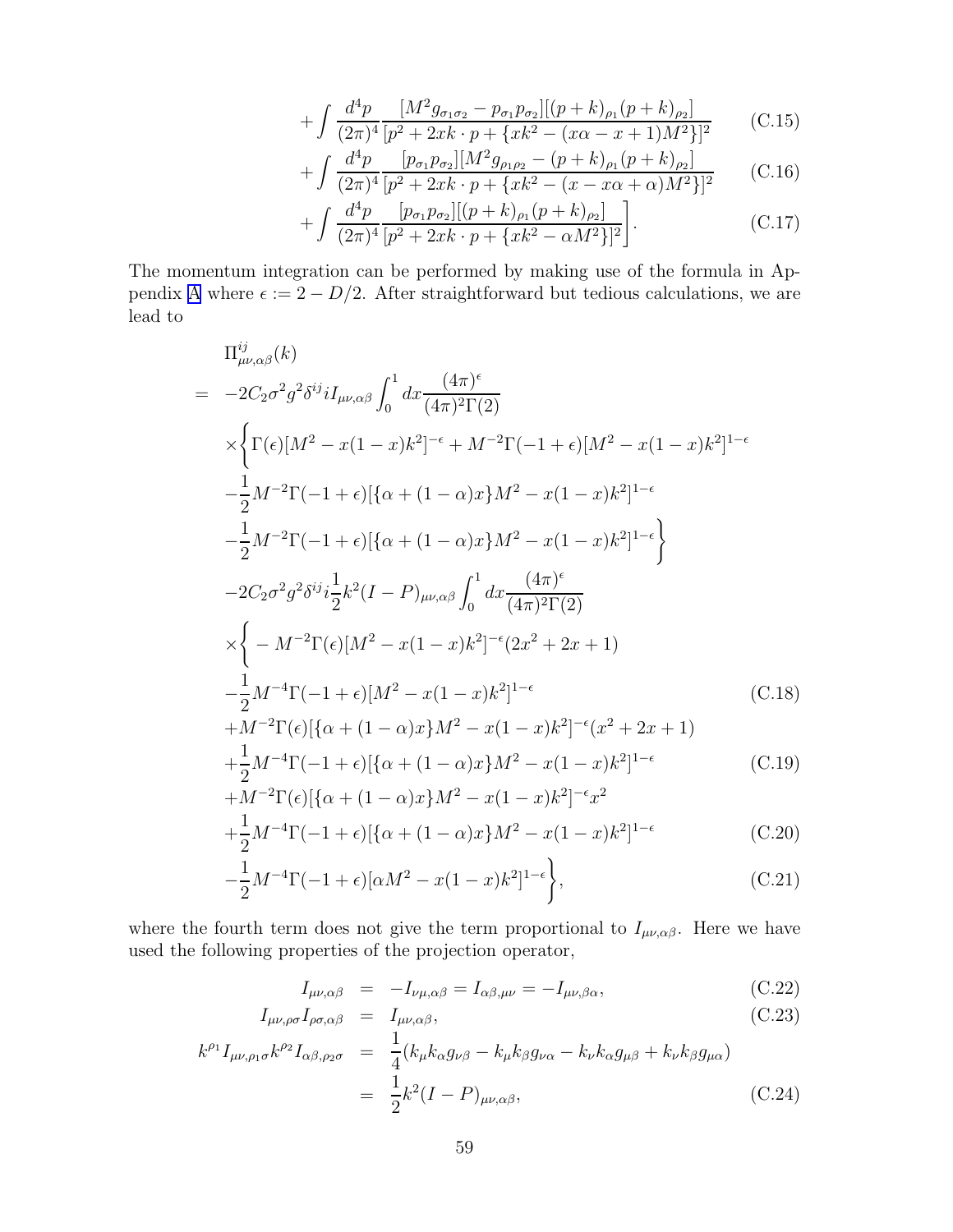$$
+\int \frac{d^4p}{(2\pi)^4} \frac{[M^2g_{\sigma_1\sigma_2} - p_{\sigma_1}p_{\sigma_2}][(p+k)_{\rho_1}(p+k)_{\rho_2}]}{[p^2 + 2xk \cdot p + \{xk^2 - (x\alpha - x + 1)M^2\}]^2}
$$
(C.15)

$$
+ \int \frac{d^4 p}{(2\pi)^4} \frac{[p_{\sigma_1} p_{\sigma_2}][M^2 g_{\rho_1 \rho_2} - (p+k)_{\rho_1} (p+k)_{\rho_2}]}{[p^2 + 2xk \cdot p + \{xk^2 - (x - x\alpha + \alpha)M^2\}]^2}
$$
(C.16)

$$
+\int \frac{d^4p}{(2\pi)^4} \frac{[p_{\sigma_1}p_{\sigma_2}][(p+k)_{\rho_1}(p+k)_{\rho_2}]}{[p^2+2xk\cdot p+\{xk^2-\alpha M^2\}]^2} \Bigg].
$$
 (C.17)

The momentum integration can be performed by making use of the formula in Ap-pendix [A](#page-56-0) where  $\epsilon := 2 - D/2$ . After straightforward but tedious calculations, we are lead to

$$
\Pi_{\mu\nu,\alpha\beta}^{ij}(k)
$$
\n
$$
= -2C_{2}\sigma^{2}g^{2}\delta^{ij}iI_{\mu\nu,\alpha\beta}\int_{0}^{1} dx \frac{(4\pi)^{\epsilon}}{(4\pi)^{2}\Gamma(2)}
$$
\n
$$
\times \left\{\Gamma(\epsilon)[M^{2} - x(1-x)k^{2}]^{-\epsilon} + M^{-2}\Gamma(-1+\epsilon)[M^{2} - x(1-x)k^{2}]^{1-\epsilon} - \frac{1}{2}M^{-2}\Gamma(-1+\epsilon)[\{\alpha + (1-\alpha)x\}M^{2} - x(1-x)k^{2}]^{1-\epsilon} - \frac{1}{2}M^{-2}\Gamma(-1+\epsilon)[\{\alpha + (1-\alpha)x\}M^{2} - x(1-x)k^{2}]^{1-\epsilon} \right\}
$$
\n
$$
-2C_{2}\sigma^{2}g^{2}\delta^{ij}i\frac{1}{2}k^{2}(I-P)_{\mu\nu,\alpha\beta}\int_{0}^{1} dx \frac{(4\pi)^{\epsilon}}{(4\pi)^{2}\Gamma(2)}
$$
\n
$$
\times \left\{-M^{-2}\Gamma(\epsilon)[M^{2} - x(1-x)k^{2}]^{-\epsilon}(2x^{2} + 2x + 1) - \frac{1}{2}M^{-4}\Gamma(-1+\epsilon)[M^{2} - x(1-x)k^{2}]^{1-\epsilon} \qquad (C.18)
$$
\n
$$
+M^{-2}\Gamma(\epsilon)[\{\alpha + (1-\alpha)x\}M^{2} - x(1-x)k^{2}]^{-\epsilon}(x^{2} + 2x + 1)
$$

$$
+\frac{1}{2}M^{-4}\Gamma(-1+\epsilon)[\{\alpha+(1-\alpha)x\}M^{2}-x(1-x)k^{2}]^{1-\epsilon}
$$
(C.19)

$$
+M^{-2}\Gamma(\epsilon)[\{\alpha+(1-\alpha)x\}M^{2}-x(1-x)k^{2}]^{-\epsilon}x^{2}+\frac{1}{2}M^{-4}\Gamma(-1+\epsilon)[\{\alpha+(1-\alpha)x\}M^{2}-x(1-x)k^{2}]^{1-\epsilon}
$$
(C.20)

$$
-\frac{1}{2}M^{-4}\Gamma(-1+\epsilon)[\alpha M^2 - x(1-x)k^2]^{1-\epsilon}\bigg\},\tag{C.21}
$$

where the fourth term does not give the term proportional to  $I_{\mu\nu,\alpha\beta}$ . Here we have used the following properties of the projection operator,

$$
I_{\mu\nu,\alpha\beta} = -I_{\nu\mu,\alpha\beta} = I_{\alpha\beta,\mu\nu} = -I_{\mu\nu,\beta\alpha},\tag{C.22}
$$

$$
I_{\mu\nu,\rho\sigma}I_{\rho\sigma,\alpha\beta} = I_{\mu\nu,\alpha\beta},\tag{C.23}
$$

$$
k^{\rho_1} I_{\mu\nu,\rho_1\sigma} k^{\rho_2} I_{\alpha\beta,\rho_2\sigma} = \frac{1}{4} (k_{\mu} k_{\alpha} g_{\nu\beta} - k_{\mu} k_{\beta} g_{\nu\alpha} - k_{\nu} k_{\alpha} g_{\mu\beta} + k_{\nu} k_{\beta} g_{\mu\alpha})
$$
  

$$
= \frac{1}{2} k^2 (I - P)_{\mu\nu,\alpha\beta},
$$
 (C.24)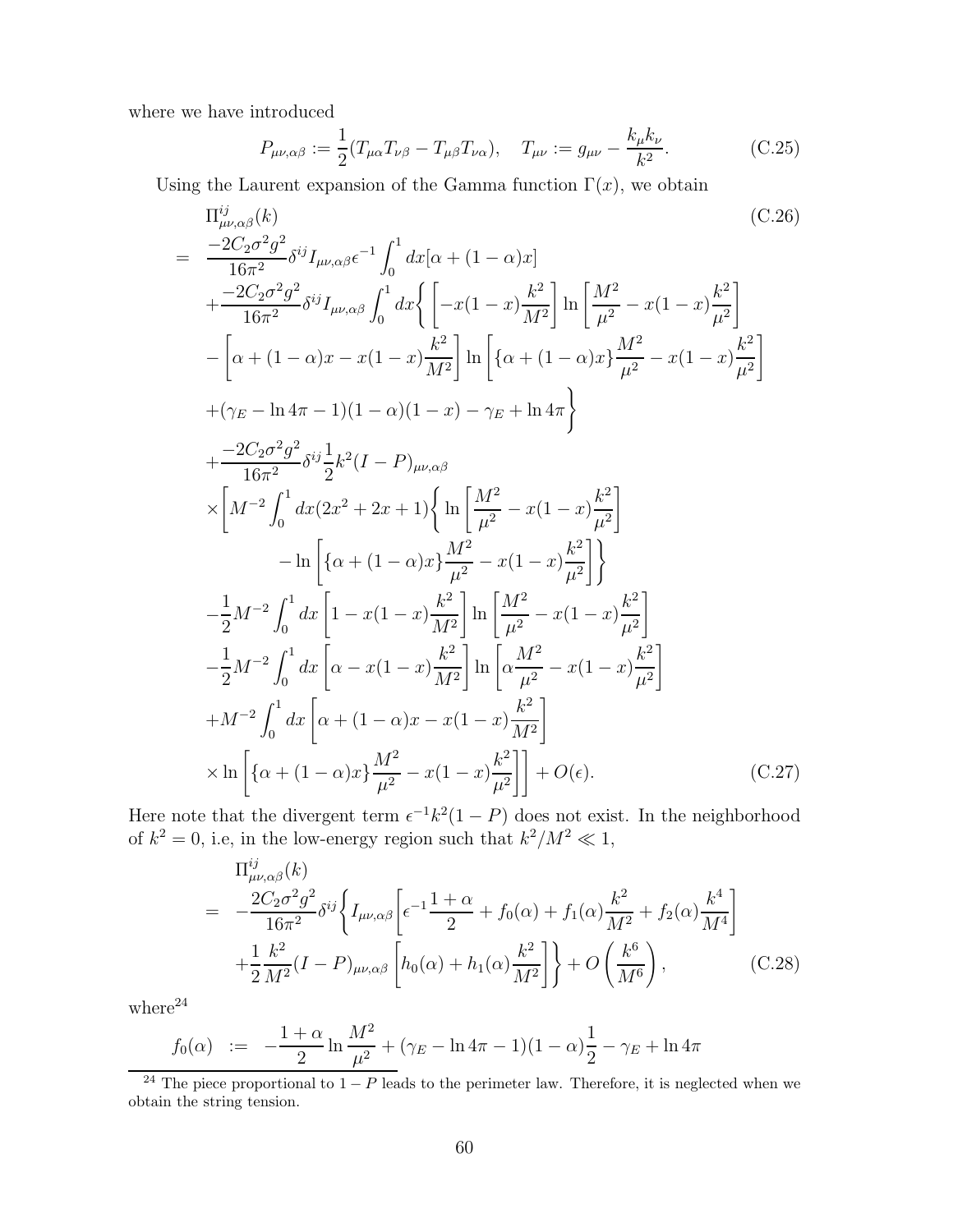where we have introduced

$$
P_{\mu\nu,\alpha\beta} := \frac{1}{2} (T_{\mu\alpha} T_{\nu\beta} - T_{\mu\beta} T_{\nu\alpha}), \quad T_{\mu\nu} := g_{\mu\nu} - \frac{k_{\mu} k_{\nu}}{k^2}.
$$
 (C.25)

Using the Laurent expansion of the Gamma function  $\Gamma(x)$ , we obtain

$$
\Pi_{\mu\nu,\alpha\beta}^{ij}(k) \qquad (C.26)
$$
\n
$$
= \frac{-2C_{2}\sigma^{2}g^{2}}{16\pi^{2}}\delta^{ij}I_{\mu\nu,\alpha\beta}\epsilon^{-1}\int_{0}^{1}dx[\alpha+(1-\alpha)x]
$$
\n
$$
+ \frac{-2C_{2}\sigma^{2}g^{2}}{16\pi^{2}}\delta^{ij}I_{\mu\nu,\alpha\beta}\int_{0}^{1}dx\left\{ \left[ -x(1-x)\frac{k^{2}}{M^{2}} \right] \ln\left[ \frac{M^{2}}{\mu^{2}} - x(1-x)\frac{k^{2}}{\mu^{2}} \right] - \left[ \alpha+(1-\alpha)x-x(1-x)\frac{k^{2}}{M^{2}} \right] \ln\left[ \left\{ \alpha+(1-\alpha)x\frac{M^{2}}{\mu^{2}} - x(1-x)\frac{k^{2}}{\mu^{2}} \right\} \right] + (\gamma_{E}-\ln 4\pi-1)(1-\alpha)(1-x) - \gamma_{E} + \ln 4\pi \right\}
$$
\n
$$
+ \frac{-2C_{2}\sigma^{2}g^{2}}{16\pi^{2}}\delta^{ij}\frac{1}{2}k^{2}(I-P)_{\mu\nu,\alpha\beta}
$$
\n
$$
\times \left[ M^{-2}\int_{0}^{1}dx(2x^{2}+2x+1)\left\{ \ln\left[ \frac{M^{2}}{\mu^{2}} - x(1-x)\frac{k^{2}}{\mu^{2}} \right] - \ln\left[ \left\{ \alpha+(1-\alpha)x\frac{M^{2}}{\mu^{2}} - x(1-x)\frac{k^{2}}{\mu^{2}} \right\} \right\} - \frac{1}{2}M^{-2}\int_{0}^{1}dx\left[ 1-x(1-x)\frac{k^{2}}{M^{2}} \right] \ln\left[ \frac{M^{2}}{\mu^{2}} - x(1-x)\frac{k^{2}}{\mu^{2}} \right] + M^{-2}\int_{0}^{1}dx\left[ \alpha-x(1-x)\frac{k^{2}}{M^{2}} \right] \ln\left[ \alpha\frac{M^{2}}{\mu^{2}} - x(1-x)\frac{k^{2}}{\mu^{2}} \right] + M^{-2}\int_{0}^{1}dx\left[ \alpha+(1-\alpha)x-x(1-x)\frac{k^{2}}{\mu^{2}} \right] + O(\epsilon). \qquad (C.27)
$$

Here note that the divergent term  $\epsilon^{-1}k^2(1-P)$  does not exist. In the neighborhood of  $k^2 = 0$ , i.e, in the low-energy region such that  $k^2/M^2 \ll 1$ ,

$$
\Pi_{\mu\nu,\alpha\beta}^{ij}(k) = -\frac{2C_2\sigma^2 g^2}{16\pi^2} \delta^{ij} \left\{ I_{\mu\nu,\alpha\beta} \left[ \epsilon^{-1} \frac{1+\alpha}{2} + f_0(\alpha) + f_1(\alpha) \frac{k^2}{M^2} + f_2(\alpha) \frac{k^4}{M^4} \right] + \frac{1}{2} \frac{k^2}{M^2} (I - P)_{\mu\nu,\alpha\beta} \left[ h_0(\alpha) + h_1(\alpha) \frac{k^2}{M^2} \right] \right\} + O\left(\frac{k^6}{M^6}\right),
$$
\n(C.28)

 ${\rm where}^{24}$ 

$$
f_0(\alpha) \quad := \quad -\frac{1+\alpha}{2} \ln \frac{M^2}{\mu^2} + (\gamma_E - \ln 4\pi - 1)(1-\alpha)\frac{1}{2} - \gamma_E + \ln 4\pi
$$

<sup>24</sup> The piece proportional to  $1 - P$  leads to the perimeter law. Therefore, it is neglected when we obtain the string tension.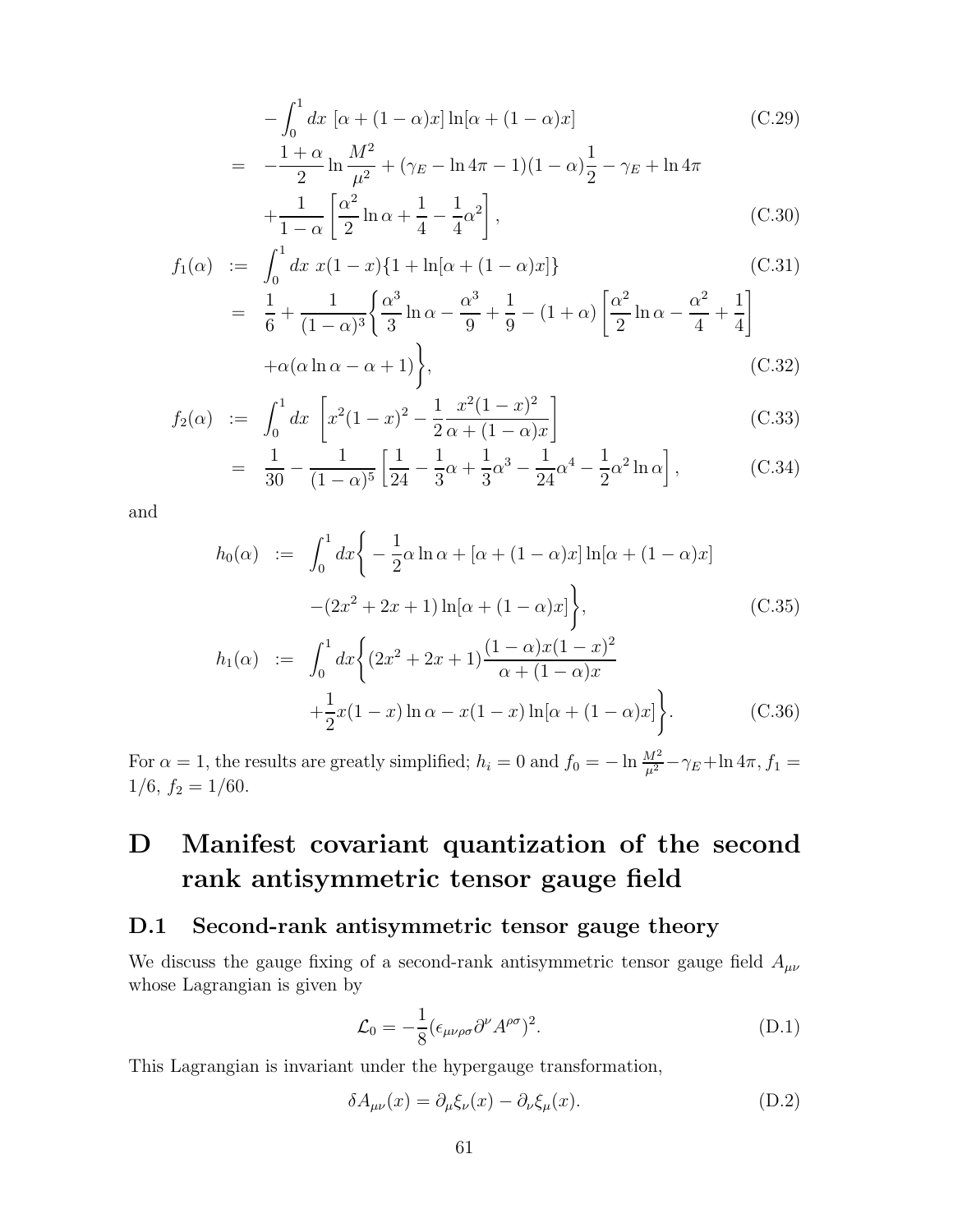<span id="page-62-0"></span>
$$
-\int_0^1 dx \left[ \alpha + (1 - \alpha)x \right] \ln[\alpha + (1 - \alpha)x]
$$
(C.29)  
= 
$$
-\frac{1 + \alpha}{2} \ln \frac{M^2}{\mu^2} + (\gamma_E - \ln 4\pi - 1)(1 - \alpha)\frac{1}{2} - \gamma_E + \ln 4\pi + \frac{1}{1 - \alpha} \left[ \frac{\alpha^2}{2} \ln \alpha + \frac{1}{4} - \frac{1}{4} \alpha^2 \right],
$$
(C.30)

$$
f_1(\alpha) := \int_0^1 dx \ x(1-x)\{1 + \ln[\alpha + (1-\alpha)x]\}
$$
(C.31)  
=  $\frac{1}{6} + \frac{1}{(1-\alpha)^3} \left\{ \frac{\alpha^3}{3} \ln \alpha - \frac{\alpha^3}{9} + \frac{1}{9} - (1+\alpha) \left[ \frac{\alpha^2}{2} \ln \alpha - \frac{\alpha^2}{4} + \frac{1}{4} \right] + \alpha(\alpha \ln \alpha - \alpha + 1) \right\},$ (C.32)

$$
f_2(\alpha) := \int_0^1 dx \left[ x^2 (1-x)^2 - \frac{1}{2} \frac{x^2 (1-x)^2}{\alpha + (1-\alpha)x} \right]
$$
 (C.33)

$$
= \frac{1}{30} - \frac{1}{(1-\alpha)^5} \left[ \frac{1}{24} - \frac{1}{3}\alpha + \frac{1}{3}\alpha^3 - \frac{1}{24}\alpha^4 - \frac{1}{2}\alpha^2 \ln \alpha \right],
$$
 (C.34)

and

$$
h_0(\alpha) := \int_0^1 dx \bigg\{ -\frac{1}{2}\alpha \ln \alpha + [\alpha + (1 - \alpha)x] \ln[\alpha + (1 - \alpha)x] - (2x^2 + 2x + 1) \ln[\alpha + (1 - \alpha)x] \bigg\},\tag{C.35}
$$

$$
h_1(\alpha) := \int_0^1 dx \bigg\{ (2x^2 + 2x + 1) \frac{(1 - \alpha)x(1 - x)^2}{\alpha + (1 - \alpha)x} + \frac{1}{2}x(1 - x)\ln \alpha - x(1 - x)\ln[\alpha + (1 - \alpha)x] \bigg\}.
$$
 (C.36)

For  $\alpha = 1$ , the results are greatly simplified;  $h_i = 0$  and  $f_0 = -\ln \frac{M^2}{\mu^2} - \gamma_E + \ln 4\pi$ ,  $f_1 =$  $1/6, f_2 = 1/60.$ 

# D Manifest covariant quantization of the second rank antisymmetric tensor gauge field

### D.1 Second-rank antisymmetric tensor gauge theory

We discuss the gauge fixing of a second-rank antisymmetric tensor gauge field  $A_{\mu\nu}$ whose Lagrangian is given by

$$
\mathcal{L}_0 = -\frac{1}{8} (\epsilon_{\mu\nu\rho\sigma} \partial^{\nu} A^{\rho\sigma})^2.
$$
 (D.1)

This Lagrangian is invariant under the hypergauge transformation,

$$
\delta A_{\mu\nu}(x) = \partial_{\mu}\xi_{\nu}(x) - \partial_{\nu}\xi_{\mu}(x). \tag{D.2}
$$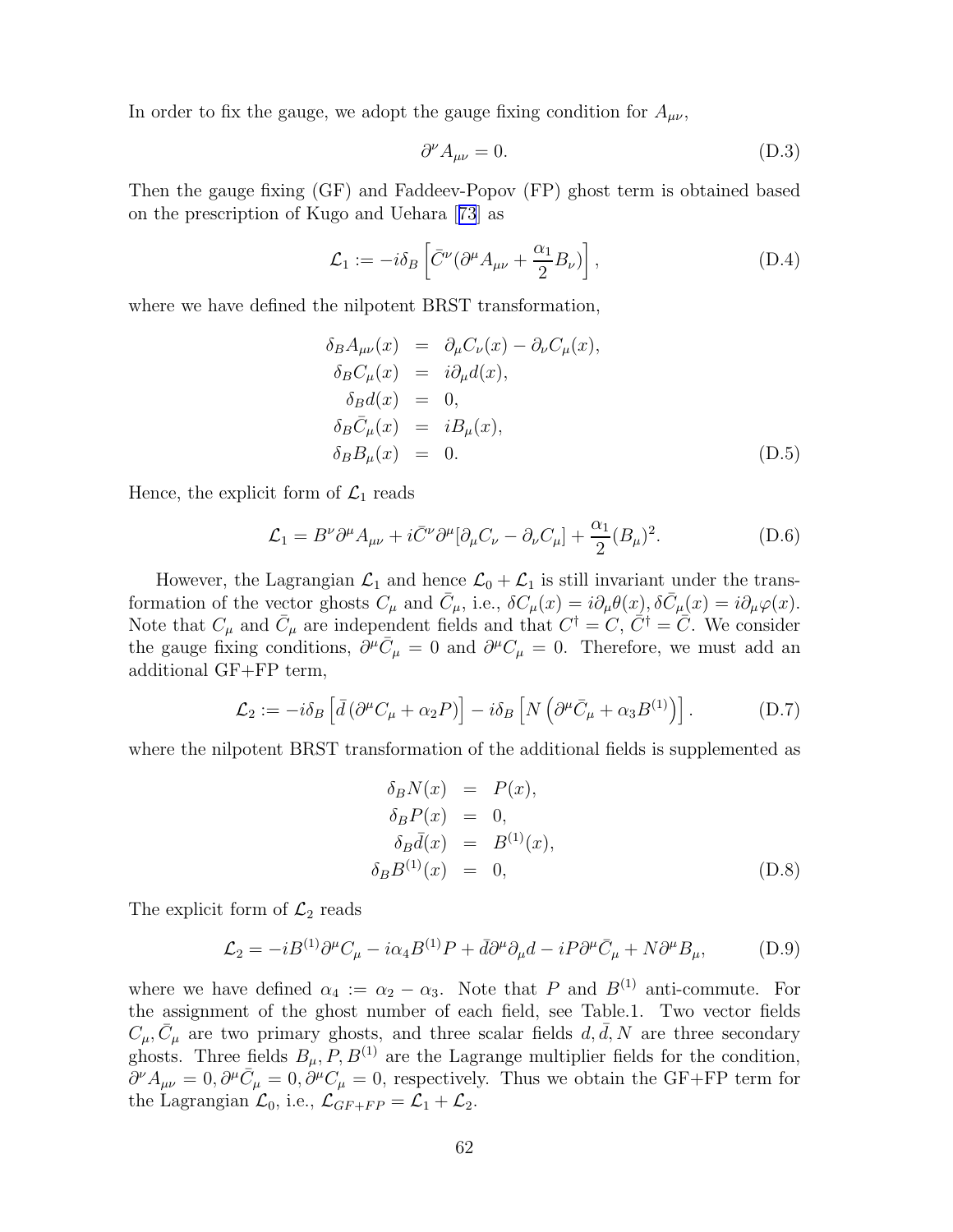In order to fix the gauge, we adopt the gauge fixing condition for  $A_{\mu\nu}$ ,

$$
\partial^{\nu} A_{\mu\nu} = 0. \tag{D.3}
$$

Then the gauge fixing (GF) and Faddeev-Popov (FP) ghost term is obtained based on the prescription of Kugo and Uehara[[73](#page-80-0)] as

$$
\mathcal{L}_1 := -i\delta_B \left[ \bar{C}^\nu (\partial^\mu A_{\mu\nu} + \frac{\alpha_1}{2} B_\nu) \right],\tag{D.4}
$$

where we have defined the nilpotent BRST transformation,

$$
\delta_B A_{\mu\nu}(x) = \partial_\mu C_\nu(x) - \partial_\nu C_\mu(x), \n\delta_B C_\mu(x) = i\partial_\mu d(x), \n\delta_B d(x) = 0, \n\delta_B \bar{C}_\mu(x) = iB_\mu(x), \n\delta_B B_\mu(x) = 0.
$$
\n(D.5)

Hence, the explicit form of  $\mathcal{L}_1$  reads

$$
\mathcal{L}_1 = B^{\nu} \partial^{\mu} A_{\mu\nu} + i \bar{C}^{\nu} \partial^{\mu} [\partial_{\mu} C_{\nu} - \partial_{\nu} C_{\mu}] + \frac{\alpha_1}{2} (B_{\mu})^2.
$$
 (D.6)

However, the Lagrangian  $\mathcal{L}_1$  and hence  $\mathcal{L}_0 + \mathcal{L}_1$  is still invariant under the transformation of the vector ghosts  $C_{\mu}$  and  $\bar{C}_{\mu}$ , i.e.,  $\delta C_{\mu}(x) = i \partial_{\mu} \theta(x)$ ,  $\delta \bar{C}_{\mu}(x) = i \partial_{\mu} \varphi(x)$ . Note that  $C_{\mu}$  and  $\bar{C}_{\mu}$  are independent fields and that  $C^{\dagger} = C, \tilde{C}^{\dagger} = \bar{C}$ . We consider the gauge fixing conditions,  $\partial^{\mu}\bar{C}_{\mu} = 0$  and  $\partial^{\mu}C_{\mu} = 0$ . Therefore, we must add an additional GF+FP term,

$$
\mathcal{L}_2 := -i\delta_B \left[ \bar{d} \left( \partial^\mu C_\mu + \alpha_2 P \right) \right] - i\delta_B \left[ N \left( \partial^\mu \bar{C}_\mu + \alpha_3 B^{(1)} \right) \right]. \tag{D.7}
$$

where the nilpotent BRST transformation of the additional fields is supplemented as

$$
\delta_B N(x) = P(x),
$$
  
\n
$$
\delta_B P(x) = 0,
$$
  
\n
$$
\delta_B \bar{d}(x) = B^{(1)}(x),
$$
  
\n
$$
\delta_B B^{(1)}(x) = 0,
$$
\n(D.8)

The explicit form of  $\mathcal{L}_2$  reads

$$
\mathcal{L}_2 = -iB^{(1)}\partial^{\mu}C_{\mu} - i\alpha_4 B^{(1)}P + \bar{d}\partial^{\mu}\partial_{\mu}d - iP\partial^{\mu}\bar{C}_{\mu} + N\partial^{\mu}B_{\mu},\tag{D.9}
$$

where we have defined  $\alpha_4 := \alpha_2 - \alpha_3$ . Note that P and  $B^{(1)}$  anti-commute. For the assignment of the ghost number of each field, see Table.1. Two vector fields  $C_{\mu}, \bar{C}_{\mu}$  are two primary ghosts, and three scalar fields  $d, \bar{d}, N$  are three secondary ghosts. Three fields  $B_{\mu}, P, B^{(1)}$  are the Lagrange multiplier fields for the condition,  $\partial^{\nu}A_{\mu\nu} = 0, \partial^{\mu}\bar{C}_{\mu} = 0, \dot{\partial}^{\mu}C_{\mu} = 0$ , respectively. Thus we obtain the GF+FP term for the Lagrangian  $\mathcal{L}_0$ , i.e.,  $\mathcal{L}_{GF+FP} = \mathcal{L}_1 + \mathcal{L}_2$ .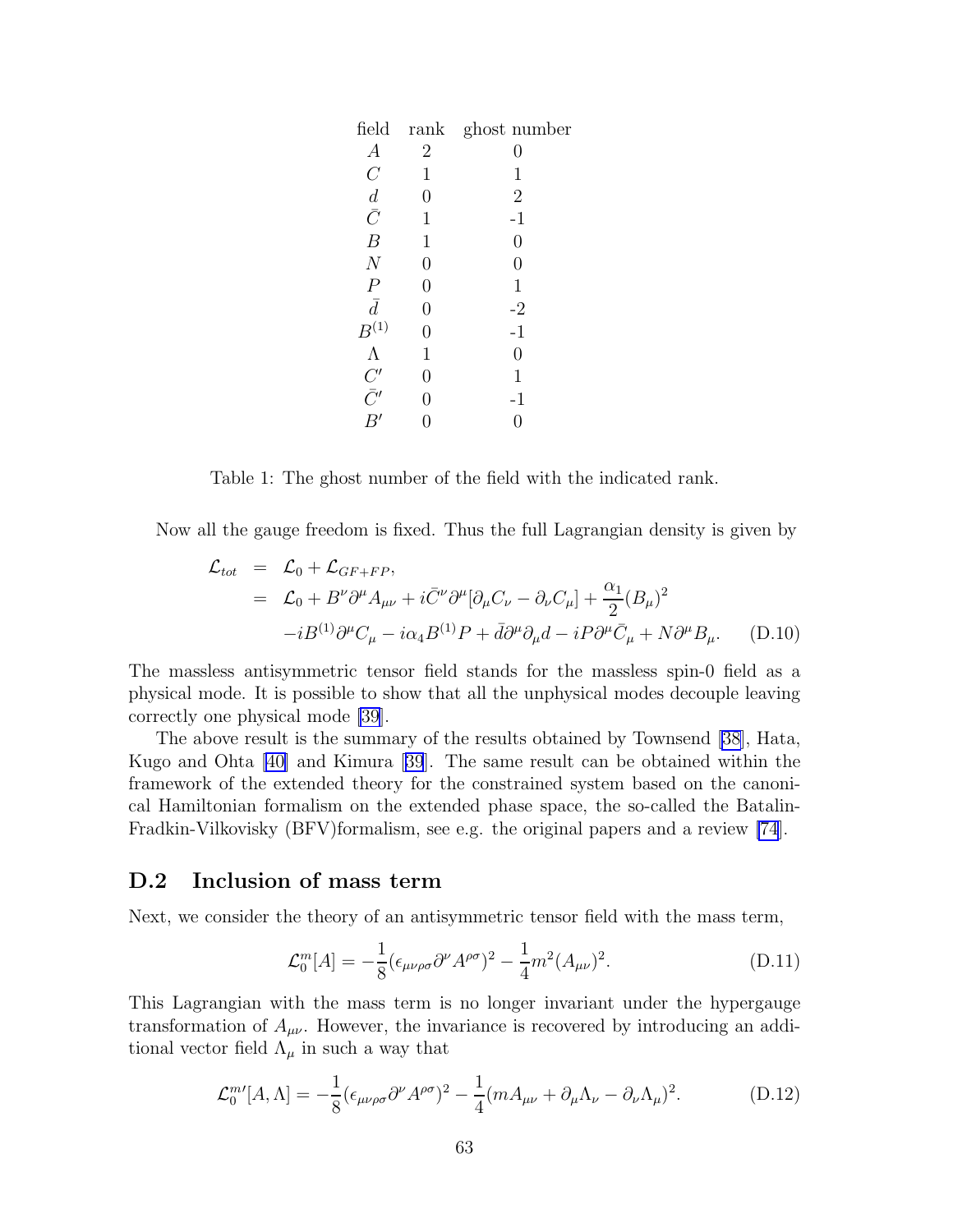| field                 |                | rank ghost number |
|-----------------------|----------------|-------------------|
| $\boldsymbol{A}$      | $\overline{2}$ | 0                 |
| $\, C \,$             | $\mathbf 1$    | $\mathbf 1$       |
|                       | 0              | $\overline{2}$    |
| $\frac{d}{\bar{C}}$   | 1              | $-1$              |
| $\boldsymbol{B}$      | $\mathbf 1$    | $\overline{0}$    |
| $\boldsymbol{N}$      | 0              | $\overline{0}$    |
| $\overline{P}$        | 0              | $\mathbf 1$       |
| $\bar{d}$             | 0              | $-2$              |
| $\mathcal{B}^{(1)}$   | 0              | $-1$              |
| $\Lambda$             | $\mathbf 1$    | $\overline{0}$    |
|                       | 0              | 1                 |
| $\bar{C}'$ $\bar{C}'$ | 0              | $-1$              |
| B'                    |                | 0                 |
|                       |                |                   |

Table 1: The ghost number of the field with the indicated rank.

Now all the gauge freedom is fixed. Thus the full Lagrangian density is given by

$$
\mathcal{L}_{tot} = \mathcal{L}_0 + \mathcal{L}_{GF+FP},
$$
\n
$$
= \mathcal{L}_0 + B^{\nu} \partial^{\mu} A_{\mu\nu} + i \bar{C}^{\nu} \partial^{\mu} [\partial_{\mu} C_{\nu} - \partial_{\nu} C_{\mu}] + \frac{\alpha_1}{2} (B_{\mu})^2
$$
\n
$$
-i B^{(1)} \partial^{\mu} C_{\mu} - i \alpha_4 B^{(1)} P + \bar{d} \partial^{\mu} \partial_{\mu} d - i P \partial^{\mu} \bar{C}_{\mu} + N \partial^{\mu} B_{\mu}. \tag{D.10}
$$

The massless antisymmetric tensor field stands for the massless spin-0 field as a physical mode. It is possible to show that all the unphysical modes decouple leaving correctly one physical mode [\[39\]](#page-79-0).

The above result is the summary of the results obtained by Townsend [\[38\]](#page-78-0), Hata, Kugo and Ohta [\[40](#page-79-0)] and Kimura[[39](#page-79-0)]. The same result can be obtained within the framework of the extended theory for the constrained system based on the canonical Hamiltonian formalism on the extended phase space, the so-called the Batalin-Fradkin-Vilkovisky (BFV)formalism, see e.g. the original papers and a review [\[74](#page-80-0)].

#### D.2 Inclusion of mass term

Next, we consider the theory of an antisymmetric tensor field with the mass term,

$$
\mathcal{L}_0^m[A] = -\frac{1}{8} (\epsilon_{\mu\nu\rho\sigma} \partial^\nu A^{\rho\sigma})^2 - \frac{1}{4} m^2 (A_{\mu\nu})^2. \tag{D.11}
$$

This Lagrangian with the mass term is no longer invariant under the hypergauge transformation of  $A_{\mu\nu}$ . However, the invariance is recovered by introducing an additional vector field  $\Lambda_{\mu}$  in such a way that

$$
\mathcal{L}_0^{m'}[A,\Lambda] = -\frac{1}{8} (\epsilon_{\mu\nu\rho\sigma} \partial^{\nu} A^{\rho\sigma})^2 - \frac{1}{4} (m A_{\mu\nu} + \partial_{\mu} \Lambda_{\nu} - \partial_{\nu} \Lambda_{\mu})^2. \tag{D.12}
$$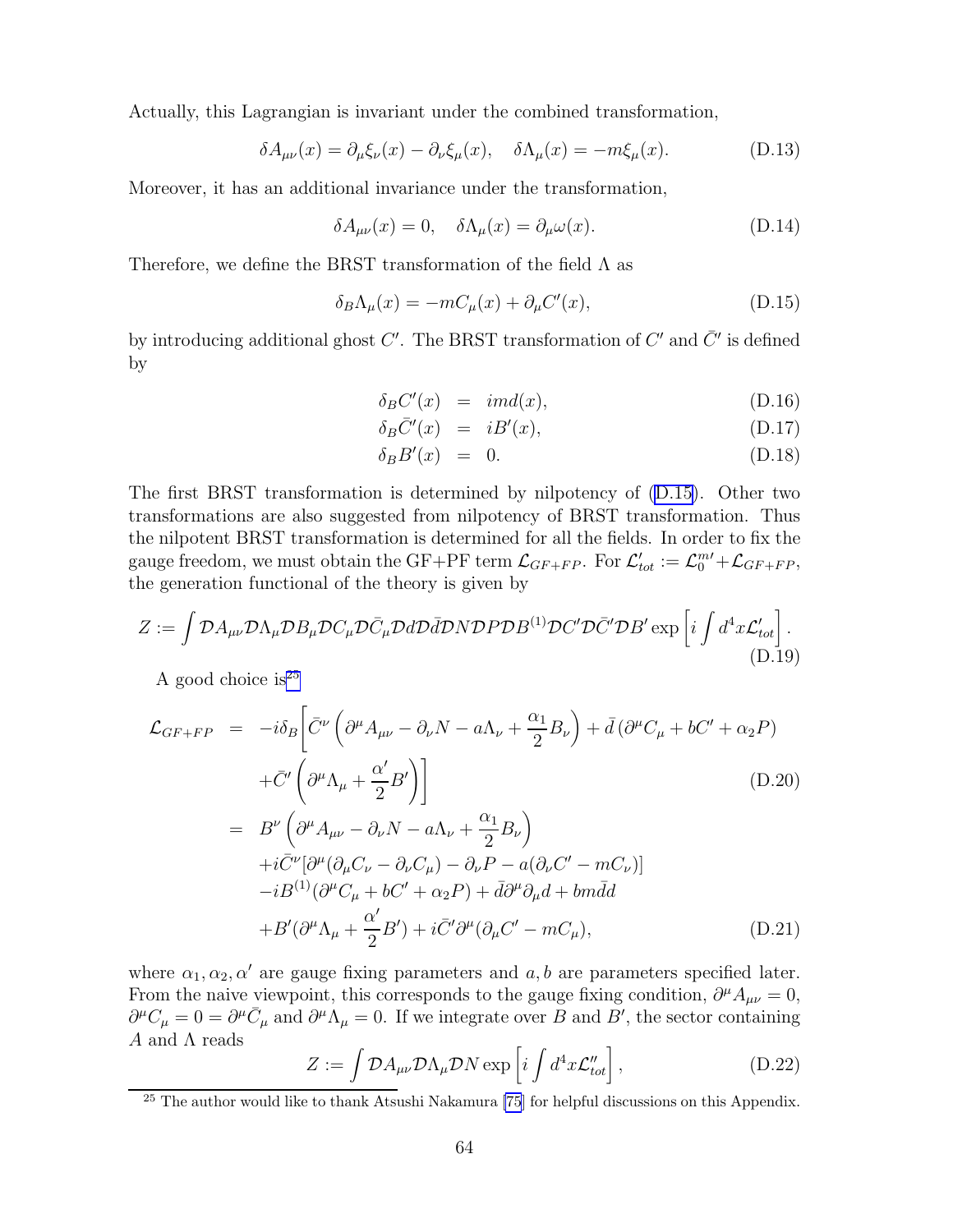Actually, this Lagrangian is invariant under the combined transformation,

$$
\delta A_{\mu\nu}(x) = \partial_{\mu}\xi_{\nu}(x) - \partial_{\nu}\xi_{\mu}(x), \quad \delta \Lambda_{\mu}(x) = -m\xi_{\mu}(x). \tag{D.13}
$$

Moreover, it has an additional invariance under the transformation,

$$
\delta A_{\mu\nu}(x) = 0, \quad \delta \Lambda_{\mu}(x) = \partial_{\mu}\omega(x). \tag{D.14}
$$

Therefore, we define the BRST transformation of the field  $\Lambda$  as

$$
\delta_B \Lambda_\mu(x) = -mC_\mu(x) + \partial_\mu C'(x),\tag{D.15}
$$

by introducing additional ghost  $C'$ . The BRST transformation of  $C'$  and  $\bar{C}'$  is defined by

$$
\delta_B C'(x) = imd(x), \tag{D.16}
$$

$$
\delta_B \bar{C}'(x) = iB'(x), \tag{D.17}
$$

$$
\delta_B B'(x) = 0. \tag{D.18}
$$

The first BRST transformation is determined by nilpotency of (D.15). Other two transformations are also suggested from nilpotency of BRST transformation. Thus the nilpotent BRST transformation is determined for all the fields. In order to fix the gauge freedom, we must obtain the GF+PF term  $\mathcal{L}_{GF+FP}$ . For  $\mathcal{L}'_{tot} := \mathcal{L}_{0}^{m} + \mathcal{L}_{GF+FP}$ , the generation functional of the theory is given by

$$
Z := \int \mathcal{D}A_{\mu\nu} \mathcal{D}\Lambda_{\mu} \mathcal{D}B_{\mu} \mathcal{D}C_{\mu} \mathcal{D}\bar{C}_{\mu} \mathcal{D}d\mathcal{D}\bar{d}\mathcal{D} \mathcal{N} \mathcal{D}P \mathcal{D}B^{(1)} \mathcal{D}C' \mathcal{D}\bar{C}' \mathcal{D}B' \exp\left[i \int d^4x \mathcal{L}_{tot}'\right].
$$
\n(D.19)

A good choice is  $2^5$ 

$$
\mathcal{L}_{GF+FP} = -i\delta_B \left[ \bar{C}^{\nu} \left( \partial^{\mu} A_{\mu\nu} - \partial_{\nu} N - a \Lambda_{\nu} + \frac{\alpha_1}{2} B_{\nu} \right) + \bar{d} \left( \partial^{\mu} C_{\mu} + b C' + \alpha_2 P \right) \right.
$$
  
\n
$$
+ \bar{C}' \left( \partial^{\mu} \Lambda_{\mu} + \frac{\alpha'}{2} B' \right) \right]
$$
  
\n
$$
= B^{\nu} \left( \partial^{\mu} A_{\mu\nu} - \partial_{\nu} N - a \Lambda_{\nu} + \frac{\alpha_1}{2} B_{\nu} \right)
$$
  
\n
$$
+ i \bar{C}^{\nu} [\partial^{\mu} (\partial_{\mu} C_{\nu} - \partial_{\nu} C_{\mu}) - \partial_{\nu} P - a (\partial_{\nu} C' - m C_{\nu})]
$$
  
\n
$$
- i B^{(1)} (\partial^{\mu} C_{\mu} + b C' + \alpha_2 P) + \bar{d} \partial^{\mu} \partial_{\mu} d + b m \bar{d} d
$$
  
\n
$$
+ B' (\partial^{\mu} \Lambda_{\mu} + \frac{\alpha'}{2} B') + i \bar{C}' \partial^{\mu} (\partial_{\mu} C' - m C_{\mu}), \qquad (D.21)
$$

where  $\alpha_1, \alpha_2, \alpha'$  are gauge fixing parameters and  $a, b$  are parameters specified later. From the naive viewpoint, this corresponds to the gauge fixing condition,  $\partial^{\mu} A_{\mu\nu} = 0$ ,  $\partial^{\mu}C_{\mu} = 0 = \partial^{\mu}\bar{C}_{\mu}$  and  $\partial^{\mu}\Lambda_{\mu} = 0$ . If we integrate over B and B', the sector containing  $A$  and  $\Lambda$  reads

2

$$
Z := \int \mathcal{D}A_{\mu\nu} \mathcal{D}\Lambda_{\mu} \mathcal{D}N \exp\left[i \int d^4x \mathcal{L}_{tot}''\right], \tag{D.22}
$$

<sup>&</sup>lt;sup>25</sup> The author would like to thank Atsushi Nakamura [\[75](#page-80-0)] for helpful discussions on this Appendix.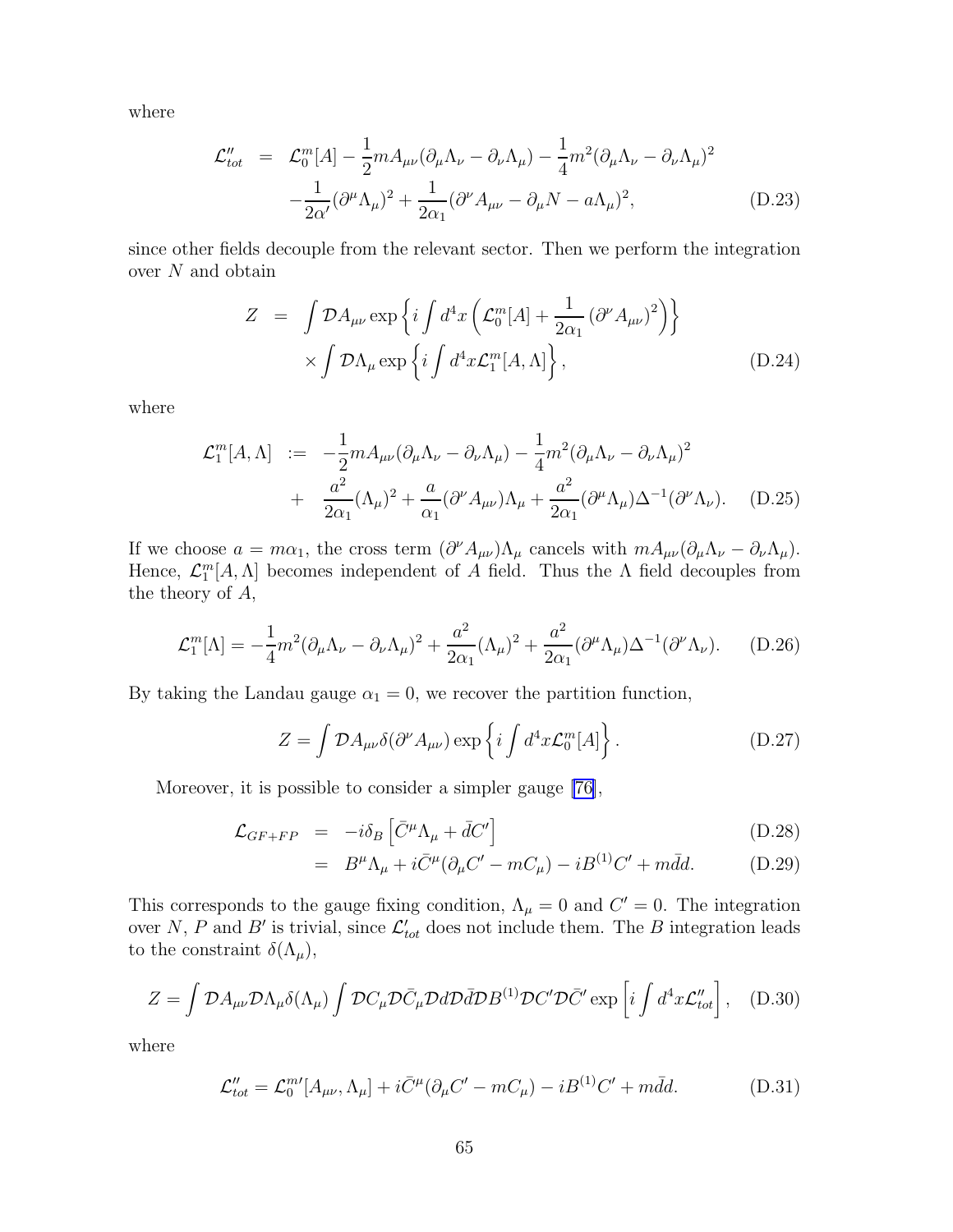where

$$
\mathcal{L}_{tot}'' = \mathcal{L}_0^m[A] - \frac{1}{2} m A_{\mu\nu} (\partial_\mu \Lambda_\nu - \partial_\nu \Lambda_\mu) - \frac{1}{4} m^2 (\partial_\mu \Lambda_\nu - \partial_\nu \Lambda_\mu)^2 - \frac{1}{2\alpha'} (\partial^\mu \Lambda_\mu)^2 + \frac{1}{2\alpha_1} (\partial^\nu A_{\mu\nu} - \partial_\mu N - a \Lambda_\mu)^2, \tag{D.23}
$$

since other fields decouple from the relevant sector. Then we perform the integration over N and obtain

$$
Z = \int \mathcal{D}A_{\mu\nu} \exp\left\{i \int d^4x \left(\mathcal{L}_0^m[A] + \frac{1}{2\alpha_1} (\partial^\nu A_{\mu\nu})^2\right)\right\} \times \int \mathcal{D}\Lambda_\mu \exp\left\{i \int d^4x \mathcal{L}_1^m[A,\Lambda]\right\},
$$
\n(D.24)

where

$$
\mathcal{L}_{1}^{m}[A,\Lambda] := -\frac{1}{2}mA_{\mu\nu}(\partial_{\mu}\Lambda_{\nu} - \partial_{\nu}\Lambda_{\mu}) - \frac{1}{4}m^{2}(\partial_{\mu}\Lambda_{\nu} - \partial_{\nu}\Lambda_{\mu})^{2} \n+ \frac{a^{2}}{2\alpha_{1}}(\Lambda_{\mu})^{2} + \frac{a}{\alpha_{1}}(\partial^{\nu}A_{\mu\nu})\Lambda_{\mu} + \frac{a^{2}}{2\alpha_{1}}(\partial^{\mu}\Lambda_{\mu})\Delta^{-1}(\partial^{\nu}\Lambda_{\nu}). \quad (D.25)
$$

If we choose  $a = m\alpha_1$ , the cross term  $(\partial^{\nu} A_{\mu\nu})\Lambda_{\mu}$  cancels with  $mA_{\mu\nu}(\partial_{\mu}\Lambda_{\nu} - \partial_{\nu}\Lambda_{\mu})$ . Hence,  $\mathcal{L}_1^m[A,\Lambda]$  becomes independent of A field. Thus the  $\Lambda$  field decouples from the theory of A,

$$
\mathcal{L}_1^m[\Lambda] = -\frac{1}{4}m^2(\partial_\mu \Lambda_\nu - \partial_\nu \Lambda_\mu)^2 + \frac{a^2}{2\alpha_1}(\Lambda_\mu)^2 + \frac{a^2}{2\alpha_1}(\partial^\mu \Lambda_\mu)\Delta^{-1}(\partial^\nu \Lambda_\nu).
$$
 (D.26)

By taking the Landau gauge  $\alpha_1 = 0$ , we recover the partition function,

$$
Z = \int \mathcal{D}A_{\mu\nu}\delta(\partial^{\nu}A_{\mu\nu}) \exp\left\{i \int d^4x \mathcal{L}_0^m[A]\right\}.
$$
 (D.27)

Moreover, it is possible to consider a simpler gauge [\[76\]](#page-80-0),

$$
\mathcal{L}_{GF+FP} = -i\delta_B \left[ \bar{C}^{\mu} \Lambda_{\mu} + \bar{d}C' \right] \tag{D.28}
$$

$$
= B^{\mu} \Lambda_{\mu} + i \bar{C}^{\mu} (\partial_{\mu} C' - m C_{\mu}) - i B^{(1)} C' + m \bar{d} d. \tag{D.29}
$$

This corresponds to the gauge fixing condition,  $\Lambda_{\mu} = 0$  and  $C' = 0$ . The integration over N, P and B' is trivial, since  $\mathcal{L}'_{tot}$  does not include them. The B integration leads to the constraint  $\delta(\Lambda_\mu)$ ,

$$
Z = \int \mathcal{D}A_{\mu\nu} \mathcal{D}\Lambda_{\mu}\delta(\Lambda_{\mu}) \int \mathcal{D}C_{\mu} \mathcal{D}\bar{C}_{\mu} \mathcal{D}d\mathcal{D}\bar{d}\mathcal{D}B^{(1)} \mathcal{D}C' \mathcal{D}\bar{C}' \exp\left[i\int d^4x \mathcal{L}_{tot}''\right], \quad (D.30)
$$

where

$$
\mathcal{L}_{tot}'' = \mathcal{L}_0^{m'}[A_{\mu\nu}, \Lambda_\mu] + i\bar{C}^\mu(\partial_\mu C' - mC_\mu) - iB^{(1)}C' + m\bar{d}d. \tag{D.31}
$$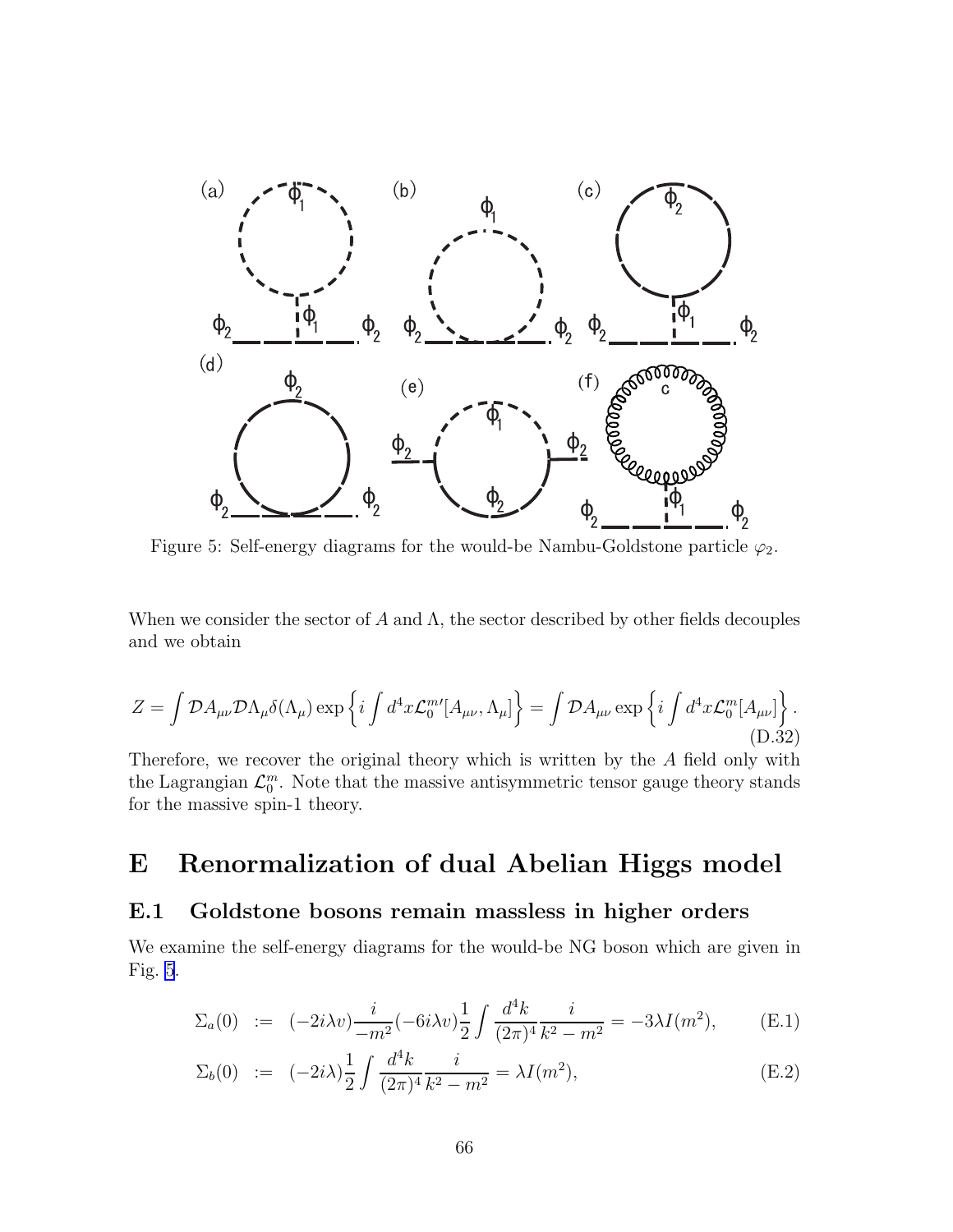<span id="page-67-0"></span>

Figure 5: Self-energy diagrams for the would-be Nambu-Goldstone particle  $\varphi_2$ .

When we consider the sector of A and  $\Lambda$ , the sector described by other fields decouples and we obtain

$$
Z = \int \mathcal{D}A_{\mu\nu} \mathcal{D}\Lambda_{\mu}\delta(\Lambda_{\mu}) \exp\left\{i \int d^4x \mathcal{L}_0^{m'}[A_{\mu\nu}, \Lambda_{\mu}]\right\} = \int \mathcal{D}A_{\mu\nu} \exp\left\{i \int d^4x \mathcal{L}_0^{m}[A_{\mu\nu}]\right\}.
$$
\n(D.32)

Therefore, we recover the original theory which is written by the A field only with the Lagrangian  $\mathcal{L}_0^m$ . Note that the massive antisymmetric tensor gauge theory stands for the massive spin-1 theory.

# E Renormalization of dual Abelian Higgs model

### E.1 Goldstone bosons remain massless in higher orders

We examine the self-energy diagrams for the would-be NG boson which are given in Fig. 5.

$$
\Sigma_a(0) := (-2i\lambda v) \frac{i}{-m^2} (-6i\lambda v) \frac{1}{2} \int \frac{d^4k}{(2\pi)^4} \frac{i}{k^2 - m^2} = -3\lambda I(m^2), \quad (E.1)
$$

$$
\Sigma_b(0) := (-2i\lambda)\frac{1}{2} \int \frac{d^4k}{(2\pi)^4} \frac{i}{k^2 - m^2} = \lambda I(m^2),
$$
\n(E.2)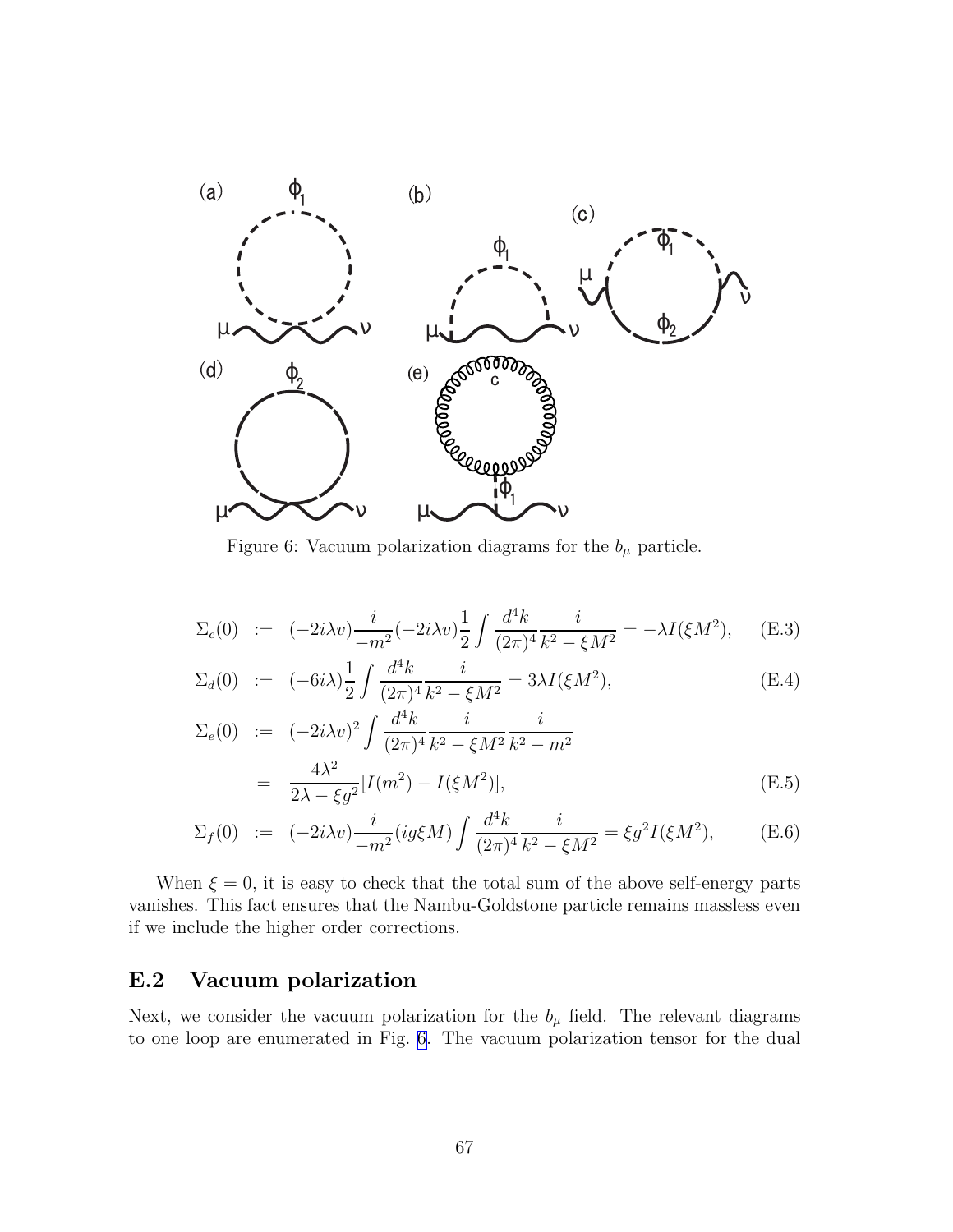

Figure 6: Vacuum polarization diagrams for the  $b_{\mu}$  particle.

$$
\Sigma_c(0) := (-2i\lambda v) \frac{i}{-m^2} (-2i\lambda v) \frac{1}{2} \int \frac{d^4k}{(2\pi)^4} \frac{i}{k^2 - \xi M^2} = -\lambda I(\xi M^2), \quad (E.3)
$$

$$
\Sigma_d(0) := (-6i\lambda)\frac{1}{2} \int \frac{d^4k}{(2\pi)^4} \frac{i}{k^2 - \xi M^2} = 3\lambda I(\xi M^2),
$$
\n(E.4)

$$
\Sigma_e(0) := (-2i\lambda v)^2 \int \frac{d^4k}{(2\pi)^4} \frac{i}{k^2 - \xi M^2} \frac{i}{k^2 - m^2}
$$
  
= 
$$
\frac{4\lambda^2}{2\lambda - \xi g^2} [I(m^2) - I(\xi M^2)],
$$
 (E.5)

$$
\Sigma_f(0) := (-2i\lambda v) \frac{i}{-m^2} (ig\xi M) \int \frac{d^4k}{(2\pi)^4} \frac{i}{k^2 - \xi M^2} = \xi g^2 I(\xi M^2), \quad (E.6)
$$

When  $\xi = 0$ , it is easy to check that the total sum of the above self-energy parts vanishes. This fact ensures that the Nambu-Goldstone particle remains massless even if we include the higher order corrections.

### E.2 Vacuum polarization

Next, we consider the vacuum polarization for the  $b_{\mu}$  field. The relevant diagrams to one loop are enumerated in Fig. 6. The vacuum polarization tensor for the dual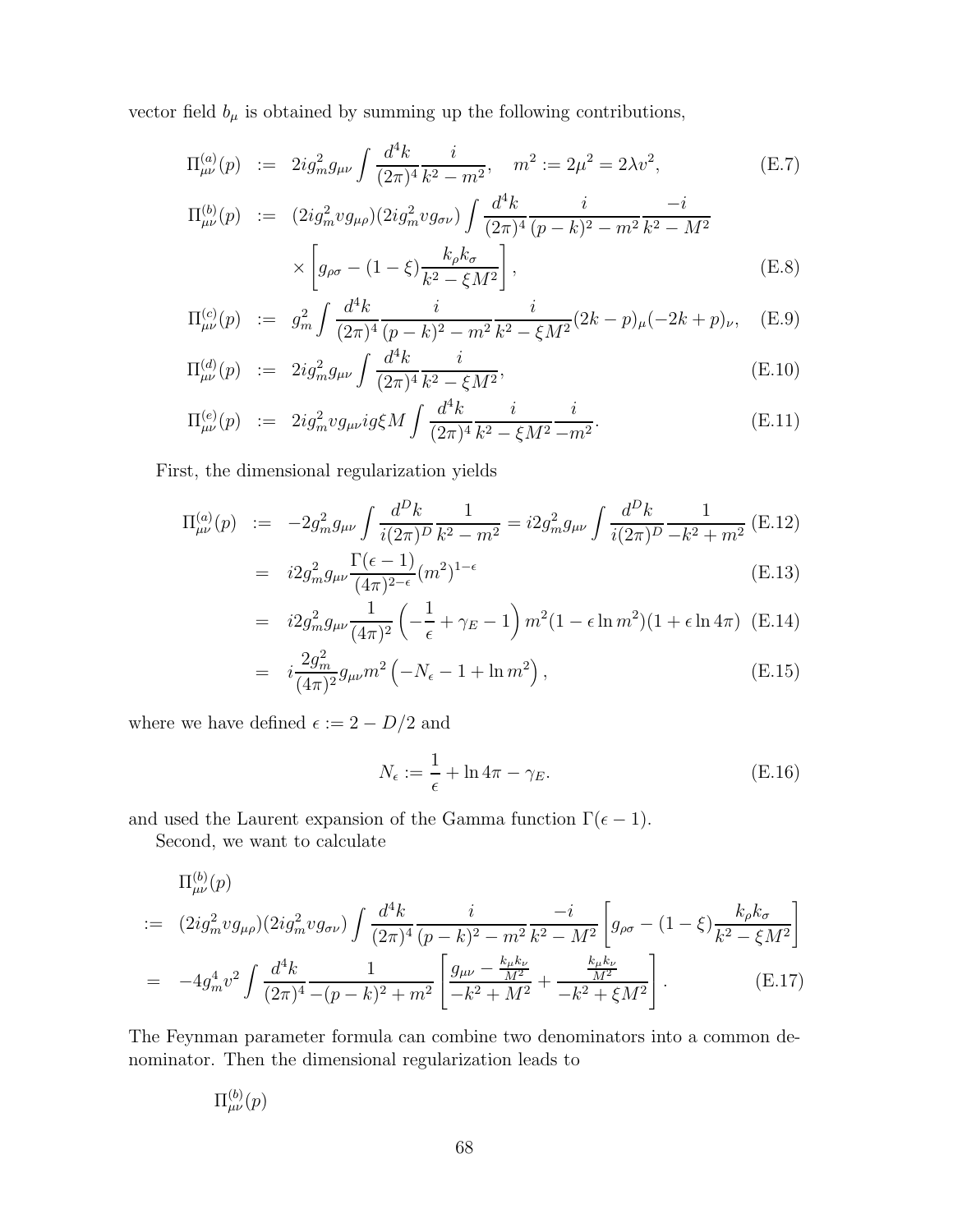vector field  $b_\mu$  is obtained by summing up the following contributions,

$$
\Pi_{\mu\nu}^{(a)}(p) := 2ig_m^2 g_{\mu\nu} \int \frac{d^4k}{(2\pi)^4} \frac{i}{k^2 - m^2}, \quad m^2 := 2\mu^2 = 2\lambda v^2,
$$
\n(E.7)

$$
\Pi_{\mu\nu}^{(b)}(p) := (2ig_m^2 v g_{\mu\rho})(2ig_m^2 v g_{\sigma\nu}) \int \frac{d^4k}{(2\pi)^4} \frac{i}{(p-k)^2 - m^2} \frac{-i}{k^2 - M^2} \times \left[ g_{\rho\sigma} - (1-\xi) \frac{k_{\rho} k_{\sigma}}{k^2 - \xi M^2} \right],
$$
\n(E.8)

$$
\Pi_{\mu\nu}^{(c)}(p) := g_m^2 \int \frac{d^4k}{(2\pi)^4} \frac{i}{(p-k)^2 - m^2} \frac{i}{k^2 - \xi M^2} (2k - p)_{\mu} (-2k + p)_{\nu}, \quad \text{(E.9)}
$$

$$
\Pi_{\mu\nu}^{(d)}(p) := 2ig_m^2 g_{\mu\nu} \int \frac{d^4k}{(2\pi)^4} \frac{i}{k^2 - \xi M^2},
$$
\n(E.10)

$$
\Pi_{\mu\nu}^{(e)}(p) := 2ig_m^2 v g_{\mu\nu} ig \xi M \int \frac{d^4k}{(2\pi)^4} \frac{i}{k^2 - \xi M^2} \frac{i}{-m^2}.
$$
\n(E.11)

First, the dimensional regularization yields

$$
\Pi_{\mu\nu}^{(a)}(p) := -2g_m^2 g_{\mu\nu} \int \frac{d^D k}{i(2\pi)^D} \frac{1}{k^2 - m^2} = i2g_m^2 g_{\mu\nu} \int \frac{d^D k}{i(2\pi)^D} \frac{1}{-k^2 + m^2} \text{(E.12)}
$$

$$
= i2g_m^2 g_{\mu\nu} \frac{\Gamma(\epsilon - 1)}{(4\pi)^{2-\epsilon}} (m^2)^{1-\epsilon}
$$
\n(E.13)

$$
= i2g_m^2 g_{\mu\nu} \frac{1}{(4\pi)^2} \left( -\frac{1}{\epsilon} + \gamma_E - 1 \right) m^2 (1 - \epsilon \ln m^2) (1 + \epsilon \ln 4\pi) \text{ (E.14)}
$$

$$
= i \frac{2g_m^2}{(4\pi)^2} g_{\mu\nu} m^2 \left( -N_{\epsilon} - 1 + \ln m^2 \right), \tag{E.15}
$$

where we have defined  $\epsilon := 2 - D/2$  and

$$
N_{\epsilon} := \frac{1}{\epsilon} + \ln 4\pi - \gamma_E. \tag{E.16}
$$

and used the Laurent expansion of the Gamma function  $\Gamma(\epsilon - 1)$ .

Second, we want to calculate

$$
\Pi_{\mu\nu}^{(b)}(p) = (2ig_m^2 v g_{\mu\rho})(2ig_m^2 v g_{\sigma\nu}) \int \frac{d^4k}{(2\pi)^4} \frac{i}{(p-k)^2 - m^2} \frac{-i}{k^2 - M^2} \left[ g_{\rho\sigma} - (1-\xi) \frac{k_{\rho}k_{\sigma}}{k^2 - \xi M^2} \right]
$$

$$
= -4g_m^4 v^2 \int \frac{d^4k}{(2\pi)^4} \frac{1}{-(p-k)^2 + m^2} \left[ \frac{g_{\mu\nu} - \frac{k_{\mu}k_{\nu}}{M^2}}{-k^2 + M^2} + \frac{\frac{k_{\mu}k_{\nu}}{M^2}}{-k^2 + \xi M^2} \right].
$$
 (E.17)

The Feynman parameter formula can combine two denominators into a common denominator. Then the dimensional regularization leads to

$$
\Pi_{\mu\nu}^{(b)}(p)
$$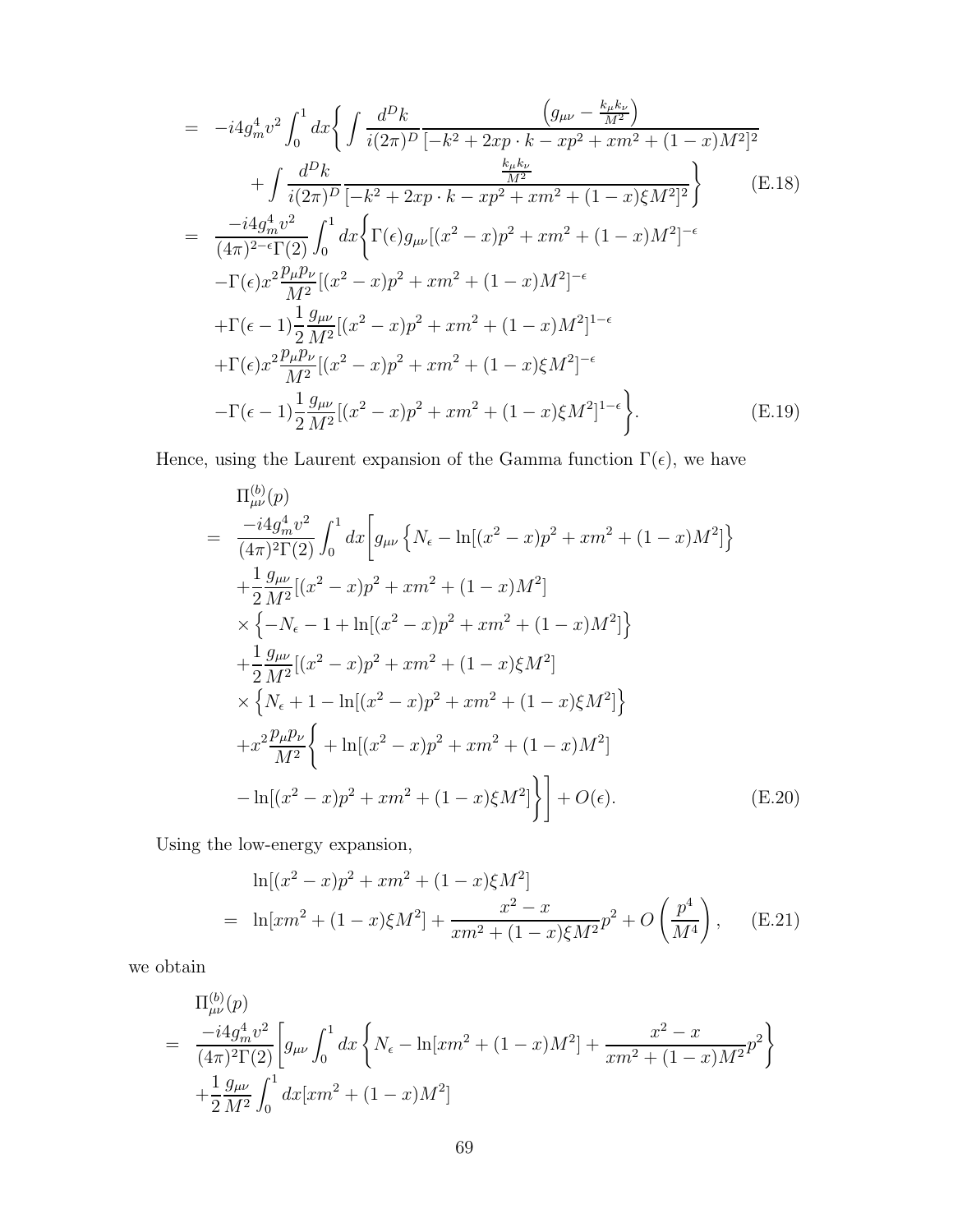$$
= -i4g_m^4v^2 \int_0^1 dx \Biggl\{ \int \frac{d^Dk}{i(2\pi)^D} \frac{\Biggl(g_{\mu\nu} - \frac{k_{\mu}k_{\nu}}{M^2}\Biggr)}{(-k^2 + 2xp \cdot k - xp^2 + xm^2 + (1 - x)M^2)^2} \n+ \int \frac{d^Dk}{i(2\pi)^D} \frac{\frac{k_{\mu}k_{\nu}}{M^2}}{[-k^2 + 2xp \cdot k - xp^2 + xm^2 + (1 - x)\xi M^2]^2} \Biggr\} \qquad (E.18)
$$
\n
$$
= \frac{-i4g_m^4v^2}{(4\pi)^{2-\epsilon}\Gamma(2)} \int_0^1 dx \Biggl\{ \Gamma(\epsilon)g_{\mu\nu}[(x^2 - x)p^2 + xm^2 + (1 - x)M^2]^{-\epsilon} \n- \Gamma(\epsilon)x^2 \frac{p_{\mu}p_{\nu}}{M^2} [(x^2 - x)p^2 + xm^2 + (1 - x)M^2]^{-\epsilon} \n+ \Gamma(\epsilon - 1) \frac{1}{2} \frac{g_{\mu\nu}}{M^2} [(x^2 - x)p^2 + xm^2 + (1 - x)M^2]^{1-\epsilon} \n+ \Gamma(\epsilon)x^2 \frac{p_{\mu}p_{\nu}}{M^2} [(x^2 - x)p^2 + xm^2 + (1 - x)\xi M^2]^{-\epsilon} \n- \Gamma(\epsilon - 1) \frac{1}{2} \frac{g_{\mu\nu}}{M^2} [(x^2 - x)p^2 + xm^2 + (1 - x)\xi M^2]^{1-\epsilon} \Biggr\}.
$$
\n(E.19)

Hence, using the Laurent expansion of the Gamma function  $\Gamma(\epsilon),$  we have

$$
\Pi_{\mu\nu}^{(b)}(p)
$$
\n
$$
= \frac{-i4g_m^4 v^2}{(4\pi)^2 \Gamma(2)} \int_0^1 dx \Big[ g_{\mu\nu} \Big\{ N_{\epsilon} - \ln[(x^2 - x)p^2 + xm^2 + (1 - x)M^2] \Big\} + \frac{1}{2} \frac{g_{\mu\nu}}{M^2} [(x^2 - x)p^2 + xm^2 + (1 - x)M^2] \Big\} \times \Big\{ -N_{\epsilon} - 1 + \ln[(x^2 - x)p^2 + xm^2 + (1 - x)M^2] \Big\} + \frac{1}{2} \frac{g_{\mu\nu}}{M^2} [(x^2 - x)p^2 + xm^2 + (1 - x)\xi M^2] \times \Big\{ N_{\epsilon} + 1 - \ln[(x^2 - x)p^2 + xm^2 + (1 - x)\xi M^2] \Big\} + x^2 \frac{p_{\mu}p_{\nu}}{M^2} \Big\{ + \ln[(x^2 - x)p^2 + xm^2 + (1 - x)M^2] - \ln[(x^2 - x)p^2 + xm^2 + (1 - x)\xi M^2] \Big\} + O(\epsilon).
$$
\n(E.20)

Using the low-energy expansion,

$$
\ln[(x^2 - x)p^2 + xm^2 + (1 - x)\xi M^2]
$$
  
= 
$$
\ln[xm^2 + (1 - x)\xi M^2] + \frac{x^2 - x}{xm^2 + (1 - x)\xi M^2}p^2 + O\left(\frac{p^4}{M^4}\right),
$$
 (E.21)

we obtain

$$
\Pi_{\mu\nu}^{(b)}(p) = \frac{-i4g_m^4 v^2}{(4\pi)^2 \Gamma(2)} \left[ g_{\mu\nu} \int_0^1 dx \left\{ N_\epsilon - \ln[xm^2 + (1-x)M^2] + \frac{x^2 - x}{xm^2 + (1-x)M^2} p^2 \right\} + \frac{1}{2} \frac{g_{\mu\nu}}{M^2} \int_0^1 dx [xm^2 + (1-x)M^2]
$$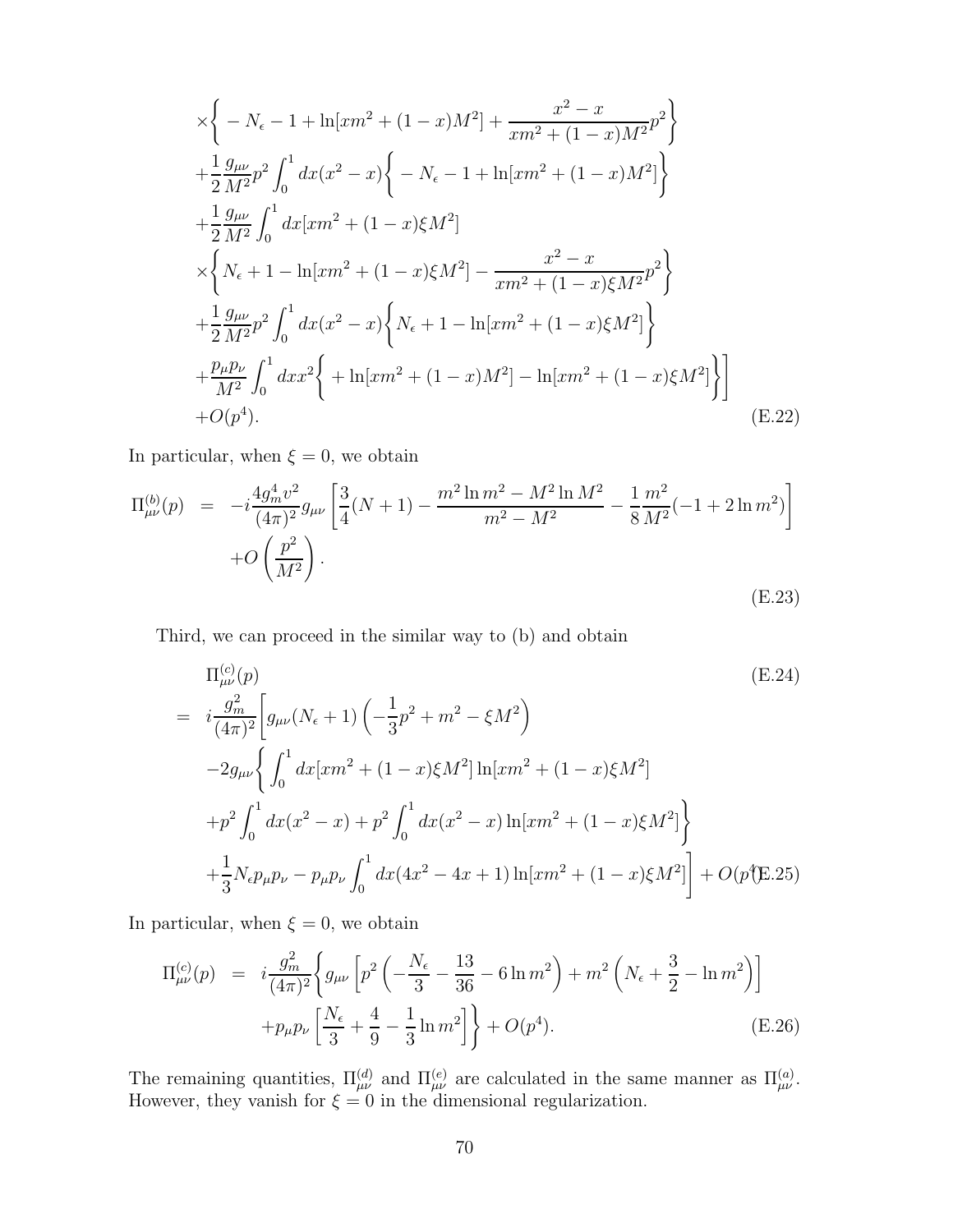$$
\times \left\{ -N_{\epsilon} - 1 + \ln[xm^{2} + (1 - x)M^{2}] + \frac{x^{2} - x}{xm^{2} + (1 - x)M^{2}} p^{2} \right\} \n+ \frac{1}{2} \frac{g_{\mu\nu}}{M^{2}} p^{2} \int_{0}^{1} dx (x^{2} - x) \left\{ -N_{\epsilon} - 1 + \ln[xm^{2} + (1 - x)M^{2}] \right\} \n+ \frac{1}{2} \frac{g_{\mu\nu}}{M^{2}} \int_{0}^{1} dx [xm^{2} + (1 - x)\xi M^{2}] \n\times \left\{ N_{\epsilon} + 1 - \ln[xm^{2} + (1 - x)\xi M^{2}] - \frac{x^{2} - x}{xm^{2} + (1 - x)\xi M^{2}} p^{2} \right\} \n+ \frac{1}{2} \frac{g_{\mu\nu}}{M^{2}} p^{2} \int_{0}^{1} dx (x^{2} - x) \left\{ N_{\epsilon} + 1 - \ln[xm^{2} + (1 - x)\xi M^{2}] \right\} \n+ \frac{p_{\mu}p_{\nu}}{M^{2}} \int_{0}^{1} dx x^{2} \left\{ + \ln[xm^{2} + (1 - x)M^{2}] - \ln[xm^{2} + (1 - x)\xi M^{2}] \right\} \n+ O(p^{4}). \tag{E.22}
$$

In particular, when  $\xi=0,$  we obtain

$$
\Pi_{\mu\nu}^{(b)}(p) = -i\frac{4g_m^4 v^2}{(4\pi)^2} g_{\mu\nu} \left[ \frac{3}{4} (N+1) - \frac{m^2 \ln m^2 - M^2 \ln M^2}{m^2 - M^2} - \frac{1}{8} \frac{m^2}{M^2} (-1 + 2 \ln m^2) \right] + O\left(\frac{p^2}{M^2}\right).
$$
\n(E.23)

Third, we can proceed in the similar way to (b) and obtain

$$
\Pi_{\mu\nu}^{(c)}(p) \qquad (E.24)
$$
\n
$$
= i \frac{g_m^2}{(4\pi)^2} \left[ g_{\mu\nu} (N_\epsilon + 1) \left( -\frac{1}{3} p^2 + m^2 - \xi M^2 \right) \right.
$$
\n
$$
-2g_{\mu\nu} \left\{ \int_0^1 dx [xm^2 + (1-x)\xi M^2] \ln[xm^2 + (1-x)\xi M^2] + p^2 \int_0^1 dx (x^2 - x) + p^2 \int_0^1 dx (x^2 - x) \ln[xm^2 + (1-x)\xi M^2] \right\} + \frac{1}{3} N_\epsilon p_\mu p_\nu - p_\mu p_\nu \int_0^1 dx (4x^2 - 4x + 1) \ln[xm^2 + (1-x)\xi M^2] + O(p^4 \text{E.25})
$$

In particular, when  $\xi = 0$ , we obtain

$$
\Pi_{\mu\nu}^{(c)}(p) = i \frac{g_m^2}{(4\pi)^2} \left\{ g_{\mu\nu} \left[ p^2 \left( -\frac{N_\epsilon}{3} - \frac{13}{36} - 6 \ln m^2 \right) + m^2 \left( N_\epsilon + \frac{3}{2} - \ln m^2 \right) \right] + p_\mu p_\nu \left[ \frac{N_\epsilon}{3} + \frac{4}{9} - \frac{1}{3} \ln m^2 \right] \right\} + O(p^4).
$$
\n(E.26)

The remaining quantities,  $\Pi_{\mu\nu}^{(d)}$  and  $\Pi_{\mu\nu}^{(e)}$  are calculated in the same manner as  $\Pi_{\mu\nu}^{(a)}$ . However, they vanish for  $\xi = 0$  in the dimensional regularization.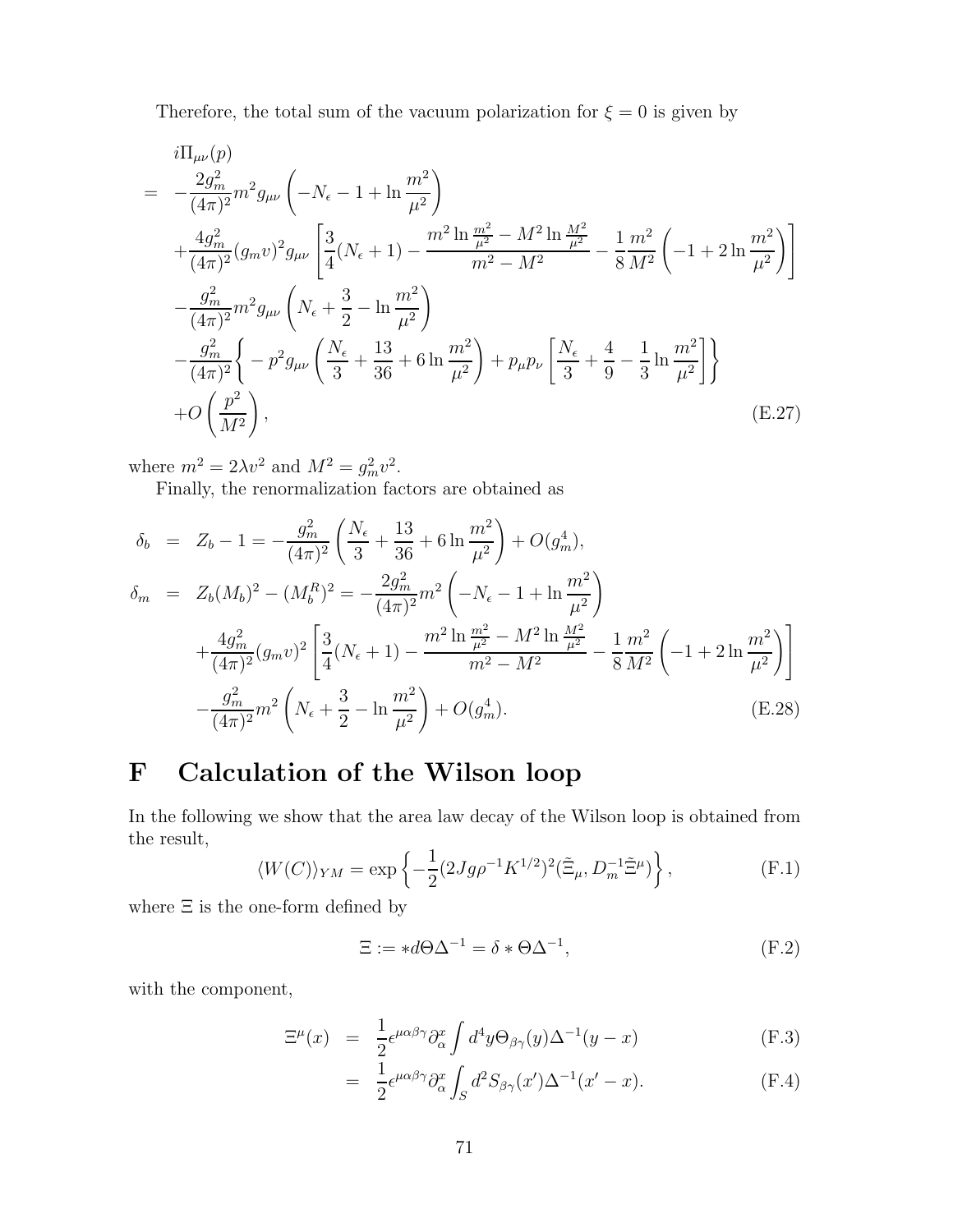Therefore, the total sum of the vacuum polarization for  $\xi = 0$  is given by

$$
i\Pi_{\mu\nu}(p)
$$
\n
$$
= -\frac{2g_m^2}{(4\pi)^2} m^2 g_{\mu\nu} \left( -N_{\epsilon} - 1 + \ln \frac{m^2}{\mu^2} \right)
$$
\n
$$
+ \frac{4g_m^2}{(4\pi)^2} (g_m v)^2 g_{\mu\nu} \left[ \frac{3}{4} (N_{\epsilon} + 1) - \frac{m^2 \ln \frac{m^2}{\mu^2} - M^2 \ln \frac{M^2}{\mu^2}}{m^2 - M^2} - \frac{1}{8} \frac{m^2}{M^2} \left( -1 + 2 \ln \frac{m^2}{\mu^2} \right) \right]
$$
\n
$$
- \frac{g_m^2}{(4\pi)^2} m^2 g_{\mu\nu} \left( N_{\epsilon} + \frac{3}{2} - \ln \frac{m^2}{\mu^2} \right)
$$
\n
$$
- \frac{g_m^2}{(4\pi)^2} \left\{ -p^2 g_{\mu\nu} \left( \frac{N_{\epsilon}}{3} + \frac{13}{36} + 6 \ln \frac{m^2}{\mu^2} \right) + p_{\mu} p_{\nu} \left[ \frac{N_{\epsilon}}{3} + \frac{4}{9} - \frac{1}{3} \ln \frac{m^2}{\mu^2} \right] \right\}
$$
\n
$$
+ O\left( \frac{p^2}{M^2} \right), \qquad (E.27)
$$

where  $m^2 = 2\lambda v^2$  and  $M^2 = g_m^2 v^2$ .

Finally, the renormalization factors are obtained as

$$
\delta_b = Z_b - 1 = -\frac{g_m^2}{(4\pi)^2} \left( \frac{N_\epsilon}{3} + \frac{13}{36} + 6 \ln \frac{m^2}{\mu^2} \right) + O(g_m^4),
$$
  
\n
$$
\delta_m = Z_b (M_b)^2 - (M_b^R)^2 = -\frac{2g_m^2}{(4\pi)^2} m^2 \left( -N_\epsilon - 1 + \ln \frac{m^2}{\mu^2} \right)
$$
  
\n
$$
+ \frac{4g_m^2}{(4\pi)^2} (g_m v)^2 \left[ \frac{3}{4} (N_\epsilon + 1) - \frac{m^2 \ln \frac{m^2}{\mu^2} - M^2 \ln \frac{M^2}{\mu^2}}{m^2 - M^2} - \frac{1}{8} \frac{m^2}{M^2} \left( -1 + 2 \ln \frac{m^2}{\mu^2} \right) \right]
$$
  
\n
$$
- \frac{g_m^2}{(4\pi)^2} m^2 \left( N_\epsilon + \frac{3}{2} - \ln \frac{m^2}{\mu^2} \right) + O(g_m^4).
$$
 (E.28)

## F Calculation of the Wilson loop

In the following we show that the area law decay of the Wilson loop is obtained from the result,

$$
\langle W(C) \rangle_{YM} = \exp\left\{-\frac{1}{2}(2Jg\rho^{-1}K^{1/2})^2(\tilde{\Xi}_{\mu}, D_m^{-1}\tilde{\Xi}^{\mu})\right\},\tag{F.1}
$$

where  $\Xi$  is the one-form defined by

$$
\Xi := *d\Theta \Delta^{-1} = \delta * \Theta \Delta^{-1},\tag{F.2}
$$

with the component,

$$
\Xi^{\mu}(x) = \frac{1}{2} \epsilon^{\mu \alpha \beta \gamma} \partial_{\alpha}^{x} \int d^{4}y \Theta_{\beta \gamma}(y) \Delta^{-1}(y - x)
$$
\n(F.3)

$$
= \frac{1}{2} \epsilon^{\mu \alpha \beta \gamma} \partial_{\alpha}^{x} \int_{S} d^{2} S_{\beta \gamma}(x') \Delta^{-1}(x'-x). \tag{F.4}
$$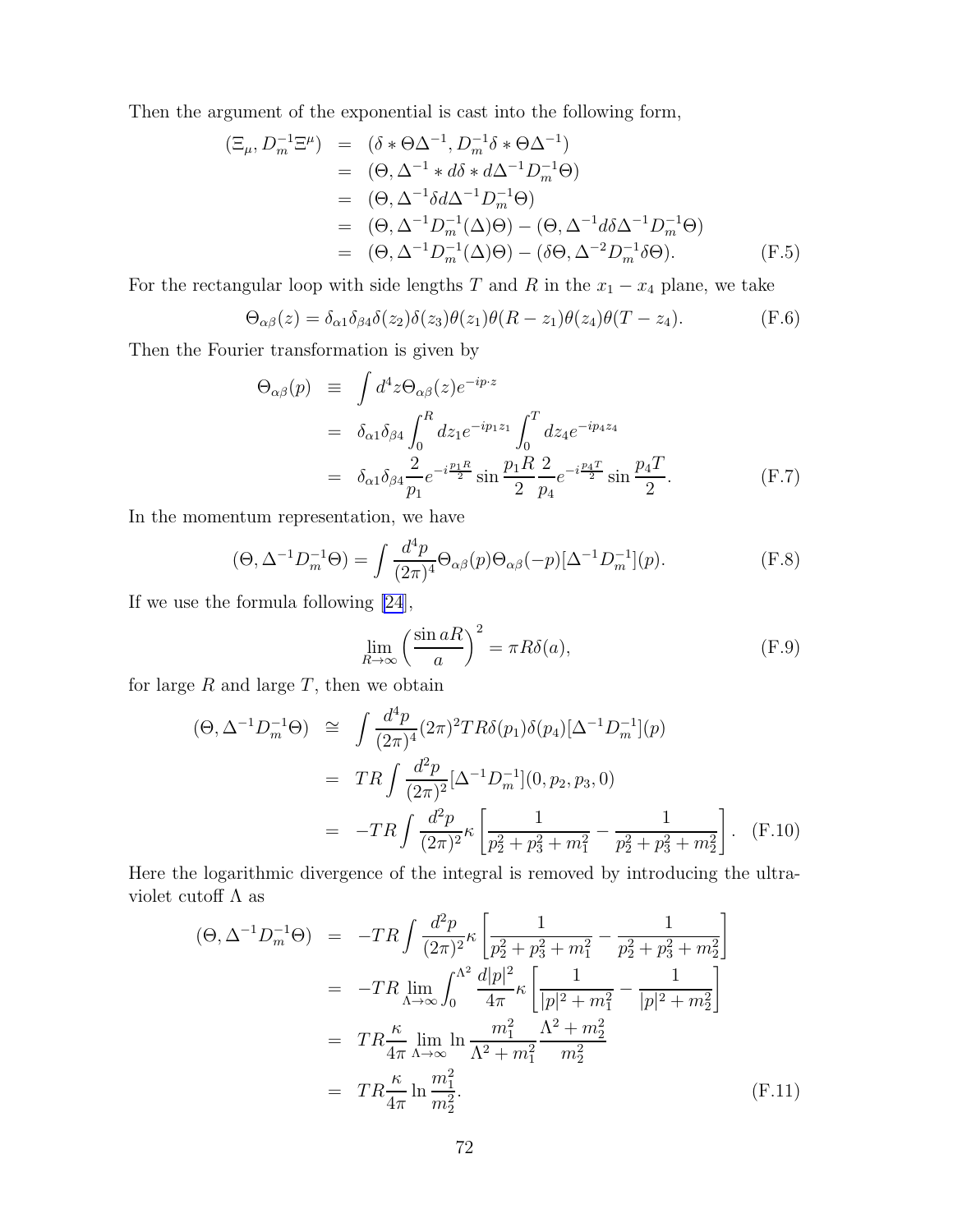<span id="page-73-0"></span>Then the argument of the exponential is cast into the following form,

$$
(\Xi_{\mu}, D_m^{-1}\Xi^{\mu}) = (\delta \ast \Theta \Delta^{-1}, D_m^{-1}\delta \ast \Theta \Delta^{-1})
$$
  
\n
$$
= (\Theta, \Delta^{-1} \ast d\delta \ast d\Delta^{-1} D_m^{-1}\Theta)
$$
  
\n
$$
= (\Theta, \Delta^{-1}\delta d\Delta^{-1} D_m^{-1}\Theta)
$$
  
\n
$$
= (\Theta, \Delta^{-1} D_m^{-1}(\Delta)\Theta) - (\Theta, \Delta^{-1} d\delta \Delta^{-1} D_m^{-1}\Theta)
$$
  
\n
$$
= (\Theta, \Delta^{-1} D_m^{-1}(\Delta)\Theta) - (\delta \Theta, \Delta^{-2} D_m^{-1}\delta\Theta).
$$
 (F.5)

For the rectangular loop with side lengths T and R in the  $x_1 - x_4$  plane, we take

$$
\Theta_{\alpha\beta}(z) = \delta_{\alpha1}\delta_{\beta4}\delta(z_2)\delta(z_3)\theta(z_1)\theta(R-z_1)\theta(z_4)\theta(T-z_4). \tag{F.6}
$$

Then the Fourier transformation is given by

$$
\Theta_{\alpha\beta}(p) \equiv \int d^4 z \Theta_{\alpha\beta}(z) e^{-ip \cdot z} \n= \delta_{\alpha 1} \delta_{\beta 4} \int_0^R dz_1 e^{-ip_1 z_1} \int_0^T dz_4 e^{-ip_4 z_4} \n= \delta_{\alpha 1} \delta_{\beta 4} \frac{2}{p_1} e^{-i\frac{p_1 R}{2}} \sin \frac{p_1 R}{2} \frac{2}{p_4} e^{-i\frac{p_4 T}{2}} \sin \frac{p_4 T}{2}.
$$
\n(F.7)

In the momentum representation, we have

$$
(\Theta, \Delta^{-1}D_m^{-1}\Theta) = \int \frac{d^4p}{(2\pi)^4} \Theta_{\alpha\beta}(p)\Theta_{\alpha\beta}(-p)[\Delta^{-1}D_m^{-1}](p). \tag{F.8}
$$

If we use the formula following [\[24](#page-78-0)],

$$
\lim_{R \to \infty} \left(\frac{\sin aR}{a}\right)^2 = \pi R \delta(a),\tag{F.9}
$$

for large  $R$  and large  $T$ , then we obtain

$$
(\Theta, \Delta^{-1}D_m^{-1}\Theta) \cong \int \frac{d^4p}{(2\pi)^4} (2\pi)^2 TR\delta(p_1)\delta(p_4)[\Delta^{-1}D_m^{-1}](p)
$$
  

$$
= TR \int \frac{d^2p}{(2\pi)^2} [\Delta^{-1}D_m^{-1}](0, p_2, p_3, 0)
$$
  

$$
= -TR \int \frac{d^2p}{(2\pi)^2} \kappa \left[ \frac{1}{p_2^2 + p_3^2 + m_1^2} - \frac{1}{p_2^2 + p_3^2 + m_2^2} \right]. \quad (F.10)
$$

Here the logarithmic divergence of the integral is removed by introducing the ultraviolet cutoff  $\Lambda$  as

$$
(\Theta, \Delta^{-1}D_m^{-1}\Theta) = -TR \int \frac{d^2p}{(2\pi)^2} \kappa \left[ \frac{1}{p_2^2 + p_3^2 + m_1^2} - \frac{1}{p_2^2 + p_3^2 + m_2^2} \right]
$$
  
\n
$$
= -TR \lim_{\Lambda \to \infty} \int_0^{\Lambda^2} \frac{d|p|^2}{4\pi} \kappa \left[ \frac{1}{|p|^2 + m_1^2} - \frac{1}{|p|^2 + m_2^2} \right]
$$
  
\n
$$
= TR \frac{\kappa}{4\pi} \lim_{\Lambda \to \infty} \ln \frac{m_1^2}{\Lambda^2 + m_1^2} \frac{\Lambda^2 + m_2^2}{m_2^2}
$$
  
\n
$$
= TR \frac{\kappa}{4\pi} \ln \frac{m_1^2}{m_2^2}.
$$
 (F.11)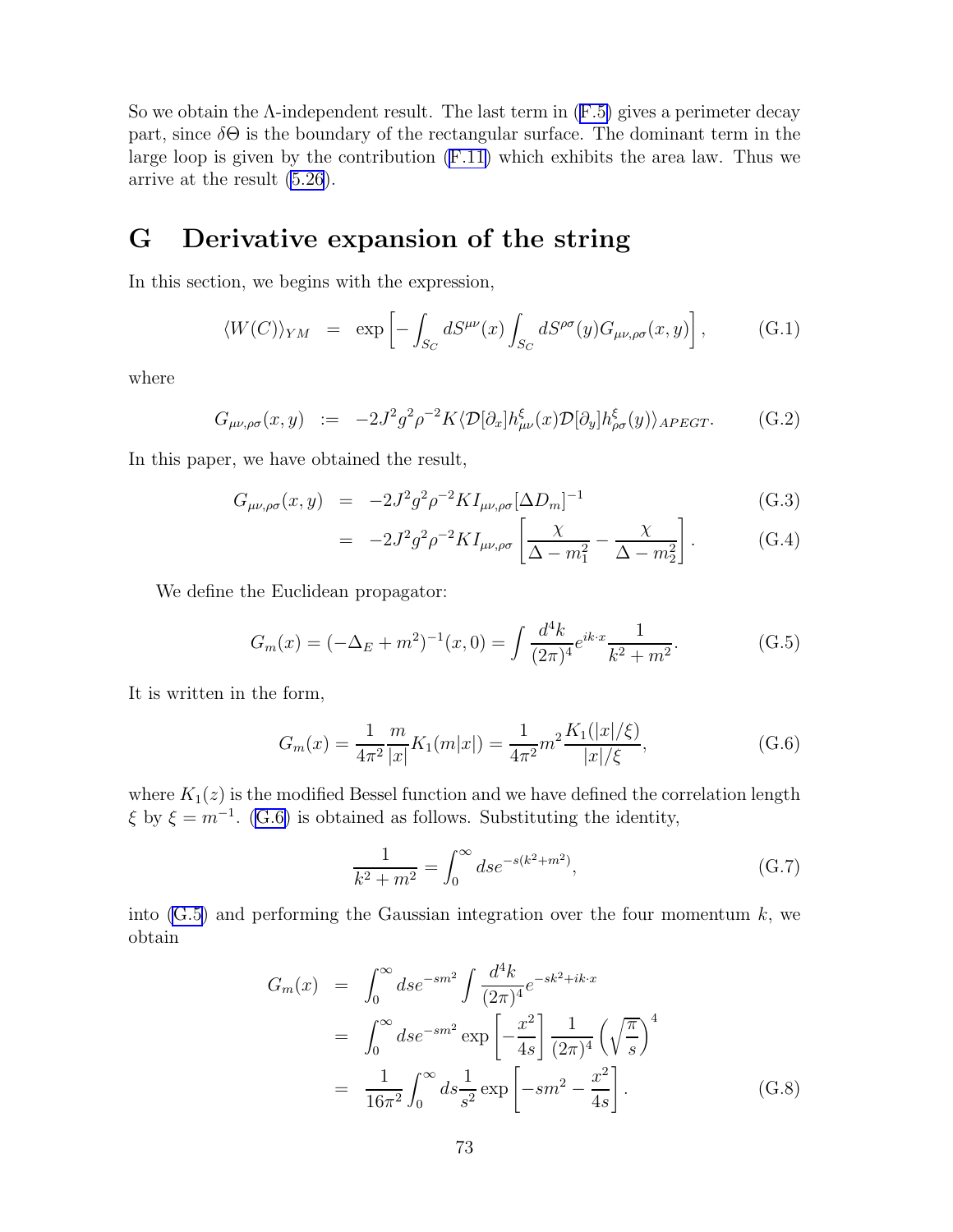<span id="page-74-0"></span>Sowe obtain the  $\Lambda$ -independent result. The last term in  $(F.5)$  $(F.5)$  gives a perimeter decay part, since  $\delta\Theta$  is the boundary of the rectangular surface. The dominant term in the large loop is given by the contribution [\(F.11\)](#page-73-0) which exhibits the area law. Thus we arrive at the result [\(5.26](#page-45-0)).

## G Derivative expansion of the string

In this section, we begins with the expression,

$$
\langle W(C) \rangle_{YM} = \exp \left[ - \int_{S_C} dS^{\mu\nu}(x) \int_{S_C} dS^{\rho\sigma}(y) G_{\mu\nu,\rho\sigma}(x, y) \right], \tag{G.1}
$$

where

$$
G_{\mu\nu,\rho\sigma}(x,y) := -2J^2g^2\rho^{-2}K\langle \mathcal{D}[\partial_x]h_{\mu\nu}^{\xi}(x)\mathcal{D}[\partial_y]h_{\rho\sigma}^{\xi}(y)\rangle_{APEGT}.\tag{G.2}
$$

In this paper, we have obtained the result,

$$
G_{\mu\nu,\rho\sigma}(x,y) = -2J^2g^2\rho^{-2}KI_{\mu\nu,\rho\sigma}[\Delta D_m]^{-1}
$$
(G.3)

$$
= -2J^2g^2\rho^{-2}KI_{\mu\nu,\rho\sigma}\left[\frac{\chi}{\Delta - m_1^2} - \frac{\chi}{\Delta - m_2^2}\right].
$$
 (G.4)

We define the Euclidean propagator:

$$
G_m(x) = (-\Delta_E + m^2)^{-1}(x, 0) = \int \frac{d^4k}{(2\pi)^4} e^{ik \cdot x} \frac{1}{k^2 + m^2}.
$$
 (G.5)

It is written in the form,

$$
G_m(x) = \frac{1}{4\pi^2} \frac{m}{|x|} K_1(m|x|) = \frac{1}{4\pi^2} m^2 \frac{K_1(|x|/\xi)}{|x|/\xi},
$$
(G.6)

where  $K_1(z)$  is the modified Bessel function and we have defined the correlation length  $\xi$  by  $\xi = m^{-1}$ . (G.6) is obtained as follows. Substituting the identity,

$$
\frac{1}{k^2 + m^2} = \int_0^\infty ds e^{-s(k^2 + m^2)},\tag{G.7}
$$

into  $(G.5)$  and performing the Gaussian integration over the four momentum  $k$ , we obtain

$$
G_m(x) = \int_0^\infty ds e^{-sm^2} \int \frac{d^4k}{(2\pi)^4} e^{-sk^2 + ik \cdot x}
$$
  
= 
$$
\int_0^\infty ds e^{-sm^2} \exp\left[-\frac{x^2}{4s}\right] \frac{1}{(2\pi)^4} \left(\sqrt{\frac{\pi}{s}}\right)^4
$$
  
= 
$$
\frac{1}{16\pi^2} \int_0^\infty ds \frac{1}{s^2} \exp\left[-sm^2 - \frac{x^2}{4s}\right].
$$
 (G.8)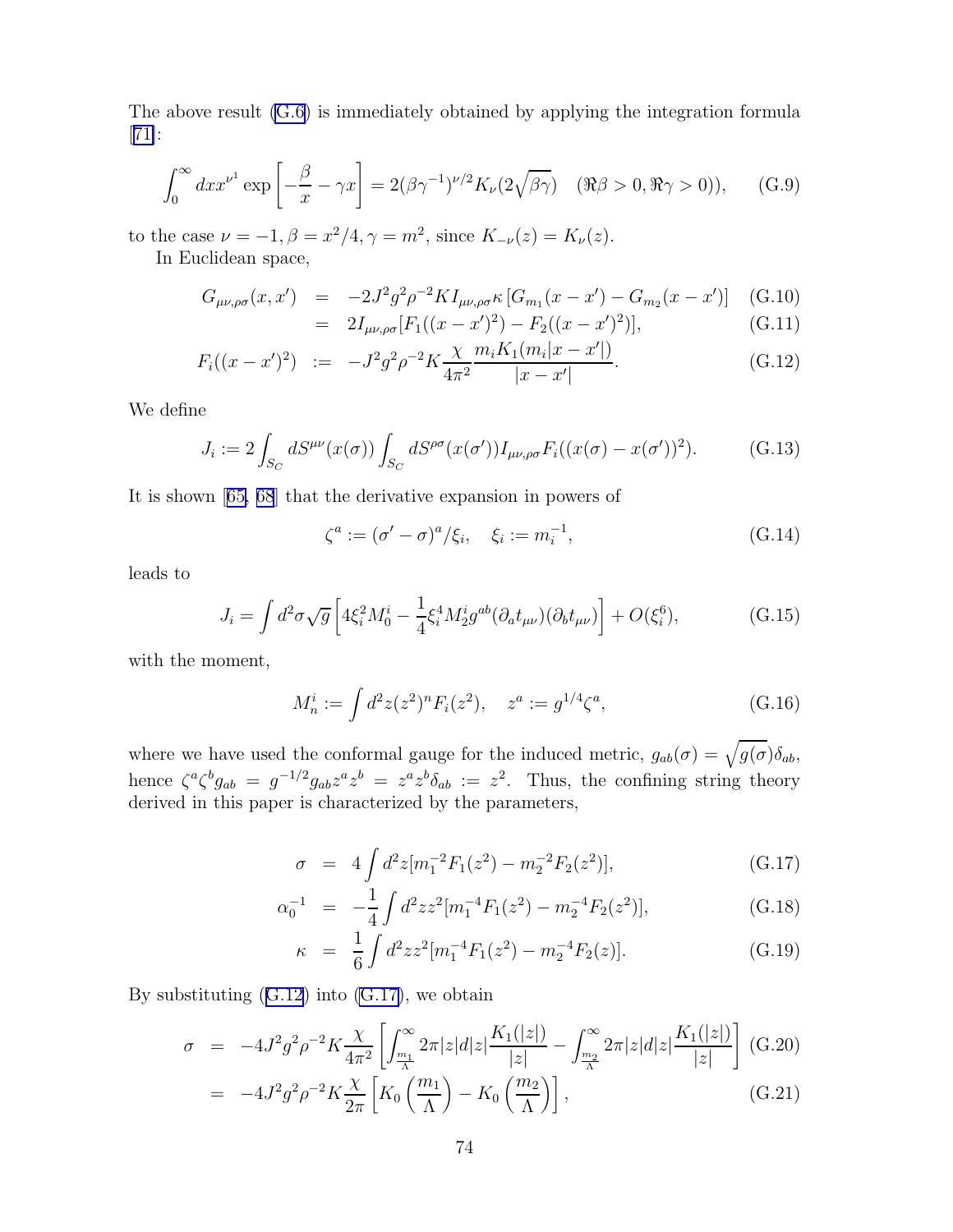The above result [\(G.6\)](#page-74-0) is immediately obtained by applying the integration formula [[71\]](#page-80-0):

$$
\int_0^\infty dx x^{\nu^1} \exp\left[-\frac{\beta}{x} - \gamma x\right] = 2(\beta\gamma^{-1})^{\nu/2} K_\nu (2\sqrt{\beta\gamma}) \quad (\Re\beta > 0, \Re\gamma > 0)),\tag{G.9}
$$

to the case  $\nu = -1, \beta = x^2/4, \gamma = m^2$ , since  $K_{-\nu}(z) = K_{\nu}(z)$ .

In Euclidean space,

$$
G_{\mu\nu,\rho\sigma}(x,x') = -2J^2g^2\rho^{-2}KI_{\mu\nu,\rho\sigma}\kappa\left[G_{m_1}(x-x') - G_{m_2}(x-x')\right] \quad (G.10)
$$
  
= 2I [F ((x-x')^2) - F ((x-x')^2)] \quad (G.11)

$$
= 2I_{\mu\nu,\rho\sigma}[F_1((x-x')^2) - F_2((x-x')^2)], \qquad (G.11)
$$

$$
F_i((x-x')^2) := -J^2 g^2 \rho^{-2} K \frac{\chi}{4\pi^2} \frac{m_i K_1(m_i|x-x'|)}{|x-x'|}. \tag{G.12}
$$

We define

$$
J_i := 2 \int_{S_C} dS^{\mu\nu}(x(\sigma)) \int_{S_C} dS^{\rho\sigma}(x(\sigma')) I_{\mu\nu,\rho\sigma} F_i((x(\sigma) - x(\sigma'))^2).
$$
 (G.13)

It is shown[[65, 68](#page-80-0)] that the derivative expansion in powers of

$$
\zeta^a := (\sigma' - \sigma)^a / \xi_i, \quad \xi_i := m_i^{-1}, \tag{G.14}
$$

leads to

$$
J_i = \int d^2 \sigma \sqrt{g} \left[ 4\xi_i^2 M_0^i - \frac{1}{4} \xi_i^4 M_2^i g^{ab} (\partial_a t_{\mu\nu}) (\partial_b t_{\mu\nu}) \right] + O(\xi_i^6), \tag{G.15}
$$

with the moment,

$$
M_n^i := \int d^2 z (z^2)^n F_i(z^2), \quad z^a := g^{1/4} \zeta^a,
$$
 (G.16)

where we have used the conformal gauge for the induced metric,  $g_{ab}(\sigma) = \sqrt{g(\sigma)} \delta_{ab}$ , hence  $\zeta^a \zeta^b g_{ab} = g^{-1/2} g_{ab} z^a z^b = z^a z^b \delta_{ab} := z^2$ . Thus, the confining string theory derived in this paper is characterized by the parameters,

$$
\sigma = 4 \int d^2 z [m_1^{-2} F_1(z^2) - m_2^{-2} F_2(z^2)], \qquad (G.17)
$$

$$
\alpha_0^{-1} = -\frac{1}{4} \int d^2 z z^2 [m_1^{-4} F_1(z^2) - m_2^{-4} F_2(z^2)], \qquad (G.18)
$$

$$
\kappa = \frac{1}{6} \int d^2 z z^2 [m_1^{-4} F_1(z^2) - m_2^{-4} F_2(z)]. \tag{G.19}
$$

By substituting  $(G.12)$  into  $(G.17)$ , we obtain

$$
\sigma = -4J^2g^2\rho^{-2}K\frac{\chi}{4\pi^2} \left[ \int_{\frac{m_1}{\Lambda}}^{\infty} 2\pi |z| |z| \frac{K_1(|z|)}{|z|} - \int_{\frac{m_2}{\Lambda}}^{\infty} 2\pi |z| |z| \frac{K_1(|z|)}{|z|} \right] (G.20)
$$
  
=  $-4J^2g^2\rho^{-2}K\frac{\chi}{2\pi} \left[ K_0\left(\frac{m_1}{\Lambda}\right) - K_0\left(\frac{m_2}{\Lambda}\right) \right],$  (G.21)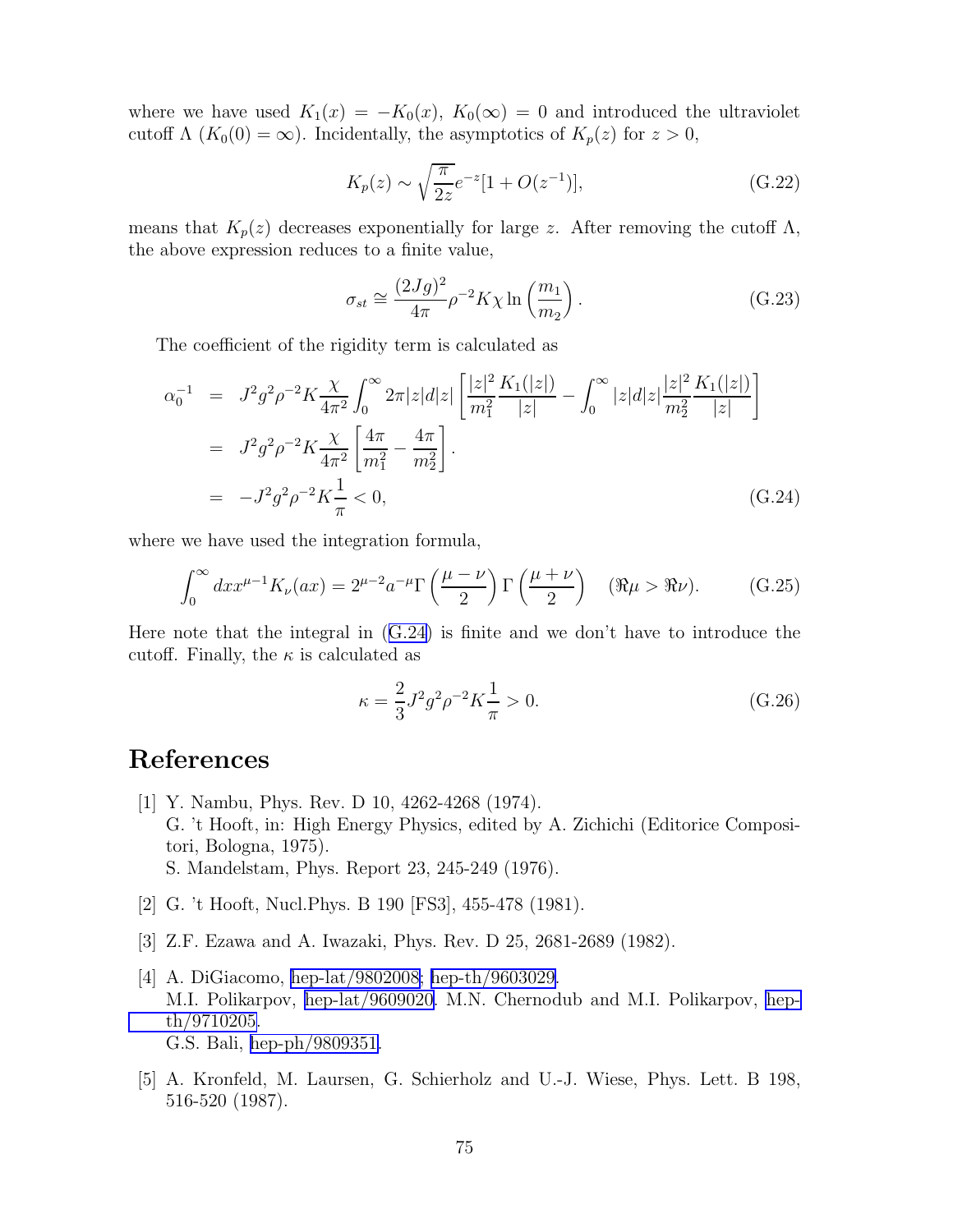where we have used  $K_1(x) = -K_0(x)$ ,  $K_0(\infty) = 0$  and introduced the ultraviolet cutoff  $\Lambda$  ( $K_0(0) = \infty$ ). Incidentally, the asymptotics of  $K_p(z)$  for  $z > 0$ ,

$$
K_p(z) \sim \sqrt{\frac{\pi}{2z}} e^{-z} [1 + O(z^{-1})], \tag{G.22}
$$

means that  $K_p(z)$  decreases exponentially for large z. After removing the cutoff  $\Lambda$ , the above expression reduces to a finite value,

$$
\sigma_{st} \cong \frac{(2Jg)^2}{4\pi} \rho^{-2} K \chi \ln\left(\frac{m_1}{m_2}\right). \tag{G.23}
$$

The coefficient of the rigidity term is calculated as

$$
\alpha_0^{-1} = J^2 g^2 \rho^{-2} K \frac{\chi}{4\pi^2} \int_0^\infty 2\pi |z| |z| \left[ \frac{|z|^2 K_1(|z|)}{m_1^2} - \int_0^\infty |z| |z| |z| \frac{|z|^2 K_1(|z|)}{m_2^2} \frac{K_1(|z|)}{|z|} \right]
$$
  
\n
$$
= J^2 g^2 \rho^{-2} K \frac{\chi}{4\pi^2} \left[ \frac{4\pi}{m_1^2} - \frac{4\pi}{m_2^2} \right].
$$
  
\n
$$
= -J^2 g^2 \rho^{-2} K \frac{1}{\pi} < 0,
$$
 (G.24)

where we have used the integration formula,

$$
\int_0^\infty dx x^{\mu-1} K_\nu(ax) = 2^{\mu-2} a^{-\mu} \Gamma\left(\frac{\mu-\nu}{2}\right) \Gamma\left(\frac{\mu+\nu}{2}\right) \quad (\Re \mu > \Re \nu). \tag{G.25}
$$

Here note that the integral in (G.24) is finite and we don't have to introduce the cutoff. Finally, the  $\kappa$  is calculated as

$$
\kappa = \frac{2}{3}J^2g^2\rho^{-2}K\frac{1}{\pi} > 0.
$$
\n(G.26)

## References

- [1] Y. Nambu, Phys. Rev. D 10, 4262-4268 (1974). G. 't Hooft, in: High Energy Physics, edited by A. Zichichi (Editorice Compositori, Bologna, 1975). S. Mandelstam, Phys. Report 23, 245-249 (1976).
- [2] G. 't Hooft, Nucl.Phys. B 190 [FS3], 455-478 (1981).
- [3] Z.F. Ezawa and A. Iwazaki, Phys. Rev. D 25, 2681-2689 (1982).
- [4] A. DiGiacomo, [hep-lat/9802008;](http://arxiv.org/abs/hep-lat/9802008) [hep-th/9603029.](http://arxiv.org/abs/hep-th/9603029) M.I. Polikarpov, [hep-lat/9609020.](http://arxiv.org/abs/hep-lat/9609020) M.N. Chernodub and M.I. Polikarpov, [hep](http://arxiv.org/abs/hep-th/9710205)[th/9710205.](http://arxiv.org/abs/hep-th/9710205) G.S. Bali, [hep-ph/9809351.](http://arxiv.org/abs/hep-ph/9809351)
- [5] A. Kronfeld, M. Laursen, G. Schierholz and U.-J. Wiese, Phys. Lett. B 198, 516-520 (1987).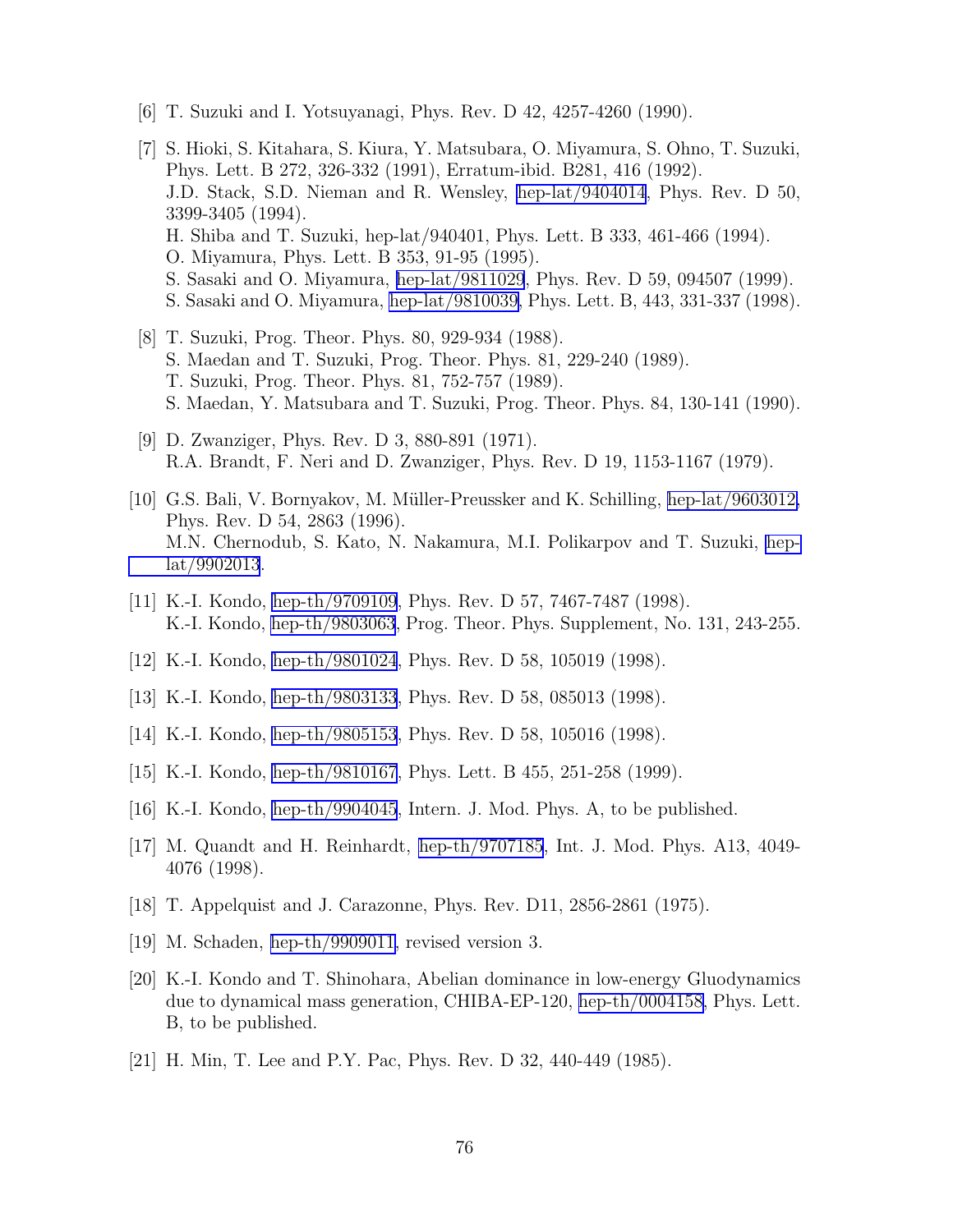- [6] T. Suzuki and I. Yotsuyanagi, Phys. Rev. D 42, 4257-4260 (1990).
- [7] S. Hioki, S. Kitahara, S. Kiura, Y. Matsubara, O. Miyamura, S. Ohno, T. Suzuki, Phys. Lett. B 272, 326-332 (1991), Erratum-ibid. B281, 416 (1992). J.D. Stack, S.D. Nieman and R. Wensley, [hep-lat/9404014](http://arxiv.org/abs/hep-lat/9404014), Phys. Rev. D 50, 3399-3405 (1994). H. Shiba and T. Suzuki, hep-lat/940401, Phys. Lett. B 333, 461-466 (1994). O. Miyamura, Phys. Lett. B 353, 91-95 (1995). S. Sasaki and O. Miyamura, [hep-lat/9811029](http://arxiv.org/abs/hep-lat/9811029), Phys. Rev. D 59, 094507 (1999). S. Sasaki and O. Miyamura, [hep-lat/9810039,](http://arxiv.org/abs/hep-lat/9810039) Phys. Lett. B, 443, 331-337 (1998).
- [8] T. Suzuki, Prog. Theor. Phys. 80, 929-934 (1988). S. Maedan and T. Suzuki, Prog. Theor. Phys. 81, 229-240 (1989). T. Suzuki, Prog. Theor. Phys. 81, 752-757 (1989). S. Maedan, Y. Matsubara and T. Suzuki, Prog. Theor. Phys. 84, 130-141 (1990).
- [9] D. Zwanziger, Phys. Rev. D 3, 880-891 (1971). R.A. Brandt, F. Neri and D. Zwanziger, Phys. Rev. D 19, 1153-1167 (1979).
- [10] G.S. Bali, V. Bornyakov, M. M¨uller-Preussker and K. Schilling, [hep-lat/9603012,](http://arxiv.org/abs/hep-lat/9603012) Phys. Rev. D 54, 2863 (1996). M.N. Chernodub, S. Kato, N. Nakamura, M.I. Polikarpov and T. Suzuki, [hep](http://arxiv.org/abs/hep-lat/9902013)[lat/9902013](http://arxiv.org/abs/hep-lat/9902013).
- [11] K.-I. Kondo, [hep-th/9709109](http://arxiv.org/abs/hep-th/9709109), Phys. Rev. D 57, 7467-7487 (1998). K.-I. Kondo, [hep-th/9803063](http://arxiv.org/abs/hep-th/9803063), Prog. Theor. Phys. Supplement, No. 131, 243-255.
- [12] K.-I. Kondo, [hep-th/9801024](http://arxiv.org/abs/hep-th/9801024), Phys. Rev. D 58, 105019 (1998).
- [13] K.-I. Kondo, [hep-th/9803133](http://arxiv.org/abs/hep-th/9803133), Phys. Rev. D 58, 085013 (1998).
- [14] K.-I. Kondo, [hep-th/9805153](http://arxiv.org/abs/hep-th/9805153), Phys. Rev. D 58, 105016 (1998).
- [15] K.-I. Kondo, [hep-th/9810167](http://arxiv.org/abs/hep-th/9810167), Phys. Lett. B 455, 251-258 (1999).
- [16] K.-I. Kondo, [hep-th/9904045](http://arxiv.org/abs/hep-th/9904045), Intern. J. Mod. Phys. A, to be published.
- [17] M. Quandt and H. Reinhardt, [hep-th/9707185](http://arxiv.org/abs/hep-th/9707185), Int. J. Mod. Phys. A13, 4049- 4076 (1998).
- [18] T. Appelquist and J. Carazonne, Phys. Rev. D11, 2856-2861 (1975).
- [19] M. Schaden, [hep-th/9909011,](http://arxiv.org/abs/hep-th/9909011) revised version 3.
- [20] K.-I. Kondo and T. Shinohara, Abelian dominance in low-energy Gluodynamics due to dynamical mass generation, CHIBA-EP-120, [hep-th/0004158,](http://arxiv.org/abs/hep-th/0004158) Phys. Lett. B, to be published.
- [21] H. Min, T. Lee and P.Y. Pac, Phys. Rev. D 32, 440-449 (1985).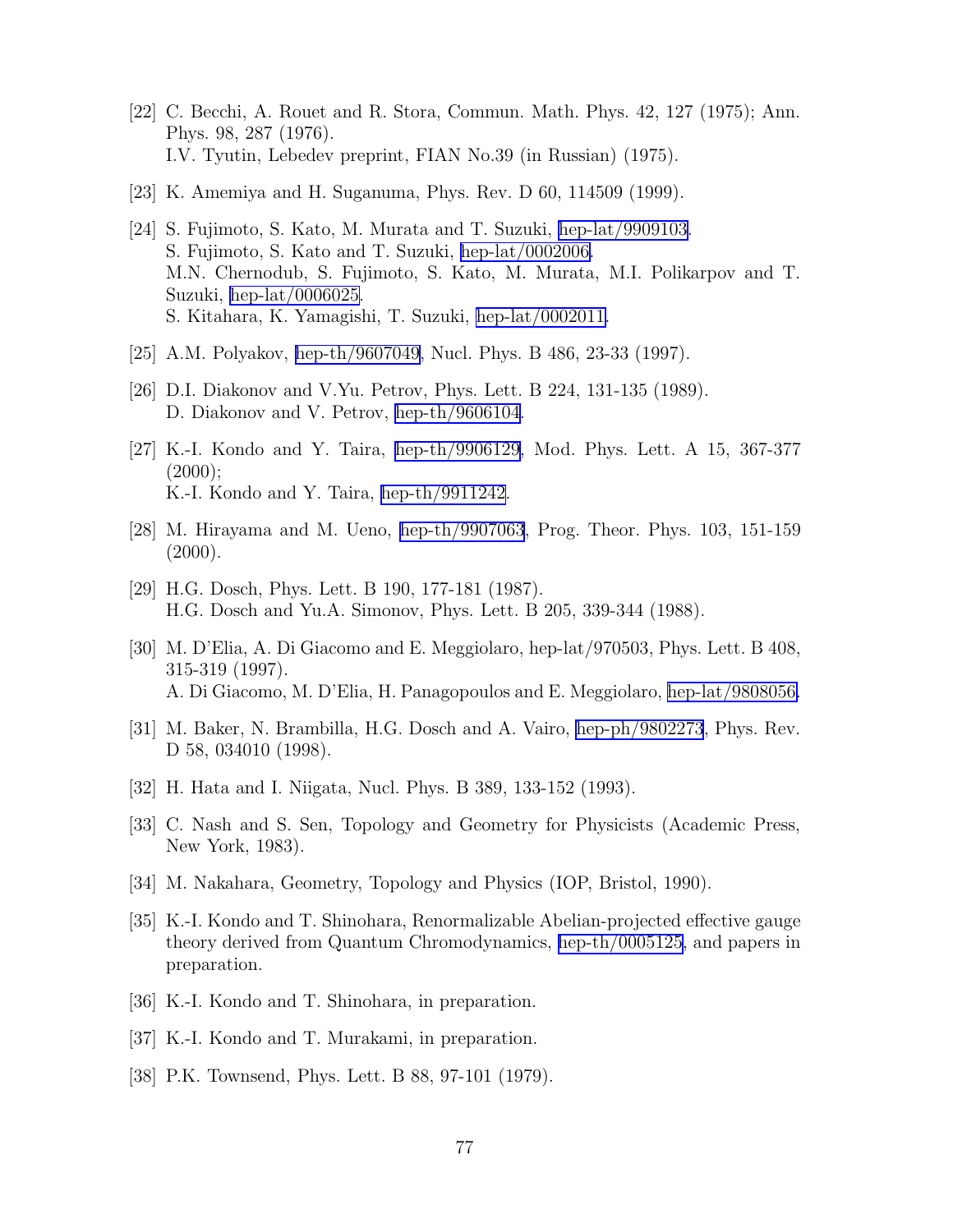- <span id="page-78-0"></span>[22] C. Becchi, A. Rouet and R. Stora, Commun. Math. Phys. 42, 127 (1975); Ann. Phys. 98, 287 (1976). I.V. Tyutin, Lebedev preprint, FIAN No.39 (in Russian) (1975).
- [23] K. Amemiya and H. Suganuma, Phys. Rev. D 60, 114509 (1999).
- [24] S. Fujimoto, S. Kato, M. Murata and T. Suzuki, [hep-lat/9909103.](http://arxiv.org/abs/hep-lat/9909103) S. Fujimoto, S. Kato and T. Suzuki, [hep-lat/0002006.](http://arxiv.org/abs/hep-lat/0002006) M.N. Chernodub, S. Fujimoto, S. Kato, M. Murata, M.I. Polikarpov and T. Suzuki, [hep-lat/0006025.](http://arxiv.org/abs/hep-lat/0006025) S. Kitahara, K. Yamagishi, T. Suzuki, [hep-lat/0002011.](http://arxiv.org/abs/hep-lat/0002011)
- [25] A.M. Polyakov, [hep-th/9607049,](http://arxiv.org/abs/hep-th/9607049) Nucl. Phys. B 486, 23-33 (1997).
- [26] D.I. Diakonov and V.Yu. Petrov, Phys. Lett. B 224, 131-135 (1989). D. Diakonov and V. Petrov, [hep-th/9606104](http://arxiv.org/abs/hep-th/9606104).
- [27] K.-I. Kondo and Y. Taira, [hep-th/9906129](http://arxiv.org/abs/hep-th/9906129), Mod. Phys. Lett. A 15, 367-377  $(2000);$ K.-I. Kondo and Y. Taira, [hep-th/9911242.](http://arxiv.org/abs/hep-th/9911242)
- [28] M. Hirayama and M. Ueno, [hep-th/9907063](http://arxiv.org/abs/hep-th/9907063), Prog. Theor. Phys. 103, 151-159  $(2000).$
- [29] H.G. Dosch, Phys. Lett. B 190, 177-181 (1987). H.G. Dosch and Yu.A. Simonov, Phys. Lett. B 205, 339-344 (1988).
- [30] M. D'Elia, A. Di Giacomo and E. Meggiolaro, hep-lat/970503, Phys. Lett. B 408, 315-319 (1997). A. Di Giacomo, M. D'Elia, H. Panagopoulos and E. Meggiolaro, [hep-lat/9808056.](http://arxiv.org/abs/hep-lat/9808056)
- [31] M. Baker, N. Brambilla, H.G. Dosch and A. Vairo, [hep-ph/9802273](http://arxiv.org/abs/hep-ph/9802273), Phys. Rev. D 58, 034010 (1998).
- [32] H. Hata and I. Niigata, Nucl. Phys. B 389, 133-152 (1993).
- [33] C. Nash and S. Sen, Topology and Geometry for Physicists (Academic Press, New York, 1983).
- [34] M. Nakahara, Geometry, Topology and Physics (IOP, Bristol, 1990).
- [35] K.-I. Kondo and T. Shinohara, Renormalizable Abelian-projected effective gauge theory derived from Quantum Chromodynamics, [hep-th/0005125,](http://arxiv.org/abs/hep-th/0005125) and papers in preparation.
- [36] K.-I. Kondo and T. Shinohara, in preparation.
- [37] K.-I. Kondo and T. Murakami, in preparation.
- [38] P.K. Townsend, Phys. Lett. B 88, 97-101 (1979).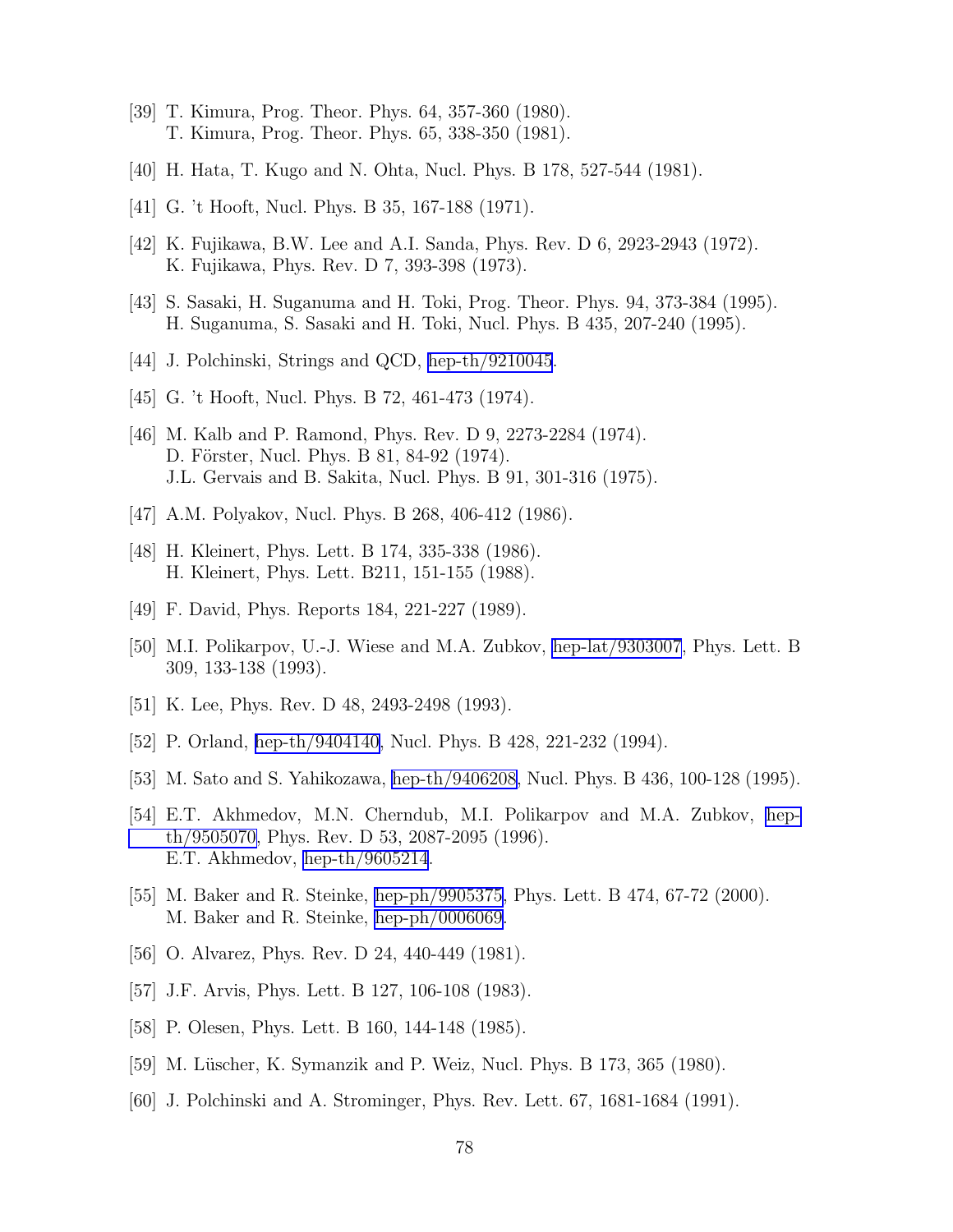- [39] T. Kimura, Prog. Theor. Phys. 64, 357-360 (1980). T. Kimura, Prog. Theor. Phys. 65, 338-350 (1981).
- [40] H. Hata, T. Kugo and N. Ohta, Nucl. Phys. B 178, 527-544 (1981).
- [41] G. 't Hooft, Nucl. Phys. B 35, 167-188 (1971).
- [42] K. Fujikawa, B.W. Lee and A.I. Sanda, Phys. Rev. D 6, 2923-2943 (1972). K. Fujikawa, Phys. Rev. D 7, 393-398 (1973).
- [43] S. Sasaki, H. Suganuma and H. Toki, Prog. Theor. Phys. 94, 373-384 (1995). H. Suganuma, S. Sasaki and H. Toki, Nucl. Phys. B 435, 207-240 (1995).
- [44] J. Polchinski, Strings and QCD, [hep-th/9210045](http://arxiv.org/abs/hep-th/9210045).
- [45] G. 't Hooft, Nucl. Phys. B 72, 461-473 (1974).
- [46] M. Kalb and P. Ramond, Phys. Rev. D 9, 2273-2284 (1974). D. Förster, Nucl. Phys. B 81, 84-92 (1974). J.L. Gervais and B. Sakita, Nucl. Phys. B 91, 301-316 (1975).
- [47] A.M. Polyakov, Nucl. Phys. B 268, 406-412 (1986).
- [48] H. Kleinert, Phys. Lett. B 174, 335-338 (1986). H. Kleinert, Phys. Lett. B211, 151-155 (1988).
- [49] F. David, Phys. Reports 184, 221-227 (1989).
- [50] M.I. Polikarpov, U.-J. Wiese and M.A. Zubkov, [hep-lat/9303007](http://arxiv.org/abs/hep-lat/9303007), Phys. Lett. B 309, 133-138 (1993).
- [51] K. Lee, Phys. Rev. D 48, 2493-2498 (1993).
- [52] P. Orland, [hep-th/9404140,](http://arxiv.org/abs/hep-th/9404140) Nucl. Phys. B 428, 221-232 (1994).
- [53] M. Sato and S. Yahikozawa, [hep-th/9406208](http://arxiv.org/abs/hep-th/9406208), Nucl. Phys. B 436, 100-128 (1995).
- [54] E.T. Akhmedov, M.N. Cherndub, M.I. Polikarpov and M.A. Zubkov, [hep](http://arxiv.org/abs/hep-th/9505070)[th/9505070,](http://arxiv.org/abs/hep-th/9505070) Phys. Rev. D 53, 2087-2095 (1996). E.T. Akhmedov, [hep-th/9605214](http://arxiv.org/abs/hep-th/9605214).
- [55] M. Baker and R. Steinke, [hep-ph/9905375](http://arxiv.org/abs/hep-ph/9905375), Phys. Lett. B 474, 67-72 (2000). M. Baker and R. Steinke, [hep-ph/0006069](http://arxiv.org/abs/hep-ph/0006069).
- [56] O. Alvarez, Phys. Rev. D 24, 440-449 (1981).
- [57] J.F. Arvis, Phys. Lett. B 127, 106-108 (1983).
- [58] P. Olesen, Phys. Lett. B 160, 144-148 (1985).
- [59] M. Lüscher, K. Symanzik and P. Weiz, Nucl. Phys. B 173, 365 (1980).
- [60] J. Polchinski and A. Strominger, Phys. Rev. Lett. 67, 1681-1684 (1991).